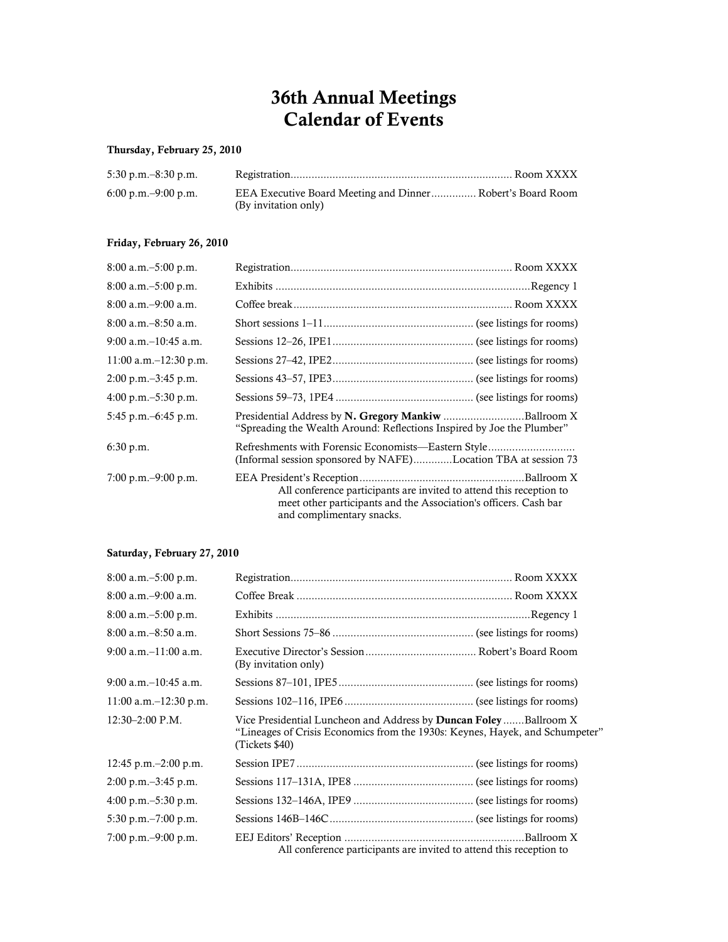# 36th Annual Meetings Calendar of Events

## Thursday, February 25, 2010

| $5:30$ p.m. $-8:30$ p.m. |                                                                                    |  |
|--------------------------|------------------------------------------------------------------------------------|--|
| 6:00 p.m. $-9:00$ p.m.   | EEA Executive Board Meeting and Dinner Robert's Board Room<br>(By invitation only) |  |

## Friday, February 26, 2010

| $8:00$ a.m. $-5:00$ p.m.                |                                                                                                                                                                      |
|-----------------------------------------|----------------------------------------------------------------------------------------------------------------------------------------------------------------------|
| $8:00$ a.m. $-5:00$ p.m.                |                                                                                                                                                                      |
| $8:00$ a.m. $-9:00$ a.m.                |                                                                                                                                                                      |
| $8:00$ a.m. $-8:50$ a.m.                |                                                                                                                                                                      |
| $9:00$ a.m. $-10:45$ a.m.               |                                                                                                                                                                      |
| 11:00 a.m. $-12:30$ p.m.                |                                                                                                                                                                      |
| $2:00 \text{ p.m.} - 3:45 \text{ p.m.}$ |                                                                                                                                                                      |
| 4:00 p.m. $-5:30$ p.m.                  |                                                                                                                                                                      |
| 5:45 p.m. $-6:45$ p.m.                  | Presidential Address by N. Gregory Mankiw Ballroom X<br>"Spreading the Wealth Around: Reflections Inspired by Joe the Plumber"                                       |
| 6:30 p.m.                               | Refreshments with Forensic Economists—Eastern Style<br>(Informal session sponsored by NAFE)Location TBA at session 73                                                |
| 7:00 p.m. $-9:00$ p.m.                  | All conference participants are invited to attend this reception to<br>meet other participants and the Association's officers. Cash bar<br>and complimentary snacks. |

## Saturday, February 27, 2010

| $8:00$ a.m. $-5:00$ p.m.                |                                                                                                                                                                            |  |
|-----------------------------------------|----------------------------------------------------------------------------------------------------------------------------------------------------------------------------|--|
| $8:00$ a.m. $-9:00$ a.m.                |                                                                                                                                                                            |  |
| $8:00$ a.m. $-5:00$ p.m.                |                                                                                                                                                                            |  |
| $8:00$ a.m. $-8:50$ a.m.                |                                                                                                                                                                            |  |
| $9:00$ a.m. $-11:00$ a.m.               | (By invitation only)                                                                                                                                                       |  |
| $9:00$ a.m. $-10:45$ a.m.               |                                                                                                                                                                            |  |
| $11:00$ a.m. $-12:30$ p.m.              |                                                                                                                                                                            |  |
| $12:30 - 2:00$ P.M.                     | Vice Presidential Luncheon and Address by <b>Duncan Foley</b> Ballroom X<br>"Lineages of Crisis Economics from the 1930s: Keynes, Hayek, and Schumpeter"<br>(Tickets \$40) |  |
| 12:45 p.m. $-2:00$ p.m.                 |                                                                                                                                                                            |  |
| $2:00 \text{ p.m.} - 3:45 \text{ p.m.}$ |                                                                                                                                                                            |  |
| $4:00 \text{ p.m.} - 5:30 \text{ p.m.}$ |                                                                                                                                                                            |  |
| $5:30$ p.m. $-7:00$ p.m.                |                                                                                                                                                                            |  |
| 7:00 p.m. $-9:00$ p.m.                  | All conference participants are invited to attend this reception to                                                                                                        |  |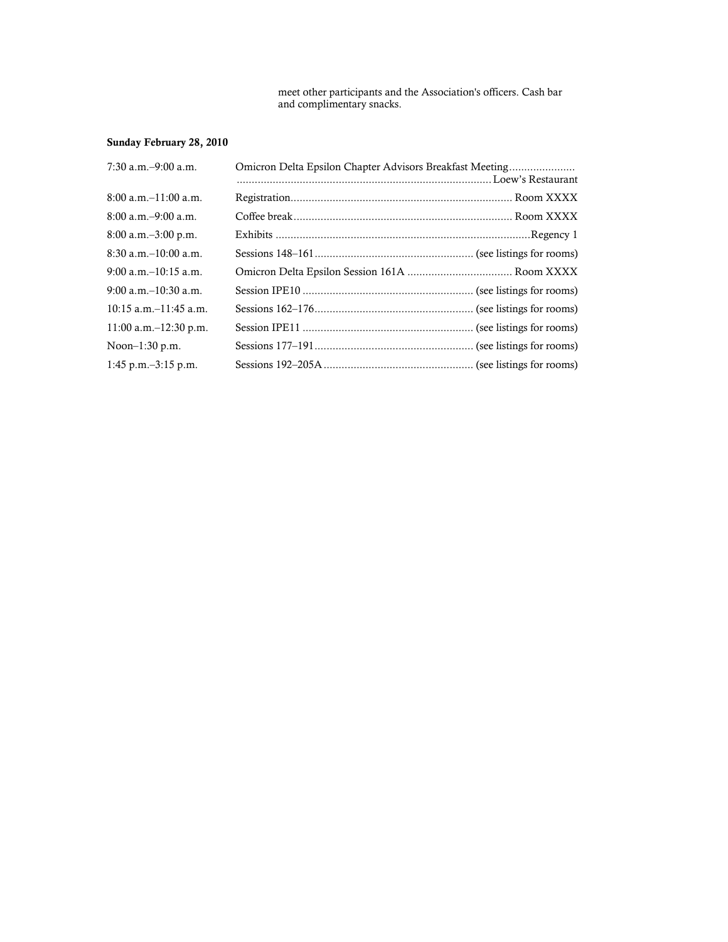meet other participants and the Association's officers. Cash bar and complimentary snacks.

# Sunday February 28, 2010

| $7:30$ a.m. $-9:00$ a.m.   | Omicron Delta Epsilon Chapter Advisors Breakfast Meeting |  |
|----------------------------|----------------------------------------------------------|--|
| $8:00$ a.m. $-11:00$ a.m.  |                                                          |  |
| $8:00$ a.m. $-9:00$ a.m.   |                                                          |  |
| $8:00$ a.m. $-3:00$ p.m.   |                                                          |  |
| $8:30$ a.m. $-10:00$ a.m.  |                                                          |  |
| $9:00$ a.m. $-10:15$ a.m.  |                                                          |  |
| $9:00$ a.m. $-10:30$ a.m.  |                                                          |  |
| $10:15$ a.m. $-11:45$ a.m. |                                                          |  |
| $11:00$ a.m. $-12:30$ p.m. |                                                          |  |
| Noon $-1:30$ p.m.          |                                                          |  |
| $1:45$ p.m. $-3:15$ p.m.   |                                                          |  |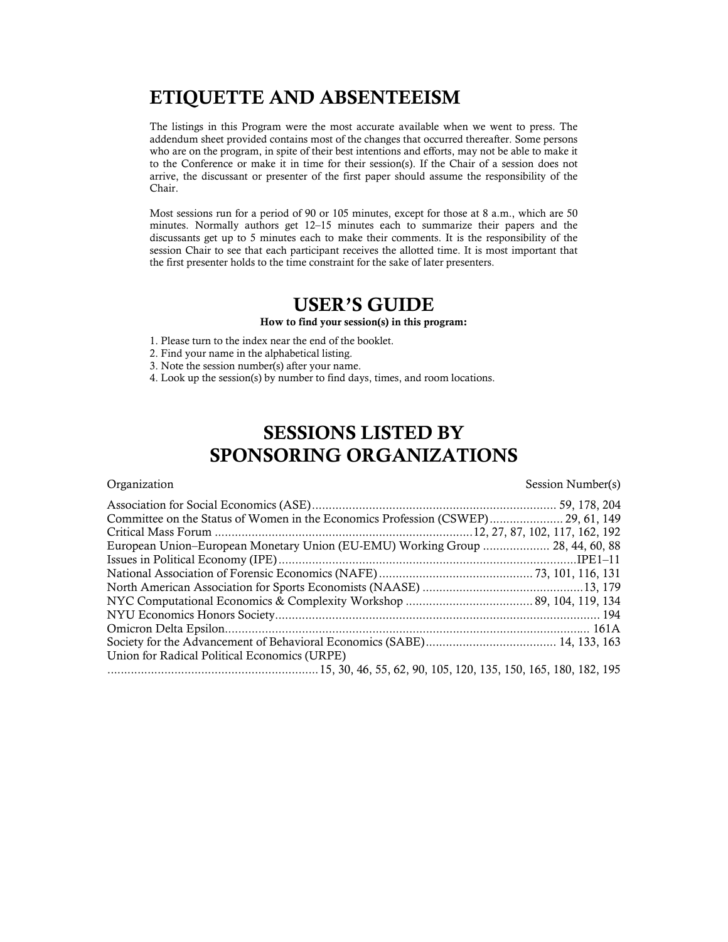# ETIQUETTE AND ABSENTEEISM

The listings in this Program were the most accurate available when we went to press. The addendum sheet provided contains most of the changes that occurred thereafter. Some persons who are on the program, in spite of their best intentions and efforts, may not be able to make it to the Conference or make it in time for their session(s). If the Chair of a session does not arrive, the discussant or presenter of the first paper should assume the responsibility of the Chair.

Most sessions run for a period of 90 or 105 minutes, except for those at 8 a.m., which are 50 minutes. Normally authors get 12–15 minutes each to summarize their papers and the discussants get up to 5 minutes each to make their comments. It is the responsibility of the session Chair to see that each participant receives the allotted time. It is most important that the first presenter holds to the time constraint for the sake of later presenters.

# USER'S GUIDE

How to find your session(s) in this program:

- 1. Please turn to the index near the end of the booklet.
- 2. Find your name in the alphabetical listing.
- 3. Note the session number(s) after your name.
- 4. Look up the session(s) by number to find days, times, and room locations.

# SESSIONS LISTED BY SPONSORING ORGANIZATIONS

Organization Session Number(s)

| Committee on the Status of Women in the Economics Profession (CSWEP) 29, 61, 149 |  |
|----------------------------------------------------------------------------------|--|
|                                                                                  |  |
| European Union-European Monetary Union (EU-EMU) Working Group  28, 44, 60, 88    |  |
|                                                                                  |  |
|                                                                                  |  |
|                                                                                  |  |
|                                                                                  |  |
|                                                                                  |  |
|                                                                                  |  |
|                                                                                  |  |
| Union for Radical Political Economics (URPE)                                     |  |
|                                                                                  |  |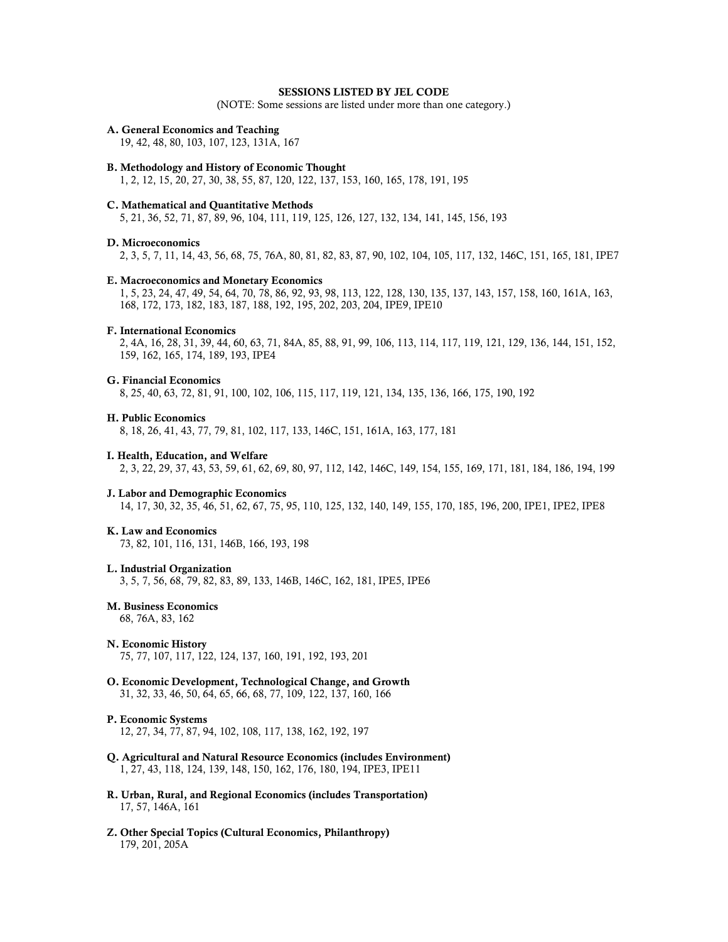### SESSIONS LISTED BY JEL CODE

(NOTE: Some sessions are listed under more than one category.)

### A. General Economics and Teaching

19, 42, 48, 80, 103, 107, 123, 131A, 167

### B. Methodology and History of Economic Thought

1, 2, 12, 15, 20, 27, 30, 38, 55, 87, 120, 122, 137, 153, 160, 165, 178, 191, 195

### C. Mathematical and Quantitative Methods

5, 21, 36, 52, 71, 87, 89, 96, 104, 111, 119, 125, 126, 127, 132, 134, 141, 145, 156, 193

### D. Microeconomics

2, 3, 5, 7, 11, 14, 43, 56, 68, 75, 76A, 80, 81, 82, 83, 87, 90, 102, 104, 105, 117, 132, 146C, 151, 165, 181, IPE7

### E. Macroeconomics and Monetary Economics

 1, 5, 23, 24, 47, 49, 54, 64, 70, 78, 86, 92, 93, 98, 113, 122, 128, 130, 135, 137, 143, 157, 158, 160, 161A, 163, 168, 172, 173, 182, 183, 187, 188, 192, 195, 202, 203, 204, IPE9, IPE10

### F. International Economics

 2, 4A, 16, 28, 31, 39, 44, 60, 63, 71, 84A, 85, 88, 91, 99, 106, 113, 114, 117, 119, 121, 129, 136, 144, 151, 152, 159, 162, 165, 174, 189, 193, IPE4

### G. Financial Economics

8, 25, 40, 63, 72, 81, 91, 100, 102, 106, 115, 117, 119, 121, 134, 135, 136, 166, 175, 190, 192

### H. Public Economics

8, 18, 26, 41, 43, 77, 79, 81, 102, 117, 133, 146C, 151, 161A, 163, 177, 181

### I. Health, Education, and Welfare

2, 3, 22, 29, 37, 43, 53, 59, 61, 62, 69, 80, 97, 112, 142, 146C, 149, 154, 155, 169, 171, 181, 184, 186, 194, 199

### J. Labor and Demographic Economics

14, 17, 30, 32, 35, 46, 51, 62, 67, 75, 95, 110, 125, 132, 140, 149, 155, 170, 185, 196, 200, IPE1, IPE2, IPE8

### K. Law and Economics

73, 82, 101, 116, 131, 146B, 166, 193, 198

### L. Industrial Organization

3, 5, 7, 56, 68, 79, 82, 83, 89, 133, 146B, 146C, 162, 181, IPE5, IPE6

### M. Business Economics

68, 76A, 83, 162

### N. Economic History

75, 77, 107, 117, 122, 124, 137, 160, 191, 192, 193, 201

O. Economic Development, Technological Change, and Growth 31, 32, 33, 46, 50, 64, 65, 66, 68, 77, 109, 122, 137, 160, 166

### P. Economic Systems

12, 27, 34, 77, 87, 94, 102, 108, 117, 138, 162, 192, 197

- Q. Agricultural and Natural Resource Economics (includes Environment) 1, 27, 43, 118, 124, 139, 148, 150, 162, 176, 180, 194, IPE3, IPE11
- R. Urban, Rural, and Regional Economics (includes Transportation) 17, 57, 146A, 161
- Z. Other Special Topics (Cultural Economics, Philanthropy) 179, 201, 205A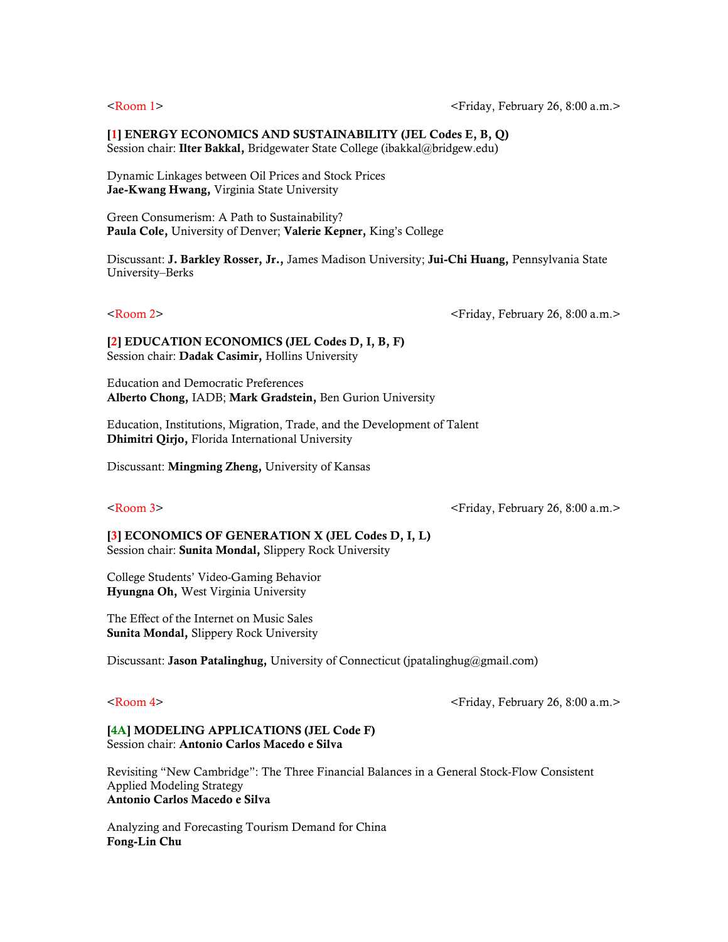### [1] ENERGY ECONOMICS AND SUSTAINABILITY (JEL Codes E, B, Q)

Session chair: Ilter Bakkal, Bridgewater State College (ibakkal@bridgew.edu)

Dynamic Linkages between Oil Prices and Stock Prices Jae-Kwang Hwang, Virginia State University

Green Consumerism: A Path to Sustainability? Paula Cole, University of Denver; Valerie Kepner, King's College

Discussant: J. Barkley Rosser, Jr., James Madison University; Jui-Chi Huang, Pennsylvania State University–Berks

<Room 2> <Friday, February 26, 8:00 a.m.>

[2] EDUCATION ECONOMICS (JEL Codes D, I, B, F) Session chair: Dadak Casimir, Hollins University

Education and Democratic Preferences Alberto Chong, IADB; Mark Gradstein, Ben Gurion University

Education, Institutions, Migration, Trade, and the Development of Talent Dhimitri Qirjo, Florida International University

Discussant: Mingming Zheng, University of Kansas

<Room 3> <Friday, February 26, 8:00 a.m.>

[3] ECONOMICS OF GENERATION X (JEL Codes D, I, L) Session chair: Sunita Mondal, Slippery Rock University

College Students' Video-Gaming Behavior Hyungna Oh, West Virginia University

The Effect of the Internet on Music Sales Sunita Mondal, Slippery Rock University

Discussant: Jason Patalinghug, University of Connecticut (jpatalinghug@gmail.com)

<Room 4> <Friday, February 26, 8:00 a.m.>

### [4A] MODELING APPLICATIONS (JEL Code F) Session chair: Antonio Carlos Macedo e Silva

Revisiting "New Cambridge": The Three Financial Balances in a General Stock-Flow Consistent Applied Modeling Strategy Antonio Carlos Macedo e Silva

Analyzing and Forecasting Tourism Demand for China Fong-Lin Chu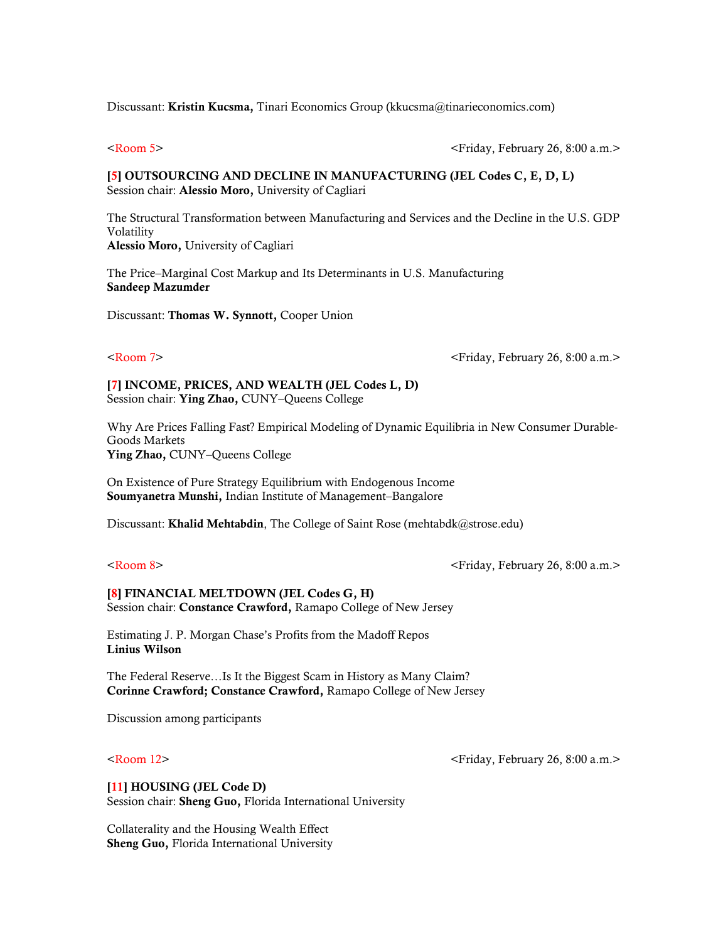Discussant: Kristin Kucsma, Tinari Economics Group (kkucsma@tinarieconomics.com)

<Room 5> <Friday, February 26, 8:00 a.m.>

### [5] OUTSOURCING AND DECLINE IN MANUFACTURING (JEL Codes C, E, D, L) Session chair: Alessio Moro, University of Cagliari

The Structural Transformation between Manufacturing and Services and the Decline in the U.S. GDP Volatility Alessio Moro, University of Cagliari

The Price–Marginal Cost Markup and Its Determinants in U.S. Manufacturing Sandeep Mazumder

Discussant: Thomas W. Synnott, Cooper Union

<Room 7> <Friday, February 26, 8:00 a.m.>

[7] INCOME, PRICES, AND WEALTH (JEL Codes L, D) Session chair: Ying Zhao, CUNY–Queens College

Why Are Prices Falling Fast? Empirical Modeling of Dynamic Equilibria in New Consumer Durable-Goods Markets Ying Zhao, CUNY–Queens College

On Existence of Pure Strategy Equilibrium with Endogenous Income Soumyanetra Munshi, Indian Institute of Management–Bangalore

Discussant: Khalid Mehtabdin, The College of Saint Rose (mehtabdk@strose.edu)

<Room 8> <Friday, February 26, 8:00 a.m.>

### [8] FINANCIAL MELTDOWN (JEL Codes G, H) Session chair: Constance Crawford, Ramapo College of New Jersey

Estimating J. P. Morgan Chase's Profits from the Madoff Repos Linius Wilson

The Federal Reserve…Is It the Biggest Scam in History as Many Claim? Corinne Crawford; Constance Crawford, Ramapo College of New Jersey

Discussion among participants

<Room 12> <Friday, February 26, 8:00 a.m.>

[11] HOUSING (JEL Code D) Session chair: Sheng Guo, Florida International University

Collaterality and the Housing Wealth Effect Sheng Guo, Florida International University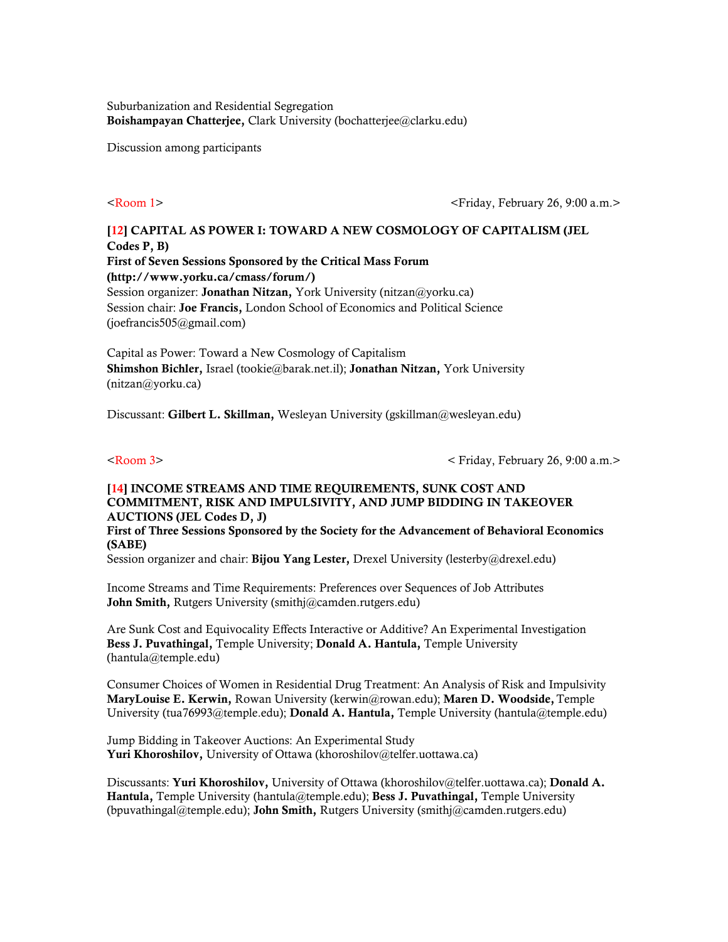Suburbanization and Residential Segregation Boishampayan Chatterjee, Clark University (bochatterjee@clarku.edu)

Discussion among participants

<Room 1> <Friday, February 26, 9:00 a.m.>

# [12] CAPITAL AS POWER I: TOWARD A NEW COSMOLOGY OF CAPITALISM (JEL Codes P, B) First of Seven Sessions Sponsored by the Critical Mass Forum (http://www.yorku.ca/cmass/forum/)

Session organizer: **Jonathan Nitzan**, York University (nitzan@yorku.ca) Session chair: Joe Francis, London School of Economics and Political Science (joefrancis505@gmail.com)

Capital as Power: Toward a New Cosmology of Capitalism Shimshon Bichler, Israel (tookie@barak.net.il); Jonathan Nitzan, York University (nitzan@yorku.ca)

Discussant: Gilbert L. Skillman, Wesleyan University (gskillman@wesleyan.edu)

<Room 3> < Friday, February 26, 9:00 a.m.>

# [14] INCOME STREAMS AND TIME REQUIREMENTS, SUNK COST AND COMMITMENT, RISK AND IMPULSIVITY, AND JUMP BIDDING IN TAKEOVER AUCTIONS (JEL Codes D, J)

First of Three Sessions Sponsored by the Society for the Advancement of Behavioral Economics (SABE)

Session organizer and chair: Bijou Yang Lester, Drexel University (lesterby@drexel.edu)

Income Streams and Time Requirements: Preferences over Sequences of Job Attributes John Smith, Rutgers University (smithj@camden.rutgers.edu)

Are Sunk Cost and Equivocality Effects Interactive or Additive? An Experimental Investigation Bess J. Puvathingal, Temple University; Donald A. Hantula, Temple University (hantula@temple.edu)

Consumer Choices of Women in Residential Drug Treatment: An Analysis of Risk and Impulsivity MaryLouise E. Kerwin, Rowan University (kerwin@rowan.edu); Maren D. Woodside, Temple University (tua76993@temple.edu); Donald A. Hantula, Temple University (hantula@temple.edu)

Jump Bidding in Takeover Auctions: An Experimental Study Yuri Khoroshilov, University of Ottawa (khoroshilov@telfer.uottawa.ca)

Discussants: Yuri Khoroshilov, University of Ottawa (khoroshilov@telfer.uottawa.ca); Donald A. Hantula, Temple University (hantula@temple.edu); Bess J. Puvathingal, Temple University (bpuvathingal@temple.edu); John Smith, Rutgers University (smithj@camden.rutgers.edu)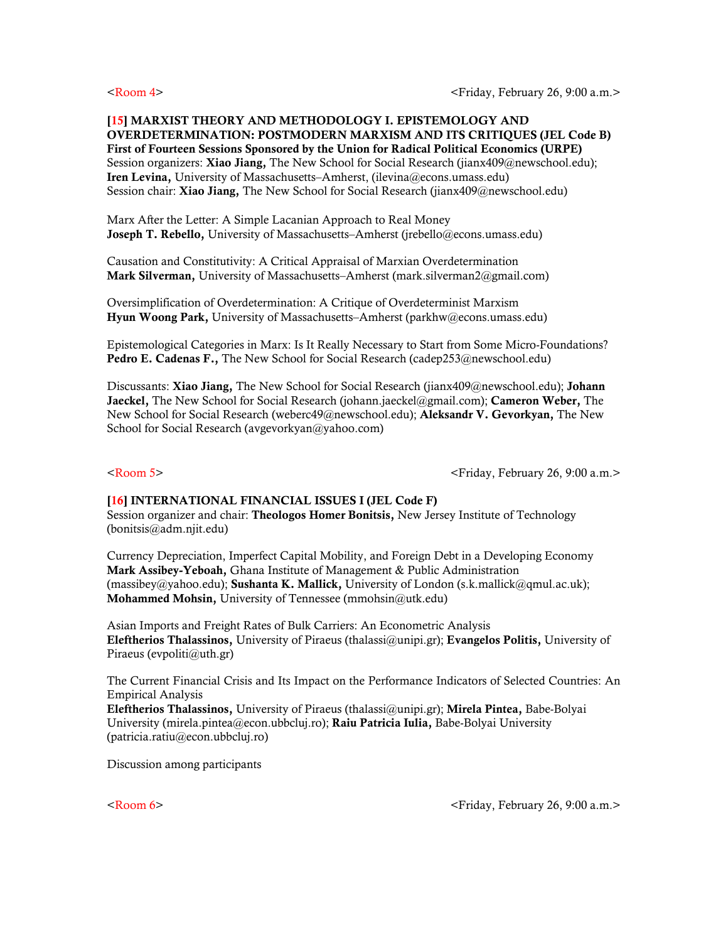### [15] MARXIST THEORY AND METHODOLOGY I. EPISTEMOLOGY AND OVERDETERMINATION: POSTMODERN MARXISM AND ITS CRITIQUES (JEL Code B) First of Fourteen Sessions Sponsored by the Union for Radical Political Economics (URPE) Session organizers: **Xiao Jiang,** The New School for Social Research (jianx409@newschool.edu); Iren Levina, University of Massachusetts–Amherst, (ilevina@econs.umass.edu) Session chair: Xiao Jiang, The New School for Social Research (jianx409@newschool.edu)

Marx After the Letter: A Simple Lacanian Approach to Real Money Joseph T. Rebello, University of Massachusetts–Amherst (jrebello@econs.umass.edu)

Causation and Constitutivity: A Critical Appraisal of Marxian Overdetermination Mark Silverman, University of Massachusetts–Amherst (mark.silverman2@gmail.com)

Oversimplification of Overdetermination: A Critique of Overdeterminist Marxism Hyun Woong Park, University of Massachusetts–Amherst (parkhw@econs.umass.edu)

Epistemological Categories in Marx: Is It Really Necessary to Start from Some Micro-Foundations? Pedro E. Cadenas F., The New School for Social Research (cadep253@newschool.edu)

Discussants: Xiao Jiang, The New School for Social Research (jianx409@newschool.edu); Johann Jaeckel, The New School for Social Research (johann.jaeckel@gmail.com); Cameron Weber, The New School for Social Research (weberc49@newschool.edu); Aleksandr V. Gevorkyan, The New School for Social Research (avgevorkyan@yahoo.com)

<Room 5> <Friday, February 26, 9:00 a.m.>

### [16] INTERNATIONAL FINANCIAL ISSUES I (JEL Code F)

Session organizer and chair: Theologos Homer Bonitsis, New Jersey Institute of Technology (bonitsis@adm.njit.edu)

Currency Depreciation, Imperfect Capital Mobility, and Foreign Debt in a Developing Economy Mark Assibey-Yeboah, Ghana Institute of Management & Public Administration (massibey@yahoo.edu); **Sushanta K. Mallick,** University of London (s.k.mallick@qmul.ac.uk); Mohammed Mohsin, University of Tennessee (mmohsin@utk.edu)

Asian Imports and Freight Rates of Bulk Carriers: An Econometric Analysis Eleftherios Thalassinos, University of Piraeus (thalassi@unipi.gr); Evangelos Politis, University of Piraeus (evpoliti@uth.gr)

The Current Financial Crisis and Its Impact on the Performance Indicators of Selected Countries: An Empirical Analysis

Eleftherios Thalassinos, University of Piraeus (thalassi@unipi.gr); Mirela Pintea, Babe-Bolyai University (mirela.pintea@econ.ubbcluj.ro); Raiu Patricia Iulia, Babe-Bolyai University (patricia.ratiu@econ.ubbcluj.ro)

Discussion among participants

<Room 6> <Friday, February 26, 9:00 a.m.>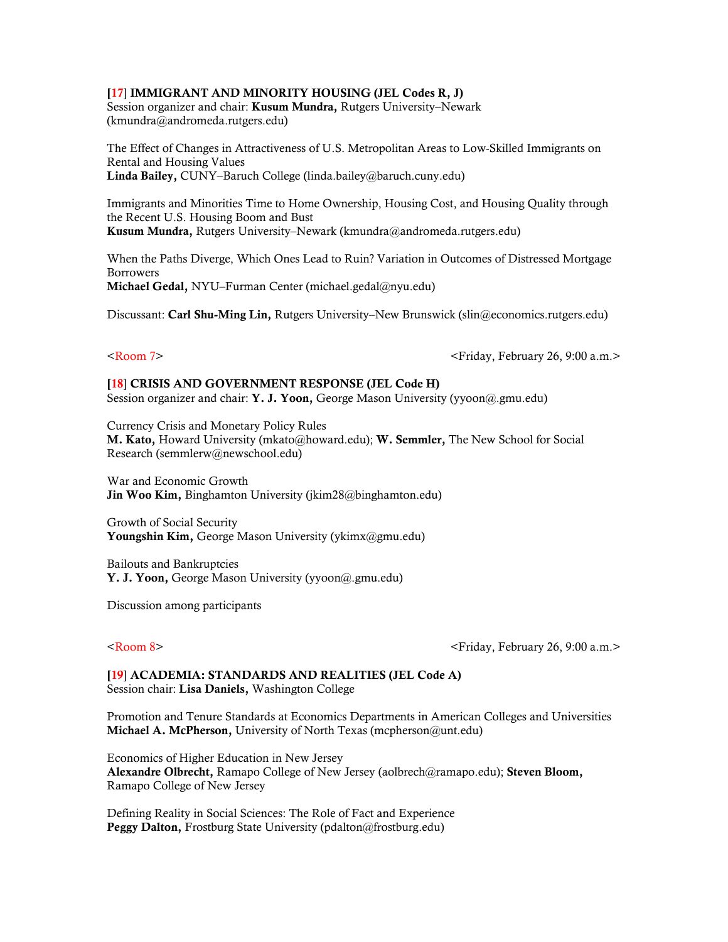### [17] IMMIGRANT AND MINORITY HOUSING (JEL Codes R, J)

Session organizer and chair: **Kusum Mundra**, Rutgers University–Newark (kmundra@andromeda.rutgers.edu)

The Effect of Changes in Attractiveness of U.S. Metropolitan Areas to Low-Skilled Immigrants on Rental and Housing Values Linda Bailey, CUNY–Baruch College (linda.bailey@baruch.cuny.edu)

Immigrants and Minorities Time to Home Ownership, Housing Cost, and Housing Quality through the Recent U.S. Housing Boom and Bust Kusum Mundra, Rutgers University–Newark (kmundra@andromeda.rutgers.edu)

When the Paths Diverge, Which Ones Lead to Ruin? Variation in Outcomes of Distressed Mortgage Borrowers Michael Gedal, NYU–Furman Center (michael.gedal@nyu.edu)

Discussant: Carl Shu-Ming Lin, Rutgers University–New Brunswick (slin@economics.rutgers.edu)

<Room 7> <Friday, February 26, 9:00 a.m.>

[18] CRISIS AND GOVERNMENT RESPONSE (JEL Code H) Session organizer and chair: Y. J. Yoon, George Mason University (yyoon@.gmu.edu)

Currency Crisis and Monetary Policy Rules M. Kato, Howard University (mkato@howard.edu); W. Semmler, The New School for Social Research (semmlerw@newschool.edu)

War and Economic Growth Jin Woo Kim, Binghamton University (jkim28@binghamton.edu)

Growth of Social Security Youngshin Kim, George Mason University (ykimx@gmu.edu)

Bailouts and Bankruptcies Y. J. Yoon, George Mason University (yyoon@.gmu.edu)

Discussion among participants

<Room 8> <Friday, February 26, 9:00 a.m.>

[19] ACADEMIA: STANDARDS AND REALITIES (JEL Code A) Session chair: Lisa Daniels, Washington College

Promotion and Tenure Standards at Economics Departments in American Colleges and Universities Michael A. McPherson, University of North Texas (mcpherson@unt.edu)

Economics of Higher Education in New Jersey Alexandre Olbrecht, Ramapo College of New Jersey (aolbrech@ramapo.edu); Steven Bloom, Ramapo College of New Jersey

Defining Reality in Social Sciences: The Role of Fact and Experience Peggy Dalton, Frostburg State University (pdalton@frostburg.edu)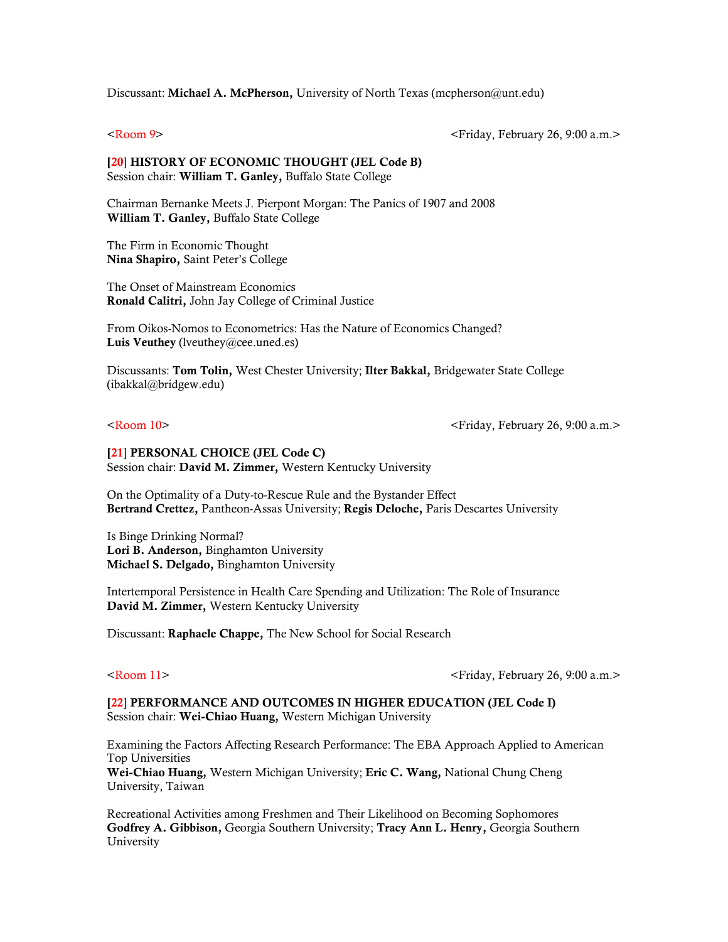Discussant: Michael A. McPherson, University of North Texas (mcpherson@unt.edu)

<Room 9> <Friday, February 26, 9:00 a.m.>

### [20] HISTORY OF ECONOMIC THOUGHT (JEL Code B) Session chair: William T. Ganley, Buffalo State College

Chairman Bernanke Meets J. Pierpont Morgan: The Panics of 1907 and 2008 William T. Ganley, Buffalo State College

The Firm in Economic Thought Nina Shapiro, Saint Peter's College

The Onset of Mainstream Economics Ronald Calitri, John Jay College of Criminal Justice

From Oikos-Nomos to Econometrics: Has the Nature of Economics Changed? Luis Veuthey (lveuthey@cee.uned.es)

Discussants: Tom Tolin, West Chester University; Ilter Bakkal, Bridgewater State College (ibakkal@bridgew.edu)

<Room 10> <Friday, February 26, 9:00 a.m.>

### [21] PERSONAL CHOICE (JEL Code C) Session chair: David M. Zimmer, Western Kentucky University

On the Optimality of a Duty-to-Rescue Rule and the Bystander Effect Bertrand Crettez, Pantheon-Assas University; Regis Deloche, Paris Descartes University

Is Binge Drinking Normal? Lori B. Anderson, Binghamton University Michael S. Delgado, Binghamton University

Intertemporal Persistence in Health Care Spending and Utilization: The Role of Insurance David M. Zimmer, Western Kentucky University

Discussant: Raphaele Chappe, The New School for Social Research

<Room 11> <Friday, February 26, 9:00 a.m.>

[22] PERFORMANCE AND OUTCOMES IN HIGHER EDUCATION (JEL Code I) Session chair: Wei-Chiao Huang, Western Michigan University

Examining the Factors Affecting Research Performance: The EBA Approach Applied to American Top Universities

Wei-Chiao Huang, Western Michigan University; Eric C. Wang, National Chung Cheng University, Taiwan

Recreational Activities among Freshmen and Their Likelihood on Becoming Sophomores Godfrey A. Gibbison, Georgia Southern University; Tracy Ann L. Henry, Georgia Southern University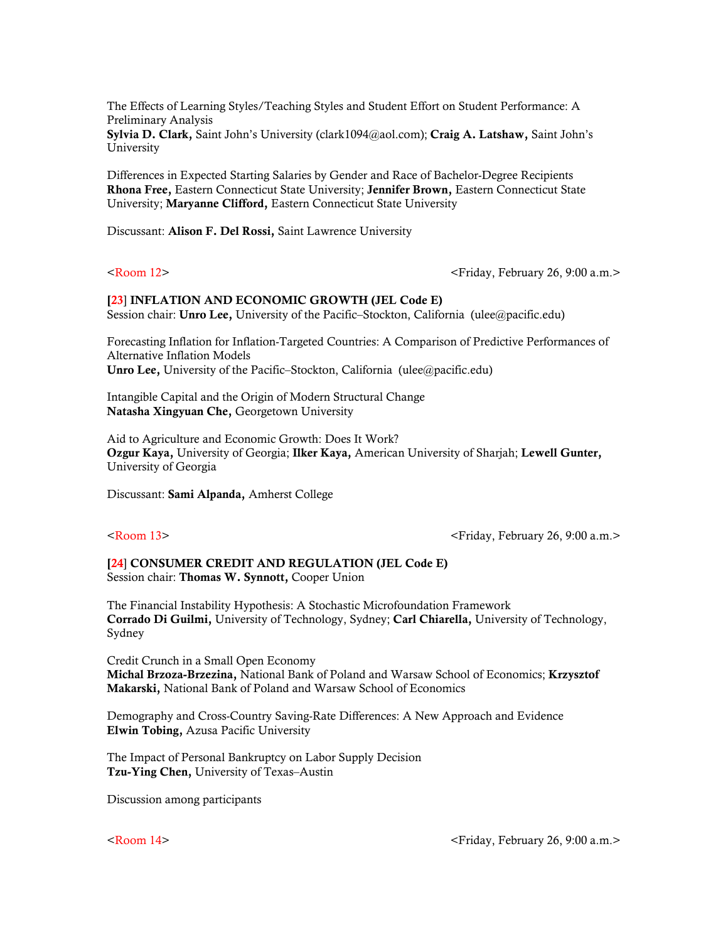The Effects of Learning Styles/Teaching Styles and Student Effort on Student Performance: A Preliminary Analysis

Sylvia D. Clark, Saint John's University (clark1094@aol.com); Craig A. Latshaw, Saint John's University

Differences in Expected Starting Salaries by Gender and Race of Bachelor-Degree Recipients Rhona Free, Eastern Connecticut State University; Jennifer Brown, Eastern Connecticut State University; Maryanne Clifford, Eastern Connecticut State University

Discussant: Alison F. Del Rossi, Saint Lawrence University

<Room 12> <Friday, February 26, 9:00 a.m.>

### [23] INFLATION AND ECONOMIC GROWTH (JEL Code E) Session chair: Unro Lee, University of the Pacific–Stockton, California (ulee@pacific.edu)

Forecasting Inflation for Inflation-Targeted Countries: A Comparison of Predictive Performances of Alternative Inflation Models Unro Lee, University of the Pacific–Stockton, California (ulee@pacific.edu)

Intangible Capital and the Origin of Modern Structural Change Natasha Xingyuan Che, Georgetown University

Aid to Agriculture and Economic Growth: Does It Work? Ozgur Kaya, University of Georgia; Ilker Kaya, American University of Sharjah; Lewell Gunter, University of Georgia

Discussant: Sami Alpanda, Amherst College

<Room 13> <Friday, February 26, 9:00 a.m.>

### [24] CONSUMER CREDIT AND REGULATION (JEL Code E) Session chair: Thomas W. Synnott, Cooper Union

The Financial Instability Hypothesis: A Stochastic Microfoundation Framework Corrado Di Guilmi, University of Technology, Sydney; Carl Chiarella, University of Technology, Sydney

Credit Crunch in a Small Open Economy Michal Brzoza-Brzezina, National Bank of Poland and Warsaw School of Economics; Krzysztof Makarski, National Bank of Poland and Warsaw School of Economics

Demography and Cross-Country Saving-Rate Differences: A New Approach and Evidence Elwin Tobing, Azusa Pacific University

The Impact of Personal Bankruptcy on Labor Supply Decision Tzu-Ying Chen, University of Texas–Austin

Discussion among participants

<Room 14> <Friday, February 26, 9:00 a.m.>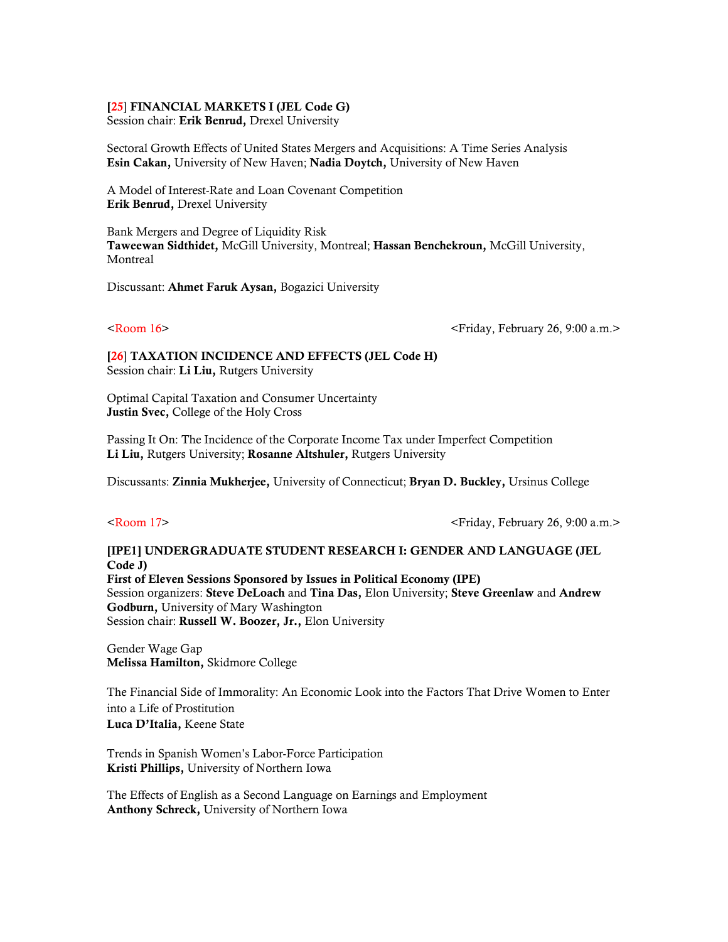### [25] FINANCIAL MARKETS I (JEL Code G)

Session chair: Erik Benrud, Drexel University

Sectoral Growth Effects of United States Mergers and Acquisitions: A Time Series Analysis Esin Cakan, University of New Haven; Nadia Doytch, University of New Haven

A Model of Interest-Rate and Loan Covenant Competition Erik Benrud, Drexel University

Bank Mergers and Degree of Liquidity Risk Taweewan Sidthidet, McGill University, Montreal; Hassan Benchekroun, McGill University, Montreal

Discussant: Ahmet Faruk Aysan, Bogazici University

<Room 16> <Friday, February 26, 9:00 a.m.>

[26] TAXATION INCIDENCE AND EFFECTS (JEL Code H) Session chair: Li Liu, Rutgers University

Optimal Capital Taxation and Consumer Uncertainty Justin Svec, College of the Holy Cross

Passing It On: The Incidence of the Corporate Income Tax under Imperfect Competition Li Liu, Rutgers University; Rosanne Altshuler, Rutgers University

Discussants: Zinnia Mukherjee, University of Connecticut; Bryan D. Buckley, Ursinus College

<Room 17> <Friday, February 26, 9:00 a.m.>

### [IPE1] UNDERGRADUATE STUDENT RESEARCH I: GENDER AND LANGUAGE (JEL Code J)

First of Eleven Sessions Sponsored by Issues in Political Economy (IPE) Session organizers: Steve DeLoach and Tina Das, Elon University; Steve Greenlaw and Andrew Godburn, University of Mary Washington Session chair: Russell W. Boozer, Jr., Elon University

Gender Wage Gap Melissa Hamilton, Skidmore College

The Financial Side of Immorality: An Economic Look into the Factors That Drive Women to Enter into a Life of Prostitution Luca D'Italia, Keene State

Trends in Spanish Women's Labor-Force Participation Kristi Phillips, University of Northern Iowa

The Effects of English as a Second Language on Earnings and Employment Anthony Schreck, University of Northern Iowa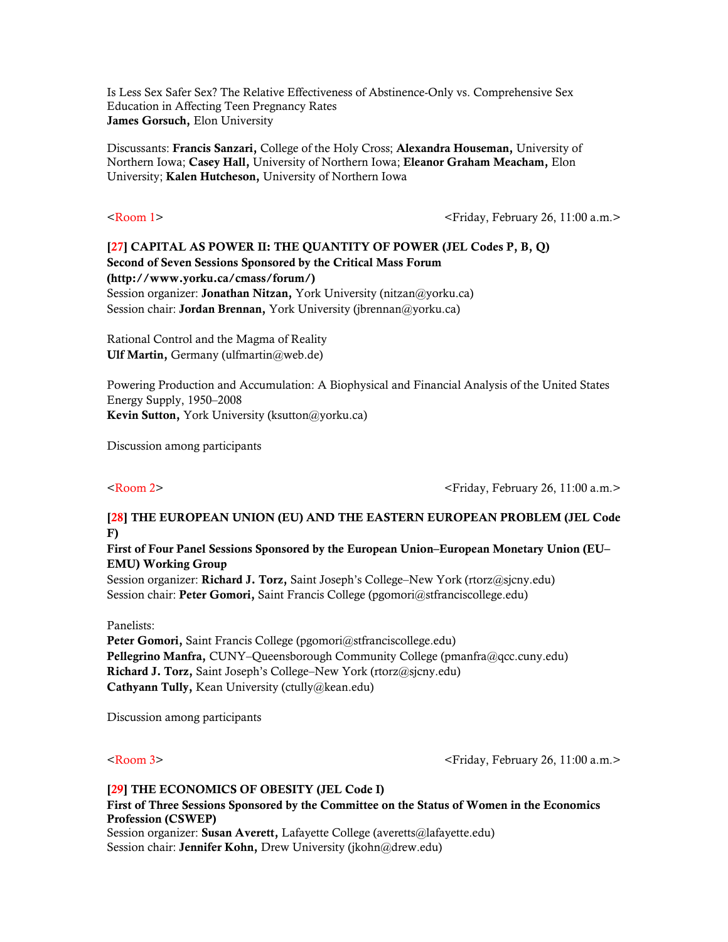Is Less Sex Safer Sex? The Relative Effectiveness of Abstinence-Only vs. Comprehensive Sex Education in Affecting Teen Pregnancy Rates James Gorsuch, Elon University

Discussants: Francis Sanzari, College of the Holy Cross; Alexandra Houseman, University of Northern Iowa; Casey Hall, University of Northern Iowa; Eleanor Graham Meacham, Elon University; Kalen Hutcheson, University of Northern Iowa

<Room 1> <Friday, February 26, 11:00 a.m.>

# [27] CAPITAL AS POWER II: THE QUANTITY OF POWER (JEL Codes P, B, Q) Second of Seven Sessions Sponsored by the Critical Mass Forum (http://www.yorku.ca/cmass/forum/) Session organizer: Jonathan Nitzan, York University (nitzan@yorku.ca) Session chair: Jordan Brennan, York University (jbrennan@yorku.ca)

Rational Control and the Magma of Reality Ulf Martin, Germany (ulfmartin@web.de)

Powering Production and Accumulation: A Biophysical and Financial Analysis of the United States Energy Supply, 1950–2008 Kevin Sutton, York University (ksutton@yorku.ca)

Discussion among participants

<Room 2> <Friday, February 26, 11:00 a.m.>

# [28] THE EUROPEAN UNION (EU) AND THE EASTERN EUROPEAN PROBLEM (JEL Code F)

First of Four Panel Sessions Sponsored by the European Union–European Monetary Union (EU– EMU) Working Group

Session organizer: Richard J. Torz, Saint Joseph's College–New York (rtorz@sjcny.edu) Session chair: Peter Gomori, Saint Francis College (pgomori@stfranciscollege.edu)

Panelists:

Peter Gomori, Saint Francis College (pgomori@stfranciscollege.edu) Pellegrino Manfra, CUNY–Queensborough Community College (pmanfra@qcc.cuny.edu) Richard J. Torz, Saint Joseph's College–New York (rtorz@sjcny.edu) Cathyann Tully, Kean University (ctully@kean.edu)

Discussion among participants

<Room 3> <Friday, February 26, 11:00 a.m.>

## [29] THE ECONOMICS OF OBESITY (JEL Code I) First of Three Sessions Sponsored by the Committee on the Status of Women in the Economics Profession (CSWEP) Session organizer: Susan Averett, Lafayette College (averetts@lafayette.edu) Session chair: Jennifer Kohn, Drew University (jkohn@drew.edu)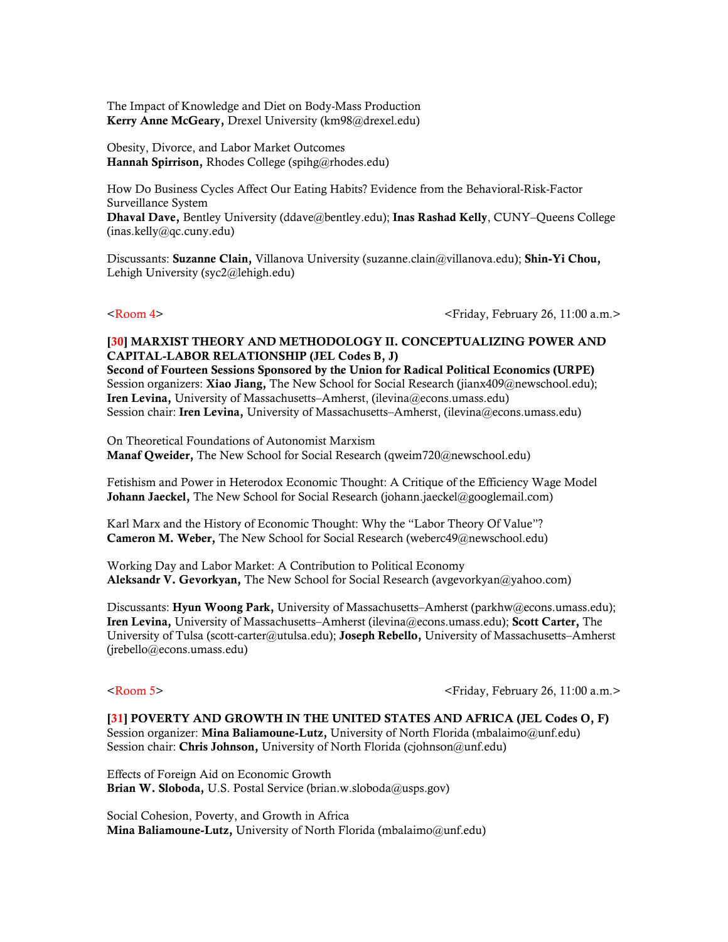The Impact of Knowledge and Diet on Body-Mass Production Kerry Anne McGeary, Drexel University (km98@drexel.edu)

Obesity, Divorce, and Labor Market Outcomes Hannah Spirrison, Rhodes College (spihg@rhodes.edu)

How Do Business Cycles Affect Our Eating Habits? Evidence from the Behavioral-Risk-Factor Surveillance System

Dhaval Dave, Bentley University (ddave@bentley.edu); Inas Rashad Kelly, CUNY–Queens College (inas.kelly@qc.cuny.edu)

Discussants: Suzanne Clain, Villanova University (suzanne.clain@villanova.edu); Shin-Yi Chou, Lehigh University (syc2@lehigh.edu)

<Room 4> <Friday, February 26, 11:00 a.m.>

### [30] MARXIST THEORY AND METHODOLOGY II. CONCEPTUALIZING POWER AND CAPITAL-LABOR RELATIONSHIP (JEL Codes B, J)

Second of Fourteen Sessions Sponsored by the Union for Radical Political Economics (URPE) Session organizers: Xiao Jiang, The New School for Social Research (jianx409@newschool.edu); Iren Levina, University of Massachusetts–Amherst, (ilevina@econs.umass.edu) Session chair: Iren Levina, University of Massachusetts-Amherst, (ilevina@econs.umass.edu)

On Theoretical Foundations of Autonomist Marxism Manaf Qweider, The New School for Social Research (qweim720@newschool.edu)

Fetishism and Power in Heterodox Economic Thought: A Critique of the Efficiency Wage Model **Johann Jaeckel,** The New School for Social Research (johann.jaeckel@googlemail.com)

Karl Marx and the History of Economic Thought: Why the "Labor Theory Of Value"? Cameron M. Weber, The New School for Social Research (weberc49@newschool.edu)

Working Day and Labor Market: A Contribution to Political Economy Aleksandr V. Gevorkyan, The New School for Social Research (avgevorkyan@yahoo.com)

Discussants: Hyun Woong Park, University of Massachusetts–Amherst (parkhw@econs.umass.edu); Iren Levina, University of Massachusetts–Amherst (ilevina@econs.umass.edu); Scott Carter, The University of Tulsa (scott-carter@utulsa.edu); Joseph Rebello, University of Massachusetts–Amherst (jrebello@econs.umass.edu)

<Room 5> <Friday, February 26, 11:00 a.m.>

[31] POVERTY AND GROWTH IN THE UNITED STATES AND AFRICA (JEL Codes O, F) Session organizer: Mina Baliamoune-Lutz, University of North Florida (mbalaimo@unf.edu) Session chair: Chris Johnson, University of North Florida (cjohnson@unf.edu)

Effects of Foreign Aid on Economic Growth Brian W. Sloboda, U.S. Postal Service (brian.w.sloboda@usps.gov)

Social Cohesion, Poverty, and Growth in Africa Mina Baliamoune-Lutz, University of North Florida (mbalaimo@unf.edu)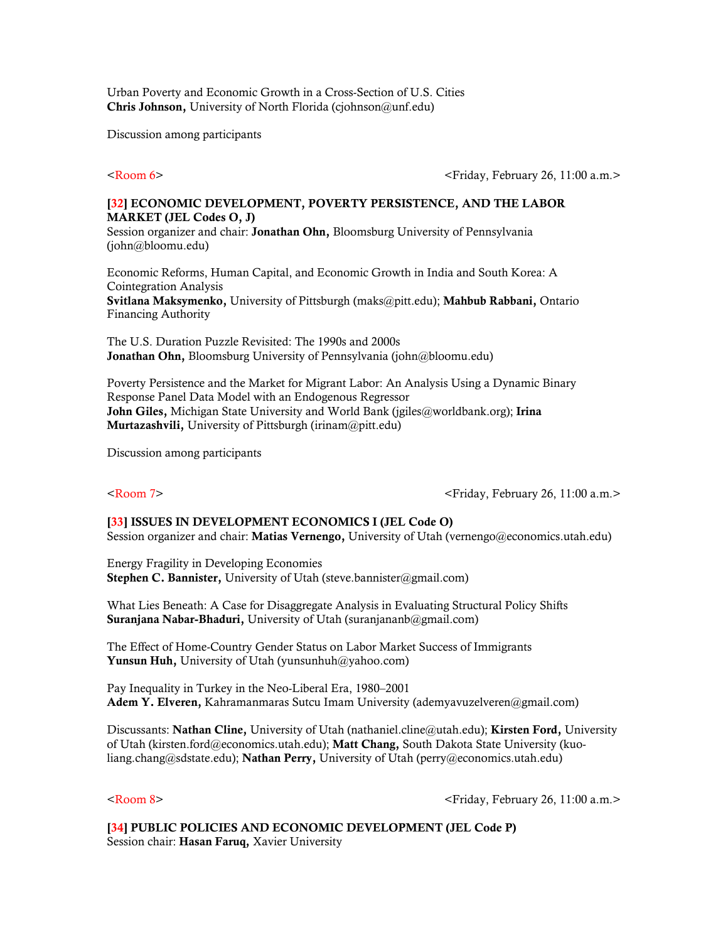Urban Poverty and Economic Growth in a Cross-Section of U.S. Cities Chris Johnson, University of North Florida (ciohnson@unf.edu)

Discussion among participants

<Room 6> <Friday, February 26, 11:00 a.m.>

## [32] ECONOMIC DEVELOPMENT, POVERTY PERSISTENCE, AND THE LABOR MARKET (JEL Codes O, J)

Session organizer and chair: Jonathan Ohn, Bloomsburg University of Pennsylvania (john@bloomu.edu)

Economic Reforms, Human Capital, and Economic Growth in India and South Korea: A Cointegration Analysis

Svitlana Maksymenko, University of Pittsburgh (maks@pitt.edu); Mahbub Rabbani, Ontario Financing Authority

The U.S. Duration Puzzle Revisited: The 1990s and 2000s Jonathan Ohn, Bloomsburg University of Pennsylvania (john@bloomu.edu)

Poverty Persistence and the Market for Migrant Labor: An Analysis Using a Dynamic Binary Response Panel Data Model with an Endogenous Regressor John Giles, Michigan State University and World Bank (jgiles@worldbank.org); Irina Murtazashvili, University of Pittsburgh (irinam@pitt.edu)

Discussion among participants

<Room 7> <Friday, February 26, 11:00 a.m.>

# [33] ISSUES IN DEVELOPMENT ECONOMICS I (JEL Code O) Session organizer and chair: Matias Vernengo, University of Utah (vernengo@economics.utah.edu)

Energy Fragility in Developing Economies Stephen C. Bannister, University of Utah (steve.bannister@gmail.com)

What Lies Beneath: A Case for Disaggregate Analysis in Evaluating Structural Policy Shifts Suranjana Nabar-Bhaduri, University of Utah (suranjananb@gmail.com)

The Effect of Home-Country Gender Status on Labor Market Success of Immigrants Yunsun Huh, University of Utah ([yunsunhuh@yahoo.com\)](mailto:yunsunhuh@yahoo.com)

Pay Inequality in Turkey in the Neo-Liberal Era, 1980–2001 Adem Y. Elveren, Kahramanmaras Sutcu Imam University [\(ademyavuzelveren@gmail.com\)](mailto:ademyavuzelveren@gmail.com)

Discussants: Nathan Cline, University of Utah [\(nathaniel.cline@utah.edu](mailto:nathaniel.cline@utah.edu)); Kirsten Ford, University of Utah (kirsten.ford@economics.utah.edu); **Matt Chang,** South Dakota State University (kuoliang.chang@sdstate.edu); Nathan Perry, University of Utah ([perry@economics.utah.edu\)](mailto:perry@economics.utah.edu)

<Room 8> <Friday, February 26, 11:00 a.m.>

[34] PUBLIC POLICIES AND ECONOMIC DEVELOPMENT (JEL Code P) Session chair: Hasan Faruq, Xavier University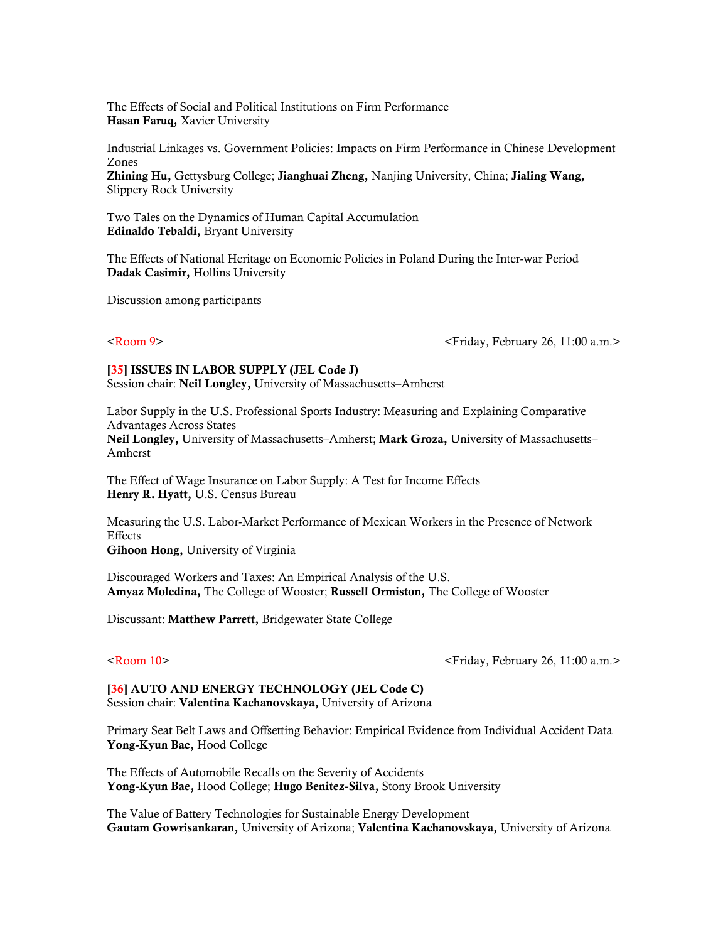The Effects of Social and Political Institutions on Firm Performance Hasan Faruq, Xavier University

Industrial Linkages vs. Government Policies: Impacts on Firm Performance in Chinese Development Zones Zhining Hu, Gettysburg College; Jianghuai Zheng, Nanjing University, China; Jialing Wang, Slippery Rock University

Two Tales on the Dynamics of Human Capital Accumulation Edinaldo Tebaldi, Bryant University

The Effects of National Heritage on Economic Policies in Poland During the Inter-war Period Dadak Casimir, Hollins University

Discussion among participants

<Room 9> <Friday, February 26, 11:00 a.m.>

### [35] ISSUES IN LABOR SUPPLY (JEL Code J)

Session chair: Neil Longley, University of Massachusetts–Amherst

Labor Supply in the U.S. Professional Sports Industry: Measuring and Explaining Comparative Advantages Across States Neil Longley, University of Massachusetts–Amherst; Mark Groza, University of Massachusetts– Amherst

The Effect of Wage Insurance on Labor Supply: A Test for Income Effects Henry R. Hyatt, U.S. Census Bureau

Measuring the U.S. Labor-Market Performance of Mexican Workers in the Presence of Network **Effects** Gihoon Hong, University of Virginia

Discouraged Workers and Taxes: An Empirical Analysis of the U.S. Amyaz Moledina, The College of Wooster; Russell Ormiston, The College of Wooster

Discussant: Matthew Parrett, Bridgewater State College

<Room 10> <Friday, February 26, 11:00 a.m.>

[36] AUTO AND ENERGY TECHNOLOGY (JEL Code C) Session chair: Valentina Kachanovskaya, University of Arizona

Primary Seat Belt Laws and Offsetting Behavior: Empirical Evidence from Individual Accident Data Yong-Kyun Bae, Hood College

The Effects of Automobile Recalls on the Severity of Accidents Yong-Kyun Bae, Hood College; Hugo Benitez-Silva, Stony Brook University

The Value of Battery Technologies for Sustainable Energy Development Gautam Gowrisankaran, University of Arizona; Valentina Kachanovskaya, University of Arizona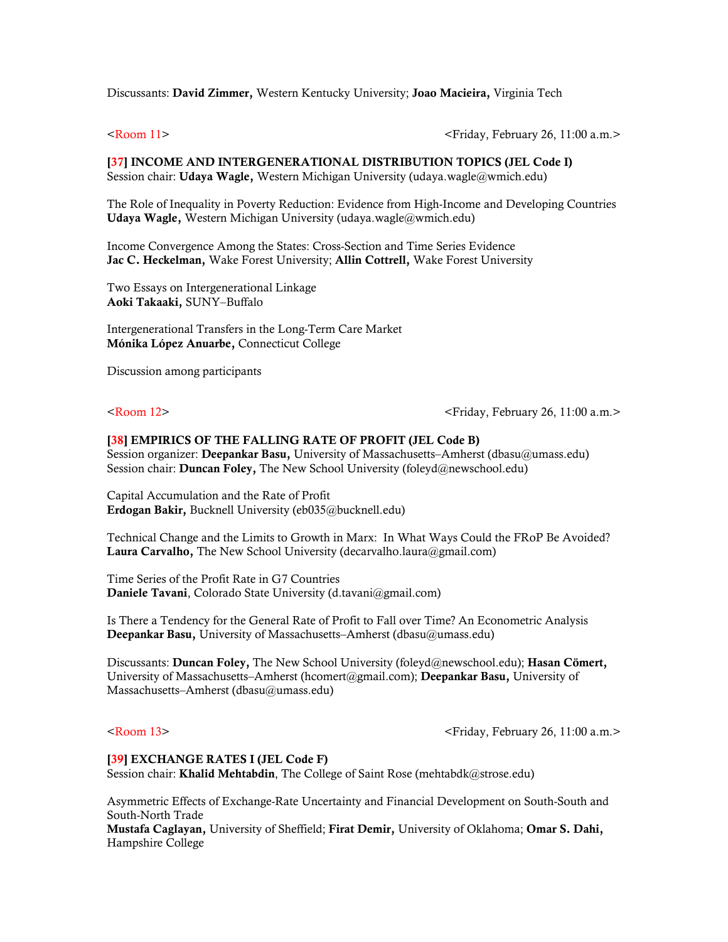Discussants: David Zimmer, Western Kentucky University; Joao Macieira, Virginia Tech

<Room 11> <Friday, February 26, 11:00 a.m.>

[37] INCOME AND INTERGENERATIONAL DISTRIBUTION TOPICS (JEL Code I) Session chair: Udaya Wagle, Western Michigan University (udaya.wagle@wmich.edu)

The Role of Inequality in Poverty Reduction: Evidence from High-Income and Developing Countries Udaya Wagle, Western Michigan University (udaya.wagle@wmich.edu)

Income Convergence Among the States: Cross-Section and Time Series Evidence Jac C. Heckelman, Wake Forest University; Allin Cottrell, Wake Forest University

Two Essays on Intergenerational Linkage Aoki Takaaki, SUNY–Buffalo

Intergenerational Transfers in the Long-Term Care Market Mónika López Anuarbe, Connecticut College

Discussion among participants

<Room 12> <Friday, February 26, 11:00 a.m.>

### [38] EMPIRICS OF THE FALLING RATE OF PROFIT (JEL Code B)

Session organizer: Deepankar Basu, University of Massachusetts–Amherst (dbasu@umass.edu) Session chair: Duncan Foley, The New School University (foleyd@newschool.edu)

Capital Accumulation and the Rate of Profit Erdogan Bakir, Bucknell University (eb035@bucknell.edu)

Technical Change and the Limits to Growth in Marx: In What Ways Could the FRoP Be Avoided? Laura Carvalho, The New School University (decarvalho.laura@gmail.com)

Time Series of the Profit Rate in G7 Countries Daniele Tavani, Colorado State University (d.tavani@gmail.com)

Is There a Tendency for the General Rate of Profit to Fall over Time? An Econometric Analysis Deepankar Basu, University of Massachusetts–Amherst (dbasu@umass.edu)

Discussants: Duncan Foley, The New School University (foleyd@newschool.edu); Hasan Cömert, University of Massachusetts–Amherst (hcomert@gmail.com); Deepankar Basu, University of Massachusetts–Amherst (dbasu@umass.edu)

<Room 13> <Friday, February 26, 11:00 a.m.>

### [39] EXCHANGE RATES I (JEL Code F)

Session chair: Khalid Mehtabdin, The College of Saint Rose (mehtabdk@strose.edu)

Asymmetric Effects of Exchange-Rate Uncertainty and Financial Development on South-South and South-North Trade

Mustafa Caglayan, University of Sheffield; Firat Demir, University of Oklahoma; Omar S. Dahi, Hampshire College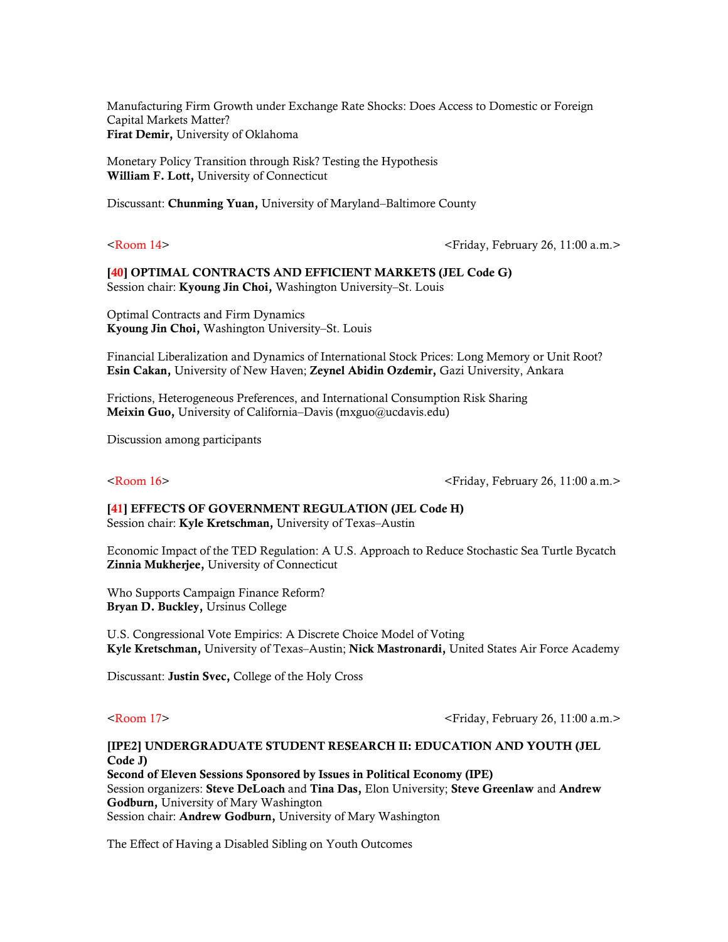Manufacturing Firm Growth under Exchange Rate Shocks: Does Access to Domestic or Foreign Capital Markets Matter? Firat Demir, University of Oklahoma

Monetary Policy Transition through Risk? Testing the Hypothesis William F. Lott, University of Connecticut

Discussant: Chunming Yuan, University of Maryland–Baltimore County

<Room 14> <Friday, February 26, 11:00 a.m.>

[40] OPTIMAL CONTRACTS AND EFFICIENT MARKETS (JEL Code G) Session chair: Kyoung Jin Choi, Washington University-St. Louis

Optimal Contracts and Firm Dynamics Kyoung Jin Choi, Washington University–St. Louis

Financial Liberalization and Dynamics of International Stock Prices: Long Memory or Unit Root? Esin Cakan, University of New Haven; Zeynel Abidin Ozdemir, Gazi University, Ankara

Frictions, Heterogeneous Preferences, and International Consumption Risk Sharing Meixin Guo, University of California–Davis (mxguo@ucdavis.edu)

Discussion among participants

<Room 16> <Friday, February 26, 11:00 a.m.>

# [41] EFFECTS OF GOVERNMENT REGULATION (JEL Code H)

Session chair: Kyle Kretschman, University of Texas–Austin

Economic Impact of the TED Regulation: A U.S. Approach to Reduce Stochastic Sea Turtle Bycatch Zinnia Mukherjee, University of Connecticut

Who Supports Campaign Finance Reform? Bryan D. Buckley, Ursinus College

U.S. Congressional Vote Empirics: A Discrete Choice Model of Voting Kyle Kretschman, University of Texas–Austin; Nick Mastronardi, United States Air Force Academy

Discussant: Justin Svec, College of the Holy Cross

<Room 17> <Friday, February 26, 11:00 a.m.>

## [IPE2] UNDERGRADUATE STUDENT RESEARCH II: EDUCATION AND YOUTH (JEL Code J)

Second of Eleven Sessions Sponsored by Issues in Political Economy (IPE) Session organizers: Steve DeLoach and Tina Das, Elon University; Steve Greenlaw and Andrew Godburn, University of Mary Washington Session chair: Andrew Godburn, University of Mary Washington

The Effect of Having a Disabled Sibling on Youth Outcomes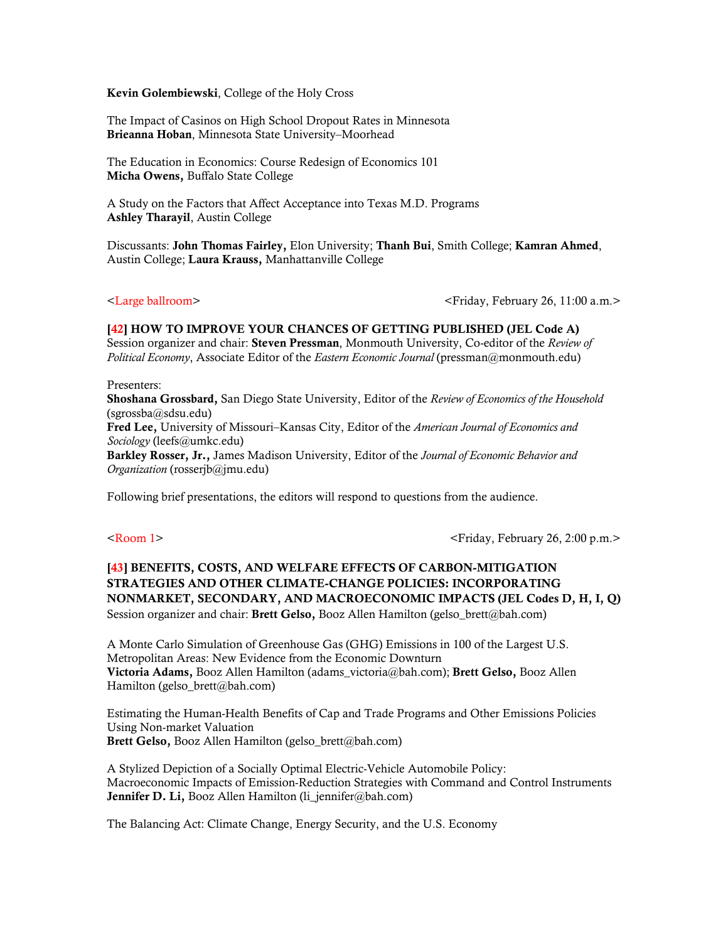Kevin Golembiewski, College of the Holy Cross

The Impact of Casinos on High School Dropout Rates in Minnesota Brieanna Hoban, Minnesota State University–Moorhead

The Education in Economics: Course Redesign of Economics 101 Micha Owens, Buffalo State College

A Study on the Factors that Affect Acceptance into Texas M.D. Programs Ashley Tharayil, Austin College

Discussants: John Thomas Fairley, Elon University; Thanh Bui, Smith College; Kamran Ahmed, Austin College; Laura Krauss, Manhattanville College

<Large ballroom> <Friday, February 26, 11:00 a.m.>

[42] HOW TO IMPROVE YOUR CHANCES OF GETTING PUBLISHED (JEL Code A) Session organizer and chair: Steven Pressman, Monmouth University, Co-editor of the *Review of Political Economy*, Associate Editor of the *Eastern Economic Journal* (pressman@monmouth.edu)

### Presenters:

Shoshana Grossbard, San Diego State University, Editor of the *Review of Economics of the Household* (sgrossba@sdsu.edu)

Fred Lee, University of Missouri–Kansas City, Editor of the *American Journal of Economics and Sociology* (leefs@umkc.edu)

Barkley Rosser, Jr., James Madison University, Editor of the *Journal of Economic Behavior and Organization* (rosserjb@jmu.edu)

Following brief presentations, the editors will respond to questions from the audience.

<Room 1> <Friday, February 26, 2:00 p.m.>

# [43] BENEFITS, COSTS, AND WELFARE EFFECTS OF CARBON-MITIGATION STRATEGIES AND OTHER CLIMATE-CHANGE POLICIES: INCORPORATING NONMARKET, SECONDARY, AND MACROECONOMIC IMPACTS (JEL Codes D, H, I, Q) Session organizer and chair: Brett Gelso, Booz Allen Hamilton (gelso brett@bah.com)

A Monte Carlo Simulation of Greenhouse Gas (GHG) Emissions in 100 of the Largest U.S. Metropolitan Areas: New Evidence from the Economic Downturn Victoria Adams, Booz Allen Hamilton (adams victoria@bah.com); Brett Gelso, Booz Allen Hamilton (gelso\_brett@bah.com)

Estimating the Human-Health Benefits of Cap and Trade Programs and Other Emissions Policies Using Non-market Valuation Brett Gelso, Booz Allen Hamilton (gelso brett@bah.com)

A Stylized Depiction of a Socially Optimal Electric-Vehicle Automobile Policy: Macroeconomic Impacts of Emission-Reduction Strategies with Command and Control Instruments Jennifer D. Li, Booz Allen Hamilton (li\_jennifer@bah.com)

The Balancing Act: Climate Change, Energy Security, and the U.S. Economy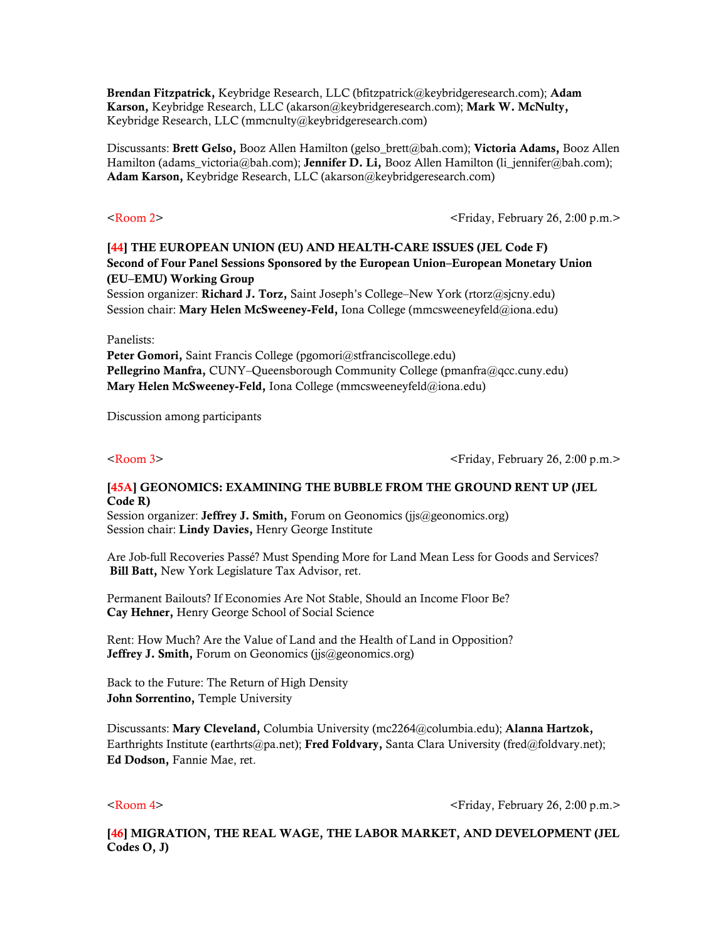Brendan Fitzpatrick, Keybridge Research, LLC (bfitzpatrick@keybridgeresearch.com); Adam Karson, Keybridge Research, LLC (akarson@keybridgeresearch.com); Mark W. McNulty, Keybridge Research, LLC (mmcnulty@keybridgeresearch.com)

Discussants: Brett Gelso, Booz Allen Hamilton (gelso brett@bah.com); Victoria Adams, Booz Allen Hamilton (adams victoria@bah.com); Jennifer D. Li, Booz Allen Hamilton (li jennifer@bah.com); Adam Karson, Keybridge Research, LLC (akarson@keybridgeresearch.com)

<Room 2> <Friday, February 26, 2:00 p.m.>

# [44] THE EUROPEAN UNION (EU) AND HEALTH-CARE ISSUES (JEL Code F) Second of Four Panel Sessions Sponsored by the European Union–European Monetary Union (EU–EMU) Working Group

Session organizer: Richard J. Torz, Saint Joseph's College–New York (rtorz@sjcny.edu) Session chair: Mary Helen McSweeney-Feld, Iona College (mmcsweeneyfeld@iona.edu)

Panelists:

Peter Gomori, Saint Francis College (pgomori@stfranciscollege.edu) Pellegrino Manfra, CUNY–Queensborough Community College (pmanfra@qcc.cuny.edu) Mary Helen McSweeney-Feld, Iona College (mmcsweeneyfeld@iona.edu)

Discussion among participants

 $\leq$ Room 3>  $\leq$ Friday, February 26, 2:00 p.m.>

## [45A] GEONOMICS: EXAMINING THE BUBBLE FROM THE GROUND RENT UP (JEL Code R)

Session organizer: Jeffrey J. Smith, Forum on Geonomics (jjs@geonomics.org) Session chair: Lindy Davies, Henry George Institute

Are Job-full Recoveries Passé? Must Spending More for Land Mean Less for Goods and Services? Bill Batt, New York Legislature Tax Advisor, ret.

Permanent Bailouts? If Economies Are Not Stable, Should an Income Floor Be? Cay Hehner, Henry George School of Social Science

Rent: How Much? Are the Value of Land and the Health of Land in Opposition? Jeffrey J. Smith, Forum on Geonomics (jjs@geonomics.org)

Back to the Future: The Return of High Density John Sorrentino, Temple University

Discussants: Mary Cleveland, Columbia University (mc2264@columbia.edu); Alanna Hartzok, Earthrights Institute (earthrts@pa.net); Fred Foldvary, Santa Clara University (fred@foldvary.net); Ed Dodson, Fannie Mae, ret.

<Room 4> <Friday, February 26, 2:00 p.m.>

[46] MIGRATION, THE REAL WAGE, THE LABOR MARKET, AND DEVELOPMENT (JEL Codes O, J)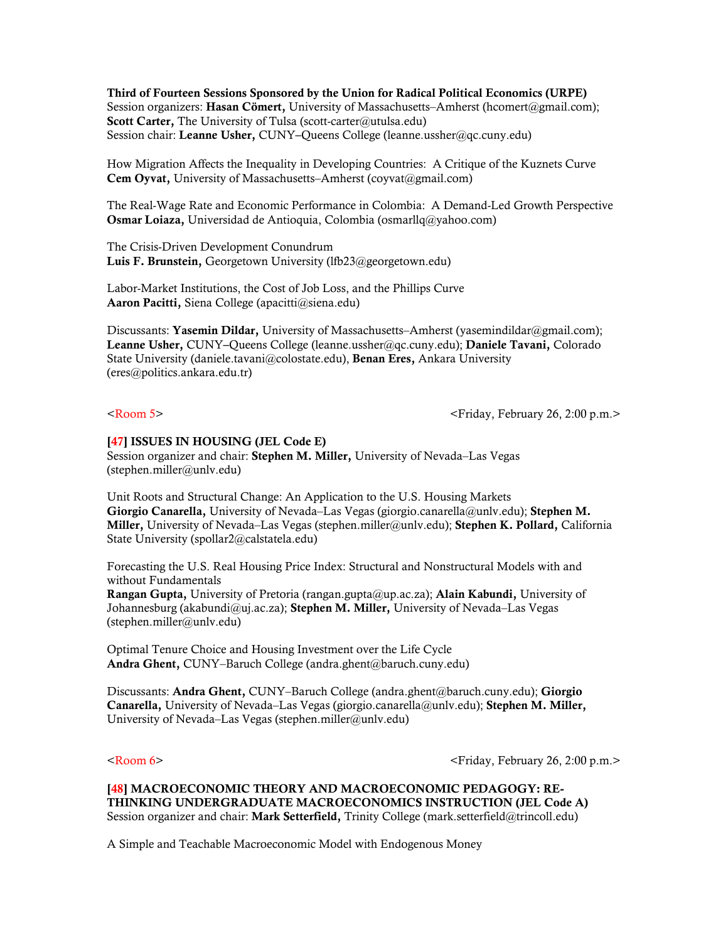Third of Fourteen Sessions Sponsored by the Union for Radical Political Economics (URPE) Session organizers: Hasan Cömert, University of Massachusetts–Amherst (hcomert@gmail.com); Scott Carter, The University of Tulsa (scott-carter@utulsa.edu) Session chair: Leanne Usher, CUNY–Queens College (leanne.ussher@qc.cuny.edu)

How Migration Affects the Inequality in Developing Countries: A Critique of the Kuznets Curve Cem Oyvat, University of Massachusetts–Amherst (coyvat@gmail.com)

The Real-Wage Rate and Economic Performance in Colombia: A Demand-Led Growth Perspective Osmar Loiaza, Universidad de Antioquia, Colombia (osmarllq@yahoo.com)

The Crisis-Driven Development Conundrum Luis F. Brunstein, Georgetown University (lfb23@georgetown.edu)

Labor-Market Institutions, the Cost of Job Loss, and the Phillips Curve Aaron Pacitti, Siena College (apacitti@siena.edu)

Discussants: Yasemin Dildar, University of Massachusetts–Amherst (yasemindildar@gmail.com); Leanne Usher, CUNY–Queens College (leanne.ussher@qc.cuny.edu); Daniele Tavani, Colorado State University (daniele.tavani@colostate.edu), Benan Eres, Ankara University (eres@politics.ankara.edu.tr)

<Room 5> <Friday, February 26, 2:00 p.m.>

### [47] ISSUES IN HOUSING (JEL Code E)

Session organizer and chair: Stephen M. Miller, University of Nevada–Las Vegas (stephen.miller@unlv.edu)

Unit Roots and Structural Change: An Application to the U.S. Housing Markets Giorgio Canarella, University of Nevada–Las Vegas (giorgio.canarella@unlv.edu); Stephen M. Miller, University of Nevada–Las Vegas (stephen.miller@unly.edu); Stephen K. Pollard, California State University (spollar2@calstatela.edu)

Forecasting the U.S. Real Housing Price Index: Structural and Nonstructural Models with and without Fundamentals

Rangan Gupta, University of Pretoria (rangan.gupta@up.ac.za); Alain Kabundi, University of Johannesburg (akabundi@uj.ac.za); Stephen M. Miller, University of Nevada–Las Vegas (stephen.miller@unlv.edu)

Optimal Tenure Choice and Housing Investment over the Life Cycle Andra Ghent, CUNY–Baruch College (andra.ghent@baruch.cuny.edu)

Discussants: Andra Ghent, CUNY–Baruch College (andra.ghent@baruch.cuny.edu); Giorgio Canarella, University of Nevada–Las Vegas (giorgio.canarella@unlv.edu); Stephen M. Miller, University of Nevada–Las Vegas (stephen.miller@unlv.edu)

 $\leq$ Room 6>  $\leq$ Friday, February 26, 2:00 p.m.>

[48] MACROECONOMIC THEORY AND MACROECONOMIC PEDAGOGY: RE-THINKING UNDERGRADUATE MACROECONOMICS INSTRUCTION (JEL Code A) Session organizer and chair: Mark Setterfield, Trinity College (mark.setterfield@trincoll.edu)

A Simple and Teachable Macroeconomic Model with Endogenous Money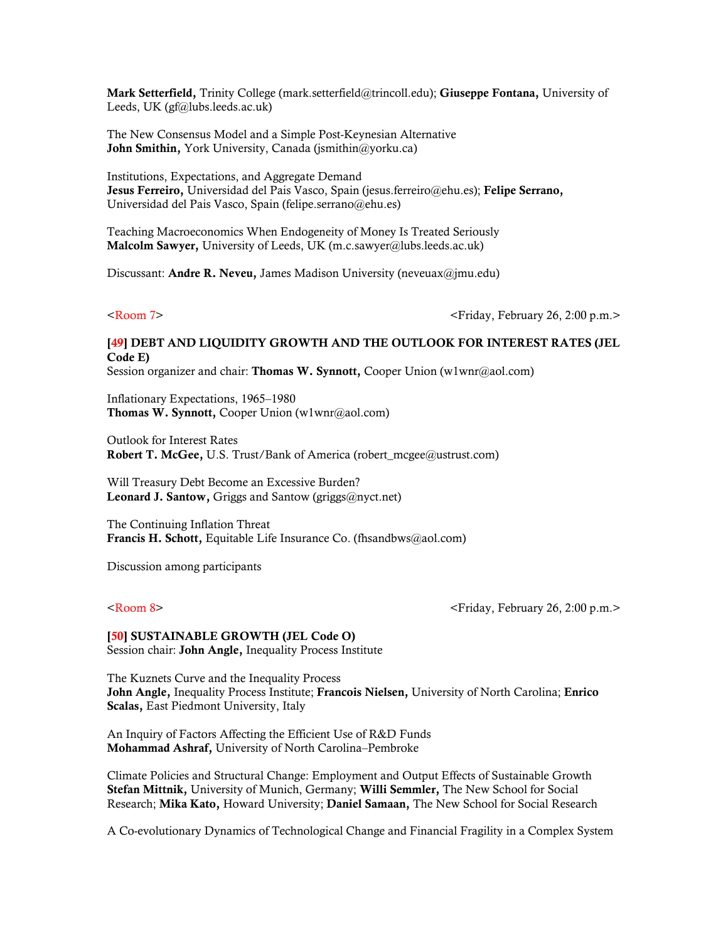Mark Setterfield, Trinity College (mark.setterfield@trincoll.edu); Giuseppe Fontana, University of Leeds, UK (gf@lubs.leeds.ac.uk)

The New Consensus Model and a Simple Post-Keynesian Alternative John Smithin, York University, Canada (jsmithin@yorku.ca)

Institutions, Expectations, and Aggregate Demand Jesus Ferreiro, Universidad del Pais Vasco, Spain (jesus.ferreiro@ehu.es); Felipe Serrano, Universidad del Pais Vasco, Spain (felipe.serrano@ehu.es)

Teaching Macroeconomics When Endogeneity of Money Is Treated Seriously Malcolm Sawyer, University of Leeds, UK (m.c.sawyer@lubs.leeds.ac.uk)

Discussant: Andre R. Neveu, James Madison University (neveuax@jmu.edu)

<Room 7> <Friday, February 26, 2:00 p.m.>

# [49] DEBT AND LIQUIDITY GROWTH AND THE OUTLOOK FOR INTEREST RATES (JEL Code E)

Session organizer and chair: Thomas W. Synnott, Cooper Union (w1wnr@aol.com)

Inflationary Expectations, 1965–1980 Thomas W. Synnott, Cooper Union (w1wnr@aol.com)

Outlook for Interest Rates **Robert T. McGee, U.S. Trust/Bank of America (robert mcgee@ustrust.com)** 

Will Treasury Debt Become an Excessive Burden? Leonard J. Santow, Griggs and Santow (griggs@nyct.net)

The Continuing Inflation Threat Francis H. Schott, Equitable Life Insurance Co. (fhsandbws@aol.com)

Discussion among participants

<Room 8> <Friday, February 26, 2:00 p.m.>

### [50] SUSTAINABLE GROWTH (JEL Code O) Session chair: **John Angle**, Inequality Process Institute

The Kuznets Curve and the Inequality Process

John Angle, Inequality Process Institute; Francois Nielsen, University of North Carolina; Enrico Scalas, East Piedmont University, Italy

An Inquiry of Factors Affecting the Efficient Use of R&D Funds Mohammad Ashraf, University of North Carolina–Pembroke

Climate Policies and Structural Change: Employment and Output Effects of Sustainable Growth Stefan Mittnik, University of Munich, Germany; Willi Semmler, The New School for Social Research; Mika Kato, Howard University; Daniel Samaan, The New School for Social Research

A Co-evolutionary Dynamics of Technological Change and Financial Fragility in a Complex System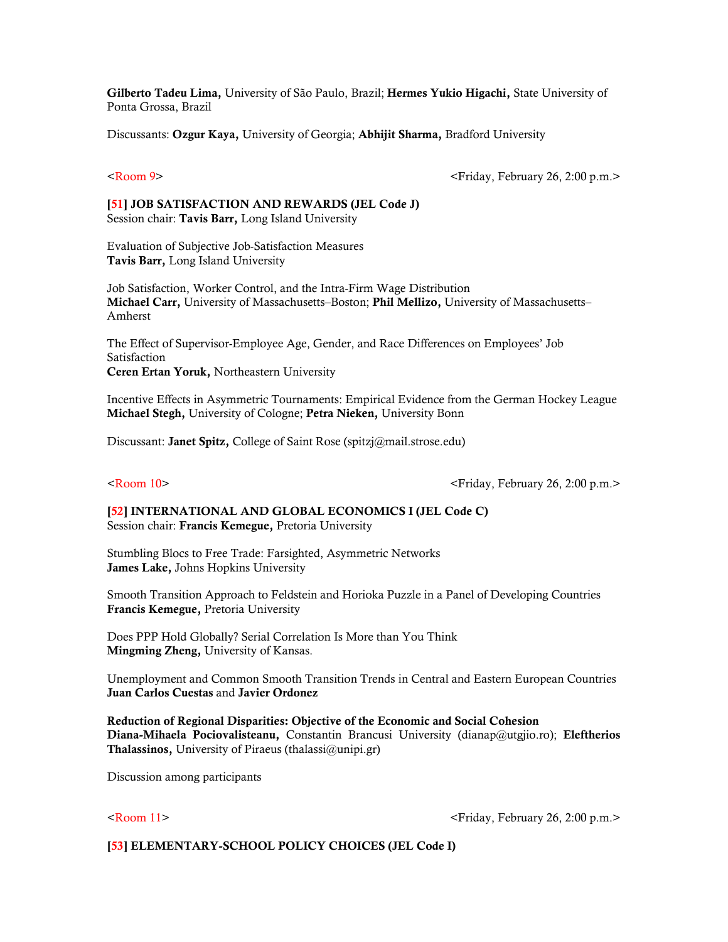Gilberto Tadeu Lima, University of São Paulo, Brazil; Hermes Yukio Higachi, State University of Ponta Grossa, Brazil

Discussants: Ozgur Kaya, University of Georgia; Abhijit Sharma, Bradford University

<Room 9> <Friday, February 26, 2:00 p.m.>

### [51] JOB SATISFACTION AND REWARDS (JEL Code J) Session chair: Tavis Barr, Long Island University

Evaluation of Subjective Job-Satisfaction Measures Tavis Barr, Long Island University

Job Satisfaction, Worker Control, and the Intra-Firm Wage Distribution Michael Carr, University of Massachusetts–Boston; Phil Mellizo, University of Massachusetts– Amherst

The Effect of Supervisor-Employee Age, Gender, and Race Differences on Employees' Job Satisfaction Ceren Ertan Yoruk, Northeastern University

Incentive Effects in Asymmetric Tournaments: Empirical Evidence from the German Hockey League Michael Stegh, University of Cologne; Petra Nieken, University Bonn

Discussant: **Janet Spitz,** College of Saint Rose (spitzj@mail.strose.edu)

<Room 10> <Friday, February 26, 2:00 p.m.>

[52] INTERNATIONAL AND GLOBAL ECONOMICS I (JEL Code C) Session chair: Francis Kemegue, Pretoria University

Stumbling Blocs to Free Trade: Farsighted, Asymmetric Networks James Lake, Johns Hopkins University

Smooth Transition Approach to Feldstein and Horioka Puzzle in a Panel of Developing Countries Francis Kemegue, Pretoria University

Does PPP Hold Globally? Serial Correlation Is More than You Think Mingming Zheng, University of Kansas.

Unemployment and Common Smooth Transition Trends in Central and Eastern European Countries Juan Carlos Cuestas and Javier Ordonez

Reduction of Regional Disparities: Objective of the Economic and Social Cohesion Diana-Mihaela Pociovalisteanu, Constantin Brancusi University (dianap@utgjio.ro); Eleftherios Thalassinos, University of Piraeus (thalassi@unipi.gr)

Discussion among participants

<Room 11> <Friday, February 26, 2:00 p.m.>

[53] ELEMENTARY-SCHOOL POLICY CHOICES (JEL Code I)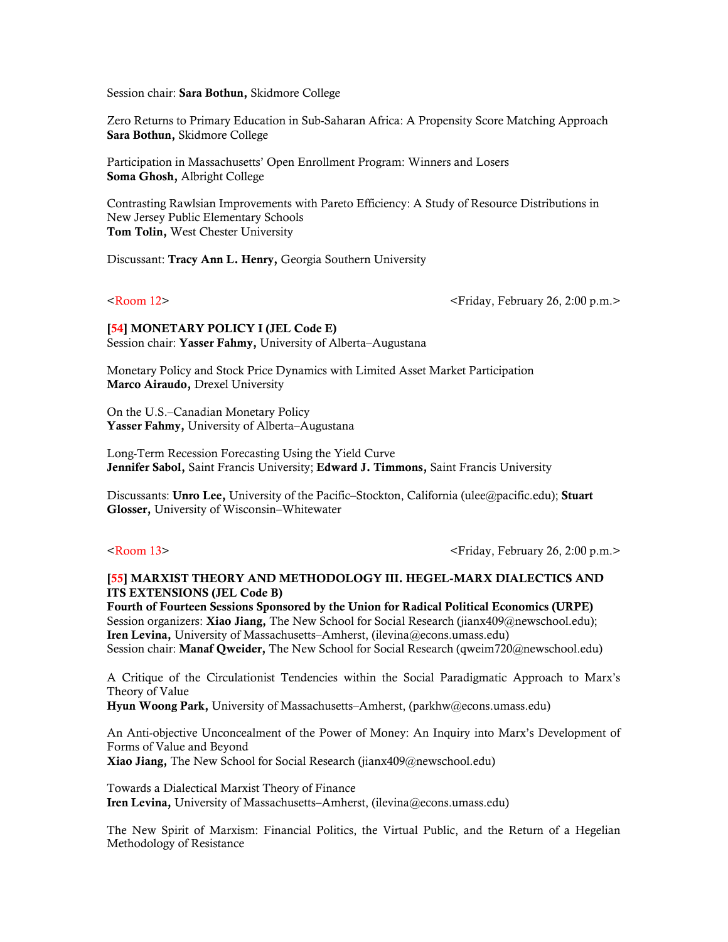Session chair: Sara Bothun, Skidmore College

Zero Returns to Primary Education in Sub-Saharan Africa: A Propensity Score Matching Approach Sara Bothun, Skidmore College

Participation in Massachusetts' Open Enrollment Program: Winners and Losers Soma Ghosh, Albright College

Contrasting Rawlsian Improvements with Pareto Efficiency: A Study of Resource Distributions in New Jersey Public Elementary Schools Tom Tolin, West Chester University

Discussant: Tracy Ann L. Henry, Georgia Southern University

<Room 12> <Friday, February 26, 2:00 p.m.>

[54] MONETARY POLICY I (JEL Code E) Session chair: Yasser Fahmy, University of Alberta–Augustana

Monetary Policy and Stock Price Dynamics with Limited Asset Market Participation Marco Airaudo, Drexel University

On the U.S.–Canadian Monetary Policy Yasser Fahmy, University of Alberta–Augustana

Long-Term Recession Forecasting Using the Yield Curve Jennifer Sabol, Saint Francis University; Edward J. Timmons, Saint Francis University

Discussants: Unro Lee, University of the Pacific–Stockton, California (ulee@pacific.edu); Stuart Glosser, University of Wisconsin–Whitewater

<Room 13> <Friday, February 26, 2:00 p.m.>

### [55] MARXIST THEORY AND METHODOLOGY III. HEGEL-MARX DIALECTICS AND ITS EXTENSIONS (JEL Code B)

Fourth of Fourteen Sessions Sponsored by the Union for Radical Political Economics (URPE) Session organizers: Xiao Jiang, The New School for Social Research (jianx409@newschool.edu); Iren Levina, University of Massachusetts–Amherst, (ilevina@econs.umass.edu) Session chair: Manaf Qweider, The New School for Social Research (qweim720@newschool.edu)

A Critique of the Circulationist Tendencies within the Social Paradigmatic Approach to Marx's Theory of Value

Hyun Woong Park, University of Massachusetts–Amherst, (parkhw@econs.umass.edu)

An Anti-objective Unconcealment of the Power of Money: An Inquiry into Marx's Development of Forms of Value and Beyond Xiao Jiang, The New School for Social Research (jianx409@newschool.edu)

Towards a Dialectical Marxist Theory of Finance Iren Levina, University of Massachusetts–Amherst, (ilevina@econs.umass.edu)

The New Spirit of Marxism: Financial Politics, the Virtual Public, and the Return of a Hegelian Methodology of Resistance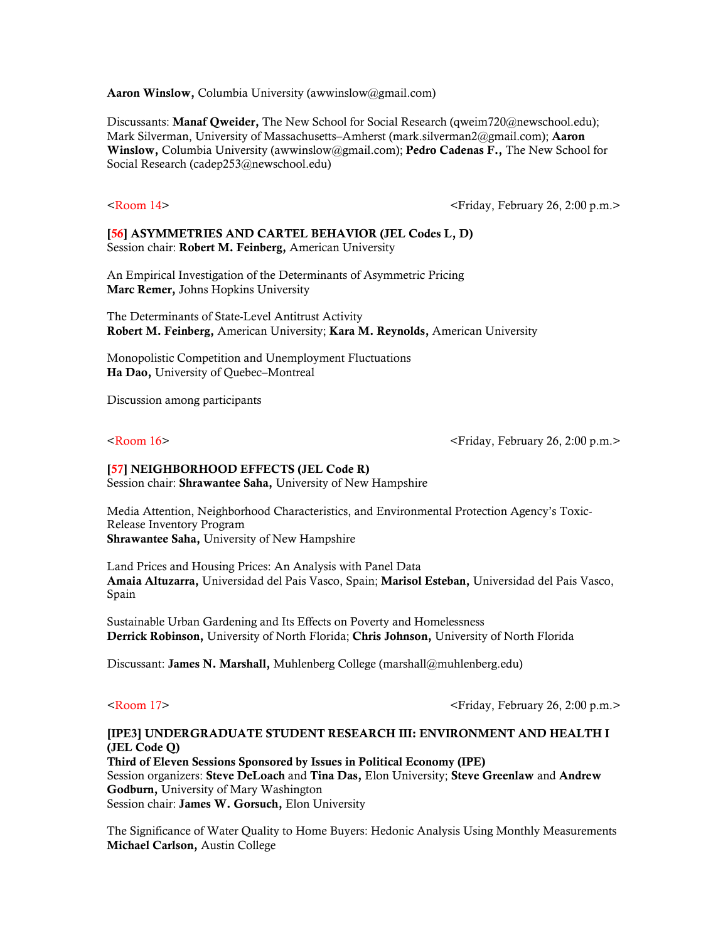Aaron Winslow, Columbia University (awwinslow@gmail.com)

Discussants: Manaf Oweider, The New School for Social Research (qweim720@newschool.edu); Mark Silverman, University of Massachusetts–Amherst (mark.silverman2@gmail.com); Aaron Winslow, Columbia University (awwinslow@gmail.com); Pedro Cadenas F., The New School for Social Research (cadep253@newschool.edu)

<Room 14> <Friday, February 26, 2:00 p.m.>

### [56] ASYMMETRIES AND CARTEL BEHAVIOR (JEL Codes L, D) Session chair: Robert M. Feinberg, American University

An Empirical Investigation of the Determinants of Asymmetric Pricing Marc Remer, Johns Hopkins University

The Determinants of State-Level Antitrust Activity Robert M. Feinberg, American University; Kara M. Reynolds, American University

Monopolistic Competition and Unemployment Fluctuations Ha Dao, University of Quebec–Montreal

Discussion among participants

 $\leq$ Room 16>  $\leq$ Friday, February 26, 2:00 p.m.>

### [57] NEIGHBORHOOD EFFECTS (JEL Code R)

Session chair: Shrawantee Saha, University of New Hampshire

Media Attention, Neighborhood Characteristics, and Environmental Protection Agency's Toxic-Release Inventory Program Shrawantee Saha, University of New Hampshire

Land Prices and Housing Prices: An Analysis with Panel Data Amaia Altuzarra, Universidad del Pais Vasco, Spain; Marisol Esteban, Universidad del Pais Vasco, Spain

Sustainable Urban Gardening and Its Effects on Poverty and Homelessness Derrick Robinson, University of North Florida; Chris Johnson, University of North Florida

Discussant: James N. Marshall, Muhlenberg College (marshall@muhlenberg.edu)

<Room 17> <Friday, February 26, 2:00 p.m.>

### [IPE3] UNDERGRADUATE STUDENT RESEARCH III: ENVIRONMENT AND HEALTH I (JEL Code Q)

Third of Eleven Sessions Sponsored by Issues in Political Economy (IPE) Session organizers: Steve DeLoach and Tina Das, Elon University; Steve Greenlaw and Andrew Godburn, University of Mary Washington Session chair: James W. Gorsuch, Elon University

The Significance of Water Quality to Home Buyers: Hedonic Analysis Using Monthly Measurements Michael Carlson, Austin College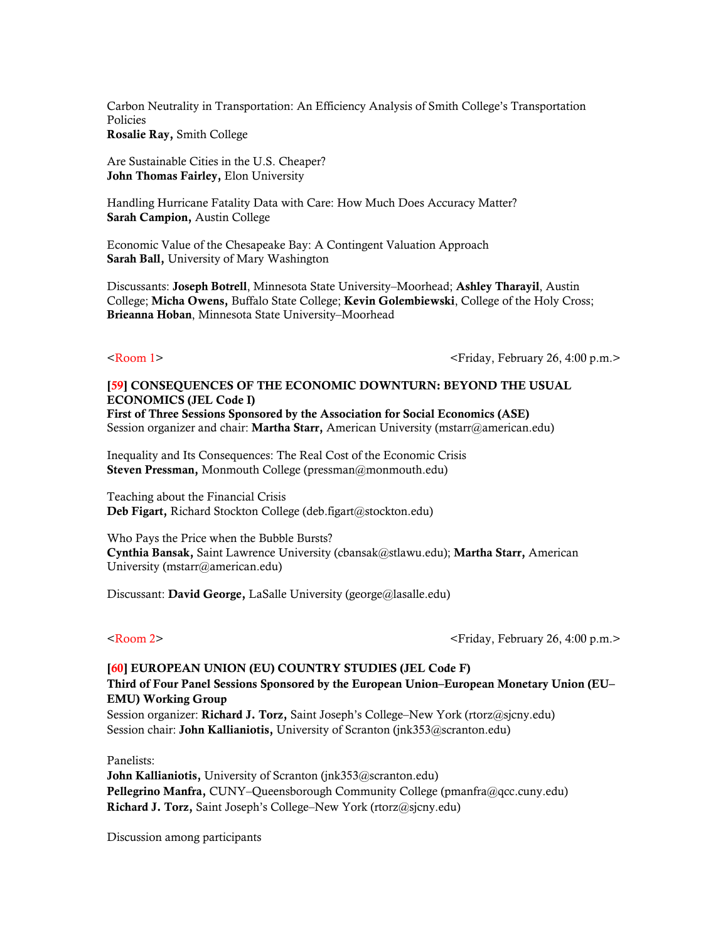Carbon Neutrality in Transportation: An Efficiency Analysis of Smith College's Transportation Policies Rosalie Ray, Smith College

Are Sustainable Cities in the U.S. Cheaper? John Thomas Fairley, Elon University

Handling Hurricane Fatality Data with Care: How Much Does Accuracy Matter? Sarah Campion, Austin College

Economic Value of the Chesapeake Bay: A Contingent Valuation Approach Sarah Ball, University of Mary Washington

Discussants: Joseph Botrell, Minnesota State University–Moorhead; Ashley Tharayil, Austin College; Micha Owens, Buffalo State College; Kevin Golembiewski, College of the Holy Cross; Brieanna Hoban, Minnesota State University–Moorhead

<Room 1> <Friday, February 26, 4:00 p.m.>

### [59] CONSEQUENCES OF THE ECONOMIC DOWNTURN: BEYOND THE USUAL ECONOMICS (JEL Code I)

First of Three Sessions Sponsored by the Association for Social Economics (ASE) Session organizer and chair: Martha Starr, American University (mstarr@american.edu)

Inequality and Its Consequences: The Real Cost of the Economic Crisis Steven Pressman, Monmouth College (pressman@monmouth.edu)

Teaching about the Financial Crisis Deb Figart, Richard Stockton College (deb.figart@stockton.edu)

Who Pays the Price when the Bubble Bursts? Cynthia Bansak, Saint Lawrence University (cbansak@stlawu.edu); Martha Starr, American University (mstarr@american.edu)

Discussant: David George, LaSalle University (george@lasalle.edu)

<Room 2> <Friday, February 26, 4:00 p.m.>

### [60] EUROPEAN UNION (EU) COUNTRY STUDIES (JEL Code F)

### Third of Four Panel Sessions Sponsored by the European Union–European Monetary Union (EU– EMU) Working Group

Session organizer: Richard J. Torz, Saint Joseph's College–New York (rtorz@sjcny.edu) Session chair: John Kallianiotis, University of Scranton (jnk353@scranton.edu)

Panelists:

John Kallianiotis, University of Scranton (jnk353@scranton.edu) Pellegrino Manfra, CUNY–Queensborough Community College (pmanfra@qcc.cuny.edu) Richard J. Torz, Saint Joseph's College–New York (rtorz@sjcny.edu)

Discussion among participants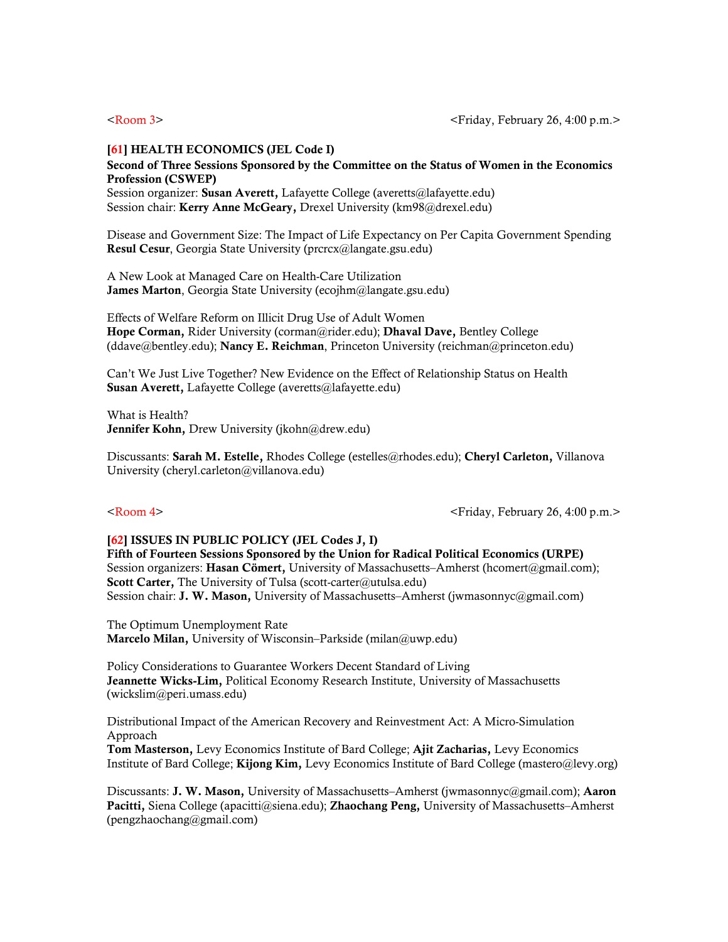### [61] HEALTH ECONOMICS (JEL Code I)

### Second of Three Sessions Sponsored by the Committee on the Status of Women in the Economics Profession (CSWEP)

Session organizer: Susan Averett, Lafayette College (averetts@lafayette.edu) Session chair: Kerry Anne McGeary, Drexel University (km98@drexel.edu)

Disease and Government Size: The Impact of Life Expectancy on Per Capita Government Spending Resul Cesur, Georgia State University (prcrcx@langate.gsu.edu)

A New Look at Managed Care on Health-Care Utilization James Marton, Georgia State University (ecojhm@langate.gsu.edu)

Effects of Welfare Reform on Illicit Drug Use of Adult Women Hope Corman, Rider University (corman@rider.edu); Dhaval Dave, Bentley College (ddave@bentley.edu); Nancy E. Reichman, Princeton University (reichman@princeton.edu)

Can't We Just Live Together? New Evidence on the Effect of Relationship Status on Health Susan Averett, Lafayette College (averetts@lafayette.edu)

What is Health? Jennifer Kohn, Drew University (jkohn@drew.edu)

Discussants: Sarah M. Estelle, Rhodes College (estelles@rhodes.edu); Cheryl Carleton, Villanova University (cheryl.carleton@villanova.edu)

<Room 4> <Friday, February 26, 4:00 p.m.>

### [62] ISSUES IN PUBLIC POLICY (JEL Codes J, I)

Fifth of Fourteen Sessions Sponsored by the [Union for Radical Political Economics](http://www.urpe.org/) (URPE) Session organizers: Hasan Cömert, University of Massachusetts–Amherst (hcomert@gmail.com); Scott Carter, The University of Tulsa (scott-carter@utulsa.edu) Session chair: J. W. Mason, University of Massachusetts–Amherst (jwmasonnyc@gmail.com)

The Optimum Unemployment Rate Marcelo Milan, University of Wisconsin–Parkside (milan@uwp.edu)

Policy Considerations to Guarantee Workers Decent Standard of Living Jeannette Wicks-Lim, Political Economy Research Institute, University of Massachusetts (wickslim@peri.umass.edu)

Distributional Impact of the American Recovery and Reinvestment Act: A Micro-Simulation Approach

Tom Masterson, Levy Economics Institute of Bard College; Ajit Zacharias, Levy Economics Institute of Bard College; Kijong Kim, Levy Economics Institute of Bard College (mastero@levy.org)

Discussants: J. W. Mason, University of Massachusetts–Amherst (jwmasonnyc@gmail.com); Aaron Pacitti, Siena College (apacitti@siena.edu); Zhaochang Peng, University of Massachusetts–Amherst (pengzhaochang@gmail.com)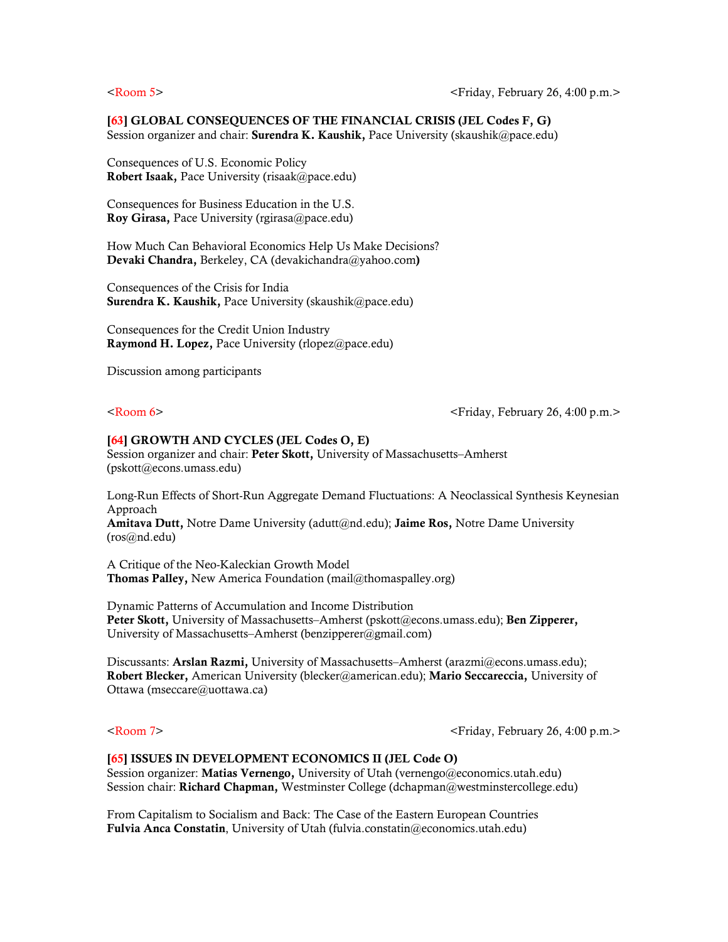### [63] GLOBAL CONSEQUENCES OF THE FINANCIAL CRISIS (JEL Codes F, G)

Session organizer and chair: **Surendra K. Kaushik,** Pace University (skaushik $@$ pace.edu)

Consequences of U.S. Economic Policy Robert Isaak, Pace University (risaak@pace.edu)

Consequences for Business Education in the U.S. Roy Girasa, Pace University (rgirasa@pace.edu)

How Much Can Behavioral Economics Help Us Make Decisions? Devaki Chandra, Berkeley, CA (devakichandra@yahoo.com)

Consequences of the Crisis for India Surendra K. Kaushik, Pace University (skaushik@pace.edu)

Consequences for the Credit Union Industry Raymond H. Lopez, Pace University (rlopez@pace.edu)

Discussion among participants

<Room 6> <Friday, February 26, 4:00 p.m.>

### [64] GROWTH AND CYCLES (JEL Codes O, E)

Session organizer and chair: Peter Skott, University of Massachusetts–Amherst (pskott@econs.umass.edu)

Long-Run Effects of Short-Run Aggregate Demand Fluctuations: A Neoclassical Synthesis Keynesian Approach

Amitava Dutt, Notre Dame University (adutt@nd.edu); Jaime Ros, Notre Dame University (ros@nd.edu)

A Critique of the Neo-Kaleckian Growth Model Thomas Palley, New America Foundation (mail@thomaspalley.org)

Dynamic Patterns of Accumulation and Income Distribution Peter Skott, University of Massachusetts–Amherst (pskott@econs.umass.edu); Ben Zipperer, University of Massachusetts–Amherst (benzipperer@gmail.com)

Discussants: Arslan Razmi, University of Massachusetts–Amherst (arazmi@econs.umass.edu); Robert Blecker, American University (blecker@american.edu); Mario Seccareccia, University of Ottawa (mseccare@uottawa.ca)

<Room 7> <Friday, February 26, 4:00 p.m.>

### [65] ISSUES IN DEVELOPMENT ECONOMICS II (JEL Code O)

Session organizer: Matias Vernengo, University of Utah (vernengo@economics.utah.edu) Session chair: Richard Chapman, Westminster College (dchapman@westminstercollege.edu)

From Capitalism to Socialism and Back: The Case of the Eastern European Countries Fulvia Anca Constatin, University of Utah (fulvia.constatin@economics.utah.edu)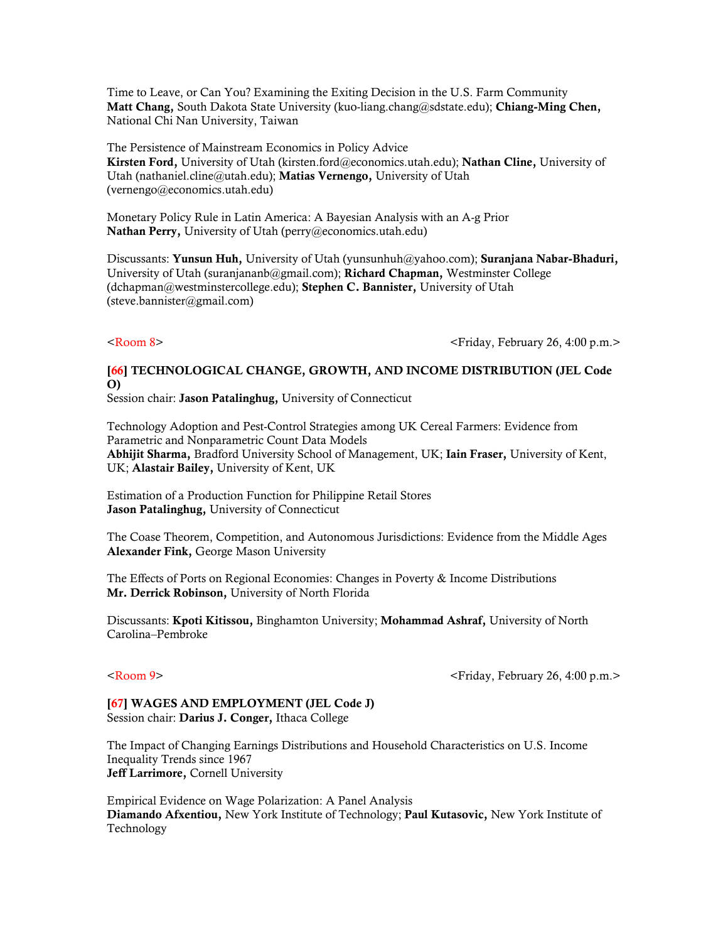Time to Leave, or Can You? Examining the Exiting Decision in the U.S. Farm Community Matt Chang, South Dakota State University (kuo-liang.chang@sdstate.edu); Chiang-Ming Chen, National Chi Nan University, Taiwan

The Persistence of Mainstream Economics in Policy Advice Kirsten Ford, University of Utah (kirsten.ford@economics.utah.edu); Nathan Cline, University of Utah (nathaniel.cline@utah.edu); Matias Vernengo, University of Utah (vernengo@economics.utah.edu)

Monetary Policy Rule in Latin America: A Bayesian Analysis with an A-g Prior Nathan Perry, University of Utah ([perry@economics.utah.edu](mailto:perry@economics.utah.edu))

Discussants: Yunsun Huh, University of Utah (yunsunhuh@yahoo.com); Suranjana Nabar-Bhaduri, University of Utah (suranjananb@gmail.com); Richard Chapman, Westminster College (dchapman@westminstercollege.edu); Stephen C. Bannister, University of Utah (steve.bannister@gmail.com)

<Room 8> <Friday, February 26, 4:00 p.m.>

### [66] TECHNOLOGICAL CHANGE, GROWTH, AND INCOME DISTRIBUTION (JEL Code O)

Session chair: Jason Patalinghug, University of Connecticut

Technology Adoption and Pest-Control Strategies among UK Cereal Farmers: Evidence from Parametric and Nonparametric Count Data Models Abhijit Sharma, Bradford University School of Management, UK; Iain Fraser, University of Kent, UK; Alastair Bailey, University of Kent, UK

Estimation of a Production Function for Philippine Retail Stores Jason Patalinghug, University of Connecticut

The Coase Theorem, Competition, and Autonomous Jurisdictions: Evidence from the Middle Ages Alexander Fink, George Mason University

The Effects of Ports on Regional Economies: Changes in Poverty & Income Distributions Mr. Derrick Robinson, University of North Florida

Discussants: Kpoti Kitissou, Binghamton University; Mohammad Ashraf, University of North Carolina–Pembroke

<Room 9> <Friday, February 26, 4:00 p.m.>

[67] WAGES AND EMPLOYMENT (JEL Code J) Session chair: Darius J. Conger, Ithaca College

The Impact of Changing Earnings Distributions and Household Characteristics on U.S. Income Inequality Trends since 1967 Jeff Larrimore, Cornell University

Empirical Evidence on Wage Polarization: A Panel Analysis Diamando Afxentiou, New York Institute of Technology; Paul Kutasovic, New York Institute of Technology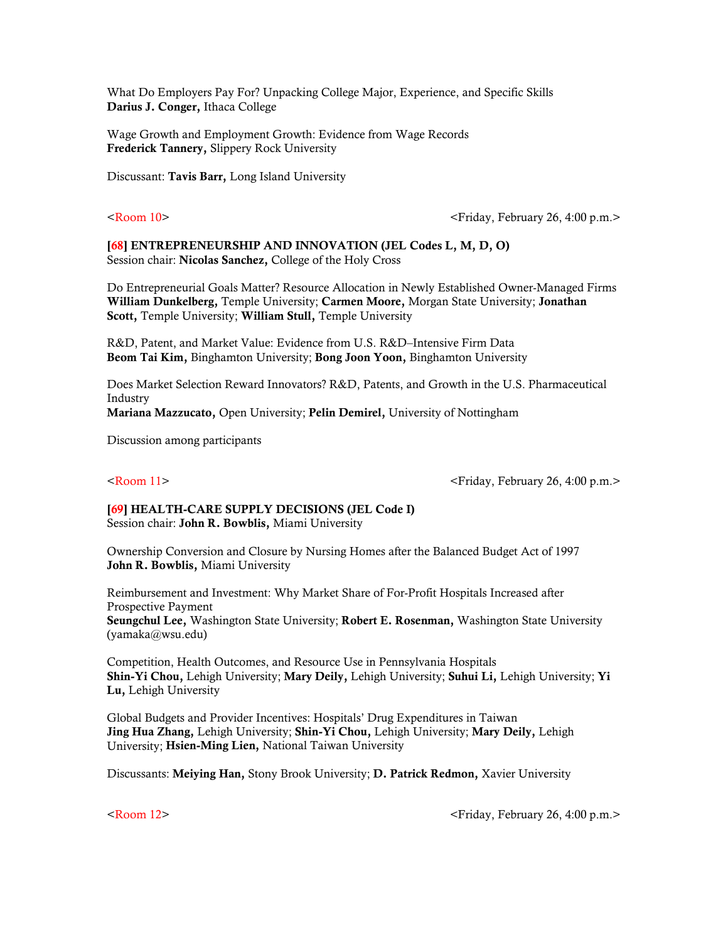What Do Employers Pay For? Unpacking College Major, Experience, and Specific Skills Darius J. Conger, Ithaca College

Wage Growth and Employment Growth: Evidence from Wage Records Frederick Tannery, Slippery Rock University

Discussant: Tavis Barr, Long Island University

<Room 10> <Friday, February 26, 4:00 p.m.>

[68] ENTREPRENEURSHIP AND INNOVATION (JEL Codes L, M, D, O) Session chair: Nicolas Sanchez, College of the Holy Cross

Do Entrepreneurial Goals Matter? Resource Allocation in Newly Established Owner-Managed Firms William Dunkelberg, Temple University; Carmen Moore, Morgan State University; Jonathan Scott, Temple University; William Stull, Temple University

R&D, Patent, and Market Value: Evidence from U.S. R&D–Intensive Firm Data Beom Tai Kim, Binghamton University; Bong Joon Yoon, Binghamton University

Does Market Selection Reward Innovators? R&D, Patents, and Growth in the U.S. Pharmaceutical Industry Mariana Mazzucato, Open University; Pelin Demirel, University of Nottingham

Discussion among participants

<Room 11> <Friday, February 26, 4:00 p.m.>

# [69] HEALTH-CARE SUPPLY DECISIONS (JEL Code I)

Session chair: John R. Bowblis, Miami University

Ownership Conversion and Closure by Nursing Homes after the Balanced Budget Act of 1997 John R. Bowblis, Miami University

Reimbursement and Investment: Why Market Share of For-Profit Hospitals Increased after Prospective Payment Seungchul Lee, Washington State University; Robert E. Rosenman, Washington State University (yamaka@wsu.edu)

Competition, Health Outcomes, and Resource Use in Pennsylvania Hospitals Shin-Yi Chou, Lehigh University; Mary Deily, Lehigh University; Suhui Li, Lehigh University; Yi Lu, Lehigh University

Global Budgets and Provider Incentives: Hospitals' Drug Expenditures in Taiwan Jing Hua Zhang, Lehigh University; Shin-Yi Chou, Lehigh University; Mary Deily, Lehigh University; Hsien-Ming Lien, National Taiwan University

Discussants: Meiying Han, Stony Brook University; D. Patrick Redmon, Xavier University

<Room 12> <Friday, February 26, 4:00 p.m.>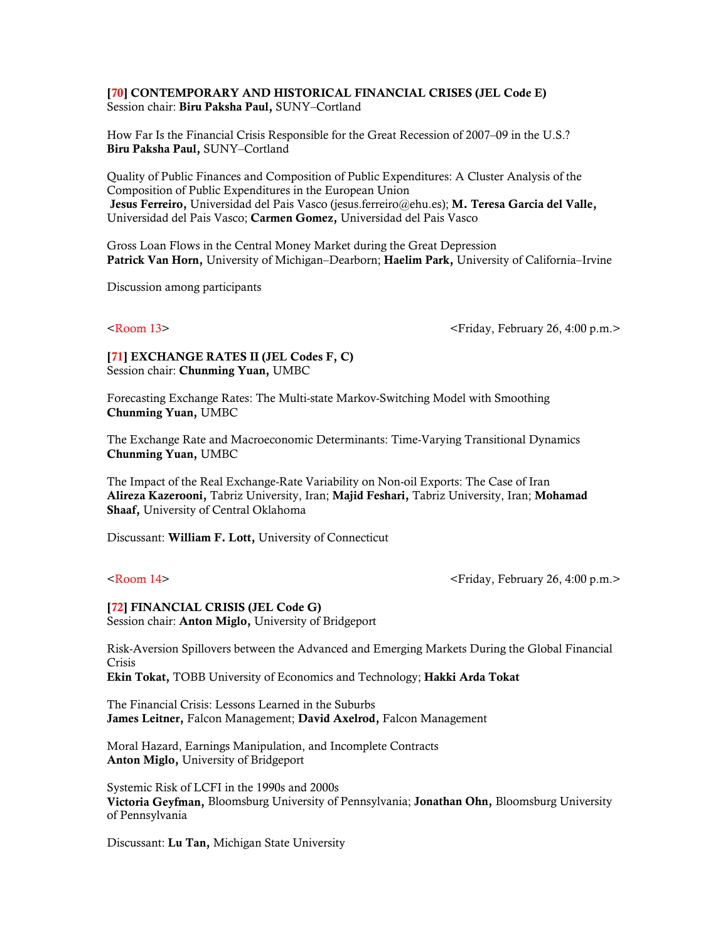### [70] CONTEMPORARY AND HISTORICAL FINANCIAL CRISES (JEL Code E) Session chair: Biru Paksha Paul, SUNY–Cortland

How Far Is the Financial Crisis Responsible for the Great Recession of 2007–09 in the U.S.? Biru Paksha Paul, SUNY–Cortland

Quality of Public Finances and Composition of Public Expenditures: A Cluster Analysis of the Composition of Public Expenditures in the European Union Jesus Ferreiro, Universidad del Pais Vasco (jesus.ferreiro@ehu.es); M. Teresa Garcia del Valle, Universidad del Pais Vasco; Carmen Gomez, Universidad del Pais Vasco

Gross Loan Flows in the Central Money Market during the Great Depression Patrick Van Horn, University of Michigan–Dearborn; Haelim Park, University of California–Irvine

Discussion among participants

<Room 13> <Friday, February 26, 4:00 p.m.>

[71] EXCHANGE RATES II (JEL Codes F, C) Session chair: Chunming Yuan, UMBC

Forecasting Exchange Rates: The Multi-state Markov-Switching Model with Smoothing Chunming Yuan, UMBC

The Exchange Rate and Macroeconomic Determinants: Time-Varying Transitional Dynamics Chunming Yuan, UMBC

The Impact of the Real Exchange-Rate Variability on Non-oil Exports: The Case of Iran Alireza Kazerooni, Tabriz University, Iran; Majid Feshari, Tabriz University, Iran; Mohamad Shaaf, University of Central Oklahoma

Discussant: William F. Lott, University of Connecticut

 $\leq$ Room 14>  $\leq$ Friday, February 26, 4:00 p.m.>

# [72] FINANCIAL CRISIS (JEL Code G)

Session chair: Anton Miglo, University of Bridgeport

Risk-Aversion Spillovers between the Advanced and Emerging Markets During the Global Financial Crisis

Ekin Tokat, TOBB University of Economics and Technology; Hakki Arda Tokat

The Financial Crisis: Lessons Learned in the Suburbs James Leitner, Falcon Management; David Axelrod, Falcon Management

Moral Hazard, Earnings Manipulation, and Incomplete Contracts Anton Miglo, University of Bridgeport

Systemic Risk of LCFI in the 1990s and 2000s Victoria Geyfman, Bloomsburg University of Pennsylvania; Jonathan Ohn, Bloomsburg University of Pennsylvania

Discussant: Lu Tan, Michigan State University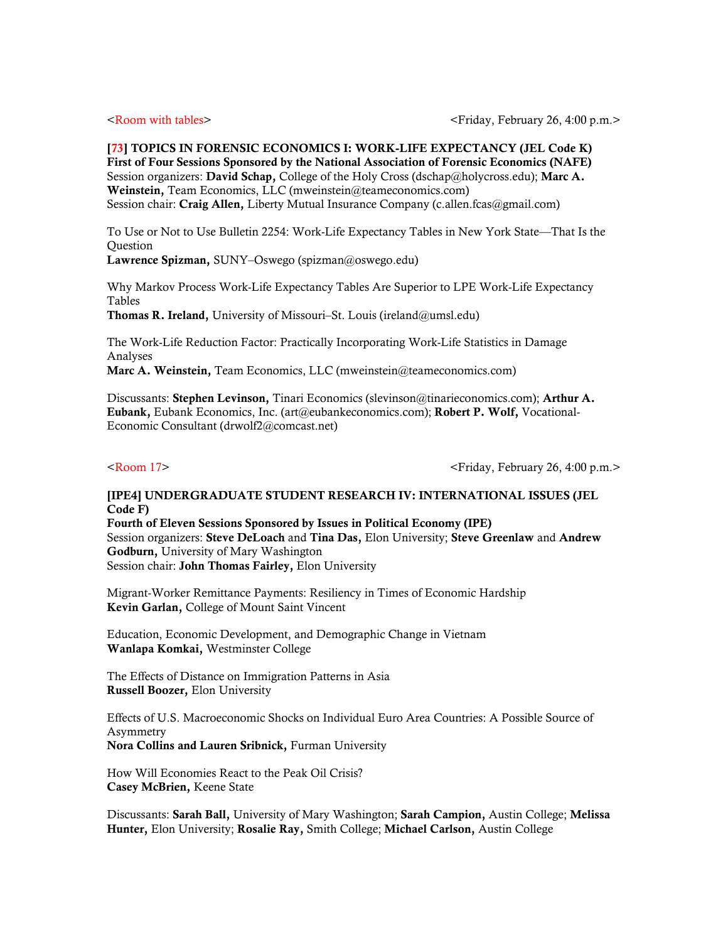[73] TOPICS IN FORENSIC ECONOMICS I: WORK-LIFE EXPECTANCY (JEL Code K) First of Four Sessions Sponsored by the National Association of Forensic Economics (NAFE) Session organizers: David Schap, College of the Holy Cross (dschap@holycross.edu); Marc A. Weinstein, Team Economics, LLC (mweinstein@teameconomics.com) Session chair: Craig Allen, Liberty Mutual Insurance Company (c.allen.fcas@gmail.com)

To Use or Not to Use Bulletin 2254: Work-Life Expectancy Tables in New York State—That Is the Question

Lawrence Spizman, SUNY–Oswego (spizman@oswego.edu)

Why Markov Process Work-Life Expectancy Tables Are Superior to LPE Work-Life Expectancy Tables

Thomas R. Ireland, University of Missouri–St. Louis (ireland@umsl.edu)

The Work-Life Reduction Factor: Practically Incorporating Work-Life Statistics in Damage Analyses

Marc A. Weinstein, Team Economics, LLC (mweinstein@teameconomics.com)

Discussants: Stephen Levinson, Tinari Economics (slevinson@tinarieconomics.com); Arthur A. Eubank, Eubank Economics, Inc. (art@eubankeconomics.com); Robert P. Wolf, Vocational-Economic Consultant (drwolf2@comcast.net)

<Room 17> <Friday, February 26, 4:00 p.m.>

### [IPE4] UNDERGRADUATE STUDENT RESEARCH IV: INTERNATIONAL ISSUES (JEL Code F)

Fourth of Eleven Sessions Sponsored by Issues in Political Economy (IPE) Session organizers: Steve DeLoach and Tina Das, Elon University; Steve Greenlaw and Andrew Godburn, University of Mary Washington Session chair: John Thomas Fairley, Elon University

Migrant-Worker Remittance Payments: Resiliency in Times of Economic Hardship Kevin Garlan, College of Mount Saint Vincent

Education, Economic Development, and Demographic Change in Vietnam Wanlapa Komkai, Westminster College

The Effects of Distance on Immigration Patterns in Asia Russell Boozer, Elon University

Effects of U.S. Macroeconomic Shocks on Individual Euro Area Countries: A Possible Source of Asymmetry Nora Collins and Lauren Sribnick, Furman University

How Will Economies React to the Peak Oil Crisis? Casey McBrien, Keene State

Discussants: Sarah Ball, University of Mary Washington; Sarah Campion, Austin College; Melissa Hunter, Elon University; Rosalie Ray, Smith College; Michael Carlson, Austin College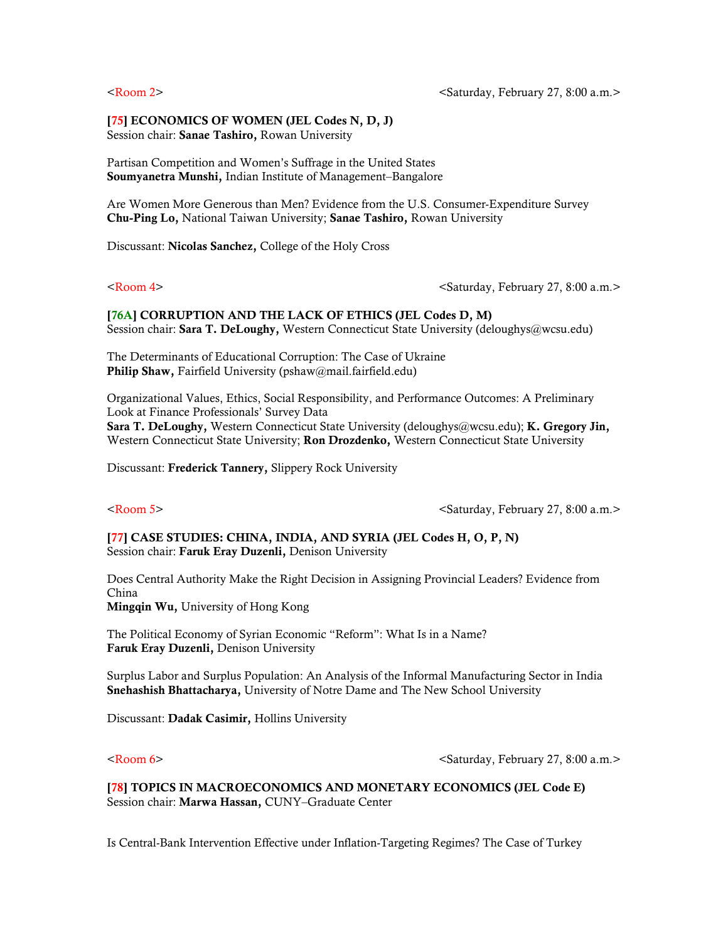## [75] ECONOMICS OF WOMEN (JEL Codes N, D, J)

Session chair: Sanae Tashiro, Rowan University

Partisan Competition and Women's Suffrage in the United States Soumyanetra Munshi, Indian Institute of Management–Bangalore

Are Women More Generous than Men? Evidence from the U.S. Consumer-Expenditure Survey Chu-Ping Lo, National Taiwan University; Sanae Tashiro, Rowan University

Discussant: Nicolas Sanchez, College of the Holy Cross

<Room 4>  $\leq$   $\leq$   $\leq$   $\leq$   $\leq$   $\leq$   $\leq$   $\leq$   $\leq$   $\leq$   $\leq$   $\leq$   $\leq$   $\leq$   $\leq$   $\leq$   $\leq$   $\leq$   $\leq$   $\leq$   $\leq$   $\leq$   $\leq$   $\leq$   $\leq$   $\leq$   $\leq$   $\leq$   $\leq$   $\leq$   $\leq$   $\leq$   $\leq$   $\leq$   $\leq$   $\le$ 

[76A] CORRUPTION AND THE LACK OF ETHICS (JEL Codes D, M) Session chair: Sara T. DeLoughy, Western Connecticut State University (deloughys@wcsu.edu)

The Determinants of Educational Corruption: The Case of Ukraine Philip Shaw, Fairfield University (pshaw@mail.fairfield.edu)

Organizational Values, Ethics, Social Responsibility, and Performance Outcomes: A Preliminary Look at Finance Professionals' Survey Data Sara T. DeLoughy, Western Connecticut State University (deloughys@wcsu.edu); K. Gregory Jin, Western Connecticut State University; Ron Drozdenko, Western Connecticut State University

Discussant: Frederick Tannery, Slippery Rock University

<Room 5>  $\leq$   $\leq$   $\leq$   $\leq$   $\leq$   $\leq$   $\leq$   $\leq$   $\leq$   $\leq$   $\leq$   $\leq$   $\leq$   $\leq$   $\leq$   $\leq$   $\leq$   $\leq$   $\leq$   $\leq$   $\leq$   $\leq$   $\leq$   $\leq$   $\leq$   $\leq$   $\leq$   $\leq$   $\leq$   $\leq$   $\leq$   $\leq$   $\leq$   $\leq$   $\leq$   $\le$ 

[77] CASE STUDIES: CHINA, INDIA, AND SYRIA (JEL Codes H, O, P, N) Session chair: Faruk Eray Duzenli, Denison University

Does Central Authority Make the Right Decision in Assigning Provincial Leaders? Evidence from China Mingqin Wu, University of Hong Kong

The Political Economy of Syrian Economic "Reform": What Is in a Name? Faruk Eray Duzenli, Denison University

Surplus Labor and Surplus Population: An Analysis of the Informal Manufacturing Sector in India Snehashish Bhattacharya, University of Notre Dame and The New School University

Discussant: Dadak Casimir, Hollins University

<Room 6>  $\leq$   $\leq$   $\leq$   $\leq$   $\leq$   $\leq$   $\leq$   $\leq$   $\leq$   $\leq$   $\leq$   $\leq$   $\leq$   $\leq$   $\leq$   $\leq$   $\leq$   $\leq$   $\leq$   $\leq$   $\leq$   $\leq$   $\leq$   $\leq$   $\leq$   $\leq$   $\leq$   $\leq$   $\leq$   $\leq$   $\leq$   $\leq$   $\leq$   $\leq$   $\leq$   $\le$ 

[78] TOPICS IN MACROECONOMICS AND MONETARY ECONOMICS (JEL Code E) Session chair: Marwa Hassan, CUNY–Graduate Center

Is Central-Bank Intervention Effective under Inflation-Targeting Regimes? The Case of Turkey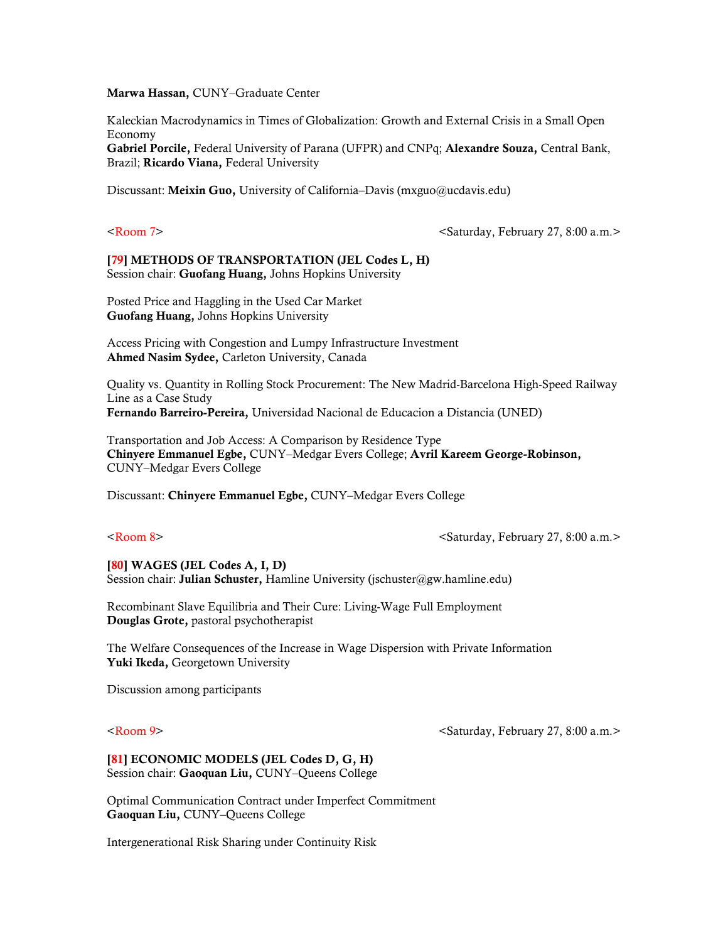Marwa Hassan, CUNY–Graduate Center

Kaleckian Macrodynamics in Times of Globalization: Growth and External Crisis in a Small Open Economy Gabriel Porcile, Federal University of Parana (UFPR) and CNPq; Alexandre Souza, Central Bank, Brazil; Ricardo Viana, Federal University

Discussant: Meixin Guo, University of California-Davis (mxguo@ucdavis.edu)

<Room 7>  $\leq$   $\leq$   $\leq$   $\leq$   $\leq$   $\leq$   $\leq$   $\leq$   $\leq$   $\leq$   $\leq$   $\leq$   $\leq$   $\leq$   $\leq$   $\leq$   $\leq$   $\leq$   $\leq$   $\leq$   $\leq$   $\leq$   $\leq$   $\leq$   $\leq$   $\leq$   $\leq$   $\leq$   $\leq$   $\leq$   $\leq$   $\leq$   $\leq$   $\leq$   $\leq$   $\le$ 

### [79] METHODS OF TRANSPORTATION (JEL Codes L, H) Session chair: Guofang Huang, Johns Hopkins University

Posted Price and Haggling in the Used Car Market Guofang Huang, Johns Hopkins University

Access Pricing with Congestion and Lumpy Infrastructure Investment Ahmed Nasim Sydee, Carleton University, Canada

Quality vs. Quantity in Rolling Stock Procurement: The New Madrid-Barcelona High-Speed Railway Line as a Case Study Fernando Barreiro-Pereira, Universidad Nacional de Educacion a Distancia (UNED)

Transportation and Job Access: A Comparison by Residence Type Chinyere Emmanuel Egbe, CUNY–Medgar Evers College; Avril Kareem George-Robinson, CUNY–Medgar Evers College

Discussant: Chinyere Emmanuel Egbe, CUNY–Medgar Evers College

<Room 8>  $\leq$   $\leq$   $\leq$   $\leq$   $\leq$   $\leq$   $\leq$   $\leq$   $\leq$   $\leq$   $\leq$   $\leq$   $\leq$   $\leq$   $\leq$   $\leq$   $\leq$   $\leq$   $\leq$   $\leq$   $\leq$   $\leq$   $\leq$   $\leq$   $\leq$   $\leq$   $\leq$   $\leq$   $\leq$   $\leq$   $\leq$   $\leq$   $\leq$   $\leq$   $\leq$   $\le$ 

[80] WAGES (JEL Codes A, I, D) Session chair: Julian Schuster, Hamline University (jschuster@gw.hamline.edu)

Recombinant Slave Equilibria and Their Cure: Living-Wage Full Employment Douglas Grote, pastoral psychotherapist

The Welfare Consequences of the Increase in Wage Dispersion with Private Information Yuki Ikeda, Georgetown University

Discussion among participants

<Room 9>  $\leq$ Saturday, February 27, 8:00 a.m.>

### [81] ECONOMIC MODELS (JEL Codes D, G, H) Session chair: Gaoquan Liu, CUNY–Queens College

Optimal Communication Contract under Imperfect Commitment Gaoquan Liu, CUNY–Queens College

Intergenerational Risk Sharing under Continuity Risk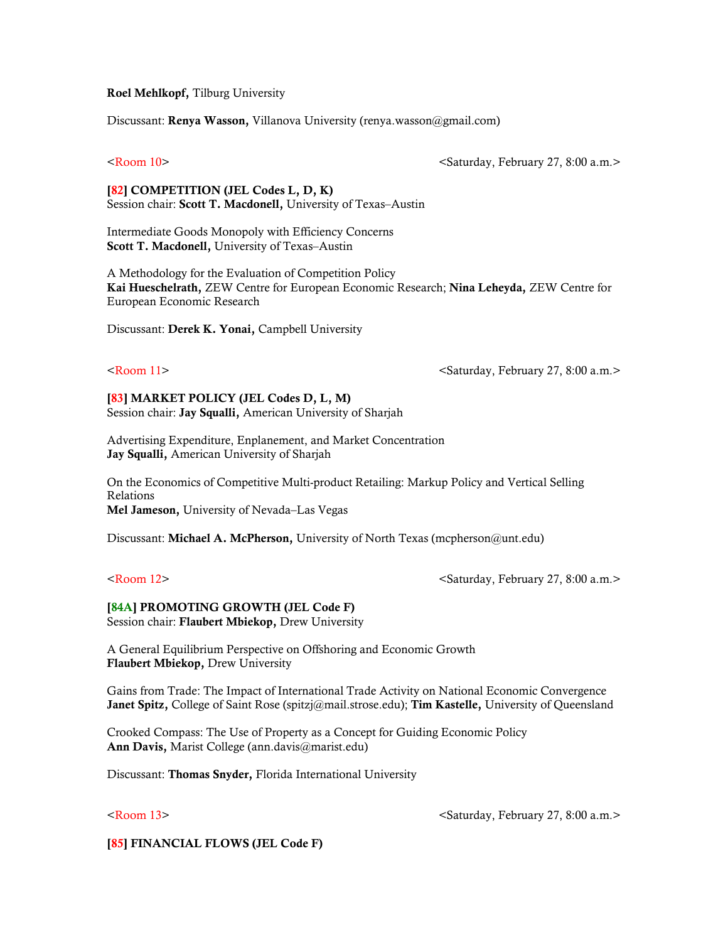### Roel Mehlkopf, Tilburg University

Discussant: Renya Wasson, Villanova University (renya.wasson@gmail.com)

<Room 10> <Saturday, February 27, 8:00 a.m.>

[82] COMPETITION (JEL Codes L, D, K) Session chair: Scott T. Macdonell, University of Texas–Austin

Intermediate Goods Monopoly with Efficiency Concerns Scott T. Macdonell, University of Texas–Austin

A Methodology for the Evaluation of Competition Policy Kai Hueschelrath, ZEW Centre for European Economic Research; Nina Leheyda, ZEW Centre for European Economic Research

Discussant: Derek K. Yonai, Campbell University

<Room 11> <Saturday, February 27, 8:00 a.m.>

[83] MARKET POLICY (JEL Codes D, L, M) Session chair: Jay Squalli, American University of Sharjah

Advertising Expenditure, Enplanement, and Market Concentration Jay Squalli, American University of Sharjah

On the Economics of Competitive Multi-product Retailing: Markup Policy and Vertical Selling Relations Mel Jameson, University of Nevada-Las Vegas

Discussant: Michael A. McPherson, University of North Texas (mcpherson@unt.edu)

<Room 12> <Saturday, February 27, 8:00 a.m.>

## [84A] PROMOTING GROWTH (JEL Code F)

Session chair: Flaubert Mbiekop, Drew University

A General Equilibrium Perspective on Offshoring and Economic Growth Flaubert Mbiekop, Drew University

Gains from Trade: The Impact of International Trade Activity on National Economic Convergence Janet Spitz, College of Saint Rose (spitzj@mail.strose.edu); Tim Kastelle, University of Queensland

Crooked Compass: The Use of Property as a Concept for Guiding Economic Policy Ann Davis, Marist College (ann.davis@marist.edu)

Discussant: Thomas Snyder, Florida International University

 $\leq$ Room 13>  $\leq$ Saturday, February 27, 8:00 a.m.>

[85] FINANCIAL FLOWS (JEL Code F)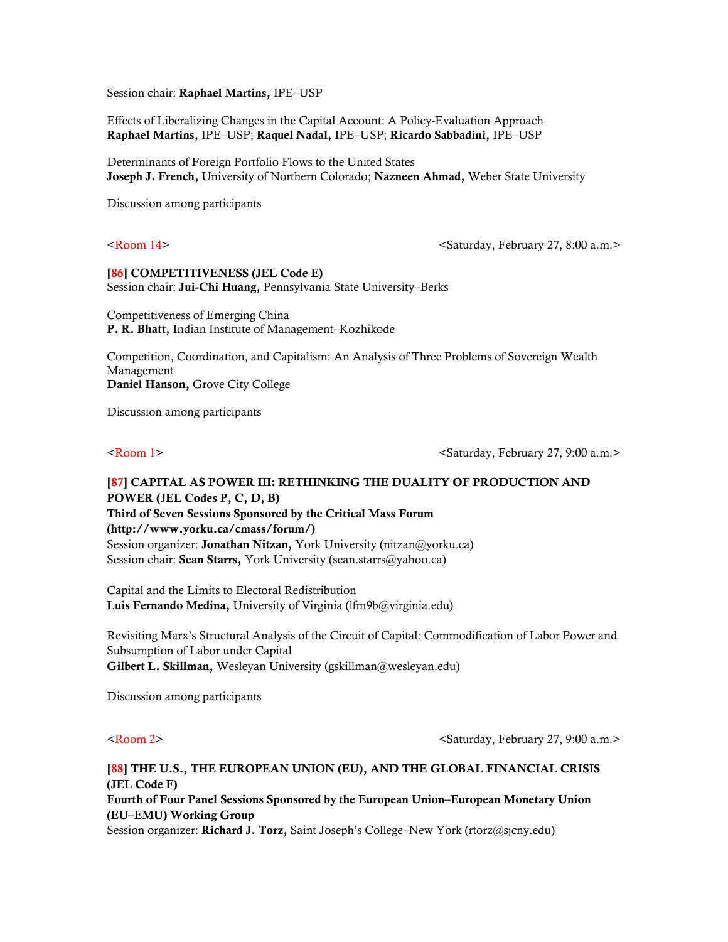Session chair: Raphael Martins, IPE–USP

Effects of Liberalizing Changes in the Capital Account: A Policy-Evaluation Approach Raphael Martins, IPE–USP; Raquel Nadal, IPE–USP; Ricardo Sabbadini, IPE–USP

Determinants of Foreign Portfolio Flows to the United States Joseph J. French, University of Northern Colorado; Nazneen Ahmad, Weber State University

Discussion among participants

<Room 14> <Saturday, February 27, 8:00 a.m.>

## [86] COMPETITIVENESS (JEL Code E)

Session chair: Jui-Chi Huang, Pennsylvania State University–Berks

Competitiveness of Emerging China P. R. Bhatt, Indian Institute of Management–Kozhikode

Competition, Coordination, and Capitalism: An Analysis of Three Problems of Sovereign Wealth Management Daniel Hanson, Grove City College

Discussion among participants

<Room 1>  $\leq$  and  $\leq$  and  $\leq$  and  $\leq$  and  $\leq$  and  $\leq$  and  $\leq$  and  $\leq$  and  $\leq$  and  $\leq$  and  $\leq$  and  $\leq$  and  $\leq$  and  $\leq$  and  $\leq$  and  $\leq$  and  $\leq$  and  $\leq$  and  $\leq$  and  $\leq$  and  $\leq$  and  $\le$ 

# [87] CAPITAL AS POWER III: RETHINKING THE DUALITY OF PRODUCTION AND POWER (JEL Codes P, C, D, B) Third of Seven Sessions Sponsored by the Critical Mass Forum (http://www.yorku.ca/cmass/forum/) Session organizer: Jonathan Nitzan, York University (nitzan@yorku.ca) Session chair: Sean Starrs, York University (sean.starrs@yahoo.ca)

Capital and the Limits to Electoral Redistribution Luis Fernando Medina, University of Virginia (lfm9b@virginia.edu)

Revisiting Marx's Structural Analysis of the Circuit of Capital: Commodification of Labor Power and Subsumption of Labor under Capital Gilbert L. Skillman, Wesleyan University (gskillman@wesleyan.edu)

Discussion among participants

<Room 2> <Saturday, February 27, 9:00 a.m.>

# [88] THE U.S., THE EUROPEAN UNION (EU), AND THE GLOBAL FINANCIAL CRISIS (JEL Code F) Fourth of Four Panel Sessions Sponsored by the European Union–European Monetary Union (EU–EMU) Working Group Session organizer: Richard J. Torz, Saint Joseph's College–New York (rtorz@sjcny.edu)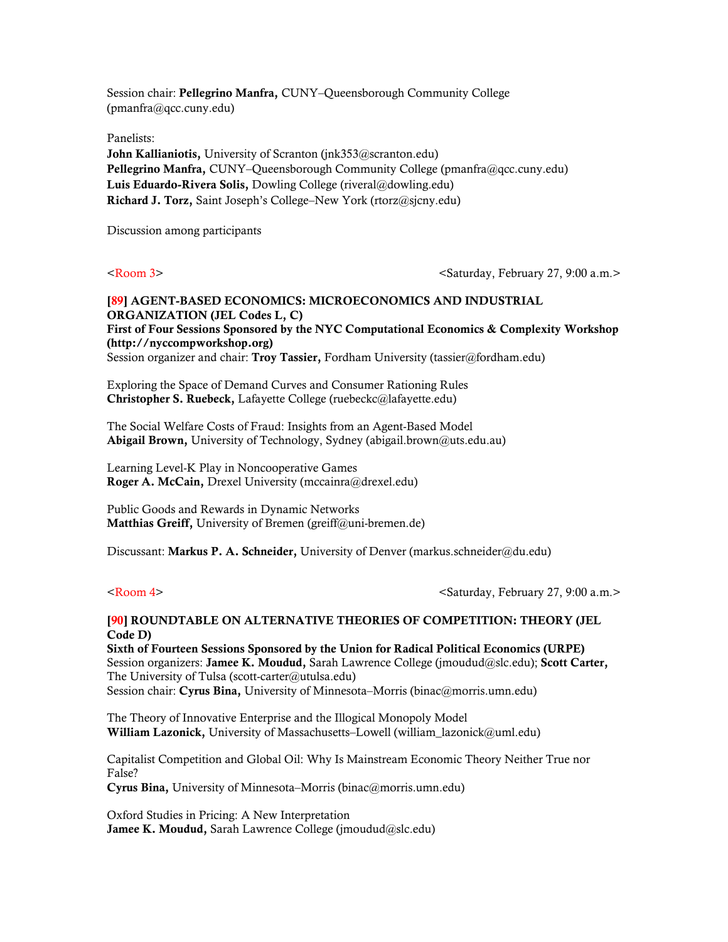Session chair: Pellegrino Manfra, CUNY–Queensborough Community College (pmanfra@qcc.cuny.edu)

Panelists:

John Kallianiotis, University of Scranton (jnk353@scranton.edu) Pellegrino Manfra, CUNY–Queensborough Community College (pmanfra@qcc.cuny.edu) Luis Eduardo-Rivera Solis, Dowling College (riveral@dowling.edu) Richard J. Torz, Saint Joseph's College–New York (rtorz@sjcny.edu)

Discussion among participants

<Room 3> <Saturday, February 27, 9:00 a.m.>

# [89] AGENT-BASED ECONOMICS: MICROECONOMICS AND INDUSTRIAL ORGANIZATION (JEL Codes L, C) First of Four Sessions Sponsored by the NYC Computational Economics & Complexity Workshop (http://nyccompworkshop.org) Session organizer and chair: Troy Tassier, Fordham University (tassier@fordham.edu)

Exploring the Space of Demand Curves and Consumer Rationing Rules Christopher S. Ruebeck, Lafayette College (ruebeckc@lafayette.edu)

The Social Welfare Costs of Fraud: Insights from an Agent-Based Model Abigail Brown, University of Technology, Sydney (abigail.brown@uts.edu.au)

Learning Level-K Play in Noncooperative Games Roger A. McCain, Drexel University (mccainra@drexel.edu)

Public Goods and Rewards in Dynamic Networks Matthias Greiff, University of Bremen (greiff@uni-bremen.de)

Discussant: Markus P. A. Schneider, University of Denver (markus.schneider@du.edu)

<Room 4>  $\leq$ Saturday, February 27, 9:00 a.m. $>$ 

## [90] ROUNDTABLE ON ALTERNATIVE THEORIES OF COMPETITION: THEORY (JEL Code D)

Sixth of Fourteen Sessions Sponsored by the Union for Radical Political Economics (URPE) Session organizers: Jamee K. Moudud, Sarah Lawrence College (jmoudud@slc.edu); Scott Carter, The University of Tulsa (scott-carter@utulsa.edu) Session chair: Cyrus Bina, University of Minnesota–Morris (binac@morris.umn.edu)

The Theory of Innovative Enterprise and the Illogical Monopoly Model William Lazonick, University of Massachusetts–Lowell (william lazonick@uml.edu)

Capitalist Competition and Global Oil: Why Is Mainstream Economic Theory Neither True nor False?

Cyrus Bina, University of Minnesota–Morris (binac@morris.umn.edu)

Oxford Studies in Pricing: A New Interpretation Jamee K. Moudud, Sarah Lawrence College (jmoudud@slc.edu)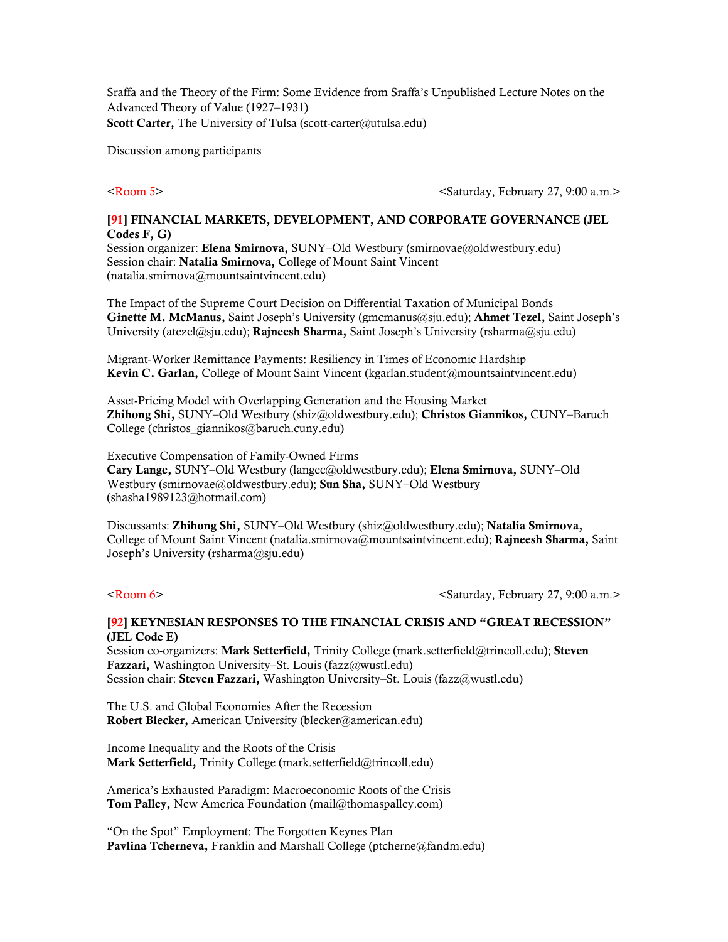Sraffa and the Theory of the Firm: Some Evidence from Sraffa's Unpublished Lecture Notes on the Advanced Theory of Value (1927–1931) Scott Carter, The University of Tulsa (scott-carter@utulsa.edu)

Discussion among participants

<Room 5> <Saturday, February 27, 9:00 a.m.>

## [91] FINANCIAL MARKETS, DEVELOPMENT, AND CORPORATE GOVERNANCE (JEL Codes F, G)

Session organizer: Elena Smirnova, SUNY-Old Westbury (smirnovae@oldwestbury.edu) Session chair: Natalia Smirnova, College of Mount Saint Vincent (natalia.smirnova@mountsaintvincent.edu)

The Impact of the Supreme Court Decision on Differential Taxation of Municipal Bonds Ginette M. McManus, Saint Joseph's University (gmcmanus@sju.edu); Ahmet Tezel, Saint Joseph's University (atezel@sju.edu); Rajneesh Sharma, Saint Joseph's University (rsharma@sju.edu)

Migrant-Worker Remittance Payments: Resiliency in Times of Economic Hardship Kevin C. Garlan, College of Mount Saint Vincent (kgarlan.student@mountsaintvincent.edu)

Asset-Pricing Model with Overlapping Generation and the Housing Market Zhihong Shi, SUNY–Old Westbury (shiz@oldwestbury.edu); Christos Giannikos, CUNY–Baruch College (christos\_giannikos@baruch.cuny.edu)

Executive Compensation of Family-Owned Firms Cary Lange, SUNY–Old Westbury (langec@oldwestbury.edu); Elena Smirnova, SUNY–Old Westbury (smirnovae@oldwestbury.edu); Sun Sha, SUNY–Old Westbury (shasha1989123@hotmail.com)

Discussants: Zhihong Shi, SUNY–Old Westbury (shiz@oldwestbury.edu); Natalia Smirnova, College of Mount Saint Vincent (natalia.smirnova@mountsaintvincent.edu); Rajneesh Sharma, Saint Joseph's University (rsharma@sju.edu)

<Room 6>  $\leq$   $\leq$   $\leq$   $\leq$   $\leq$   $\leq$   $\leq$   $\leq$   $\leq$   $\leq$   $\leq$   $\leq$   $\leq$   $\leq$   $\leq$   $\leq$   $\leq$   $\leq$   $\leq$   $\leq$   $\leq$   $\leq$   $\leq$   $\leq$   $\leq$   $\leq$   $\leq$   $\leq$   $\leq$   $\leq$   $\leq$   $\leq$   $\leq$   $\leq$   $\leq$   $\le$ 

## [92] KEYNESIAN RESPONSES TO THE FINANCIAL CRISIS AND "GREAT RECESSION" (JEL Code E)

Session co-organizers: Mark Setterfield, Trinity College (mark.setterfield@trincoll.edu); Steven Fazzari, Washington University–St. Louis (fazz@wustl.edu) Session chair: Steven Fazzari, Washington University–St. Louis (fazz@wustl.edu)

The U.S. and Global Economies After the Recession Robert Blecker, American University (blecker@american.edu)

Income Inequality and the Roots of the Crisis Mark Setterfield, Trinity College (mark.setterfield@trincoll.edu)

America's Exhausted Paradigm: Macroeconomic Roots of the Crisis Tom Palley, New America Foundation (mail@thomaspalley.com)

"On the Spot" Employment: The Forgotten Keynes Plan Pavlina Tcherneva, Franklin and Marshall College (ptcherne@fandm.edu)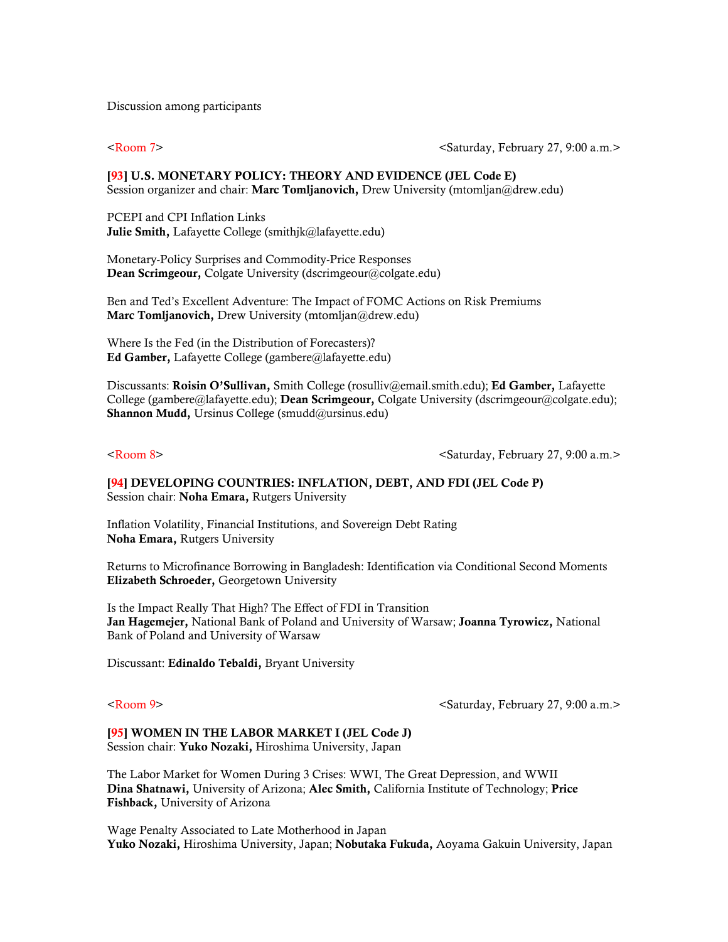Discussion among participants

<Room 7>  $\leq$   $\leq$   $\leq$   $\leq$   $\leq$   $\leq$   $\leq$   $\leq$   $\leq$   $\leq$   $\leq$   $\leq$   $\leq$   $\leq$   $\leq$   $\leq$   $\leq$   $\leq$   $\leq$   $\leq$   $\leq$   $\leq$   $\leq$   $\leq$   $\leq$   $\leq$   $\leq$   $\leq$   $\leq$   $\leq$   $\leq$   $\leq$   $\leq$   $\leq$   $\leq$   $\le$ 

## [93] U.S. MONETARY POLICY: THEORY AND EVIDENCE (JEL Code E) Session organizer and chair: Marc Tomljanovich, Drew University (mtomljan@drew.edu)

PCEPI and CPI Inflation Links Julie Smith, Lafayette College (smithjk@lafayette.edu)

Monetary-Policy Surprises and Commodity-Price Responses Dean Scrimgeour, Colgate University (dscrimgeour@colgate.edu)

Ben and Ted's Excellent Adventure: The Impact of FOMC Actions on Risk Premiums Marc Tomljanovich, Drew University (mtomljan@drew.edu)

Where Is the Fed (in the Distribution of Forecasters)? Ed Gamber, Lafayette College (gambere@lafayette.edu)

Discussants: Roisin O'Sullivan, Smith College (rosulliv@email.smith.edu); Ed Gamber, Lafayette College (gambere@lafayette.edu); Dean Scrimgeour, Colgate University (dscrimgeour@colgate.edu); Shannon Mudd, Ursinus College (smudd@ursinus.edu)

<Room 8>  $\leq$  a.m.>

[94] DEVELOPING COUNTRIES: INFLATION, DEBT, AND FDI (JEL Code P) Session chair: Noha Emara, Rutgers University

Inflation Volatility, Financial Institutions, and Sovereign Debt Rating Noha Emara, Rutgers University

Returns to Microfinance Borrowing in Bangladesh: Identification via Conditional Second Moments Elizabeth Schroeder, Georgetown University

Is the Impact Really That High? The Effect of FDI in Transition Jan Hagemejer, National Bank of Poland and University of Warsaw; Joanna Tyrowicz, National Bank of Poland and University of Warsaw

Discussant: Edinaldo Tebaldi, Bryant University

<Room 9>  $\leq$   $\leq$   $\leq$   $\leq$   $\leq$   $\leq$   $\leq$   $\leq$   $\leq$   $\leq$   $\leq$   $\leq$   $\leq$   $\leq$   $\leq$   $\leq$   $\leq$   $\leq$   $\leq$   $\leq$   $\leq$   $\leq$   $\leq$   $\leq$   $\leq$   $\leq$   $\leq$   $\leq$   $\leq$   $\leq$   $\leq$   $\leq$   $\leq$   $\leq$   $\leq$   $\le$ 

## [95] WOMEN IN THE LABOR MARKET I (JEL Code J)

Session chair: Yuko Nozaki, Hiroshima University, Japan

The Labor Market for Women During 3 Crises: WWI, The Great Depression, and WWII Dina Shatnawi, University of Arizona; Alec Smith, California Institute of Technology; Price Fishback, University of Arizona

Wage Penalty Associated to Late Motherhood in Japan Yuko Nozaki, Hiroshima University, Japan; Nobutaka Fukuda, Aoyama Gakuin University, Japan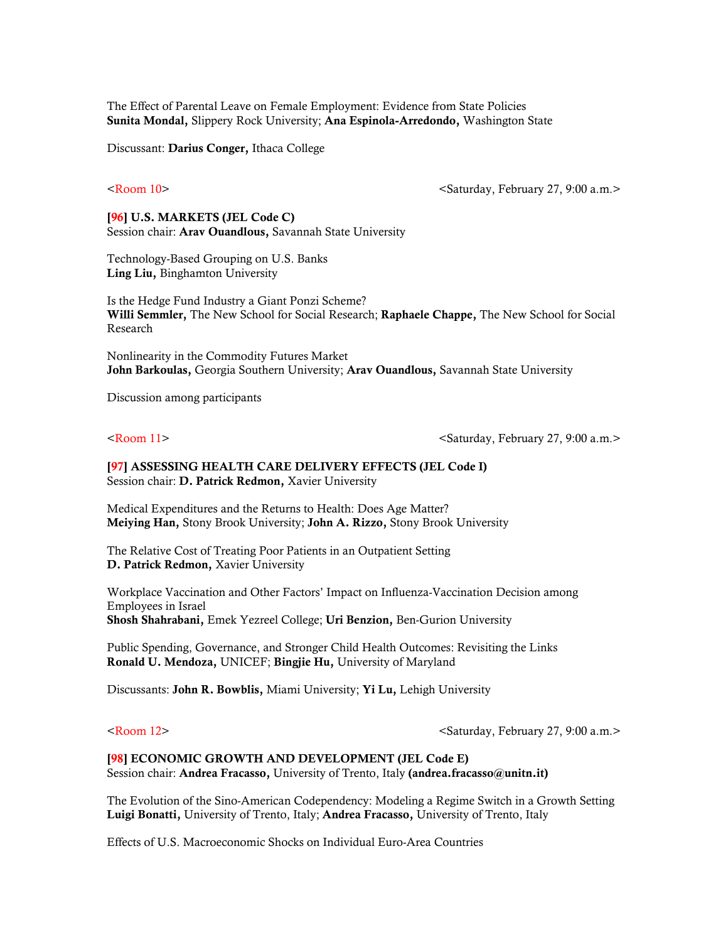The Effect of Parental Leave on Female Employment: Evidence from State Policies Sunita Mondal, Slippery Rock University; Ana Espinola-Arredondo, Washington State

Discussant: Darius Conger, Ithaca College

<Room 10> <Saturday, February 27, 9:00 a.m.>

[96] U.S. MARKETS (JEL Code C) Session chair: Arav Ouandlous, Savannah State University

Technology-Based Grouping on U.S. Banks Ling Liu, Binghamton University

Is the Hedge Fund Industry a Giant Ponzi Scheme? Willi Semmler, The New School for Social Research; Raphaele Chappe, The New School for Social Research

Nonlinearity in the Commodity Futures Market John Barkoulas, Georgia Southern University; Aray Ouandlous, Savannah State University

Discussion among participants

<Room 11> <Saturday, February 27, 9:00 a.m.>

## [97] ASSESSING HEALTH CARE DELIVERY EFFECTS (JEL Code I) Session chair: D. Patrick Redmon, Xavier University

Medical Expenditures and the Returns to Health: Does Age Matter? Meiying Han, Stony Brook University; John A. Rizzo, Stony Brook University

The Relative Cost of Treating Poor Patients in an Outpatient Setting D. Patrick Redmon, Xavier University

Workplace Vaccination and Other Factors' Impact on Influenza-Vaccination Decision among Employees in Israel Shosh Shahrabani, Emek Yezreel College; Uri Benzion, Ben-Gurion University

Public Spending, Governance, and Stronger Child Health Outcomes: Revisiting the Links Ronald U. Mendoza, UNICEF; Bingjie Hu, University of Maryland

Discussants: John R. Bowblis, Miami University; Yi Lu, Lehigh University

<Room 12> <Saturday, February 27, 9:00 a.m.>

### [98] ECONOMIC GROWTH AND DEVELOPMENT (JEL Code E)

Session chair: Andrea Fracasso, University of Trento, Italy (andrea.fracasso@unitn.it)

The Evolution of the Sino-American Codependency: Modeling a Regime Switch in a Growth Setting Luigi Bonatti, University of Trento, Italy; Andrea Fracasso, University of Trento, Italy

Effects of U.S. Macroeconomic Shocks on Individual Euro-Area Countries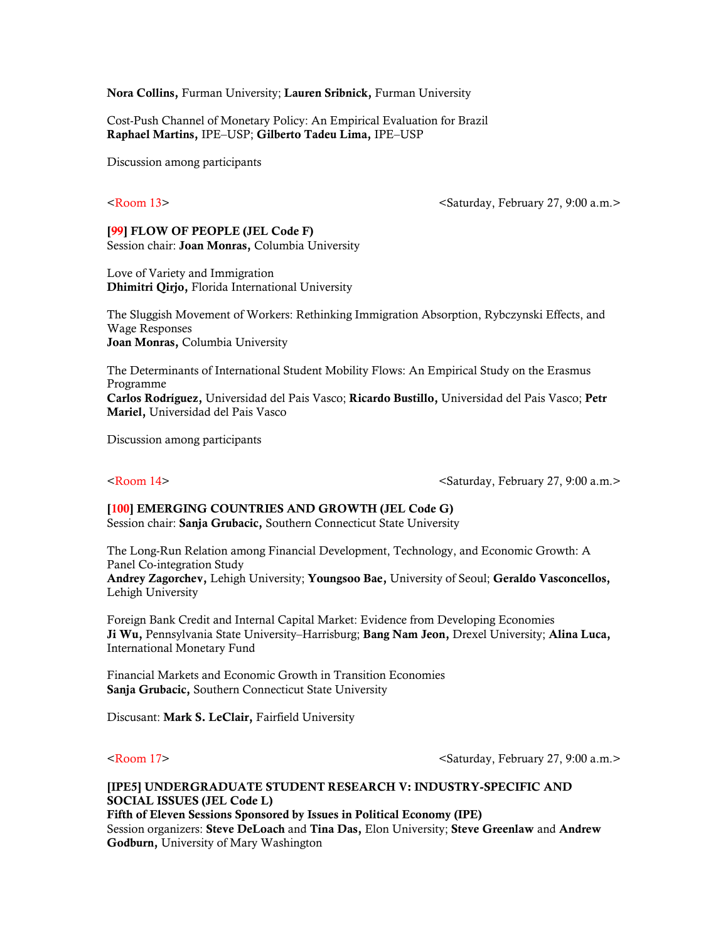Nora Collins, Furman University; Lauren Sribnick, Furman University

Cost-Push Channel of Monetary Policy: An Empirical Evaluation for Brazil Raphael Martins, IPE–USP; Gilberto Tadeu Lima, IPE–USP

Discussion among participants

<Room 13> <Saturday, February 27, 9:00 a.m.>

## [99] FLOW OF PEOPLE (JEL Code F)

Session chair: Joan Monras, Columbia University

Love of Variety and Immigration Dhimitri Qirjo, Florida International University

The Sluggish Movement of Workers: Rethinking Immigration Absorption, Rybczynski Effects, and Wage Responses Joan Monras, Columbia University

The Determinants of International Student Mobility Flows: An Empirical Study on the Erasmus Programme Carlos Rodríguez, Universidad del Pais Vasco; Ricardo Bustillo, Universidad del Pais Vasco; Petr Mariel, Universidad del Pais Vasco

Discussion among participants

<Room 14> <Saturday, February 27, 9:00 a.m.>

# [100] EMERGING COUNTRIES AND GROWTH (JEL Code G)

Session chair: Sanja Grubacic, Southern Connecticut State University

The Long-Run Relation among Financial Development, Technology, and Economic Growth: A Panel Co-integration Study

Andrey Zagorchev, Lehigh University; Youngsoo Bae, University of Seoul; Geraldo Vasconcellos, Lehigh University

Foreign Bank Credit and Internal Capital Market: Evidence from Developing Economies Ji Wu, Pennsylvania State University-Harrisburg; Bang Nam Jeon, Drexel University; Alina Luca, International Monetary Fund

Financial Markets and Economic Growth in Transition Economies Sanja Grubacic, Southern Connecticut State University

Discusant: Mark S. LeClair, Fairfield University

<Room 17> <Saturday, February 27, 9:00 a.m.>

## [IPE5] UNDERGRADUATE STUDENT RESEARCH V: INDUSTRY-SPECIFIC AND SOCIAL ISSUES (JEL Code L) Fifth of Eleven Sessions Sponsored by Issues in Political Economy (IPE)

Session organizers: Steve DeLoach and Tina Das, Elon University; Steve Greenlaw and Andrew Godburn, University of Mary Washington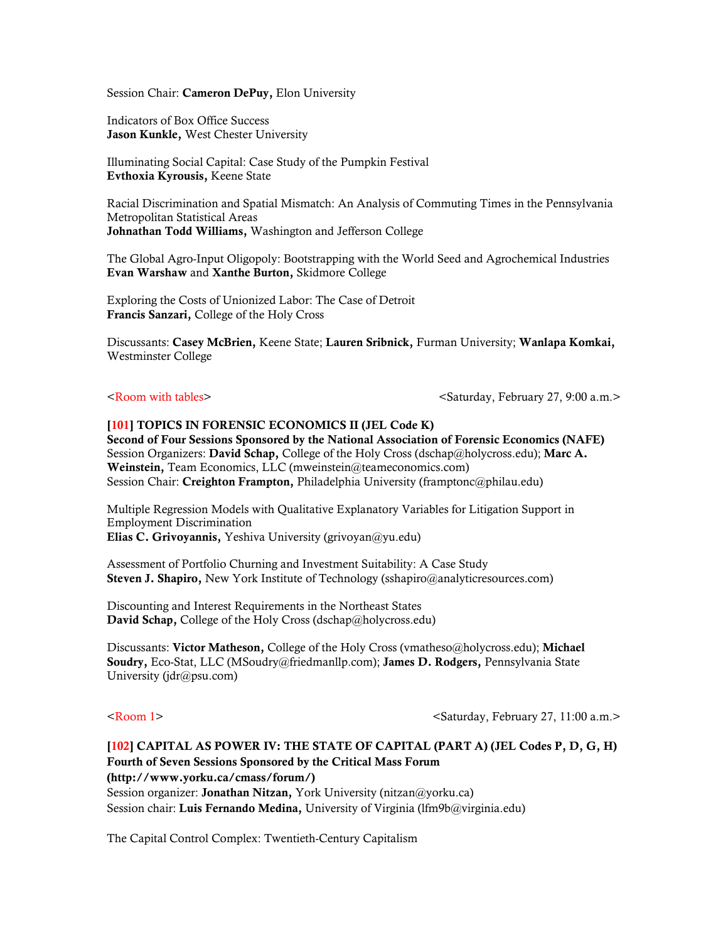Session Chair: Cameron DePuy, Elon University

Indicators of Box Office Success Jason Kunkle, West Chester University

Illuminating Social Capital: Case Study of the Pumpkin Festival Evthoxia Kyrousis, Keene State

Racial Discrimination and Spatial Mismatch: An Analysis of Commuting Times in the Pennsylvania Metropolitan Statistical Areas Johnathan Todd Williams, Washington and Jefferson College

The Global Agro-Input Oligopoly: Bootstrapping with the World Seed and Agrochemical Industries Evan Warshaw and Xanthe Burton, Skidmore College

Exploring the Costs of Unionized Labor: The Case of Detroit Francis Sanzari, College of the Holy Cross

Discussants: Casey McBrien, Keene State; Lauren Sribnick, Furman University; Wanlapa Komkai, Westminster College

<Room with tables> <saturday, February 27, 9:00 a.m.>

# [101] TOPICS IN FORENSIC ECONOMICS II (JEL Code K)

Second of Four Sessions Sponsored by the National Association of Forensic Economics (NAFE) Session Organizers: David Schap, College of the Holy Cross (dschap@holycross.edu); Marc A. Weinstein, Team Economics, LLC (mweinstein@teameconomics.com) Session Chair: Creighton Frampton, Philadelphia University (framptonc@philau.edu)

Multiple Regression Models with Qualitative Explanatory Variables for Litigation Support in Employment Discrimination Elias C. Grivoyannis, Yeshiva University (grivoyan@yu.edu)

Assessment of Portfolio Churning and Investment Suitability: A Case Study Steven J. Shapiro, New York Institute of Technology (sshapiro@analyticresources.com)

Discounting and Interest Requirements in the Northeast States David Schap, College of the Holy Cross (dschap@holycross.edu)

Discussants: Victor Matheson, College of the Holy Cross (vmatheso@holycross.edu); Michael Soudry, Eco-Stat, LLC (MSoudry@friedmanllp.com); James D. Rodgers, Pennsylvania State University (jdr@psu.com)

<Room 1> <Saturday, February 27, 11:00 a.m.>

# [102] CAPITAL AS POWER IV: THE STATE OF CAPITAL (PART A) (JEL Codes P, D, G, H) Fourth of Seven Sessions Sponsored by the Critical Mass Forum (http://www.yorku.ca/cmass/forum/) Session organizer: Jonathan Nitzan, York University (nitzan@yorku.ca) Session chair: Luis Fernando Medina, University of Virginia (lfm9b@virginia.edu)

The Capital Control Complex: Twentieth-Century Capitalism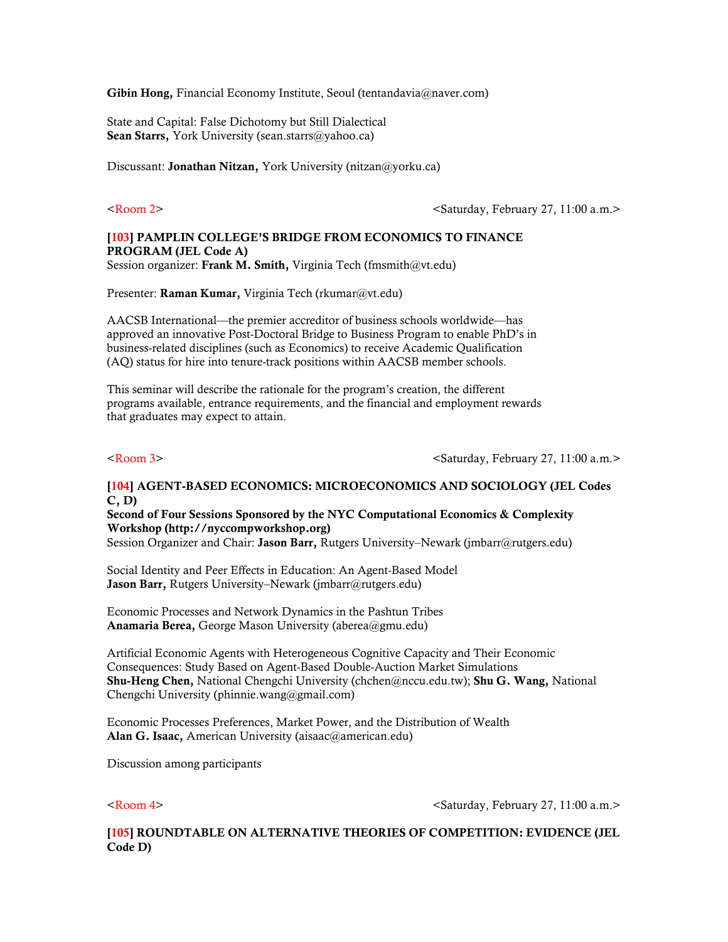Gibin Hong, Financial Economy Institute, Seoul (tentandavia@naver.com)

State and Capital: False Dichotomy but Still Dialectical Sean Starrs, York University (sean.starrs@yahoo.ca)

Discussant: **Jonathan Nitzan**, York University (nitzan@yorku.ca)

<Room 2> <Saturday, February 27, 11:00 a.m.>

## [103] PAMPLIN COLLEGE'S BRIDGE FROM ECONOMICS TO FINANCE PROGRAM (JEL Code A) Session organizer: Frank M. Smith, Virginia Tech (fmsmith@vt.edu)

Presenter: Raman Kumar, Virginia Tech (rkumar@vt.edu)

AACSB International—the premier accreditor of business schools worldwide—has approved an innovative Post-Doctoral Bridge to Business Program to enable PhD's in business-related disciplines (such as Economics) to receive Academic Qualification (AQ) status for hire into tenure-track positions within AACSB member schools.

This seminar will describe the rationale for the program's creation, the different programs available, entrance requirements, and the financial and employment rewards that graduates may expect to attain.

<Room 3> <Saturday, February 27, 11:00 a.m.>

# [104] AGENT-BASED ECONOMICS: MICROECONOMICS AND SOCIOLOGY (JEL Codes C, D)

Second of Four Sessions Sponsored by the NYC Computational Economics & Complexity Workshop (http://nyccompworkshop.org)

Session Organizer and Chair: Jason Barr, Rutgers University–Newark (jmbarr@rutgers.edu)

Social Identity and Peer Effects in Education: An Agent-Based Model Jason Barr, Rutgers University–Newark (jmbarr@rutgers.edu)

Economic Processes and Network Dynamics in the Pashtun Tribes Anamaria Berea, George Mason University (aberea@gmu.edu)

Artificial Economic Agents with Heterogeneous Cognitive Capacity and Their Economic Consequences: Study Based on Agent-Based Double-Auction Market Simulations Shu-Heng Chen, National Chengchi University (chchen@nccu.edu.tw); Shu G. Wang, National Chengchi University (phinnie.wang@gmail.com)

Economic Processes Preferences, Market Power, and the Distribution of Wealth Alan G. Isaac, American University (aisaac@american.edu)

Discussion among participants

<Room 4> <Saturday, February 27, 11:00 a.m.>

[105] ROUNDTABLE ON ALTERNATIVE THEORIES OF COMPETITION: EVIDENCE (JEL Code D)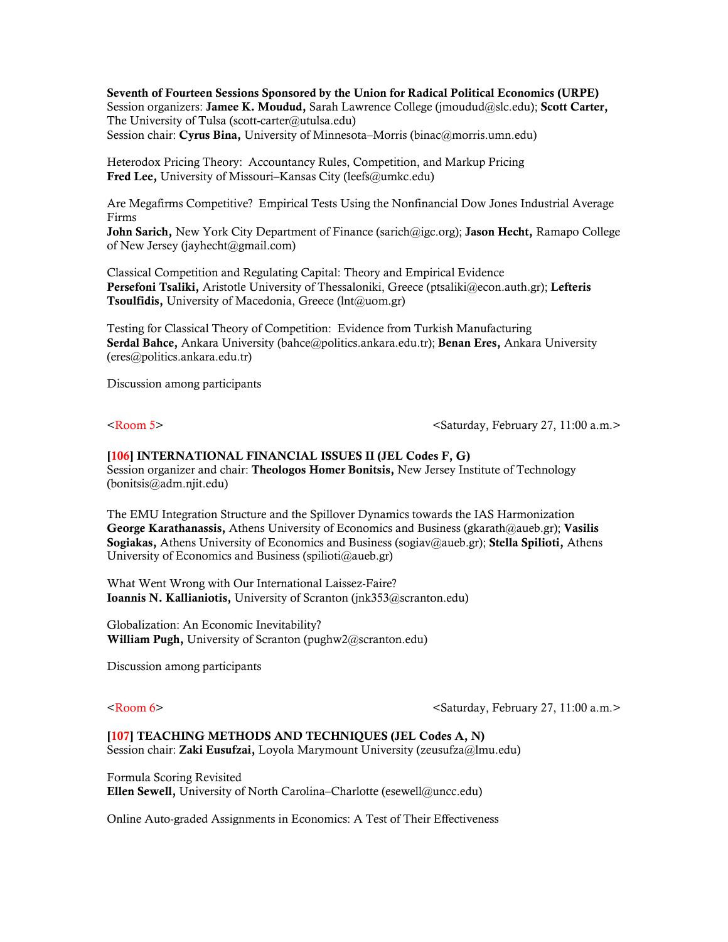Seventh of Fourteen Sessions Sponsored by the Union for Radical Political Economics (URPE) Session organizers: Jamee K. Moudud, Sarah Lawrence College (jmoudud@slc.edu); Scott Carter, The University of Tulsa (scott-carter@utulsa.edu) Session chair: Cyrus Bina, University of Minnesota–Morris (binac@morris.umn.edu)

Heterodox Pricing Theory: Accountancy Rules, Competition, and Markup Pricing Fred Lee, University of Missouri–Kansas City (leefs@umkc.edu)

Are Megafirms Competitive? Empirical Tests Using the Nonfinancial Dow Jones Industrial Average Firms

**John Sarich,** New York City Department of Finance (sarich@igc.org); **Jason Hecht**, Ramapo College of New Jersey (jayhecht@gmail.com)

Classical Competition and Regulating Capital: Theory and Empirical Evidence Persefoni Tsaliki, Aristotle University of Thessaloniki, Greece (ptsaliki@econ.auth.gr); Lefteris Tsoulfidis, University of Macedonia, Greece (lnt@uom.gr)

Testing for Classical Theory of Competition: Evidence from Turkish Manufacturing Serdal Bahce, Ankara University (bahce@politics.ankara.edu.tr); Benan Eres, Ankara University (eres@politics.ankara.edu.tr)

Discussion among participants

<Room 5> <Saturday, February 27, 11:00 a.m.>

[106] INTERNATIONAL FINANCIAL ISSUES II (JEL Codes F, G) Session organizer and chair: Theologos Homer Bonitsis, New Jersey Institute of Technology (bonitsis@adm.njit.edu)

The EMU Integration Structure and the Spillover Dynamics towards the IAS Harmonization George Karathanassis, Athens University of Economics and Business (gkarath@aueb.gr); Vasilis Sogiakas, Athens University of Economics and Business (sogiav@aueb.gr); Stella Spilioti, Athens University of Economics and Business (spilioti@aueb.gr)

What Went Wrong with Our International Laissez-Faire? Ioannis N. Kallianiotis, University of Scranton (jnk353@scranton.edu)

Globalization: An Economic Inevitability? William Pugh, University of Scranton (pughw2@scranton.edu)

Discussion among participants

<Room 6> <Saturday, February 27, 11:00 a.m.>

[107] TEACHING METHODS AND TECHNIQUES (JEL Codes A, N) Session chair: Zaki Eusufzai, Loyola Marymount University (zeusufza@lmu.edu)

Formula Scoring Revisited Ellen Sewell, University of North Carolina–Charlotte (esewell@uncc.edu)

Online Auto-graded Assignments in Economics: A Test of Their Effectiveness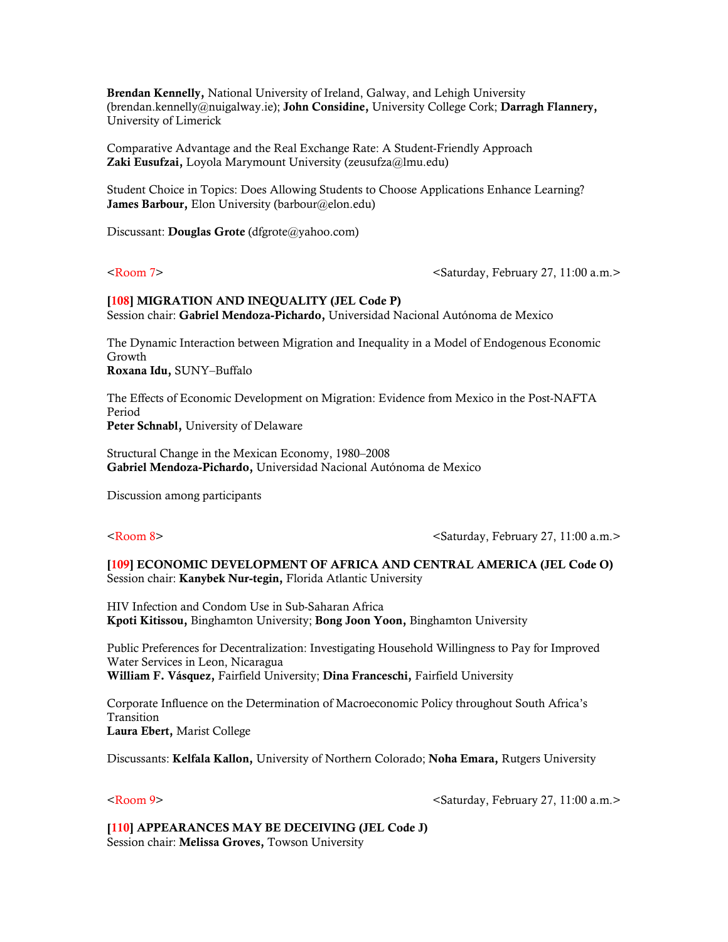Brendan Kennelly, National University of Ireland, Galway, and Lehigh University (brendan.kennelly@nuigalway.ie); John Considine, University College Cork; Darragh Flannery, University of Limerick

Comparative Advantage and the Real Exchange Rate: A Student-Friendly Approach Zaki Eusufzai, Loyola Marymount University (zeusufza@lmu.edu)

Student Choice in Topics: Does Allowing Students to Choose Applications Enhance Learning? James Barbour, Elon University (barbour@elon.edu)

Discussant: Douglas Grote (dfgrote@yahoo.com)

<Room 7>  $\leq$  a.m.>

# [108] MIGRATION AND INEQUALITY (JEL Code P) Session chair: Gabriel Mendoza-Pichardo, Universidad Nacional Autónoma de Mexico

The Dynamic Interaction between Migration and Inequality in a Model of Endogenous Economic Growth Roxana Idu, SUNY–Buffalo

The Effects of Economic Development on Migration: Evidence from Mexico in the Post-NAFTA Period Peter Schnabl, University of Delaware

Structural Change in the Mexican Economy, 1980–2008 Gabriel Mendoza-Pichardo, Universidad Nacional Autónoma de Mexico

Discussion among participants

<Room 8> <Saturday, February 27, 11:00 a.m.>

[109] ECONOMIC DEVELOPMENT OF AFRICA AND CENTRAL AMERICA (JEL Code O) Session chair: Kanybek Nur-tegin, Florida Atlantic University

HIV Infection and Condom Use in Sub-Saharan Africa Kpoti Kitissou, Binghamton University; Bong Joon Yoon, Binghamton University

Public Preferences for Decentralization: Investigating Household Willingness to Pay for Improved Water Services in Leon, Nicaragua William F. Vásquez, Fairfield University; Dina Franceschi, Fairfield University

Corporate Influence on the Determination of Macroeconomic Policy throughout South Africa's Transition Laura Ebert, Marist College

Discussants: Kelfala Kallon, University of Northern Colorado; Noha Emara, Rutgers University

<Room 9> <Saturday, February 27, 11:00 a.m.>

[110] APPEARANCES MAY BE DECEIVING (JEL Code J) Session chair: Melissa Groves, Towson University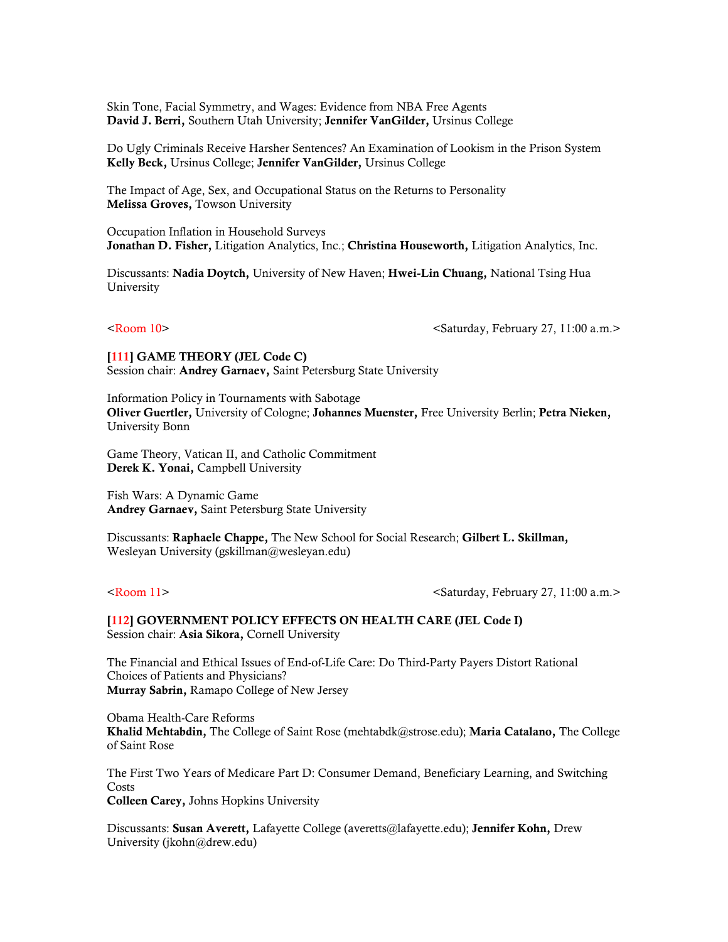Skin Tone, Facial Symmetry, and Wages: Evidence from NBA Free Agents David J. Berri, Southern Utah University; Jennifer VanGilder, Ursinus College

Do Ugly Criminals Receive Harsher Sentences? An Examination of Lookism in the Prison System Kelly Beck, Ursinus College; Jennifer VanGilder, Ursinus College

The Impact of Age, Sex, and Occupational Status on the Returns to Personality Melissa Groves, Towson University

Occupation Inflation in Household Surveys Jonathan D. Fisher, Litigation Analytics, Inc.; Christina Houseworth, Litigation Analytics, Inc.

Discussants: Nadia Doytch, University of New Haven; Hwei-Lin Chuang, National Tsing Hua University

<Room 10> <Saturday, February 27, 11:00 a.m.>

[111] GAME THEORY (JEL Code C) Session chair: Andrey Garnaev, Saint Petersburg State University

Information Policy in Tournaments with Sabotage Oliver Guertler, University of Cologne; Johannes Muenster, Free University Berlin; Petra Nieken, University Bonn

Game Theory, Vatican II, and Catholic Commitment Derek K. Yonai, Campbell University

Fish Wars: A Dynamic Game Andrey Garnaev, Saint Petersburg State University

Discussants: Raphaele Chappe, The New School for Social Research; Gilbert L. Skillman, Wesleyan University (gskillman@wesleyan.edu)

<Room 11> <Saturday, February 27, 11:00 a.m.>

[112] GOVERNMENT POLICY EFFECTS ON HEALTH CARE (JEL Code I) Session chair: Asia Sikora, Cornell University

The Financial and Ethical Issues of End-of-Life Care: Do Third-Party Payers Distort Rational Choices of Patients and Physicians? Murray Sabrin, Ramapo College of New Jersey

Obama Health-Care Reforms Khalid Mehtabdin, The College of Saint Rose (mehtabdk@strose.edu); Maria Catalano, The College of Saint Rose

The First Two Years of Medicare Part D: Consumer Demand, Beneficiary Learning, and Switching Costs Colleen Carey, Johns Hopkins University

Discussants: Susan Averett, Lafayette College (averetts@lafayette.edu); Jennifer Kohn, Drew University (jkohn@drew.edu)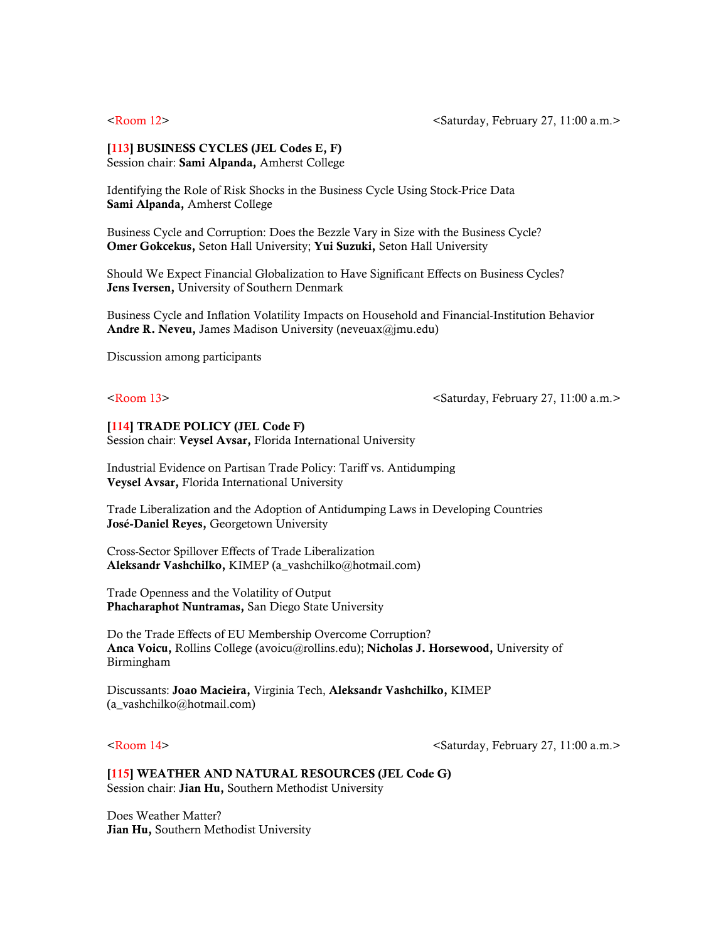## [113] BUSINESS CYCLES (JEL Codes E, F) Session chair: Sami Alpanda, Amherst College

Identifying the Role of Risk Shocks in the Business Cycle Using Stock-Price Data Sami Alpanda, Amherst College

Business Cycle and Corruption: Does the Bezzle Vary in Size with the Business Cycle? Omer Gokcekus, Seton Hall University; Yui Suzuki, Seton Hall University

Should We Expect Financial Globalization to Have Significant Effects on Business Cycles? Jens Iversen, University of Southern Denmark

Business Cycle and Inflation Volatility Impacts on Household and Financial-Institution Behavior Andre R. Neveu, James Madison University (neveuax@jmu.edu)

Discussion among participants

### <Room 13> <Saturday, February 27, 11:00 a.m.>

### [114] TRADE POLICY (JEL Code F)

Session chair: Veysel Avsar, Florida International University

Industrial Evidence on Partisan Trade Policy: Tariff vs. Antidumping Veysel Avsar, Florida International University

Trade Liberalization and the Adoption of Antidumping Laws in Developing Countries José-Daniel Reyes, Georgetown University

Cross-Sector Spillover Effects of Trade Liberalization Aleksandr Vashchilko, KIMEP (a\_vashchilko@hotmail.com)

Trade Openness and the Volatility of Output Phacharaphot Nuntramas, San Diego State University

Do the Trade Effects of EU Membership Overcome Corruption? Anca Voicu, Rollins College (avoicu@rollins.edu); Nicholas J. Horsewood, University of Birmingham

Discussants: Joao Macieira, Virginia Tech, Aleksandr Vashchilko, KIMEP (a\_vashchilko@hotmail.com)

<Room 14> <Saturday, February 27, 11:00 a.m.>

[115] WEATHER AND NATURAL RESOURCES (JEL Code G) Session chair: Jian Hu, Southern Methodist University

Does Weather Matter? Jian Hu, Southern Methodist University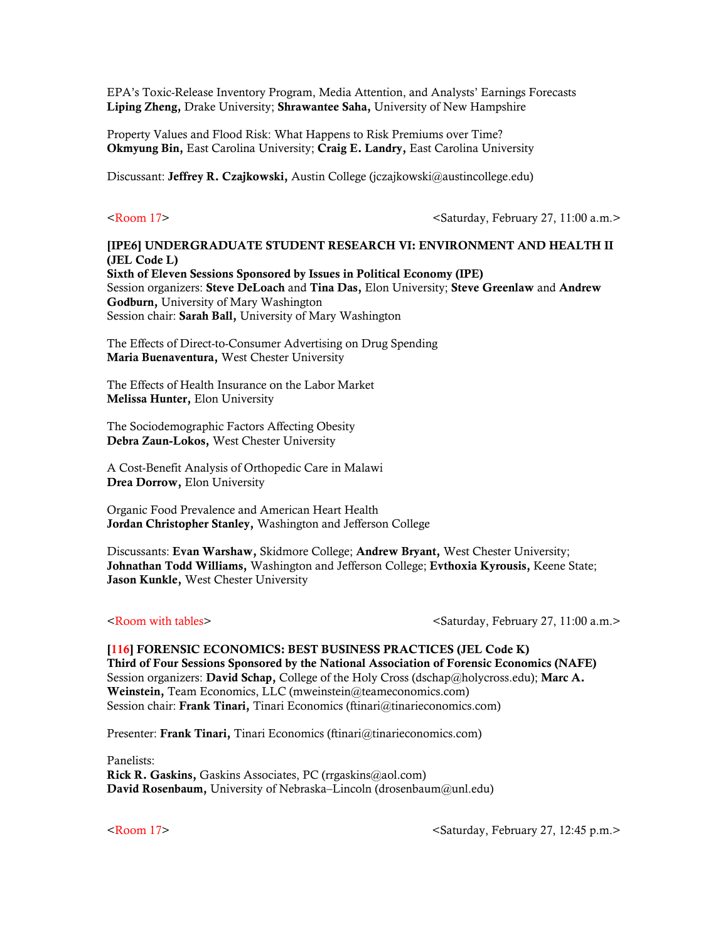EPA's Toxic-Release Inventory Program, Media Attention, and Analysts' Earnings Forecasts Liping Zheng, Drake University; Shrawantee Saha, University of New Hampshire

Property Values and Flood Risk: What Happens to Risk Premiums over Time? Okmyung Bin, East Carolina University; Craig E. Landry, East Carolina University

Discussant: Jeffrey R. Czajkowski, Austin College (jczajkowski@austincollege.edu)

<Room 17> <Saturday, February 27, 11:00 a.m.>

## [IPE6] UNDERGRADUATE STUDENT RESEARCH VI: ENVIRONMENT AND HEALTH II (JEL Code L) Sixth of Eleven Sessions Sponsored by Issues in Political Economy (IPE) Session organizers: Steve DeLoach and Tina Das, Elon University; Steve Greenlaw and Andrew Godburn, University of Mary Washington Session chair: Sarah Ball, University of Mary Washington

The Effects of Direct-to-Consumer Advertising on Drug Spending Maria Buenaventura, West Chester University

The Effects of Health Insurance on the Labor Market Melissa Hunter, Elon University

The Sociodemographic Factors Affecting Obesity Debra Zaun-Lokos, West Chester University

A Cost-Benefit Analysis of Orthopedic Care in Malawi Drea Dorrow, Elon University

Organic Food Prevalence and American Heart Health Jordan Christopher Stanley, Washington and Jefferson College

Discussants: Evan Warshaw, Skidmore College; Andrew Bryant, West Chester University; Johnathan Todd Williams, Washington and Jefferson College; Evthoxia Kyrousis, Keene State; Jason Kunkle, West Chester University

<Room with tables> <Saturday, February 27, 11:00 a.m.>

[116] FORENSIC ECONOMICS: BEST BUSINESS PRACTICES (JEL Code K) Third of Four Sessions Sponsored by the National Association of Forensic Economics (NAFE) Session organizers: David Schap, College of the Holy Cross (dschap@holycross.edu); Marc A. Weinstein, Team Economics, LLC (mweinstein@teameconomics.com) Session chair: Frank Tinari, Tinari Economics (ftinari@tinarieconomics.com)

Presenter: Frank Tinari, Tinari Economics (ftinari@tinarieconomics.com)

Panelists: **Rick R. Gaskins,** Gaskins Associates, PC ( $rrgaskins@aol.com$ ) David Rosenbaum, University of Nebraska–Lincoln (drosenbaum@unl.edu)

<Room 17> <Saturday, February 27, 12:45 p.m.>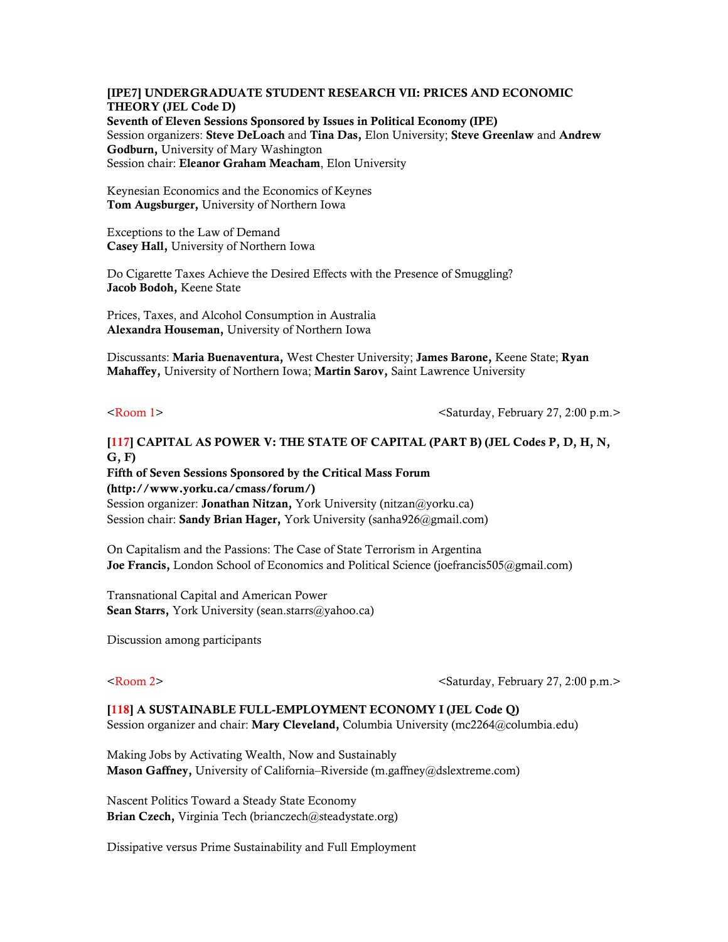### [IPE7] UNDERGRADUATE STUDENT RESEARCH VII: PRICES AND ECONOMIC THEORY (JEL Code D) Seventh of Eleven Sessions Sponsored by Issues in Political Economy (IPE)

Session organizers: Steve DeLoach and Tina Das, Elon University; Steve Greenlaw and Andrew Godburn, University of Mary Washington Session chair: Eleanor Graham Meacham, Elon University

Keynesian Economics and the Economics of Keynes Tom Augsburger, University of Northern Iowa

Exceptions to the Law of Demand Casey Hall, University of Northern Iowa

Do Cigarette Taxes Achieve the Desired Effects with the Presence of Smuggling? Jacob Bodoh, Keene State

Prices, Taxes, and Alcohol Consumption in Australia Alexandra Houseman, University of Northern Iowa

Discussants: Maria Buenaventura, West Chester University; James Barone, Keene State; Ryan Mahaffey, University of Northern Iowa; Martin Sarov, Saint Lawrence University

<Room 1> <Saturday, February 27, 2:00 p.m.>

# [117] CAPITAL AS POWER V: THE STATE OF CAPITAL (PART B) (JEL Codes P, D, H, N, G, F)

Fifth of Seven Sessions Sponsored by the Critical Mass Forum (http://www.yorku.ca/cmass/forum/) Session organizer: Jonathan Nitzan, York University (nitzan@yorku.ca) Session chair: Sandy Brian Hager, York University (sanha926@gmail.com)

On Capitalism and the Passions: The Case of State Terrorism in Argentina Joe Francis, London School of Economics and Political Science (joefrancis505@gmail.com)

Transnational Capital and American Power Sean Starrs, York University (sean.starrs@yahoo.ca)

Discussion among participants

<Room 2>  $\leq$   $\leq$   $\leq$   $\leq$   $\leq$   $\leq$   $\leq$   $\leq$   $\leq$   $\leq$   $\leq$   $\leq$   $\leq$   $\leq$   $\leq$   $\leq$   $\leq$   $\leq$   $\leq$   $\leq$   $\leq$   $\leq$   $\leq$   $\leq$   $\leq$   $\leq$   $\leq$   $\leq$   $\leq$   $\leq$   $\leq$   $\leq$   $\leq$   $\leq$   $\leq$   $\le$ 

## [118] A SUSTAINABLE FULL-EMPLOYMENT ECONOMY I (JEL Code Q)

Session organizer and chair: Mary Cleveland, Columbia University (mc2264@columbia.edu)

Making Jobs by Activating Wealth, Now and Sustainably Mason Gaffney, University of California–Riverside (m.gaffney@dslextreme.com)

Nascent Politics Toward a Steady State Economy Brian Czech, Virginia Tech (brianczech@steadystate.org)

Dissipative versus Prime Sustainability and Full Employment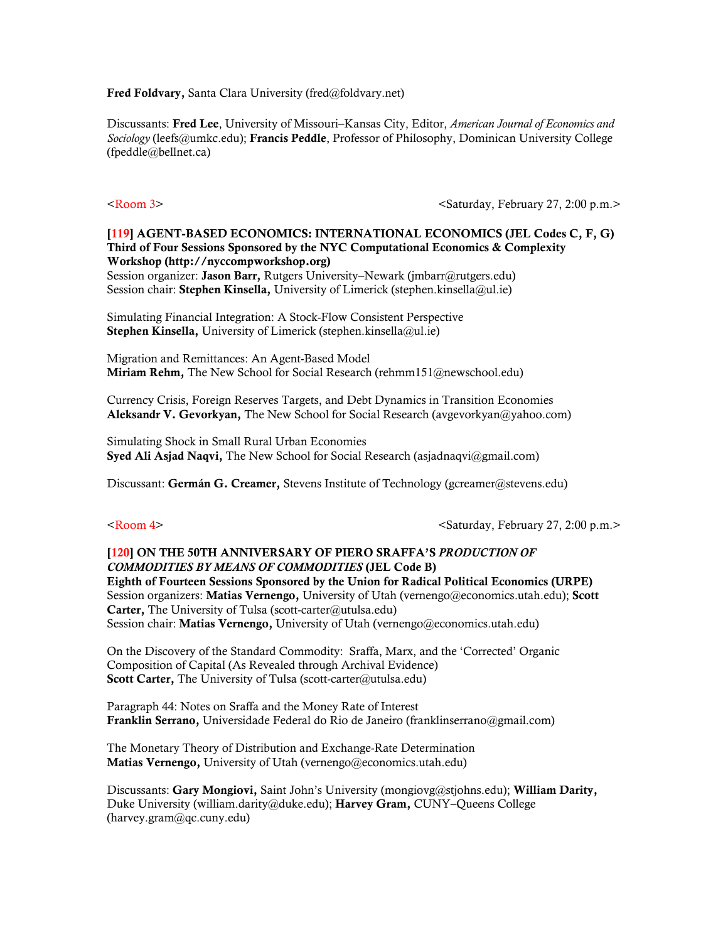Fred Foldvary, Santa Clara University (fred@foldvary.net)

Discussants: Fred Lee, University of Missouri–Kansas City, Editor, *American Journal of Economics and Sociology* (leefs@umkc.edu); Francis Peddle, Professor of Philosophy, Dominican University College (fpeddle@bellnet.ca)

<Room 3>  $\leq$ Saturday, February 27, 2:00 p.m. $>$ 

# [119] AGENT-BASED ECONOMICS: INTERNATIONAL ECONOMICS (JEL Codes C, F, G) Third of Four Sessions Sponsored by the NYC Computational Economics & Complexity Workshop (http://nyccompworkshop.org)

Session organizer: Jason Barr, Rutgers University–Newark (jmbarr@rutgers.edu) Session chair: Stephen Kinsella, University of Limerick (stephen.kinsella@ul.ie)

Simulating Financial Integration: A Stock-Flow Consistent Perspective **Stephen Kinsella, University of Limerick (stephen.kinsella@ul.ie)** 

Migration and Remittances: An Agent-Based Model Miriam Rehm, The New School for Social Research (rehmm151@newschool.edu)

Currency Crisis, Foreign Reserves Targets, and Debt Dynamics in Transition Economies Aleksandr V. Gevorkyan, The New School for Social Research (avgevorkyan@yahoo.com)

Simulating Shock in Small Rural Urban Economies Syed Ali Asjad Naqvi, The New School for Social Research (asjadnaqvi@gmail.com)

Discussant: Germán G. Creamer, Stevens Institute of Technology (gcreamer@stevens.edu)

<Room 4>  $\leq$ Saturday, February 27, 2:00 p.m.>

# [120] ON THE 50TH ANNIVERSARY OF PIERO SRAFFA'S *PRODUCTION OF COMMODITIES BY MEANS OF COMMODITIES* (JEL Code B)

Eighth of Fourteen Sessions Sponsored by the Union for Radical Political Economics (URPE) Session organizers: Matias Vernengo, University of Utah (vernengo@economics.utah.edu); Scott Carter, The University of Tulsa (scott-carter@utulsa.edu) Session chair: Matias Vernengo, University of Utah (vernengo@economics.utah.edu)

On the Discovery of the Standard Commodity: Sraffa, Marx, and the 'Corrected' Organic Composition of Capital (As Revealed through Archival Evidence) Scott Carter, The University of Tulsa (scott-carter@utulsa.edu)

Paragraph 44: Notes on Sraffa and the Money Rate of Interest Franklin Serrano, Universidade Federal do Rio de Janeiro (franklinserrano@gmail.com)

The Monetary Theory of Distribution and Exchange-Rate Determination Matias Vernengo, University of Utah (vernengo@economics.utah.edu)

Discussants: Gary Mongiovi, Saint John's University (mongiovg@stjohns.edu); William Darity, Duke University (william.darity@duke.edu); Harvey Gram, CUNY-Queens College (harvey.gram@qc.cuny.edu)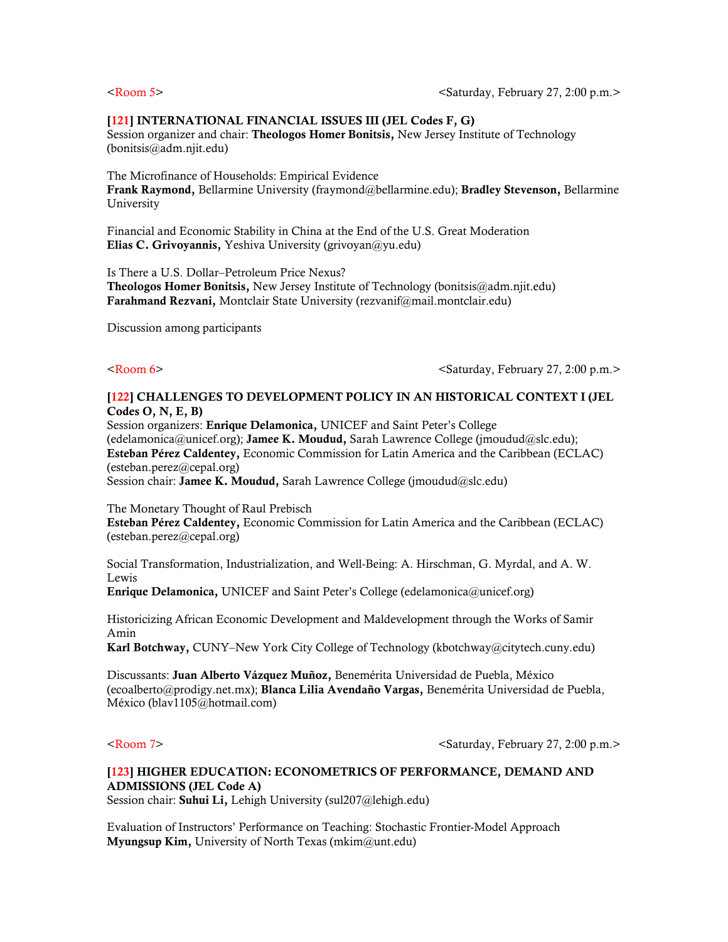# [121] INTERNATIONAL FINANCIAL ISSUES III (JEL Codes F, G)

Session organizer and chair: **Theologos Homer Bonitsis**, New Jersey Institute of Technology (bonitsis@adm.njit.edu)

The Microfinance of Households: Empirical Evidence Frank Raymond, Bellarmine University (fraymond@bellarmine.edu); Bradley Stevenson, Bellarmine University

Financial and Economic Stability in China at the End of the U.S. Great Moderation Elias C. Grivoyannis, Yeshiva University (grivoyan@yu.edu)

Is There a U.S. Dollar–Petroleum Price Nexus?

Theologos Homer Bonitsis, New Jersey Institute of Technology (bonitsis@adm.njit.edu) Farahmand Rezvani, Montclair State University (rezvanif@mail.montclair.edu)

Discussion among participants

<Room 6>  $\leq$   $\leq$   $\leq$   $\leq$   $\leq$   $\leq$   $\leq$   $\leq$   $\leq$   $\leq$   $\leq$   $\leq$   $\leq$   $\leq$   $\leq$   $\leq$   $\leq$   $\leq$   $\leq$   $\leq$   $\leq$   $\leq$   $\leq$   $\leq$   $\leq$   $\leq$   $\leq$   $\leq$   $\leq$   $\leq$   $\leq$   $\leq$   $\leq$   $\leq$   $\leq$   $\le$ 

## [122] CHALLENGES TO DEVELOPMENT POLICY IN AN HISTORICAL CONTEXT I (JEL Codes O, N, E, B)

Session organizers: Enrique Delamonica, UNICEF and Saint Peter's College (edelamonica@unicef.org); Jamee K. Moudud, Sarah Lawrence College (jmoudud@slc.edu); Esteban Pérez Caldentey, Economic Commission for Latin America and the Caribbean (ECLAC) (esteban.perez@cepal.org) Session chair: Jamee K. Moudud, Sarah Lawrence College (jmoudud@slc.edu)

The Monetary Thought of Raul Prebisch

Esteban Pérez Caldentey, Economic Commission for Latin America and the Caribbean (ECLAC) (esteban.perez@cepal.org)

Social Transformation, Industrialization, and Well-Being: A. Hirschman, G. Myrdal, and A. W. Lewis

Enrique Delamonica, UNICEF and Saint Peter's College (edelamonica@unicef.org)

Historicizing African Economic Development and Maldevelopment through the Works of Samir Amin

Karl Botchway, CUNY–New York City College of Technology (kbotchway@citytech.cuny.edu)

Discussants: Juan Alberto Vázquez Muñoz, Benemérita Universidad de Puebla, México (ecoalberto@prodigy.net.mx); Blanca Lilia Avendaño Vargas, Benemérita Universidad de Puebla, México (blav1105@hotmail.com)

<Room 7>  $\leq$   $\leq$   $\leq$   $\leq$   $\leq$   $\leq$   $\leq$   $\leq$   $\leq$   $\leq$   $\leq$   $\leq$   $\leq$   $\leq$   $\leq$   $\leq$   $\leq$   $\leq$   $\leq$   $\leq$   $\leq$   $\leq$   $\leq$   $\leq$   $\leq$   $\leq$   $\leq$   $\leq$   $\leq$   $\leq$   $\leq$   $\leq$   $\leq$   $\leq$   $\leq$   $\le$ 

# [123] HIGHER EDUCATION: ECONOMETRICS OF PERFORMANCE, DEMAND AND ADMISSIONS (JEL Code A)

Session chair: **Suhui Li**, Lehigh University (sul207@lehigh.edu)

Evaluation of Instructors' Performance on Teaching: Stochastic Frontier-Model Approach **Myungsup Kim, University of North Texas (mkim@unt.edu)**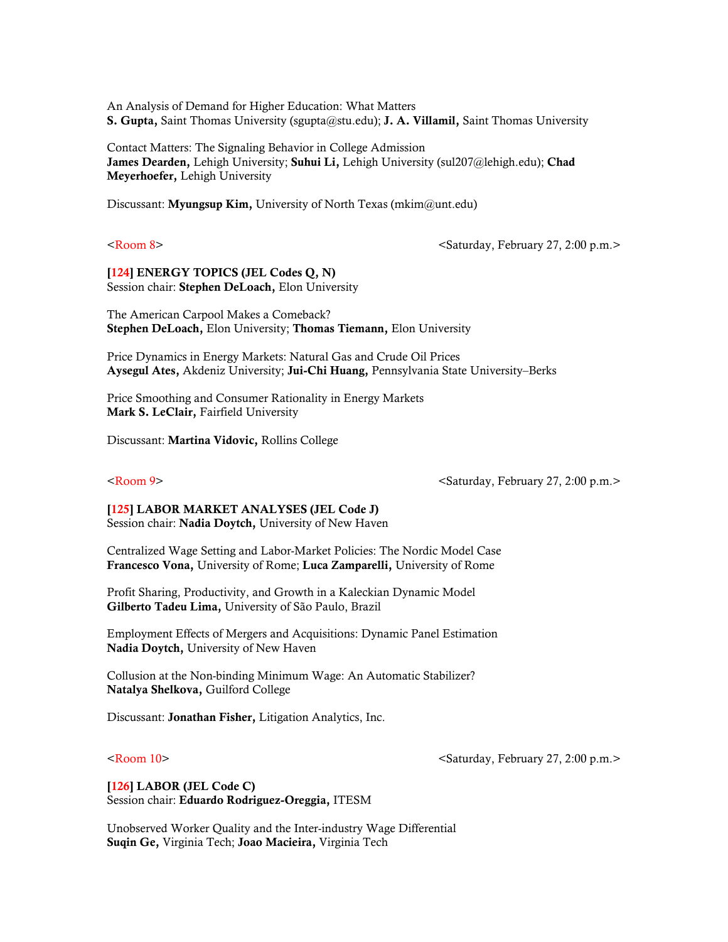An Analysis of Demand for Higher Education: What Matters S. Gupta, Saint Thomas University (sgupta@stu.edu); J. A. Villamil, Saint Thomas University

Contact Matters: The Signaling Behavior in College Admission James Dearden, Lehigh University; Suhui Li, Lehigh University (sul207@lehigh.edu); Chad Meyerhoefer, Lehigh University

Discussant: Myungsup Kim, University of North Texas (mkim $@$ unt.edu)

<Room 8>  $\leq$   $\leq$   $\leq$   $\leq$   $\leq$   $\leq$   $\leq$   $\leq$   $\leq$   $\leq$   $\leq$   $\leq$   $\leq$   $\leq$   $\leq$   $\leq$   $\leq$   $\leq$   $\leq$   $\leq$   $\leq$   $\leq$   $\leq$   $\leq$   $\leq$   $\leq$   $\leq$   $\leq$   $\leq$   $\leq$   $\leq$   $\leq$   $\leq$   $\leq$   $\leq$   $\le$ 

[124] ENERGY TOPICS (JEL Codes Q, N) Session chair: Stephen DeLoach, Elon University

The American Carpool Makes a Comeback? Stephen DeLoach, Elon University; Thomas Tiemann, Elon University

Price Dynamics in Energy Markets: Natural Gas and Crude Oil Prices Aysegul Ates, Akdeniz University; Jui-Chi Huang, Pennsylvania State University–Berks

Price Smoothing and Consumer Rationality in Energy Markets Mark S. LeClair, Fairfield University

Discussant: Martina Vidovic, Rollins College

<Room 9>  $\leq$   $\leq$   $\leq$   $\leq$   $\leq$   $\leq$   $\leq$   $\leq$   $\leq$   $\leq$   $\leq$   $\leq$   $\leq$   $\leq$   $\leq$   $\leq$   $\leq$   $\leq$   $\leq$   $\leq$   $\leq$   $\leq$   $\leq$   $\leq$   $\leq$   $\leq$   $\leq$   $\leq$   $\leq$   $\leq$   $\leq$   $\leq$   $\leq$   $\leq$   $\leq$   $\le$ 

[125] LABOR MARKET ANALYSES (JEL Code J) Session chair: Nadia Doytch, University of New Haven

Centralized Wage Setting and Labor-Market Policies: The Nordic Model Case Francesco Vona, University of Rome; Luca Zamparelli, University of Rome

Profit Sharing, Productivity, and Growth in a Kaleckian Dynamic Model Gilberto Tadeu Lima, University of São Paulo, Brazil

Employment Effects of Mergers and Acquisitions: Dynamic Panel Estimation Nadia Doytch, University of New Haven

Collusion at the Non-binding Minimum Wage: An Automatic Stabilizer? Natalya Shelkova, Guilford College

Discussant: Jonathan Fisher, Litigation Analytics, Inc.

<Room 10> <Saturday, February 27, 2:00 p.m.>

# [126] LABOR (JEL Code C) Session chair: Eduardo Rodriguez-Oreggia, ITESM

Unobserved Worker Quality and the Inter-industry Wage Differential Suqin Ge, Virginia Tech; Joao Macieira, Virginia Tech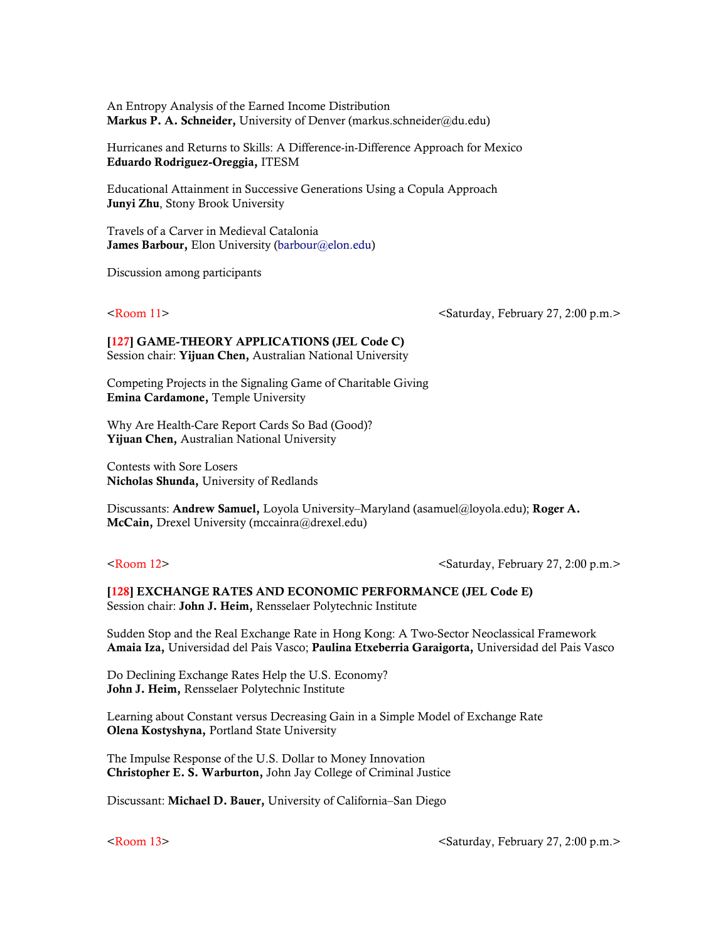An Entropy Analysis of the Earned Income Distribution Markus P. A. Schneider, University of Denver (markus.schneider@du.edu)

Hurricanes and Returns to Skills: A Difference-in-Difference Approach for Mexico Eduardo Rodriguez-Oreggia, ITESM

Educational Attainment in Successive Generations Using a Copula Approach Junyi Zhu, Stony Brook University

Travels of a Carver in Medieval Catalonia James Barbour, Elon University ([barbour@elon.edu\)](mailto:barbour@elon.edu)

Discussion among participants

<Room 11> <Saturday, February 27, 2:00 p.m.>

[127] GAME-THEORY APPLICATIONS (JEL Code C) Session chair: Yijuan Chen, Australian National University

Competing Projects in the Signaling Game of Charitable Giving Emina Cardamone, Temple University

Why Are Health-Care Report Cards So Bad (Good)? Yijuan Chen, Australian National University

Contests with Sore Losers Nicholas Shunda, University of Redlands

Discussants: Andrew Samuel, Loyola University–Maryland (asamuel@loyola.edu); Roger A. McCain, Drexel University (mccainra@drexel.edu)

<Room 12> <Saturday, February 27, 2:00 p.m.>

### [128] EXCHANGE RATES AND ECONOMIC PERFORMANCE (JEL Code E) Session chair: John J. Heim, Rensselaer Polytechnic Institute

Sudden Stop and the Real Exchange Rate in Hong Kong: A Two-Sector Neoclassical Framework Amaia Iza, Universidad del Pais Vasco; Paulina Etxeberria Garaigorta, Universidad del Pais Vasco

Do Declining Exchange Rates Help the U.S. Economy? John J. Heim, Rensselaer Polytechnic Institute

Learning about Constant versus Decreasing Gain in a Simple Model of Exchange Rate Olena Kostyshyna, Portland State University

The Impulse Response of the U.S. Dollar to Money Innovation Christopher E. S. Warburton, John Jay College of Criminal Justice

Discussant: Michael D. Bauer, University of California–San Diego

<Room 13> <Saturday, February 27, 2:00 p.m.>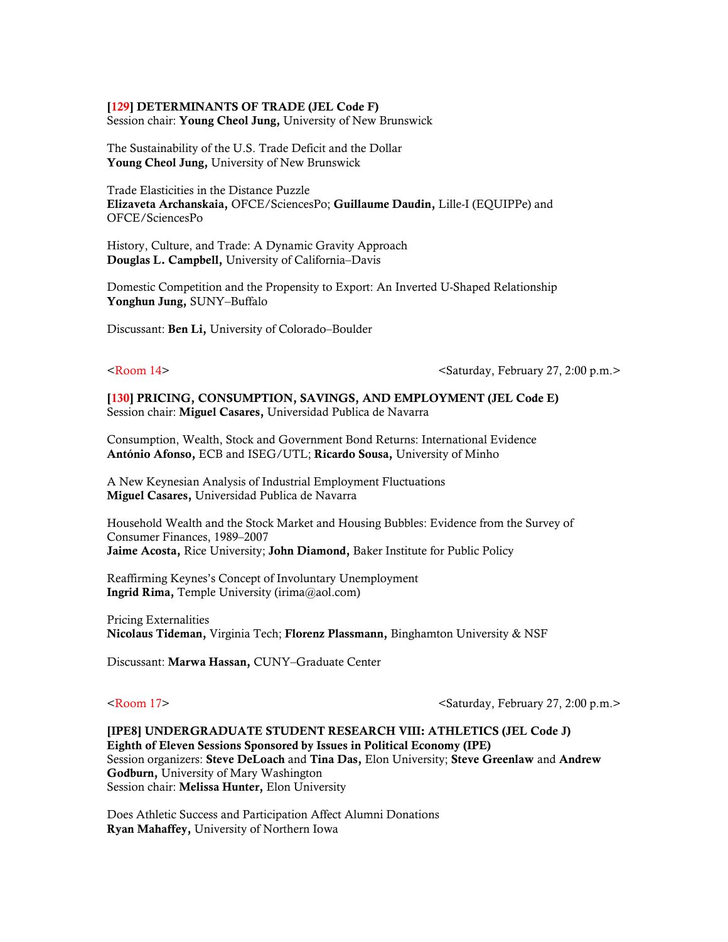### [129] DETERMINANTS OF TRADE (JEL Code F)

Session chair: Young Cheol Jung, University of New Brunswick

The Sustainability of the U.S. Trade Deficit and the Dollar Young Cheol Jung, University of New Brunswick

Trade Elasticities in the Distance Puzzle Elizaveta Archanskaia, OFCE/SciencesPo; Guillaume Daudin, Lille-I (EQUIPPe) and OFCE/SciencesPo

History, Culture, and Trade: A Dynamic Gravity Approach Douglas L. Campbell, University of California–Davis

Domestic Competition and the Propensity to Export: An Inverted U-Shaped Relationship Yonghun Jung, SUNY–Buffalo

Discussant: Ben Li, University of Colorado–Boulder

 $\leq$ Room 14>  $\leq$ Saturday, February 27, 2:00 p.m. $>$ 

[130] PRICING, CONSUMPTION, SAVINGS, AND EMPLOYMENT (JEL Code E) Session chair: Miguel Casares, Universidad Publica de Navarra

Consumption, Wealth, Stock and Government Bond Returns: International Evidence António Afonso, ECB and ISEG/UTL; Ricardo Sousa, University of Minho

A New Keynesian Analysis of Industrial Employment Fluctuations Miguel Casares, Universidad Publica de Navarra

Household Wealth and the Stock Market and Housing Bubbles: Evidence from the Survey of Consumer Finances, 1989–2007 Jaime Acosta, Rice University; John Diamond, Baker Institute for Public Policy

Reaffirming Keynes's Concept of Involuntary Unemployment Ingrid Rima, Temple University (irima@aol.com)

Pricing Externalities Nicolaus Tideman, Virginia Tech; Florenz Plassmann, Binghamton University & NSF

Discussant: Marwa Hassan, CUNY–Graduate Center

<Room 17> <Saturday, February 27, 2:00 p.m.>

[IPE8] UNDERGRADUATE STUDENT RESEARCH VIII: ATHLETICS (JEL Code J) Eighth of Eleven Sessions Sponsored by Issues in Political Economy (IPE) Session organizers: Steve DeLoach and Tina Das, Elon University; Steve Greenlaw and Andrew Godburn, University of Mary Washington Session chair: Melissa Hunter, Elon University

Does Athletic Success and Participation Affect Alumni Donations Ryan Mahaffey, University of Northern Iowa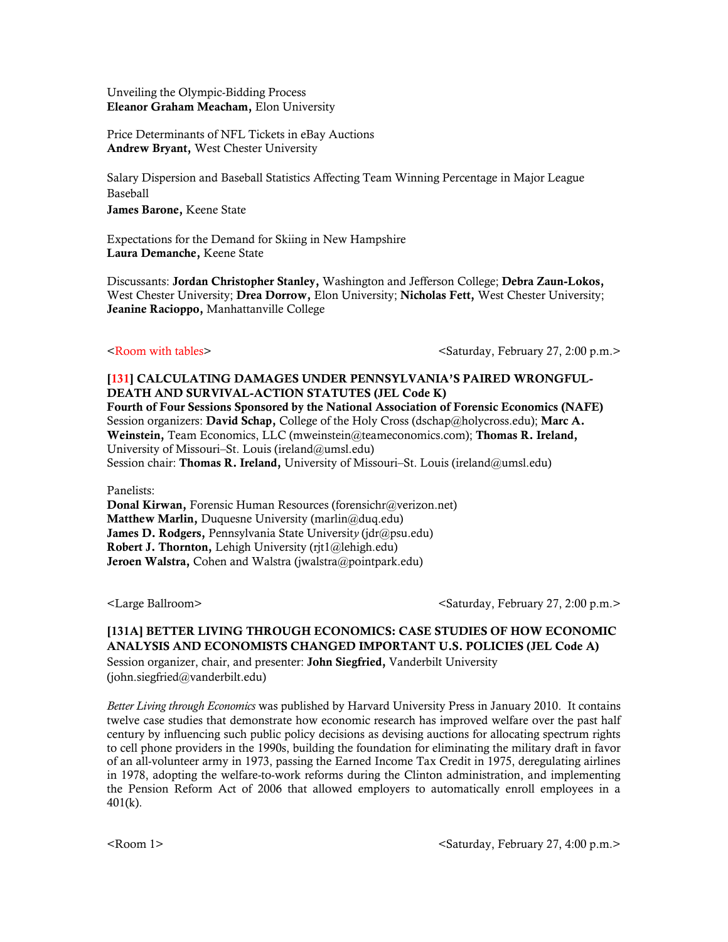Unveiling the Olympic-Bidding Process Eleanor Graham Meacham, Elon University

Price Determinants of NFL Tickets in eBay Auctions Andrew Bryant, West Chester University

Salary Dispersion and Baseball Statistics Affecting Team Winning Percentage in Major League Baseball James Barone, Keene State

Expectations for the Demand for Skiing in New Hampshire Laura Demanche, Keene State

Discussants: Jordan Christopher Stanley, Washington and Jefferson College; Debra Zaun-Lokos, West Chester University; Drea Dorrow, Elon University; Nicholas Fett, West Chester University; Jeanine Racioppo, Manhattanville College

<Room with tables>  $\leq$ Saturday, February 27, 2:00 p.m.>

# [131] CALCULATING DAMAGES UNDER PENNSYLVANIA'S PAIRED WRONGFUL-DEATH AND SURVIVAL-ACTION STATUTES (JEL Code K)

Fourth of Four Sessions Sponsored by the National Association of Forensic Economics (NAFE) Session organizers: David Schap, College of the Holy Cross (dschap@holycross.edu); Marc A. Weinstein, Team Economics, LLC (mweinstein@teameconomics.com); Thomas R. Ireland, University of Missouri–St. Louis (ireland@umsl.edu) Session chair: Thomas R. Ireland, University of Missouri-St. Louis (ireland@umsl.edu)

Panelists:

Donal Kirwan, Forensic Human Resources (forensichr@verizon.net) Matthew Marlin, Duquesne University (marlin@duq.edu) James D. Rodgers, Pennsylvania State Universit*y* (jdr@psu.edu) Robert J. Thornton, Lehigh University (rjt1@lehigh.edu) Jeroen Walstra, Cohen and Walstra (jwalstra@pointpark.edu)

<Large Ballroom>  $\leq$  Saturday, February 27, 2:00 p.m.>

# [131A] BETTER LIVING THROUGH ECONOMICS: CASE STUDIES OF HOW ECONOMIC ANALYSIS AND ECONOMISTS CHANGED IMPORTANT U.S. POLICIES (JEL Code A)

Session organizer, chair, and presenter: John Siegfried, Vanderbilt University (john.siegfried@vanderbilt.edu)

*Better Living through Economics* was published by Harvard University Press in January 2010. It contains twelve case studies that demonstrate how economic research has improved welfare over the past half century by influencing such public policy decisions as devising auctions for allocating spectrum rights to cell phone providers in the 1990s, building the foundation for eliminating the military draft in favor of an all-volunteer army in 1973, passing the Earned Income Tax Credit in 1975, deregulating airlines in 1978, adopting the welfare-to-work reforms during the Clinton administration, and implementing the Pension Reform Act of 2006 that allowed employers to automatically enroll employees in a 401(k).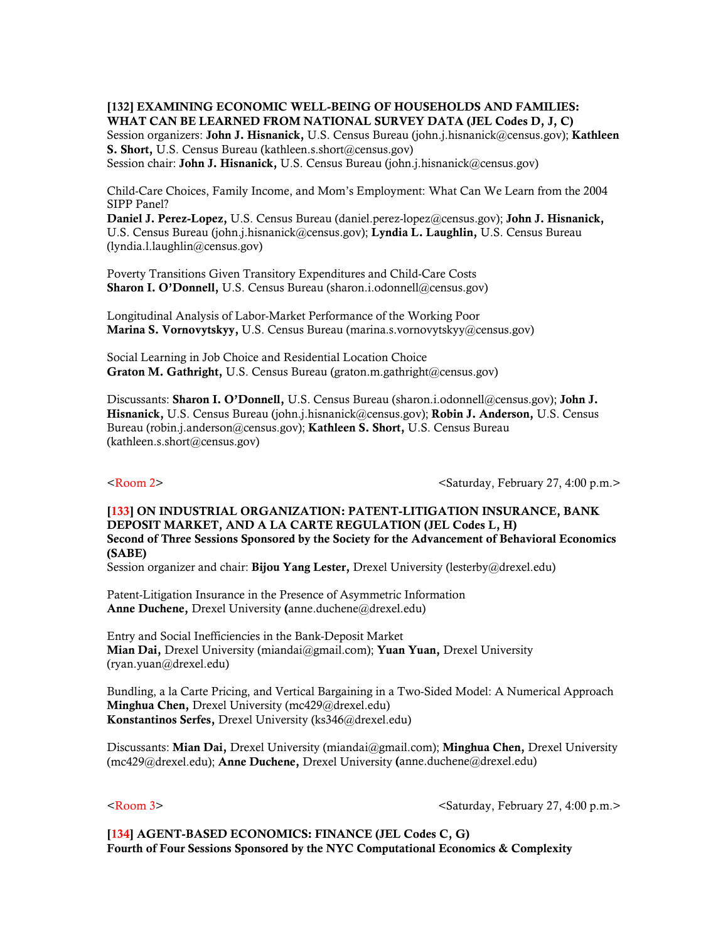[132] EXAMINING ECONOMIC WELL-BEING OF HOUSEHOLDS AND FAMILIES: WHAT CAN BE LEARNED FROM NATIONAL SURVEY DATA (JEL Codes D, J, C)

Session organizers: **John J. Hisnanick**, U.S. Census Bureau (john.j.hisnanick@census.gov); Kathleen S. Short, U.S. Census Bureau (kathleen.s.short@census.gov) Session chair: John J. Hisnanick, U.S. Census Bureau (john.j.hisnanick@census.gov)

Child-Care Choices, Family Income, and Mom's Employment: What Can We Learn from the 2004 SIPP Panel?

Daniel J. Perez-Lopez, U.S. Census Bureau (daniel.perez-lopez@census.gov); John J. Hisnanick, U.S. Census Bureau (john.j.hisnanick@census.gov); Lyndia L. Laughlin, U.S. Census Bureau (lyndia.l.laughlin@census.gov)

Poverty Transitions Given Transitory Expenditures and Child-Care Costs Sharon I. O'Donnell, U.S. Census Bureau (sharon.i.odonnell@census.gov)

Longitudinal Analysis of Labor-Market Performance of the Working Poor Marina S. Vornovytskyy, U.S. Census Bureau (marina.s.vornovytskyy@census.gov)

Social Learning in Job Choice and Residential Location Choice Graton M. Gathright, U.S. Census Bureau (graton.m.gathright@census.gov)

Discussants: Sharon I. O'Donnell, U.S. Census Bureau (sharon.i.odonnell@census.gov); John J. Hisnanick, U.S. Census Bureau (john.j.hisnanick@census.gov); Robin J. Anderson, U.S. Census Bureau (robin.j.anderson@census.gov); Kathleen S. Short, U.S. Census Bureau (kathleen.s.short@census.gov)

<Room 2>  $\leq$   $\leq$   $\leq$   $\leq$   $\leq$   $\leq$   $\leq$   $\leq$   $\leq$   $\leq$   $\leq$   $\leq$   $\leq$   $\leq$   $\leq$   $\leq$   $\leq$   $\leq$   $\leq$   $\leq$   $\leq$   $\leq$   $\leq$   $\leq$   $\leq$   $\leq$   $\leq$   $\leq$   $\leq$   $\leq$   $\leq$   $\leq$   $\leq$   $\leq$   $\leq$   $\le$ 

# [133] ON INDUSTRIAL ORGANIZATION: PATENT-LITIGATION INSURANCE, BANK DEPOSIT MARKET, AND A LA CARTE REGULATION (JEL Codes L, H) Second of Three Sessions Sponsored by the Society for the Advancement of Behavioral Economics (SABE)

Session organizer and chair: Bijou Yang Lester, Drexel University (lesterby@drexel.edu)

Patent-Litigation Insurance in the Presence of Asymmetric Information Anne Duchene, Drexel University (anne.duchene@drexel.edu)

Entry and Social Inefficiencies in the Bank-Deposit Market Mian Dai, Drexel University (miandai@gmail.com); Yuan Yuan, Drexel University (ryan.yuan@drexel.edu)

Bundling, a la Carte Pricing, and Vertical Bargaining in a Two-Sided Model: A Numerical Approach Minghua Chen, Drexel University (mc429@drexel.edu) Konstantinos Serfes, Drexel University (ks346@drexel.edu)

Discussants: Mian Dai, Drexel University (miandai@gmail.com); Minghua Chen, Drexel University (mc429@drexel.edu); Anne Duchene, Drexel University (anne.duchene@drexel.edu)

<Room 3>  $\leq$ Saturday, February 27, 4:00 p.m.>

[134] AGENT-BASED ECONOMICS: FINANCE (JEL Codes C, G) Fourth of Four Sessions Sponsored by the NYC Computational Economics & Complexity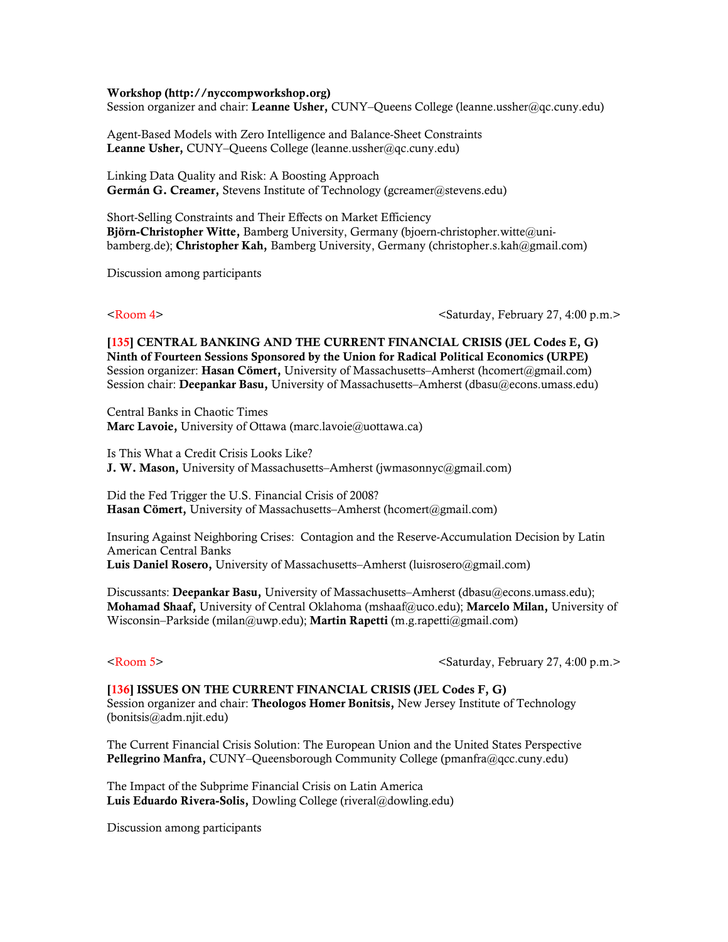### Workshop (http://nyccompworkshop.org)

Session organizer and chair: Leanne Usher, CUNY-Queens College (leanne.ussher@qc.cuny.edu)

Agent-Based Models with Zero Intelligence and Balance-Sheet Constraints Leanne Usher, CUNY–Queens College (leanne.ussher@qc.cuny.edu)

Linking Data Quality and Risk: A Boosting Approach Germán G. Creamer, Stevens Institute of Technology (gcreamer@stevens.edu)

Short-Selling Constraints and Their Effects on Market Efficiency Björn-Christopher Witte, Bamberg University, Germany (bjoern-christopher.witte@unibamberg.de); Christopher Kah, Bamberg University, Germany (christopher.s.kah@gmail.com)

Discussion among participants

<Room 4>  $\leq$  <Room 4>  $\leq$   $\leq$   $\leq$   $\leq$   $\leq$   $\leq$   $\leq$   $\leq$   $\leq$   $\leq$   $\leq$   $\leq$   $\leq$   $\leq$   $\leq$   $\leq$   $\leq$   $\leq$   $\leq$   $\leq$   $\leq$   $\leq$   $\leq$   $\leq$   $\leq$   $\leq$   $\leq$   $\leq$   $\leq$   $\leq$   $\leq$   $\leq$   $\leq$ 

[135] CENTRAL BANKING AND THE CURRENT FINANCIAL CRISIS (JEL Codes E, G) Ninth of Fourteen Sessions Sponsored by the Union for Radical Political Economics (URPE) Session organizer: Hasan Cömert, University of Massachusetts–Amherst (hcomert@gmail.com) Session chair: Deepankar Basu, University of Massachusetts–Amherst (dbasu@econs.umass.edu)

Central Banks in Chaotic Times Marc Lavoie, University of Ottawa (marc.lavoie@uottawa.ca)

Is This What a Credit Crisis Looks Like? J. W. Mason, University of Massachusetts–Amherst (jwmasonnyc@gmail.com)

Did the Fed Trigger the U.S. Financial Crisis of 2008? Hasan Cömert, University of Massachusetts–Amherst (hcomert@gmail.com)

Insuring Against Neighboring Crises: Contagion and the Reserve-Accumulation Decision by Latin American Central Banks Luis Daniel Rosero, University of Massachusetts–Amherst (luisrosero@gmail.com)

Discussants: Deepankar Basu, University of Massachusetts–Amherst (dbasu@econs.umass.edu); Mohamad Shaaf, University of Central Oklahoma (mshaaf@uco.edu); Marcelo Milan, University of Wisconsin–Parkside (milan@uwp.edu); Martin Rapetti (m.g.rapetti@gmail.com)

<Room 5> <Saturday, February 27, 4:00 p.m.>

[136] ISSUES ON THE CURRENT FINANCIAL CRISIS (JEL Codes F, G) Session organizer and chair: **Theologos Homer Bonitsis**, New Jersey Institute of Technology (bonitsis@adm.njit.edu)

The Current Financial Crisis Solution: The European Union and the United States Perspective Pellegrino Manfra, CUNY–Queensborough Community College (pmanfra@qcc.cuny.edu)

The Impact of the Subprime Financial Crisis on Latin America Luis Eduardo Rivera-Solis, Dowling College (riveral@dowling.edu)

Discussion among participants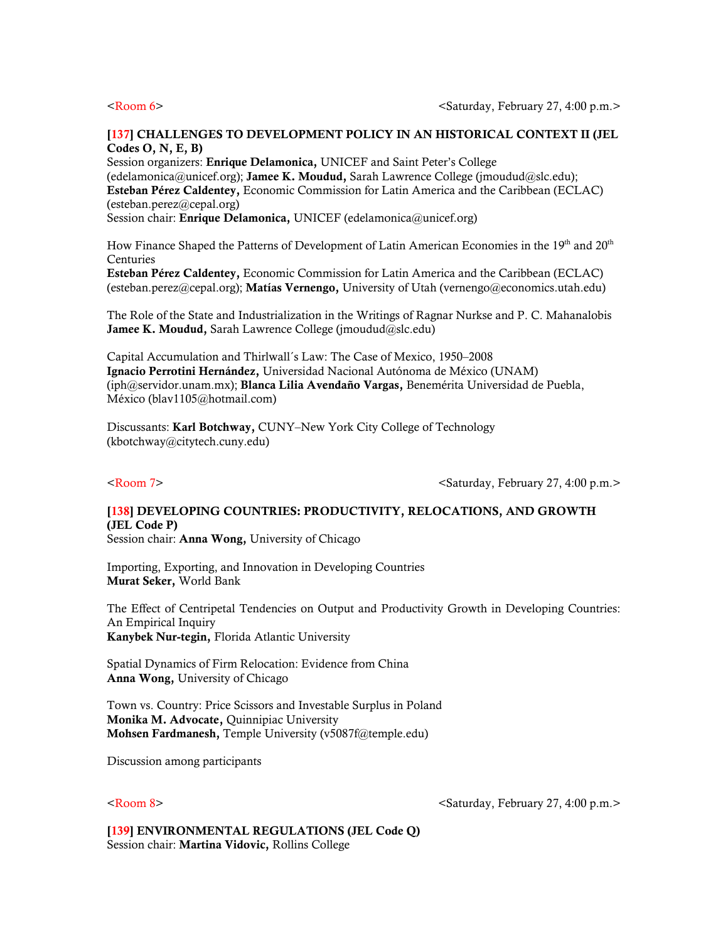## [137] CHALLENGES TO DEVELOPMENT POLICY IN AN HISTORICAL CONTEXT II (JEL Codes O, N, E, B)

Session organizers: Enrique Delamonica, UNICEF and Saint Peter's College (edelamonica@unicef.org); Jamee K. Moudud, Sarah Lawrence College (jmoudud@slc.edu); Esteban Pérez Caldentey, Economic Commission for Latin America and the Caribbean (ECLAC) (esteban.perez@cepal.org) Session chair: Enrique Delamonica, UNICEF (edelamonica@unicef.org)

How Finance Shaped the Patterns of Development of Latin American Economies in the  $19<sup>th</sup>$  and  $20<sup>th</sup>$ Centuries

Esteban Pérez Caldentey, Economic Commission for Latin America and the Caribbean (ECLAC) (esteban.perez@cepal.org); Matías Vernengo, University of Utah (vernengo@economics.utah.edu)

The Role of the State and Industrialization in the Writings of Ragnar Nurkse and P. C. Mahanalobis Jamee K. Moudud, Sarah Lawrence College (imoudud@slc.edu)

Capital Accumulation and Thirlwall´s Law: The Case of Mexico, 1950–2008 Ignacio Perrotini Hernández, Universidad Nacional Autónoma de México (UNAM) (iph@servidor.unam.mx); Blanca Lilia Avendaño Vargas, Benemérita Universidad de Puebla, México (blav1105@hotmail.com)

Discussants: Karl Botchway, CUNY–New York City College of Technology (kbotchway@citytech.cuny.edu)

<Room 7>  $\leq$   $\leq$   $\leq$   $\leq$   $\leq$   $\leq$   $\leq$   $\leq$   $\leq$   $\leq$   $\leq$   $\leq$   $\leq$   $\leq$   $\leq$   $\leq$   $\leq$   $\leq$   $\leq$   $\leq$   $\leq$   $\leq$   $\leq$   $\leq$   $\leq$   $\leq$   $\leq$   $\leq$   $\leq$   $\leq$   $\leq$   $\leq$   $\leq$   $\leq$   $\leq$   $\le$ 

# [138] DEVELOPING COUNTRIES: PRODUCTIVITY, RELOCATIONS, AND GROWTH (JEL Code P)

Session chair: Anna Wong, University of Chicago

Importing, Exporting, and Innovation in Developing Countries Murat Seker, World Bank

The Effect of Centripetal Tendencies on Output and Productivity Growth in Developing Countries: An Empirical Inquiry Kanybek Nur-tegin, Florida Atlantic University

Spatial Dynamics of Firm Relocation: Evidence from China Anna Wong, University of Chicago

Town vs. Country: Price Scissors and Investable Surplus in Poland Monika M. Advocate, Quinnipiac University Mohsen Fardmanesh, Temple University (v5087f@temple.edu)

Discussion among participants

<Room 8>  $\leq$   $\leq$   $\leq$   $\leq$   $\leq$   $\leq$   $\leq$   $\leq$   $\leq$   $\leq$   $\leq$   $\leq$   $\leq$   $\leq$   $\leq$   $\leq$   $\leq$   $\leq$   $\leq$   $\leq$   $\leq$   $\leq$   $\leq$   $\leq$   $\leq$   $\leq$   $\leq$   $\leq$   $\leq$   $\leq$   $\leq$   $\leq$   $\leq$   $\leq$   $\leq$   $\le$ 

[139] ENVIRONMENTAL REGULATIONS (JEL Code Q) Session chair: Martina Vidovic, Rollins College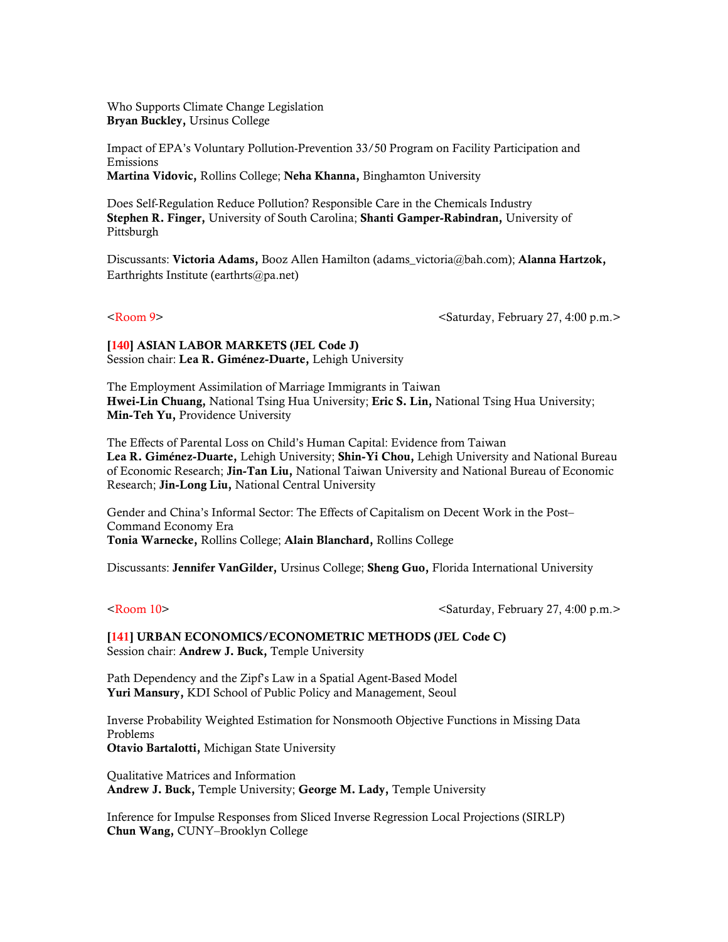Who Supports Climate Change Legislation Bryan Buckley, Ursinus College

Impact of EPA's Voluntary Pollution-Prevention 33/50 Program on Facility Participation and Emissions Martina Vidovic, Rollins College; Neha Khanna, Binghamton University

Does Self-Regulation Reduce Pollution? Responsible Care in the Chemicals Industry Stephen R. Finger, University of South Carolina; Shanti Gamper-Rabindran, University of Pittsburgh

Discussants: Victoria Adams, Booz Allen Hamilton (adams\_victoria@bah.com); Alanna Hartzok, Earthrights Institute (earthrts@pa.net)

<Room 9>  $\leq$   $\leq$   $\leq$   $\leq$   $\leq$   $\leq$   $\leq$   $\leq$   $\leq$   $\leq$   $\leq$   $\leq$   $\leq$   $\leq$   $\leq$   $\leq$   $\leq$   $\leq$   $\leq$   $\leq$   $\leq$   $\leq$   $\leq$   $\leq$   $\leq$   $\leq$   $\leq$   $\leq$   $\leq$   $\leq$   $\leq$   $\leq$   $\leq$   $\leq$   $\leq$   $\le$ 

[140] ASIAN LABOR MARKETS (JEL Code J) Session chair: Lea R. Giménez-Duarte, Lehigh University

The Employment Assimilation of Marriage Immigrants in Taiwan Hwei-Lin Chuang, National Tsing Hua University; Eric S. Lin, National Tsing Hua University; Min-Teh Yu, Providence University

The Effects of Parental Loss on Child's Human Capital: Evidence from Taiwan Lea R. Giménez-Duarte, Lehigh University; Shin-Yi Chou, Lehigh University and National Bureau of Economic Research; Jin-Tan Liu, National Taiwan University and National Bureau of Economic Research; Jin-Long Liu, National Central University

Gender and China's Informal Sector: The Effects of Capitalism on Decent Work in the Post– Command Economy Era Tonia Warnecke, Rollins College; Alain Blanchard, Rollins College

Discussants: Jennifer VanGilder, Ursinus College; Sheng Guo, Florida International University

<Room 10> <Saturday, February 27, 4:00 p.m.>

[141] URBAN ECONOMICS/ECONOMETRIC METHODS (JEL Code C) Session chair: Andrew J. Buck, Temple University

Path Dependency and the Zipf's Law in a Spatial Agent-Based Model Yuri Mansury, KDI School of Public Policy and Management, Seoul

Inverse Probability Weighted Estimation for Nonsmooth Objective Functions in Missing Data Problems Otavio Bartalotti, Michigan State University

Qualitative Matrices and Information Andrew J. Buck, Temple University; George M. Lady, Temple University

Inference for Impulse Responses from Sliced Inverse Regression Local Projections (SIRLP) Chun Wang, CUNY–Brooklyn College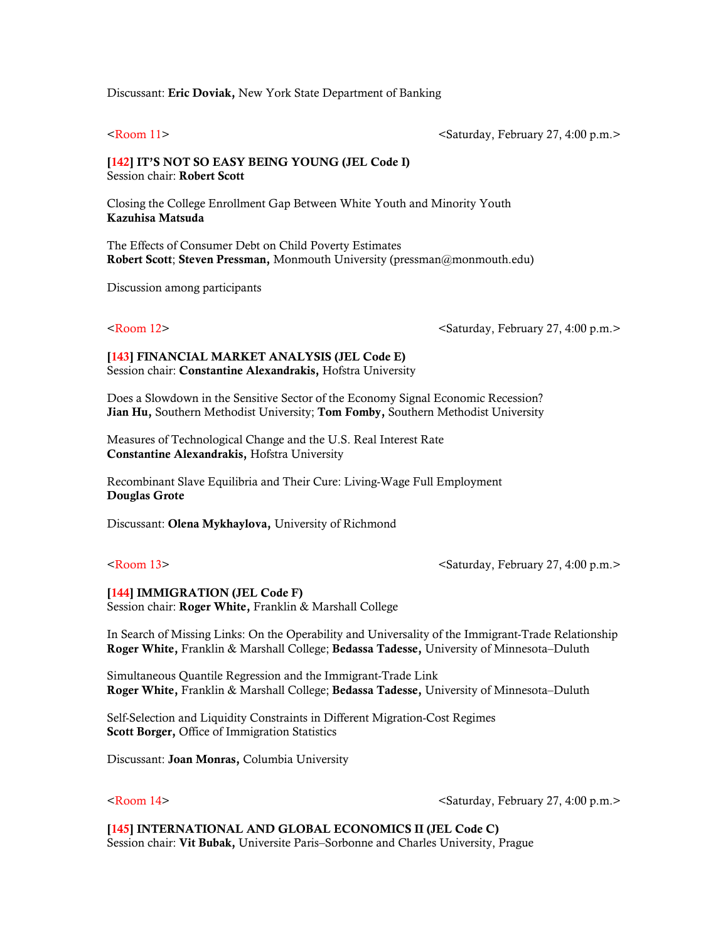### Discussant: Eric Doviak, New York State Department of Banking

<Room 11> <Saturday, February 27, 4:00 p.m.>

## [142] IT'S NOT SO EASY BEING YOUNG (JEL Code I) Session chair: Robert Scott

Closing the College Enrollment Gap Between White Youth and Minority Youth Kazuhisa Matsuda

The Effects of Consumer Debt on Child Poverty Estimates Robert Scott; Steven Pressman, Monmouth University (pressman@monmouth.edu)

Discussion among participants

<Room 12> <Saturday, February 27, 4:00 p.m.>

### [143] FINANCIAL MARKET ANALYSIS (JEL Code E) Session chair: Constantine Alexandrakis, Hofstra University

Does a Slowdown in the Sensitive Sector of the Economy Signal Economic Recession? Jian Hu, Southern Methodist University; Tom Fomby, Southern Methodist University

Measures of Technological Change and the U.S. Real Interest Rate Constantine Alexandrakis, Hofstra University

Recombinant Slave Equilibria and Their Cure: Living-Wage Full Employment Douglas Grote

Discussant: Olena Mykhaylova, University of Richmond

<Room 13> <Saturday, February 27, 4:00 p.m.>

### [144] IMMIGRATION (JEL Code F)

Session chair: Roger White, Franklin & Marshall College

In Search of Missing Links: On the Operability and Universality of the Immigrant-Trade Relationship Roger White, Franklin & Marshall College; Bedassa Tadesse, University of Minnesota–Duluth

Simultaneous Quantile Regression and the Immigrant-Trade Link Roger White, Franklin & Marshall College; Bedassa Tadesse, University of Minnesota–Duluth

Self-Selection and Liquidity Constraints in Different Migration-Cost Regimes Scott Borger, Office of Immigration Statistics

Discussant: Joan Monras, Columbia University

<Room 14> <Saturday, February 27, 4:00 p.m.>

[145] INTERNATIONAL AND GLOBAL ECONOMICS II (JEL Code C) Session chair: Vit Bubak, Universite Paris–Sorbonne and Charles University, Prague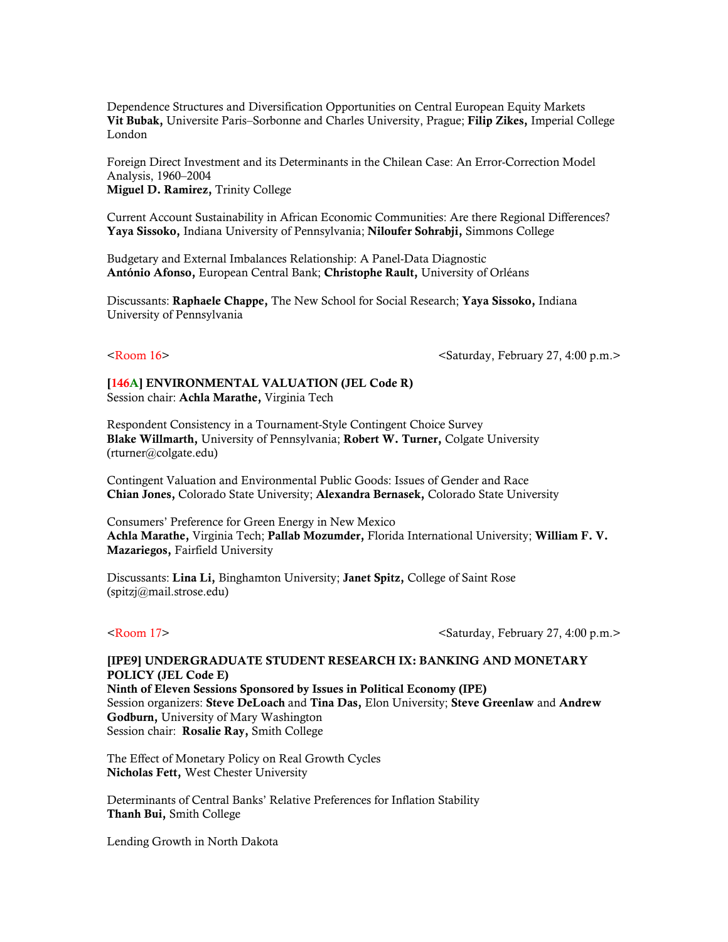Dependence Structures and Diversification Opportunities on Central European Equity Markets Vit Bubak, Universite Paris–Sorbonne and Charles University, Prague; Filip Zikes, Imperial College London

Foreign Direct Investment and its Determinants in the Chilean Case: An Error-Correction Model Analysis, 1960–2004 Miguel D. Ramirez, Trinity College

Current Account Sustainability in African Economic Communities: Are there Regional Differences? Yaya Sissoko, Indiana University of Pennsylvania; Niloufer Sohrabji, Simmons College

Budgetary and External Imbalances Relationship: A Panel-Data Diagnostic António Afonso, European Central Bank; Christophe Rault, University of Orléans

Discussants: Raphaele Chappe, The New School for Social Research; Yaya Sissoko, Indiana University of Pennsylvania

<Room 16>  $\leq$ Saturday, February 27, 4:00 p.m. $>$ 

[146A] ENVIRONMENTAL VALUATION (JEL Code R) Session chair: Achla Marathe, Virginia Tech

Respondent Consistency in a Tournament-Style Contingent Choice Survey Blake Willmarth, University of Pennsylvania; Robert W. Turner, Colgate University (rturner@colgate.edu)

Contingent Valuation and Environmental Public Goods: Issues of Gender and Race Chian Jones, Colorado State University; Alexandra Bernasek, Colorado State University

Consumers' Preference for Green Energy in New Mexico Achla Marathe, Virginia Tech; Pallab Mozumder, Florida International University; William F. V. Mazariegos, Fairfield University

Discussants: Lina Li, Binghamton University; Janet Spitz, College of Saint Rose (spitzj@mail.strose.edu)

<Room 17> <Saturday, February 27, 4:00 p.m.>

# [IPE9] UNDERGRADUATE STUDENT RESEARCH IX: BANKING AND MONETARY POLICY (JEL Code E)

Ninth of Eleven Sessions Sponsored by Issues in Political Economy (IPE) Session organizers: Steve DeLoach and Tina Das, Elon University; Steve Greenlaw and Andrew Godburn, University of Mary Washington Session chair: Rosalie Ray, Smith College

The Effect of Monetary Policy on Real Growth Cycles Nicholas Fett, West Chester University

Determinants of Central Banks' Relative Preferences for Inflation Stability Thanh Bui, Smith College

Lending Growth in North Dakota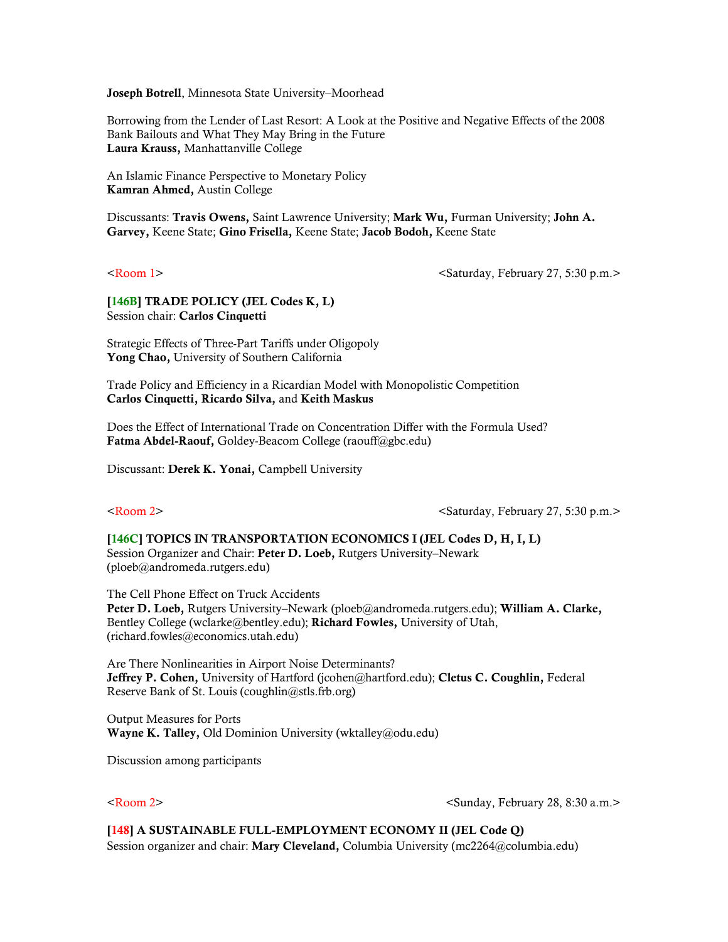Joseph Botrell, Minnesota State University–Moorhead

Borrowing from the Lender of Last Resort: A Look at the Positive and Negative Effects of the 2008 Bank Bailouts and What They May Bring in the Future Laura Krauss, Manhattanville College

An Islamic Finance Perspective to Monetary Policy Kamran Ahmed, Austin College

Discussants: Travis Owens, Saint Lawrence University; Mark Wu, Furman University; John A. Garvey, Keene State; Gino Frisella, Keene State; Jacob Bodoh, Keene State

<Room 1>  $\leq$  <Room 1>  $\leq$   $\leq$   $\leq$   $\leq$   $\leq$   $\leq$   $\leq$   $\leq$   $\leq$   $\leq$   $\leq$   $\leq$   $\leq$   $\leq$   $\leq$   $\leq$   $\leq$   $\leq$   $\leq$   $\leq$   $\leq$   $\leq$   $\leq$   $\leq$   $\leq$   $\leq$   $\leq$   $\leq$   $\leq$   $\leq$   $\leq$   $\leq$   $\leq$ 

[146B] TRADE POLICY (JEL Codes K, L) Session chair: Carlos Cinquetti

Strategic Effects of Three-Part Tariffs under Oligopoly Yong Chao, University of Southern California

Trade Policy and Efficiency in a Ricardian Model with Monopolistic Competition Carlos Cinquetti, Ricardo Silva, and Keith Maskus

Does the Effect of International Trade on Concentration Differ with the Formula Used? Fatma Abdel-Raouf, Goldey-Beacom College (raouff@gbc.edu)

Discussant: Derek K. Yonai, Campbell University

<Room 2>  $\leq$   $\leq$   $\leq$   $\leq$   $\leq$   $\leq$   $\leq$   $\leq$   $\leq$   $\leq$   $\leq$   $\leq$   $\leq$   $\leq$   $\leq$   $\leq$   $\leq$   $\leq$   $\leq$   $\leq$   $\leq$   $\leq$   $\leq$   $\leq$   $\leq$   $\leq$   $\leq$   $\leq$   $\leq$   $\leq$   $\leq$   $\leq$   $\leq$   $\leq$   $\leq$   $\le$ 

[146C] TOPICS IN TRANSPORTATION ECONOMICS I (JEL Codes D, H, I, L) Session Organizer and Chair: Peter D. Loeb, Rutgers University–Newark (ploeb@andromeda.rutgers.edu)

The Cell Phone Effect on Truck Accidents Peter D. Loeb, Rutgers University–Newark (ploeb@andromeda.rutgers.edu); William A. Clarke, Bentley College (wclarke@bentley.edu); Richard Fowles, University of Utah, (richard.fowles@economics.utah.edu)

Are There Nonlinearities in Airport Noise Determinants? Jeffrey P. Cohen, University of Hartford (jcohen@hartford.edu); Cletus C. Coughlin, Federal Reserve Bank of St. Louis (coughlin@stls.frb.org)

Output Measures for Ports Wayne K. Talley, Old Dominion University (wktalley@odu.edu)

Discussion among participants

<Room 2> <Sunday, February 28, 8:30 a.m.>

## [148] A SUSTAINABLE FULL-EMPLOYMENT ECONOMY II (JEL Code Q)

Session organizer and chair: Mary Cleveland, Columbia University (mc2264@columbia.edu)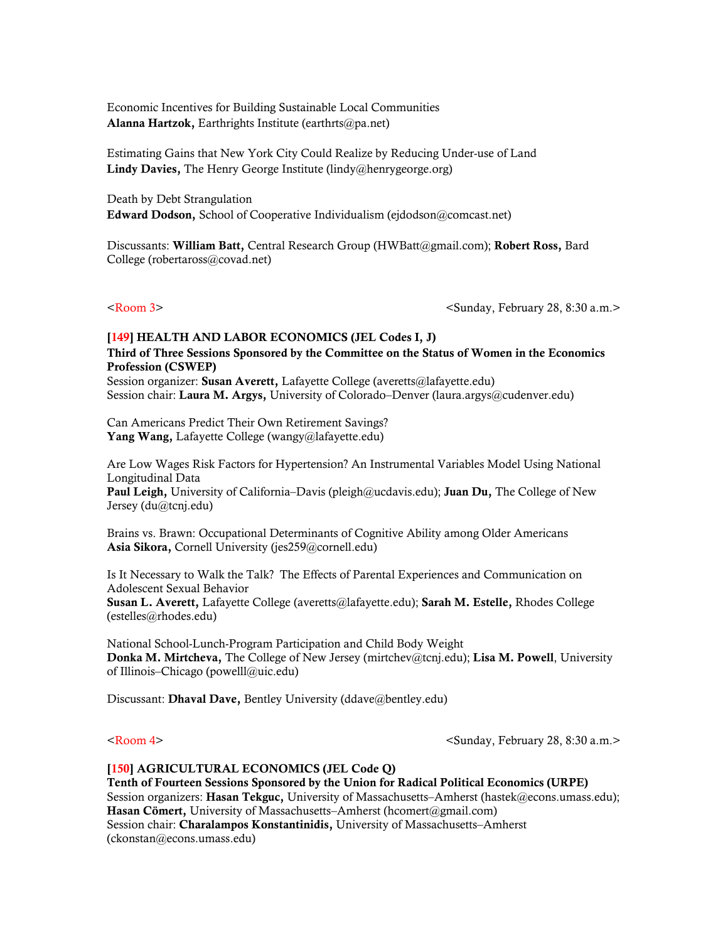Economic Incentives for Building Sustainable Local Communities Alanna Hartzok, Earthrights Institute (earthrts@pa.net)

Estimating Gains that New York City Could Realize by Reducing Under-use of Land Lindy Davies, The Henry George Institute (lindy@henrygeorge.org)

Death by Debt Strangulation Edward Dodson, School of Cooperative Individualism (ejdodson@comcast.net)

Discussants: William Batt, Central Research Group (HWBatt@gmail.com); Robert Ross, Bard College (robertaross@covad.net)

<Room 3> <Sunday, February 28, 8:30 a.m.>

# [149] HEALTH AND LABOR ECONOMICS (JEL Codes I, J) Third of Three Sessions Sponsored by the Committee on the Status of Women in the Economics Profession (CSWEP)

Session organizer: Susan Averett, Lafayette College (averetts@lafayette.edu) Session chair: Laura M. Argys, University of Colorado–Denver (laura.argys@cudenver.edu)

Can Americans Predict Their Own Retirement Savings? Yang Wang, Lafayette College (wangy@lafayette.edu)

Are Low Wages Risk Factors for Hypertension? An Instrumental Variables Model Using National Longitudinal Data **Paul Leigh,** University of California–Davis (pleigh@ucdavis.edu); **Juan Du,** The College of New Jersey (du@tcnj.edu)

Brains vs. Brawn: Occupational Determinants of Cognitive Ability among Older Americans Asia Sikora, Cornell University (jes259@cornell.edu)

Is It Necessary to Walk the Talk? The Effects of Parental Experiences and Communication on Adolescent Sexual Behavior Susan L. Averett, Lafayette College (averetts@lafayette.edu); Sarah M. Estelle, Rhodes College

National School-Lunch-Program Participation and Child Body Weight Donka M. Mirtcheva, The College of New Jersey (mirtchev@tcnj.edu); Lisa M. Powell, University of Illinois–Chicago (powelll@uic.edu)

Discussant: Dhaval Dave, Bentley University (ddave@bentley.edu)

(estelles@rhodes.edu)

<Room 4> <Sunday, February 28, 8:30 a.m.>

### [150] AGRICULTURAL ECONOMICS (JEL Code Q)

Tenth of Fourteen Sessions Sponsored by the Union for Radical Political Economics (URPE) Session organizers: Hasan Tekguc, University of Massachusetts–Amherst (hastek@econs.umass.edu); Hasan Cömert, University of Massachusetts–Amherst (hcomert@gmail.com) Session chair: Charalampos Konstantinidis, University of Massachusetts–Amherst (ckonstan@econs.umass.edu)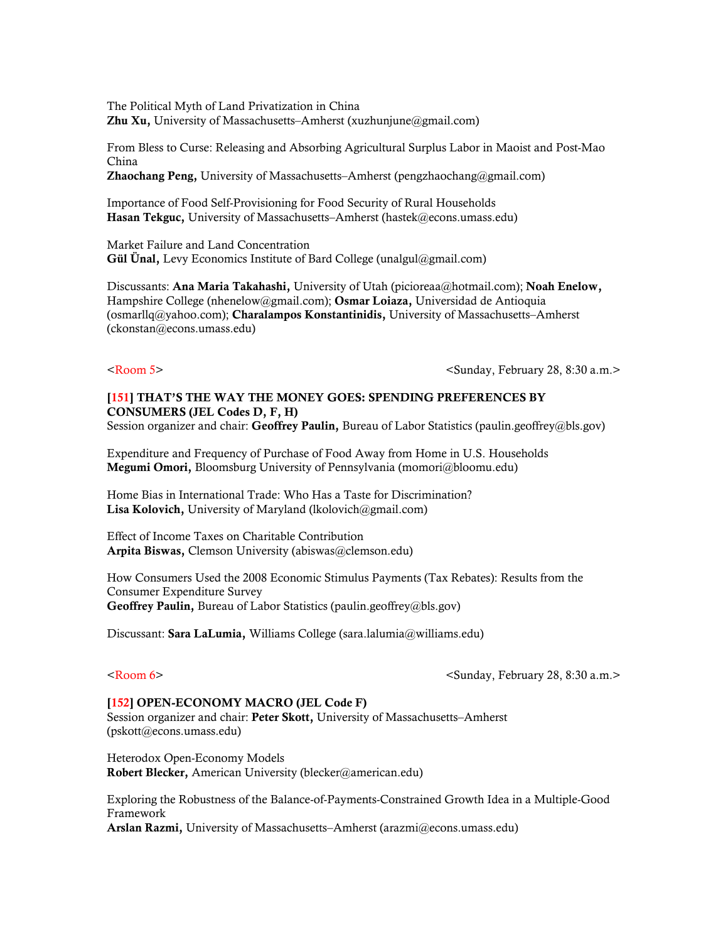The Political Myth of Land Privatization in China Zhu Xu, University of Massachusetts–Amherst (xuzhunjune@gmail.com)

From Bless to Curse: Releasing and Absorbing Agricultural Surplus Labor in Maoist and Post-Mao China **Zhaochang Peng,** University of Massachusetts–Amherst (pengzhaochang@gmail.com)

Importance of Food Self-Provisioning for Food Security of Rural Households Hasan Tekguc, University of Massachusetts–Amherst (hastek@econs.umass.edu)

Market Failure and Land Concentration Gül Ünal, Levy Economics Institute of Bard College (unalgul@gmail.com)

Discussants: Ana Maria Takahashi, University of Utah (picioreaa@hotmail.com); Noah Enelow, Hampshire College (nhenelow@gmail.com); Osmar Loiaza, Universidad de Antioquia (osmarllq@yahoo.com); Charalampos Konstantinidis, University of Massachusetts–Amherst (ckonstan@econs.umass.edu)

<Room 5> <Sunday, February 28, 8:30 a.m.>

# [151] THAT'S THE WAY THE MONEY GOES: SPENDING PREFERENCES BY CONSUMERS (JEL Codes D, F, H)

Session organizer and chair: Geoffrey Paulin, Bureau of Labor Statistics (paulin.geoffrey@bls.gov)

Expenditure and Frequency of Purchase of Food Away from Home in U.S. Households Megumi Omori, Bloomsburg University of Pennsylvania (momori@bloomu.edu)

Home Bias in International Trade: Who Has a Taste for Discrimination? Lisa Kolovich, University of Maryland (lkolovich@gmail.com)

Effect of Income Taxes on Charitable Contribution Arpita Biswas, Clemson University (abiswas@clemson.edu)

How Consumers Used the 2008 Economic Stimulus Payments (Tax Rebates): Results from the Consumer Expenditure Survey Geoffrey Paulin, Bureau of Labor Statistics (paulin.geoffrey@bls.gov)

Discussant: Sara LaLumia, Williams College (sara.lalumia@williams.edu)

<Room 6> <Sunday, February 28, 8:30 a.m.>

# [152] OPEN-ECONOMY MACRO (JEL Code F)

Session organizer and chair: Peter Skott, University of Massachusetts-Amherst (pskott@econs.umass.edu)

Heterodox Open-Economy Models Robert Blecker, American University (blecker@american.edu)

Exploring the Robustness of the Balance-of-Payments-Constrained Growth Idea in a Multiple-Good Framework Arslan Razmi, University of Massachusetts–Amherst (arazmi@econs.umass.edu)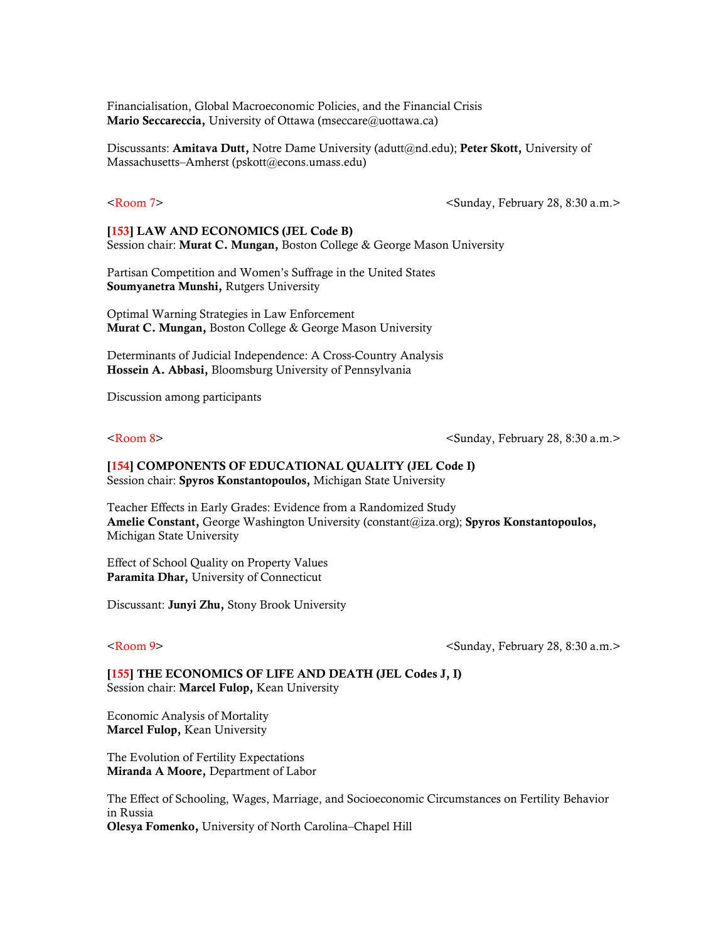Financialisation, Global Macroeconomic Policies, and the Financial Crisis Mario Seccareccia, University of Ottawa (mseccare@uottawa.ca)

Discussants: Amitava Dutt, Notre Dame University (adutt@nd.edu); Peter Skott, University of Massachusetts–Amherst (pskott@econs.umass.edu)

<Room 7> <Sunday, February 28, 8:30 a.m.>

[153] LAW AND ECONOMICS (JEL Code B) Session chair: Murat C. Mungan, Boston College & George Mason University

Partisan Competition and Women's Suffrage in the United States Soumyanetra Munshi, Rutgers University

Optimal Warning Strategies in Law Enforcement Murat C. Mungan, Boston College & George Mason University

Determinants of Judicial Independence: A Cross-Country Analysis Hossein A. Abbasi, Bloomsburg University of Pennsylvania

Discussion among participants

<Room 8> <Sunday, February 28, 8:30 a.m.>

[154] COMPONENTS OF EDUCATIONAL QUALITY (JEL Code I) Session chair: Spyros Konstantopoulos, Michigan State University

Teacher Effects in Early Grades: Evidence from a Randomized Study Amelie Constant, George Washington University (constant@iza.org); Spyros Konstantopoulos, Michigan State University

Effect of School Quality on Property Values Paramita Dhar, University of Connecticut

Discussant: Junyi Zhu, Stony Brook University

<Room 9> <Sunday, February 28, 8:30 a.m.>

[155] THE ECONOMICS OF LIFE AND DEATH (JEL Codes J, I) Session chair: Marcel Fulop, Kean University

Economic Analysis of Mortality Marcel Fulop, Kean University

The Evolution of Fertility Expectations Miranda A Moore, Department of Labor

The Effect of Schooling, Wages, Marriage, and Socioeconomic Circumstances on Fertility Behavior in Russia Olesya Fomenko, University of North Carolina–Chapel Hill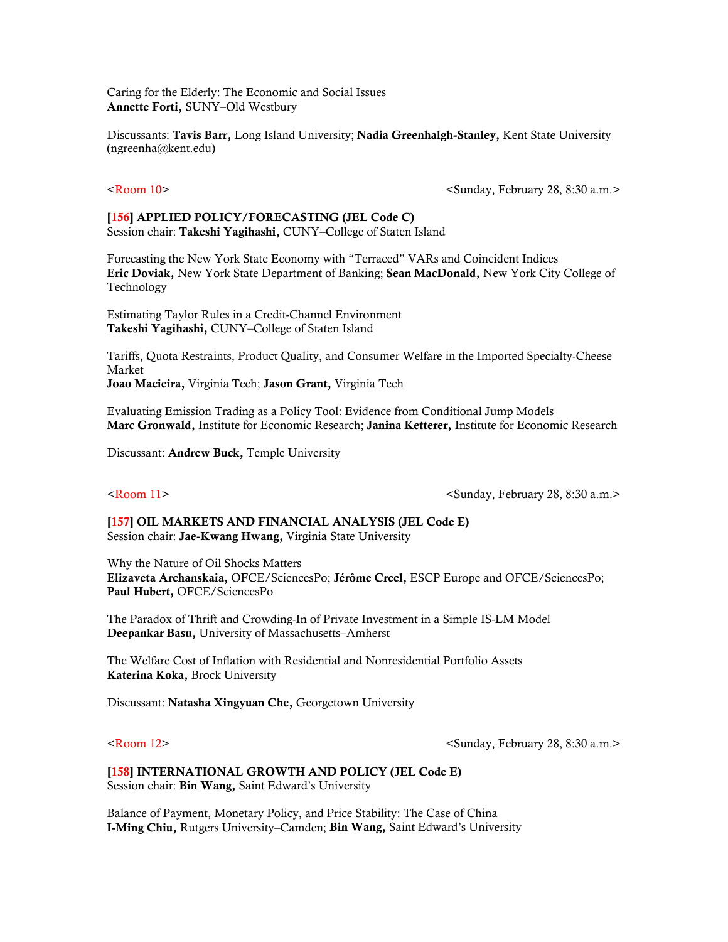Caring for the Elderly: The Economic and Social Issues Annette Forti, SUNY–Old Westbury

Discussants: Tavis Barr, Long Island University; Nadia Greenhalgh-Stanley, Kent State University (ngreenha@kent.edu)

<Room 10> <Sunday, February 28, 8:30 a.m.>

### [156] APPLIED POLICY/FORECASTING (JEL Code C) Session chair: Takeshi Yagihashi, CUNY–College of Staten Island

Forecasting the New York State Economy with "Terraced" VARs and Coincident Indices Eric Doviak, New York State Department of Banking; Sean MacDonald, New York City College of Technology

Estimating Taylor Rules in a Credit-Channel Environment Takeshi Yagihashi, CUNY–College of Staten Island

Tariffs, Quota Restraints, Product Quality, and Consumer Welfare in the Imported Specialty-Cheese Market

Joao Macieira, Virginia Tech; Jason Grant, Virginia Tech

Evaluating Emission Trading as a Policy Tool: Evidence from Conditional Jump Models Marc Gronwald, Institute for Economic Research; Janina Ketterer, Institute for Economic Research

Discussant: Andrew Buck, Temple University

<Room 11> <Sunday, February 28, 8:30 a.m.>

[157] OIL MARKETS AND FINANCIAL ANALYSIS (JEL Code E) Session chair: Jae-Kwang Hwang, Virginia State University

Why the Nature of Oil Shocks Matters Elizaveta Archanskaia, OFCE/SciencesPo; Jérôme Creel, ESCP Europe and OFCE/SciencesPo; Paul Hubert, OFCE/SciencesPo

The Paradox of Thrift and Crowding-In of Private Investment in a Simple IS-LM Model Deepankar Basu, University of Massachusetts–Amherst

The Welfare Cost of Inflation with Residential and Nonresidential Portfolio Assets Katerina Koka, Brock University

Discussant: Natasha Xingyuan Che, Georgetown University

<Room 12> <Sunday, February 28, 8:30 a.m.>

### [158] INTERNATIONAL GROWTH AND POLICY (JEL Code E) Session chair: Bin Wang, Saint Edward's University

Balance of Payment, Monetary Policy, and Price Stability: The Case of China I-Ming Chiu, Rutgers University–Camden; Bin Wang, Saint Edward's University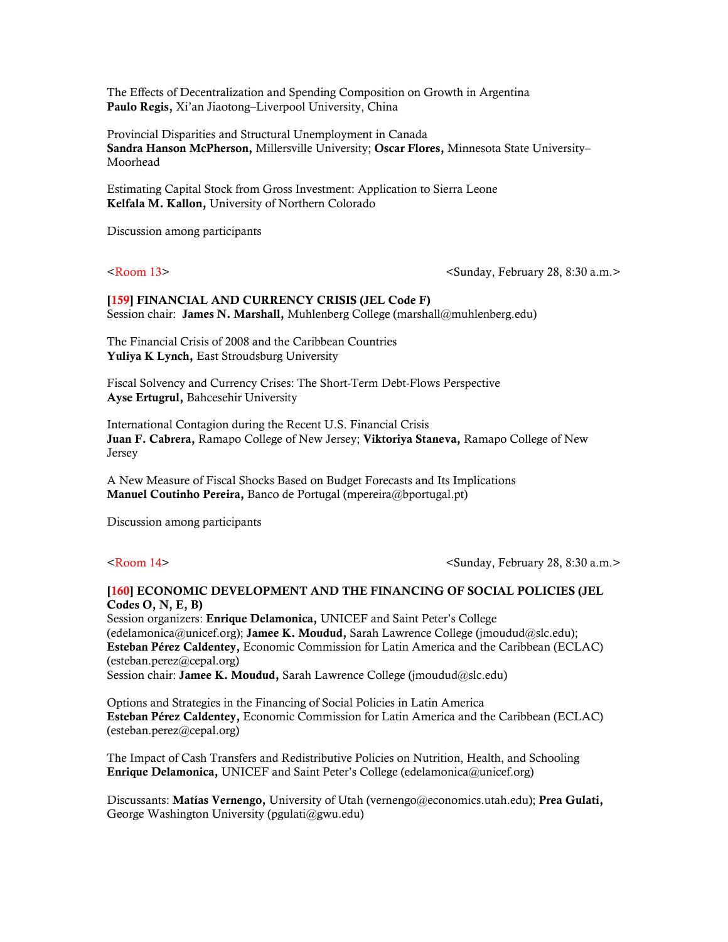The Effects of Decentralization and Spending Composition on Growth in Argentina Paulo Regis, Xi'an Jiaotong–Liverpool University, China

Provincial Disparities and Structural Unemployment in Canada Sandra Hanson McPherson, Millersville University; Oscar Flores, Minnesota State University– Moorhead

Estimating Capital Stock from Gross Investment: Application to Sierra Leone Kelfala M. Kallon, University of Northern Colorado

Discussion among participants

<Room 13> <Sunday, February 28, 8:30 a.m.>

## [159] FINANCIAL AND CURRENCY CRISIS (JEL Code F) Session chair: James N. Marshall, Muhlenberg College (marshall@muhlenberg.edu)

The Financial Crisis of 2008 and the Caribbean Countries Yuliya K Lynch, East Stroudsburg University

Fiscal Solvency and Currency Crises: The Short-Term Debt-Flows Perspective Ayse Ertugrul, Bahcesehir University

International Contagion during the Recent U.S. Financial Crisis Juan F. Cabrera, Ramapo College of New Jersey; Viktoriya Staneva, Ramapo College of New Jersey

A New Measure of Fiscal Shocks Based on Budget Forecasts and Its Implications Manuel Coutinho Pereira, Banco de Portugal (mpereira@bportugal.pt)

Discussion among participants

<Room 14> <Sunday, February 28, 8:30 a.m.>

## [160] ECONOMIC DEVELOPMENT AND THE FINANCING OF SOCIAL POLICIES (JEL Codes O, N, E, B)

Session organizers: Enrique Delamonica, UNICEF and Saint Peter's College (edelamonica@unicef.org); Jamee K. Moudud, Sarah Lawrence College (jmoudud@slc.edu); Esteban Pérez Caldentey, Economic Commission for Latin America and the Caribbean (ECLAC) (esteban.perez@cepal.org) Session chair: Jamee K. Moudud, Sarah Lawrence College (jmoudud@slc.edu)

Options and Strategies in the Financing of Social Policies in Latin America Esteban Pérez Caldentey, Economic Commission for Latin America and the Caribbean (ECLAC) (esteban.perez@cepal.org)

The Impact of Cash Transfers and Redistributive Policies on Nutrition, Health, and Schooling Enrique Delamonica, UNICEF and Saint Peter's College (edelamonica@unicef.org)

Discussants: Matías Vernengo, University of Utah (vernengo@economics.utah.edu); Prea Gulati, George Washington University (pgulati@gwu.edu)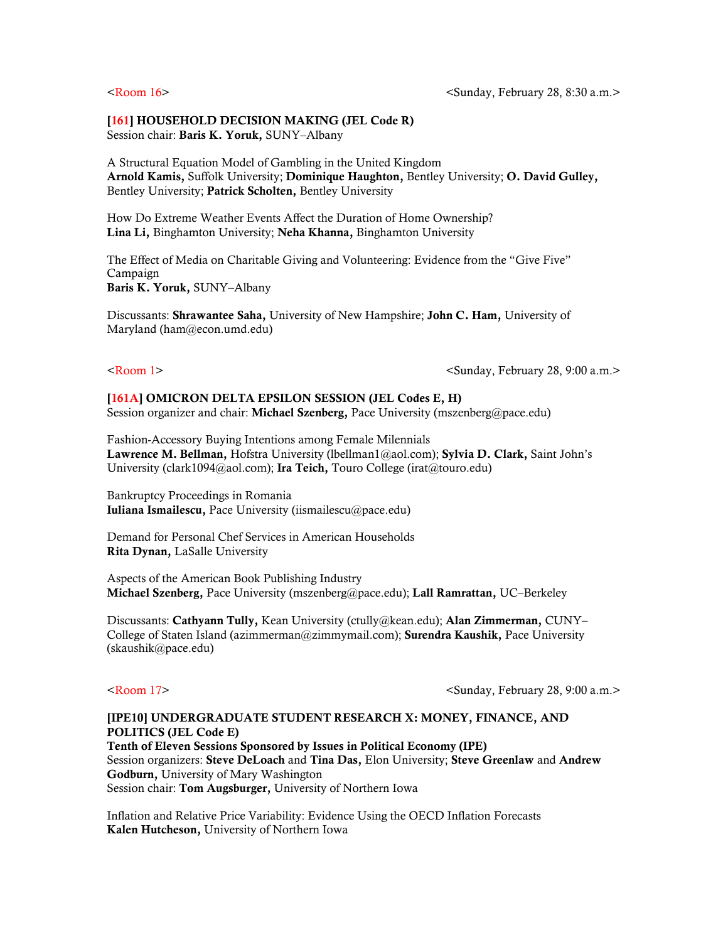# [161] HOUSEHOLD DECISION MAKING (JEL Code R)

Session chair: Baris K. Yoruk, SUNY-Albany

A Structural Equation Model of Gambling in the United Kingdom Arnold Kamis, Suffolk University; Dominique Haughton, Bentley University; O. David Gulley, Bentley University; Patrick Scholten, Bentley University

How Do Extreme Weather Events Affect the Duration of Home Ownership? Lina Li, Binghamton University; Neha Khanna, Binghamton University

The Effect of Media on Charitable Giving and Volunteering: Evidence from the "Give Five" Campaign Baris K. Yoruk, SUNY–Albany

Discussants: Shrawantee Saha, University of New Hampshire; John C. Ham, University of Maryland (ham@econ.umd.edu)

<Room 1> <Sunday, February 28, 9:00 a.m.>

# [161A] OMICRON DELTA EPSILON SESSION (JEL Codes E, H)

Session organizer and chair: Michael Szenberg, Pace University (mszenberg@pace.edu)

Fashion-Accessory Buying Intentions among Female Milennials Lawrence M. Bellman, Hofstra University (lbellman1@aol.com); Sylvia D. Clark, Saint John's University (clark1094@aol.com); Ira Teich, Touro College (irat@touro.edu)

Bankruptcy Proceedings in Romania Iuliana Ismailescu, Pace University (iismailescu@pace.edu)

Demand for Personal Chef Services in American Households Rita Dynan, LaSalle University

Aspects of the American Book Publishing Industry Michael Szenberg, Pace University (mszenberg@pace.edu); Lall Ramrattan, UC–Berkeley

Discussants: Cathyann Tully, Kean University (ctully@kean.edu); Alan Zimmerman, CUNY-College of Staten Island (azimmerman@zimmymail.com); **Surendra Kaushik**, Pace University (skaushik@pace.edu)

<Room 17> <Sunday, February 28, 9:00 a.m.>

# [IPE10] UNDERGRADUATE STUDENT RESEARCH X: MONEY, FINANCE, AND POLITICS (JEL Code E) Tenth of Eleven Sessions Sponsored by Issues in Political Economy (IPE)

Session organizers: Steve DeLoach and Tina Das, Elon University; Steve Greenlaw and Andrew Godburn, University of Mary Washington Session chair: Tom Augsburger, University of Northern Iowa

Inflation and Relative Price Variability: Evidence Using the OECD Inflation Forecasts Kalen Hutcheson, University of Northern Iowa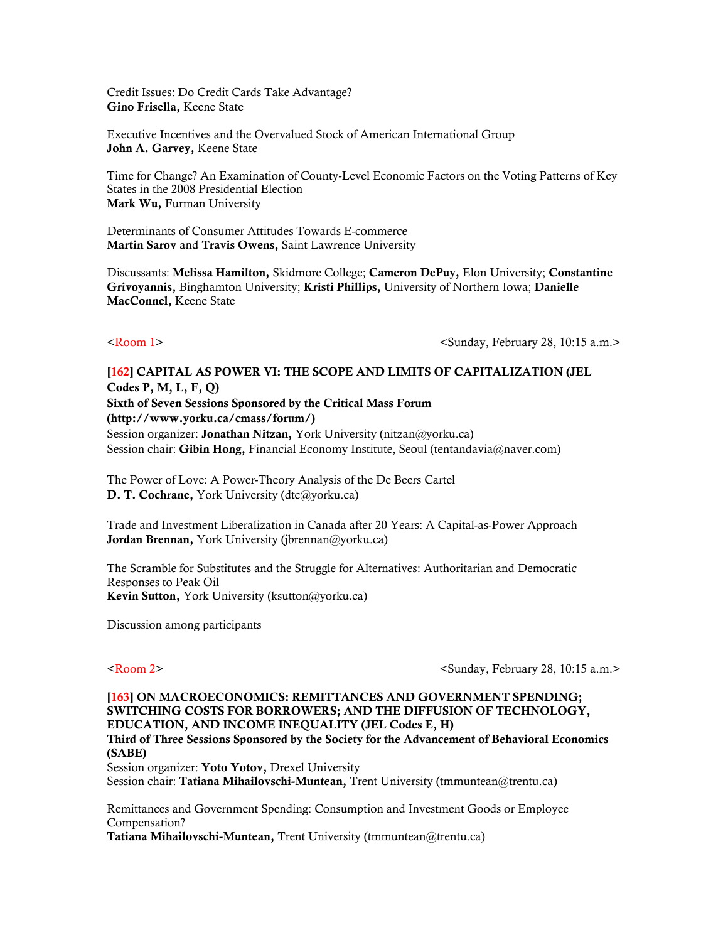Credit Issues: Do Credit Cards Take Advantage? Gino Frisella, Keene State

Executive Incentives and the Overvalued Stock of American International Group John A. Garvey, Keene State

Time for Change? An Examination of County-Level Economic Factors on the Voting Patterns of Key States in the 2008 Presidential Election Mark Wu, Furman University

Determinants of Consumer Attitudes Towards E-commerce Martin Sarov and Travis Owens, Saint Lawrence University

Discussants: Melissa Hamilton, Skidmore College; Cameron DePuy, Elon University; Constantine Grivoyannis, Binghamton University; Kristi Phillips, University of Northern Iowa; Danielle MacConnel, Keene State

<Room 1> <Sunday, February 28, 10:15 a.m.>

# [162] CAPITAL AS POWER VI: THE SCOPE AND LIMITS OF CAPITALIZATION (JEL Codes P, M, L, F, Q) Sixth of Seven Sessions Sponsored by the Critical Mass Forum (http://www.yorku.ca/cmass/forum/) Session organizer: **Jonathan Nitzan**, York University (nitzan@yorku.ca) Session chair: Gibin Hong, Financial Economy Institute, Seoul (tentandavia@naver.com)

The Power of Love: A Power-Theory Analysis of the De Beers Cartel D. T. Cochrane, York University (dtc@yorku.ca)

Trade and Investment Liberalization in Canada after 20 Years: A Capital-as-Power Approach Jordan Brennan, York University (jbrennan@yorku.ca)

The Scramble for Substitutes and the Struggle for Alternatives: Authoritarian and Democratic Responses to Peak Oil Kevin Sutton, York University (ksutton@yorku.ca)

Discussion among participants

<Room 2> <Sunday, February 28, 10:15 a.m.>

# [163] ON MACROECONOMICS: REMITTANCES AND GOVERNMENT SPENDING: SWITCHING COSTS FOR BORROWERS; AND THE DIFFUSION OF TECHNOLOGY, EDUCATION, AND INCOME INEQUALITY (JEL Codes E, H)

Third of Three Sessions Sponsored by the Society for the Advancement of Behavioral Economics (SABE)

Session organizer: Yoto Yotov, Drexel University Session chair: Tatiana Mihailovschi-Muntean, Trent University (tmmuntean@trentu.ca)

Remittances and Government Spending: Consumption and Investment Goods or Employee Compensation?

Tatiana Mihailovschi-Muntean, Trent University (tmmuntean@trentu.ca)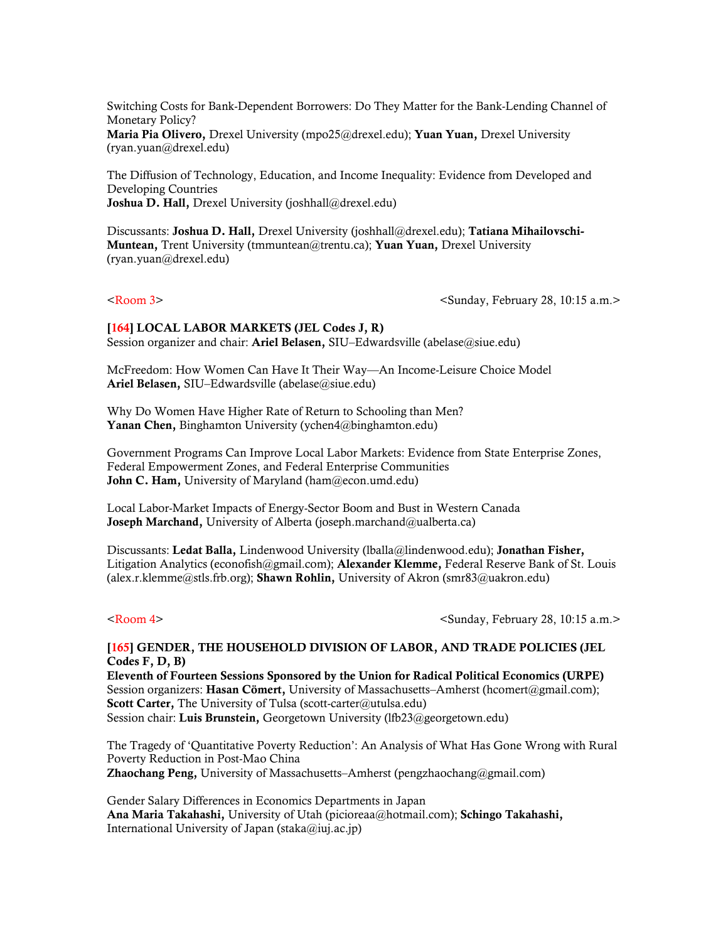Switching Costs for Bank-Dependent Borrowers: Do They Matter for the Bank-Lending Channel of Monetary Policy?

Maria Pia Olivero, Drexel University (mpo25@drexel.edu); Yuan Yuan, Drexel University (ryan.yuan@drexel.edu)

The Diffusion of Technology, Education, and Income Inequality: Evidence from Developed and Developing Countries Joshua D. Hall, Drexel University (joshhall@drexel.edu)

Discussants: Joshua D. Hall, Drexel University (joshhall@drexel.edu); Tatiana Mihailovschi-Muntean, Trent University (tmmuntean@trentu.ca); Yuan Yuan, Drexel University (ryan.yuan@drexel.edu)

<Room 3> <Sunday, February 28, 10:15 a.m.>

# [164] LOCAL LABOR MARKETS (JEL Codes J, R)

Session organizer and chair: Ariel Belasen, SIU–Edwardsville (abelase@siue.edu)

McFreedom: How Women Can Have It Their Way—An Income-Leisure Choice Model Ariel Belasen, SIU–Edwardsville (abelase@siue.edu)

Why Do Women Have Higher Rate of Return to Schooling than Men? Yanan Chen, Binghamton University (ychen4@binghamton.edu)

Government Programs Can Improve Local Labor Markets: Evidence from State Enterprise Zones, Federal Empowerment Zones, and Federal Enterprise Communities John C. Ham, University of Maryland (ham@econ.umd.edu)

Local Labor-Market Impacts of Energy-Sector Boom and Bust in Western Canada Joseph Marchand, University of Alberta (joseph.marchand@ualberta.ca)

Discussants: Ledat Balla, Lindenwood University (lballa@lindenwood.edu); Jonathan Fisher, Litigation Analytics (econofish@gmail.com); **Alexander Klemme,** Federal Reserve Bank of St. Louis (alex.r.klemme@stls.frb.org); **Shawn Rohlin,** University of Akron (smr83@uakron.edu)

<Room 4> <Sunday, February 28, 10:15 a.m.>

## [165] GENDER, THE HOUSEHOLD DIVISION OF LABOR, AND TRADE POLICIES (JEL Codes F, D, B)

Eleventh of Fourteen Sessions Sponsored by the Union for Radical Political Economics (URPE) Session organizers: Hasan Cömert, University of Massachusetts–Amherst (hcomert@gmail.com); Scott Carter, The University of Tulsa (scott-carter@utulsa.edu) Session chair: Luis Brunstein, Georgetown University (lfb23@georgetown.edu)

The Tragedy of 'Quantitative Poverty Reduction': An Analysis of What Has Gone Wrong with Rural Poverty Reduction in Post-Mao China Zhaochang Peng, University of Massachusetts–Amherst (pengzhaochang@gmail.com)

Gender Salary Differences in Economics Departments in Japan Ana Maria Takahashi, University of Utah (picioreaa@hotmail.com); Schingo Takahashi, International University of Japan (staka@iuj.ac.jp)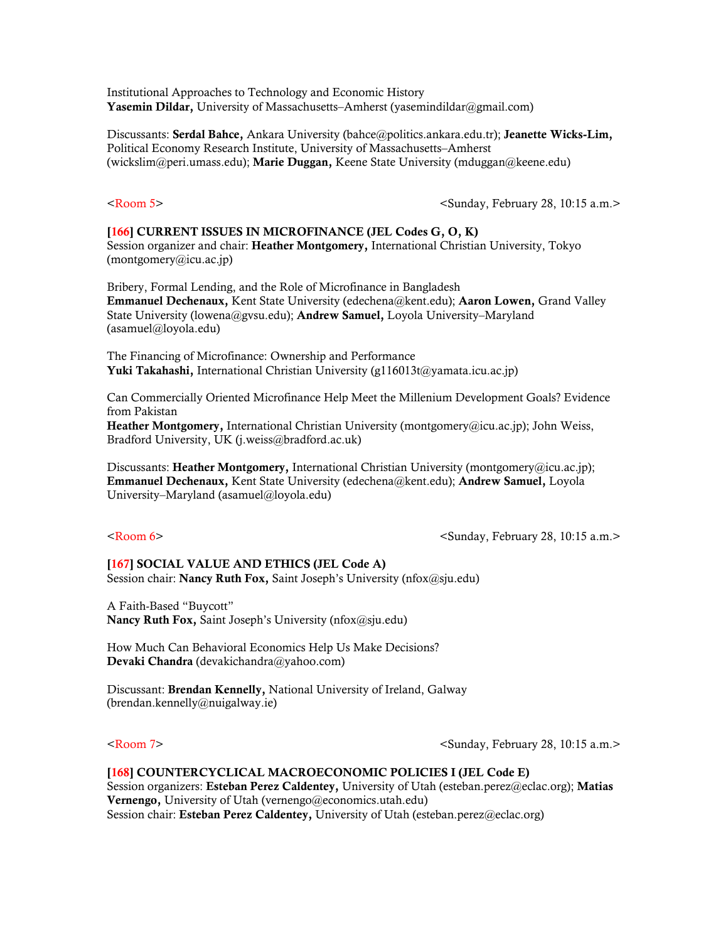Institutional Approaches to Technology and Economic History Yasemin Dildar, University of Massachusetts–Amherst (vasemindildar@gmail.com)

Discussants: Serdal Bahce, Ankara University (bahce@politics.ankara.edu.tr); Jeanette Wicks-Lim, Political Economy Research Institute, University of Massachusetts–Amherst (wickslim@peri.umass.edu); Marie Duggan, Keene State University (mduggan@keene.edu)

<Room 5> <Sunday, February 28, 10:15 a.m.>

### [166] CURRENT ISSUES IN MICROFINANCE (JEL Codes G, O, K)

Session organizer and chair: Heather Montgomery, International Christian University, Tokyo (montgomery@icu.ac.jp)

Bribery, Formal Lending, and the Role of Microfinance in Bangladesh Emmanuel Dechenaux, Kent State University (edechena@kent.edu); Aaron Lowen, Grand Valley State University (lowena@gvsu.edu); Andrew Samuel, Loyola University–Maryland (asamuel@loyola.edu)

The Financing of Microfinance: Ownership and Performance **Yuki Takahashi,** International Christian University (g116013t@yamata.icu.ac.jp)

Can Commercially Oriented Microfinance Help Meet the Millenium Development Goals? Evidence from Pakistan

Heather Montgomery, International Christian University (montgomery@icu.ac.jp); John Weiss, Bradford University, UK (j.weiss@bradford.ac.uk)

Discussants: Heather Montgomery, International Christian University (montgomery@icu.ac.jp); Emmanuel Dechenaux, Kent State University (edechena@kent.edu); Andrew Samuel, Loyola University–Maryland (asamuel@loyola.edu)

 $\leq$ Room 6>  $\leq$ Sunday, February 28, 10:15 a.m.>

## [167] SOCIAL VALUE AND ETHICS (JEL Code A) Session chair: Nancy Ruth Fox, Saint Joseph's University (nfox@sju.edu)

A Faith-Based "Buycott" Nancy Ruth Fox, Saint Joseph's University (nfox@sju.edu)

How Much Can Behavioral Economics Help Us Make Decisions? Devaki Chandra (devakichandra@yahoo.com)

Discussant: Brendan Kennelly, National University of Ireland, Galway (brendan.kennelly@nuigalway.ie)

<Room 7> <Sunday, February 28, 10:15 a.m.>

## [168] COUNTERCYCLICAL MACROECONOMIC POLICIES I (JEL Code E)

Session organizers: Esteban Perez Caldentey, University of Utah (esteban.perez@eclac.org); Matias Vernengo, University of Utah (vernengo@economics.utah.edu) Session chair: Esteban Perez Caldentey, University of Utah (esteban.perez@eclac.org)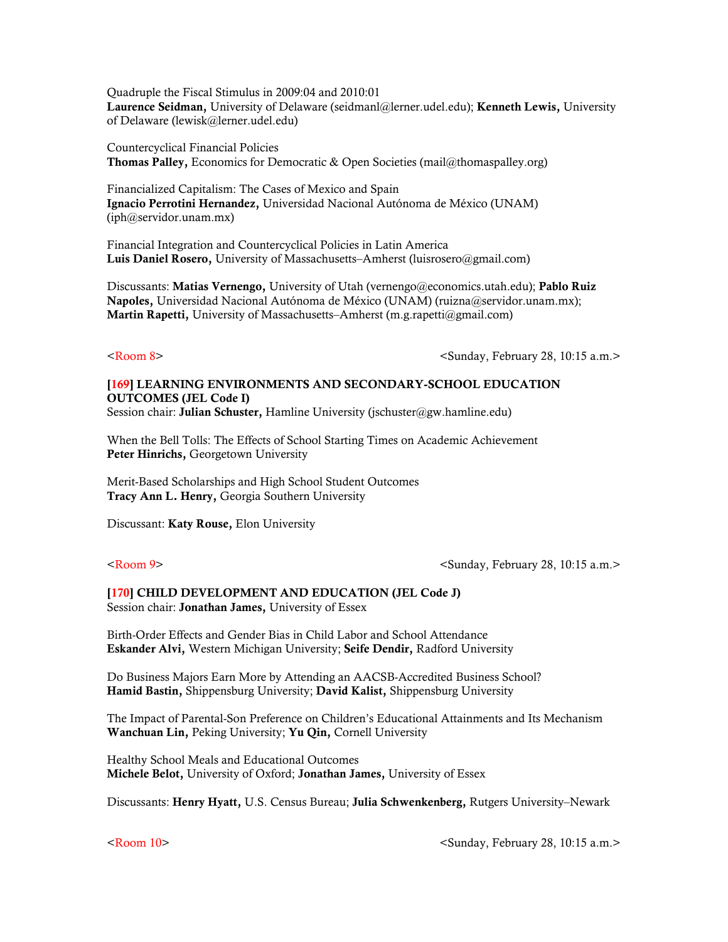Quadruple the Fiscal Stimulus in 2009:04 and 2010:01 Laurence Seidman, University of Delaware (seidmanl@lerner.udel.edu); Kenneth Lewis, University of Delaware (lewisk@lerner.udel.edu)

Countercyclical Financial Policies Thomas Palley, Economics for Democratic & Open Societies [\(mail@thomaspalley.org](mailto:mail@thomaspalley.org))

Financialized Capitalism: The Cases of Mexico and Spain Ignacio Perrotini Hernandez, Universidad Nacional Autónoma de México (UNAM) (iph@servidor.unam.mx)

Financial Integration and Countercyclical Policies in Latin America Luis Daniel Rosero, University of Massachusetts–Amherst (luisrosero@gmail.com)

Discussants: Matias Vernengo, University of Utah (vernengo@economics.utah.edu); Pablo Ruiz Napoles, Universidad Nacional Autónoma de México (UNAM) (ruizna@servidor.unam.mx); Martin Rapetti, University of Massachusetts–Amherst (m.g.rapetti@gmail.com)

<Room 8> <Sunday, February 28, 10:15 a.m.>

## [169] LEARNING ENVIRONMENTS AND SECONDARY-SCHOOL EDUCATION OUTCOMES (JEL Code I)

Session chair: Julian Schuster, Hamline University (jschuster@gw.hamline.edu)

When the Bell Tolls: The Effects of School Starting Times on Academic Achievement Peter Hinrichs, Georgetown University

Merit-Based Scholarships and High School Student Outcomes Tracy Ann L. Henry, Georgia Southern University

Discussant: Katy Rouse, Elon University

<Room 9> <Sunday, February 28, 10:15 a.m.>

### [170] CHILD DEVELOPMENT AND EDUCATION (JEL Code J) Session chair: Jonathan James, University of Essex

Birth-Order Effects and Gender Bias in Child Labor and School Attendance Eskander Alvi, Western Michigan University; Seife Dendir, Radford University

Do Business Majors Earn More by Attending an AACSB-Accredited Business School? Hamid Bastin, Shippensburg University; David Kalist, Shippensburg University

The Impact of Parental-Son Preference on Children's Educational Attainments and Its Mechanism Wanchuan Lin, Peking University; Yu Qin, Cornell University

Healthy School Meals and Educational Outcomes Michele Belot, University of Oxford; Jonathan James, University of Essex

Discussants: Henry Hyatt, U.S. Census Bureau; Julia Schwenkenberg, Rutgers University–Newark

<Room 10> <Sunday, February 28, 10:15 a.m.>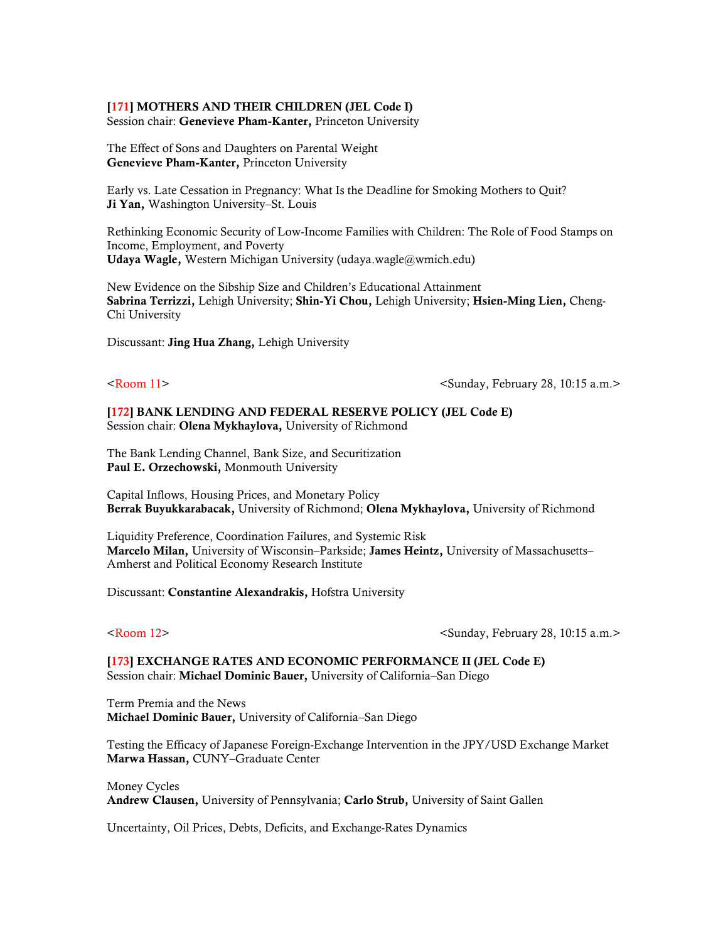### [171] MOTHERS AND THEIR CHILDREN (JEL Code I)

Session chair: Genevieve Pham-Kanter, Princeton University

The Effect of Sons and Daughters on Parental Weight Genevieve Pham-Kanter, Princeton University

Early vs. Late Cessation in Pregnancy: What Is the Deadline for Smoking Mothers to Quit? Ji Yan, Washington University–St. Louis

Rethinking Economic Security of Low-Income Families with Children: The Role of Food Stamps on Income, Employment, and Poverty Udaya Wagle, Western Michigan University (udaya.wagle@wmich.edu)

New Evidence on the Sibship Size and Children's Educational Attainment Sabrina Terrizzi, Lehigh University; Shin-Yi Chou, Lehigh University; Hsien-Ming Lien, Cheng-Chi University

Discussant: Jing Hua Zhang, Lehigh University

<Room 11> <Sunday, February 28, 10:15 a.m.>

[172] BANK LENDING AND FEDERAL RESERVE POLICY (JEL Code E) Session chair: Olena Mykhaylova, University of Richmond

The Bank Lending Channel, Bank Size, and Securitization Paul E. Orzechowski, Monmouth University

Capital Inflows, Housing Prices, and Monetary Policy Berrak Buyukkarabacak, University of Richmond; Olena Mykhaylova, University of Richmond

Liquidity Preference, Coordination Failures, and Systemic Risk Marcelo Milan, University of Wisconsin–Parkside; James Heintz, University of Massachusetts– Amherst and Political Economy Research Institute

Discussant: Constantine Alexandrakis, Hofstra University

<Room 12> <Sunday, February 28, 10:15 a.m.>

[173] EXCHANGE RATES AND ECONOMIC PERFORMANCE II (JEL Code E) Session chair: Michael Dominic Bauer, University of California–San Diego

Term Premia and the News Michael Dominic Bauer, University of California–San Diego

Testing the Efficacy of Japanese Foreign-Exchange Intervention in the JPY/USD Exchange Market Marwa Hassan, CUNY–Graduate Center

Money Cycles Andrew Clausen, University of Pennsylvania; Carlo Strub, University of Saint Gallen

Uncertainty, Oil Prices, Debts, Deficits, and Exchange-Rates Dynamics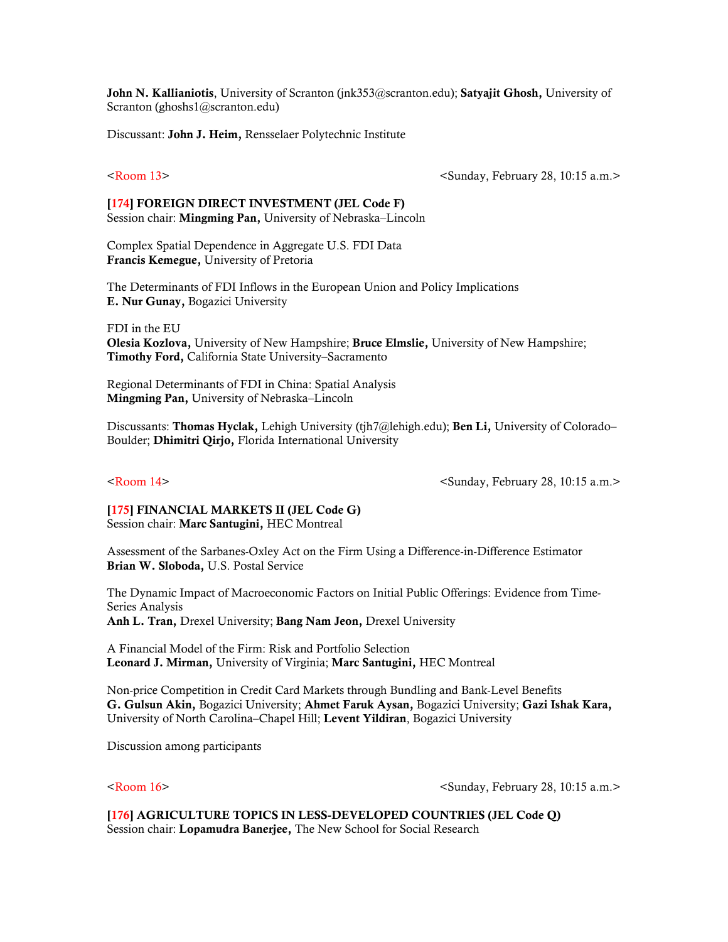John N. Kallianiotis, University of Scranton (jnk353@scranton.edu); Satyajit Ghosh, University of Scranton (ghoshs1@scranton.edu)

Discussant: John J. Heim, Rensselaer Polytechnic Institute

<Room 13> <Sunday, February 28, 10:15 a.m.>

### [174] FOREIGN DIRECT INVESTMENT (JEL Code F) Session chair: Mingming Pan, University of Nebraska–Lincoln

Complex Spatial Dependence in Aggregate U.S. FDI Data Francis Kemegue, University of Pretoria

The Determinants of FDI Inflows in the European Union and Policy Implications E. Nur Gunay, Bogazici University

FDI in the EU Olesia Kozlova, University of New Hampshire; Bruce Elmslie, University of New Hampshire; Timothy Ford, California State University–Sacramento

Regional Determinants of FDI in China: Spatial Analysis Mingming Pan, University of Nebraska–Lincoln

Discussants: Thomas Hyclak, Lehigh University (tjh7@lehigh.edu); Ben Li, University of Colorado– Boulder; Dhimitri Qirjo, Florida International University

<Room 14> <Sunday, February 28, 10:15 a.m.>

## [175] FINANCIAL MARKETS II (JEL Code G)

Session chair: Marc Santugini, HEC Montreal

Assessment of the Sarbanes-Oxley Act on the Firm Using a Difference-in-Difference Estimator Brian W. Sloboda, U.S. Postal Service

The Dynamic Impact of Macroeconomic Factors on Initial Public Offerings: Evidence from Time-Series Analysis Anh L. Tran, Drexel University; Bang Nam Jeon, Drexel University

A Financial Model of the Firm: Risk and Portfolio Selection Leonard J. Mirman, University of Virginia; Marc Santugini, HEC Montreal

Non-price Competition in Credit Card Markets through Bundling and Bank-Level Benefits G. Gulsun Akin, Bogazici University; Ahmet Faruk Aysan, Bogazici University; Gazi Ishak Kara, University of North Carolina–Chapel Hill; Levent Yildiran, Bogazici University

Discussion among participants

<Room 16> <Sunday, February 28, 10:15 a.m.>

[176] AGRICULTURE TOPICS IN LESS-DEVELOPED COUNTRIES (JEL Code Q) Session chair: Lopamudra Banerjee, The New School for Social Research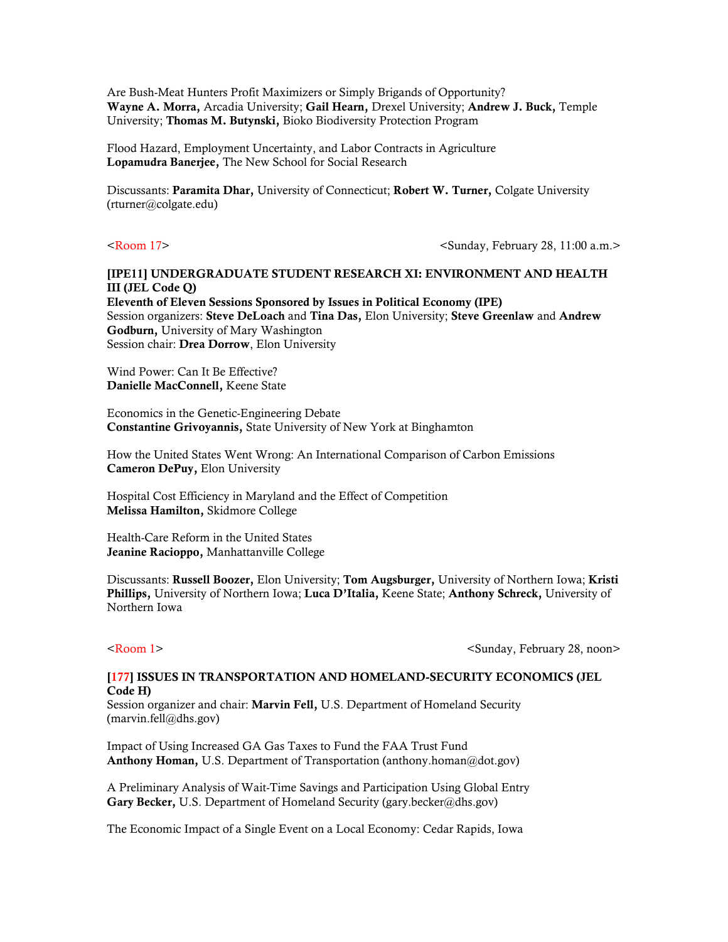Are Bush-Meat Hunters Profit Maximizers or Simply Brigands of Opportunity? Wayne A. Morra, Arcadia University; Gail Hearn, Drexel University; Andrew J. Buck, Temple University; Thomas M. Butynski, Bioko Biodiversity Protection Program

Flood Hazard, Employment Uncertainty, and Labor Contracts in Agriculture Lopamudra Banerjee, The New School for Social Research

Discussants: Paramita Dhar, University of Connecticut; Robert W. Turner, Colgate University (rturner@colgate.edu)

<Room 17> <Sunday, February 28, 11:00 a.m.>

## [IPE11] UNDERGRADUATE STUDENT RESEARCH XI: ENVIRONMENT AND HEALTH III (JEL Code Q)

Eleventh of Eleven Sessions Sponsored by Issues in Political Economy (IPE) Session organizers: Steve DeLoach and Tina Das, Elon University; Steve Greenlaw and Andrew Godburn, University of Mary Washington Session chair: Drea Dorrow, Elon University

Wind Power: Can It Be Effective? Danielle MacConnell, Keene State

Economics in the Genetic-Engineering Debate Constantine Grivoyannis, State University of New York at Binghamton

How the United States Went Wrong: An International Comparison of Carbon Emissions Cameron DePuy, Elon University

Hospital Cost Efficiency in Maryland and the Effect of Competition Melissa Hamilton, Skidmore College

Health-Care Reform in the United States Jeanine Racioppo, Manhattanville College

Discussants: Russell Boozer, Elon University; Tom Augsburger, University of Northern Iowa; Kristi Phillips, University of Northern Iowa; Luca D'Italia, Keene State; Anthony Schreck, University of Northern Iowa

<Room 1> <Sunday, February 28, noon>

## [177] ISSUES IN TRANSPORTATION AND HOMELAND-SECURITY ECONOMICS (JEL Code H)

Session organizer and chair: Marvin Fell, U.S. Department of Homeland Security (marvin.fell@dhs.gov)

Impact of Using Increased GA Gas Taxes to Fund the FAA Trust Fund Anthony Homan, U.S. Department of Transportation (anthony.homan@dot.gov)

A Preliminary Analysis of Wait-Time Savings and Participation Using Global Entry Gary Becker, U.S. Department of Homeland Security (gary.becker@dhs.gov)

The Economic Impact of a Single Event on a Local Economy: Cedar Rapids, Iowa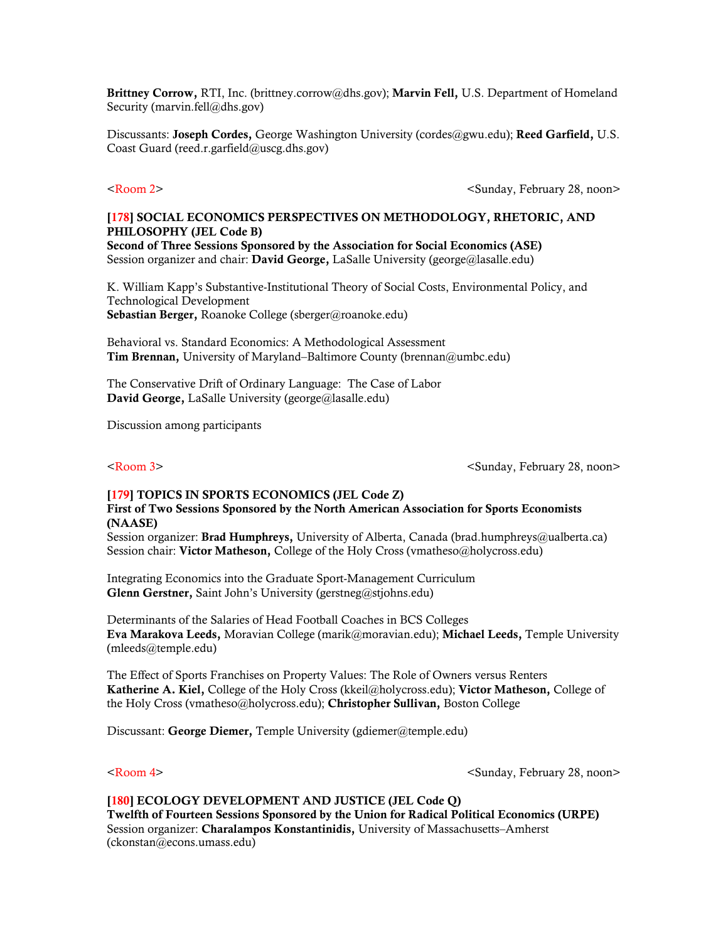Brittney Corrow, RTI, Inc. (brittney.corrow@dhs.gov); Marvin Fell, U.S. Department of Homeland Security (marvin.fell@dhs.gov)

Discussants: Joseph Cordes, George Washington University (cordes@gwu.edu); Reed Garfield, U.S. Coast Guard (reed.r.garfield@uscg.dhs.gov)

<Room 2> <Sunday, February 28, noon>

## [178] SOCIAL ECONOMICS PERSPECTIVES ON METHODOLOGY, RHETORIC, AND PHILOSOPHY (JEL Code B)

Second of Three Sessions Sponsored by the Association for Social Economics (ASE) Session organizer and chair: David George, LaSalle University (george@lasalle.edu)

K. William Kapp's Substantive-Institutional Theory of Social Costs, Environmental Policy, and Technological Development Sebastian Berger, Roanoke College (sberger@roanoke.edu)

Behavioral vs. Standard Economics: A Methodological Assessment Tim Brennan, University of Maryland–Baltimore County (brennan@umbc.edu)

The Conservative Drift of Ordinary Language: The Case of Labor David George, LaSalle University (george@lasalle.edu)

Discussion among participants

<Room 3> <Sunday, February 28, noon>

### [179] TOPICS IN SPORTS ECONOMICS (JEL Code Z) First of Two Sessions Sponsored by the North American Association for Sports Economists (NAASE)

Session organizer: Brad Humphreys, University of Alberta, Canada (brad.humphreys@ualberta.ca) Session chair: Victor Matheson, College of the Holy Cross (vmatheso@holycross.edu)

Integrating Economics into the Graduate Sport-Management Curriculum Glenn Gerstner, Saint John's University (gerstneg@stjohns.edu)

Determinants of the Salaries of Head Football Coaches in BCS Colleges Eva Marakova Leeds, Moravian College (marik@moravian.edu); Michael Leeds, Temple University (mleeds@temple.edu)

The Effect of Sports Franchises on Property Values: The Role of Owners versus Renters Katherine A. Kiel, College of the Holy Cross (kkeil@holycross.edu); Victor Matheson, College of the Holy Cross (vmatheso@holycross.edu); Christopher Sullivan, Boston College

Discussant: George Diemer, Temple University (gdiemer@temple.edu)

<Room 4> <Sunday, February 28, noon>

[180] ECOLOGY DEVELOPMENT AND JUSTICE (JEL Code Q) Twelfth of Fourteen Sessions Sponsored by the Union for Radical Political Economics (URPE) Session organizer: Charalampos Konstantinidis, University of Massachusetts–Amherst (ckonstan@econs.umass.edu)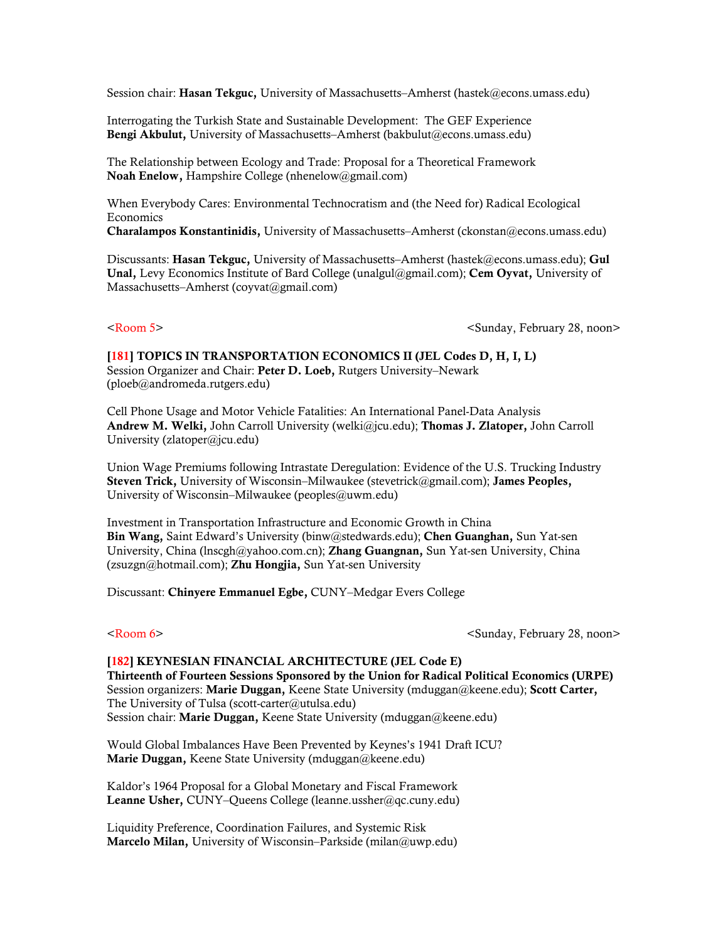Session chair: Hasan Tekguc, University of Massachusetts–Amherst (hastek@econs.umass.edu)

Interrogating the Turkish State and Sustainable Development: The GEF Experience Bengi Akbulut, University of Massachusetts–Amherst (bakbulut@econs.umass.edu)

The Relationship between Ecology and Trade: Proposal for a Theoretical Framework Noah Enelow, Hampshire College (nhenelow@gmail.com)

When Everybody Cares: Environmental Technocratism and (the Need for) Radical Ecological Economics

Charalampos Konstantinidis, University of Massachusetts–Amherst (ckonstan@econs.umass.edu)

Discussants: Hasan Tekguc, University of Massachusetts–Amherst (hastek@econs.umass.edu); Gul Unal, Levy Economics Institute of Bard College (unalgul@gmail.com); Cem Oyvat, University of Massachusetts–Amherst (coyvat@gmail.com)

<Room 5> <Sunday, February 28, noon>

[181] TOPICS IN TRANSPORTATION ECONOMICS II (JEL Codes D, H, I, L) Session Organizer and Chair: Peter D. Loeb, Rutgers University–Newark (ploeb@andromeda.rutgers.edu)

Cell Phone Usage and Motor Vehicle Fatalities: An International Panel-Data Analysis Andrew M. Welki, John Carroll University (welki@jcu.edu); Thomas J. Zlatoper, John Carroll University (zlatoper@jcu.edu)

Union Wage Premiums following Intrastate Deregulation: Evidence of the U.S. Trucking Industry Steven Trick, University of Wisconsin–Milwaukee (stevetrick@gmail.com); James Peoples, University of Wisconsin–Milwaukee (peoples@uwm.edu)

Investment in Transportation Infrastructure and Economic Growth in China Bin Wang, Saint Edward's University (binw@stedwards.edu); Chen Guanghan, Sun Yat-sen University, China (lnscgh@yahoo.com.cn); Zhang Guangnan, Sun Yat-sen University, China (zsuzgn@hotmail.com); Zhu Hongjia, Sun Yat-sen University

Discussant: Chinyere Emmanuel Egbe, CUNY–Medgar Evers College

<Room 6> <Sunday, February 28, noon>

[182] KEYNESIAN FINANCIAL ARCHITECTURE (JEL Code E) Thirteenth of Fourteen Sessions Sponsored by the Union for Radical Political Economics (URPE) Session organizers: Marie Duggan, Keene State University (mduggan@keene.edu); Scott Carter, The University of Tulsa (scott-carter@utulsa.edu) Session chair: Marie Duggan, Keene State University (mduggan@keene.edu)

Would Global Imbalances Have Been Prevented by Keynes's 1941 Draft ICU? Marie Duggan, Keene State University (mduggan@keene.edu)

Kaldor's 1964 Proposal for a Global Monetary and Fiscal Framework Leanne Usher, CUNY–Queens College (leanne.ussher@qc.cuny.edu)

Liquidity Preference, Coordination Failures, and Systemic Risk Marcelo Milan, University of Wisconsin–Parkside (milan@uwp.edu)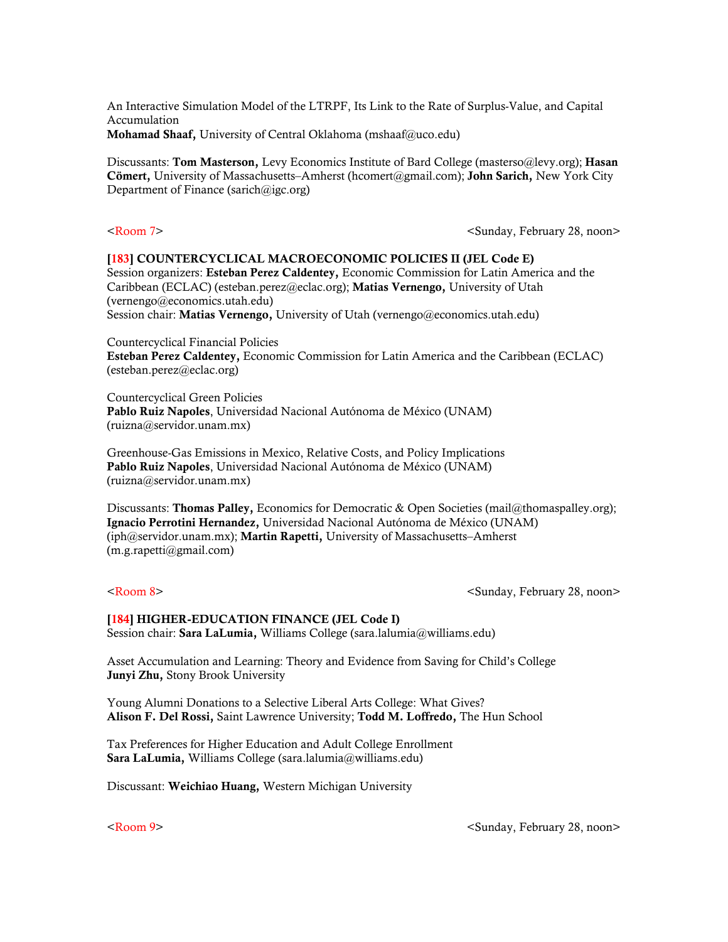An Interactive Simulation Model of the LTRPF, Its Link to the Rate of Surplus-Value, and Capital Accumulation Mohamad Shaaf, University of Central Oklahoma (mshaaf@uco.edu)

Discussants: Tom Masterson, Levy Economics Institute of Bard College (masterso@levy.org); Hasan Cömert, University of Massachusetts–Amherst (hcomert@gmail.com); John Sarich, New York City Department of Finance (sarich@igc.org)

 $\leq$ Room 7>  $\leq$ Sunday, February 28, noon>

### [183] COUNTERCYCLICAL MACROECONOMIC POLICIES II (JEL Code E)

Session organizers: Esteban Perez Caldentey, Economic Commission for Latin America and the Caribbean (ECLAC) (esteban.perez@eclac.org); Matias Vernengo, University of Utah (vernengo@economics.utah.edu)

Session chair: Matias Vernengo, University of Utah (vernengo@economics.utah.edu)

Countercyclical Financial Policies

Esteban Perez Caldentey, Economic Commission for Latin America and the Caribbean (ECLAC) (esteban.perez@eclac.org)

Countercyclical Green Policies Pablo Ruiz Napoles, Universidad Nacional Autónoma de México (UNAM) (ruizna@servidor.unam.mx)

Greenhouse-Gas Emissions in Mexico, Relative Costs, and Policy Implications Pablo Ruiz Napoles, Universidad Nacional Autónoma de México (UNAM) (ruizna@servidor.unam.mx)

Discussants: **Thomas Palley**, Economics for Democratic & Open Societies [\(mail@thomaspalley.org\)](mailto:mail@thomaspalley.org); Ignacio Perrotini Hernandez, Universidad Nacional Autónoma de México (UNAM) (iph@servidor.unam.mx); Martin Rapetti, University of Massachusetts–Amherst (m.g.rapetti@gmail.com)

<Room 8> <Sunday, February 28, noon>

### [184] HIGHER-EDUCATION FINANCE (JEL Code I) Session chair: Sara LaLumia, Williams College (sara.lalumia@williams.edu)

Asset Accumulation and Learning: Theory and Evidence from Saving for Child's College Junyi Zhu, Stony Brook University

Young Alumni Donations to a Selective Liberal Arts College: What Gives? Alison F. Del Rossi, Saint Lawrence University; Todd M. Loffredo, The Hun School

Tax Preferences for Higher Education and Adult College Enrollment Sara LaLumia, Williams College (sara.lalumia@williams.edu)

Discussant: Weichiao Huang, Western Michigan University

<Room 9> <Sunday, February 28, noon>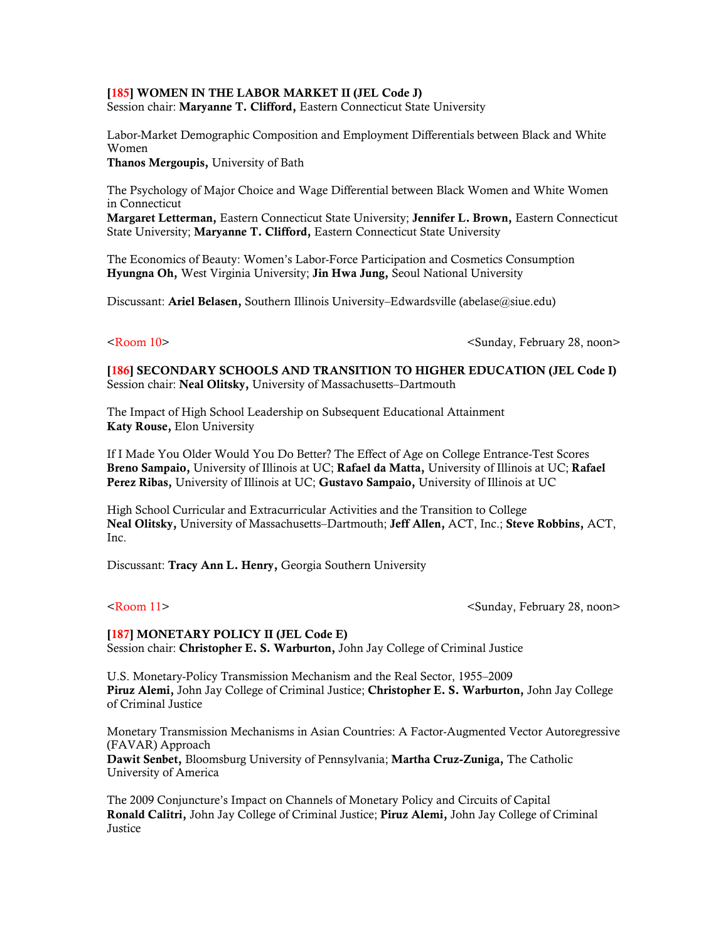### [185] WOMEN IN THE LABOR MARKET II (JEL Code J)

Session chair: Maryanne T. Clifford, Eastern Connecticut State University

Labor-Market Demographic Composition and Employment Differentials between Black and White Women

Thanos Mergoupis, University of Bath

The Psychology of Major Choice and Wage Differential between Black Women and White Women in Connecticut

Margaret Letterman, Eastern Connecticut State University; Jennifer L. Brown, Eastern Connecticut State University; Maryanne T. Clifford, Eastern Connecticut State University

The Economics of Beauty: Women's Labor-Force Participation and Cosmetics Consumption Hyungna Oh, West Virginia University; Jin Hwa Jung, Seoul National University

Discussant: Ariel Belasen, Southern Illinois University–Edwardsville (abelase@siue.edu)

<Room 10> <Sunday, February 28, noon>

[186] SECONDARY SCHOOLS AND TRANSITION TO HIGHER EDUCATION (JEL Code I) Session chair: Neal Olitsky, University of Massachusetts–Dartmouth

The Impact of High School Leadership on Subsequent Educational Attainment Katy Rouse, Elon University

If I Made You Older Would You Do Better? The Effect of Age on College Entrance-Test Scores Breno Sampaio, University of Illinois at UC; Rafael da Matta, University of Illinois at UC; Rafael Perez Ribas, University of Illinois at UC; Gustavo Sampaio, University of Illinois at UC

High School Curricular and Extracurricular Activities and the Transition to College Neal Olitsky, University of Massachusetts–Dartmouth; Jeff Allen, ACT, Inc.; Steve Robbins, ACT, Inc.

Discussant: Tracy Ann L. Henry, Georgia Southern University

<Room 11> <Sunday, February 28, noon>

[187] MONETARY POLICY II (JEL Code E) Session chair: Christopher E. S. Warburton, John Jay College of Criminal Justice

U.S. Monetary-Policy Transmission Mechanism and the Real Sector, 1955–2009 Piruz Alemi, John Jay College of Criminal Justice; Christopher E. S. Warburton, John Jay College of Criminal Justice

Monetary Transmission Mechanisms in Asian Countries: A Factor-Augmented Vector Autoregressive (FAVAR) Approach Dawit Senbet, Bloomsburg University of Pennsylvania; Martha Cruz-Zuniga, The Catholic University of America

The 2009 Conjuncture's Impact on Channels of Monetary Policy and Circuits of Capital Ronald Calitri, John Jay College of Criminal Justice; Piruz Alemi, John Jay College of Criminal Justice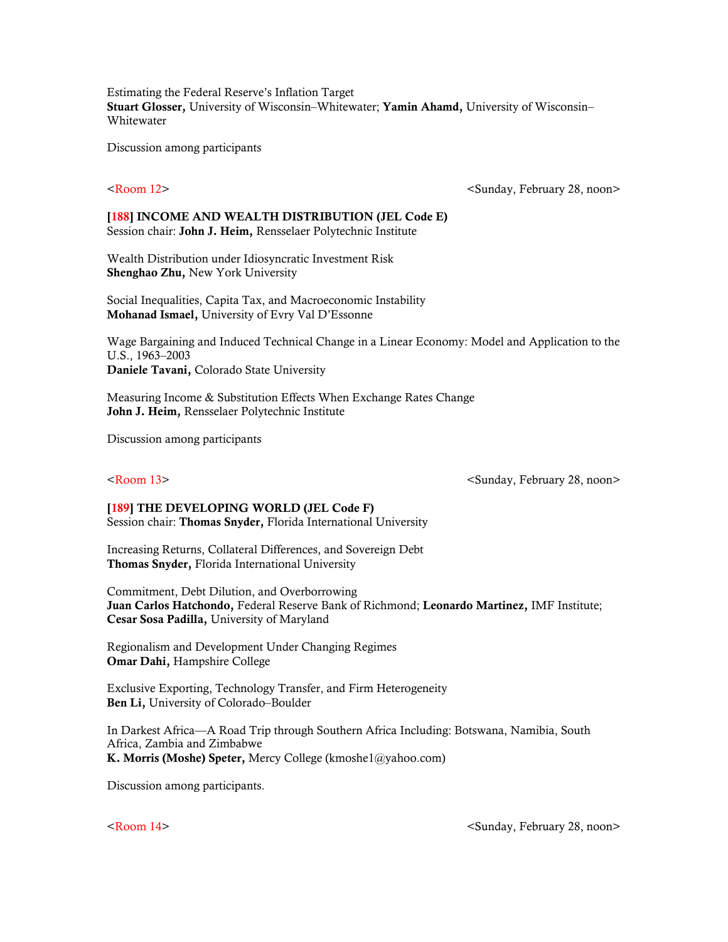Estimating the Federal Reserve's Inflation Target Stuart Glosser, University of Wisconsin–Whitewater; Yamin Ahamd, University of Wisconsin– Whitewater

Discussion among participants

<Room 12> <Sunday, February 28, noon>

### [188] INCOME AND WEALTH DISTRIBUTION (JEL Code E) Session chair: John J. Heim, Rensselaer Polytechnic Institute

Wealth Distribution under Idiosyncratic Investment Risk Shenghao Zhu, New York University

Social Inequalities, Capita Tax, and Macroeconomic Instability Mohanad Ismael, University of Evry Val D'Essonne

Wage Bargaining and Induced Technical Change in a Linear Economy: Model and Application to the U.S., 1963–2003 Daniele Tavani, Colorado State University

Measuring Income & Substitution Effects When Exchange Rates Change John J. Heim, Rensselaer Polytechnic Institute

Discussion among participants

<Room 13> <Sunday, February 28, noon>

[189] THE DEVELOPING WORLD (JEL Code F) Session chair: Thomas Snyder, Florida International University

Increasing Returns, Collateral Differences, and Sovereign Debt Thomas Snyder, Florida International University

Commitment, Debt Dilution, and Overborrowing Juan Carlos Hatchondo, Federal Reserve Bank of Richmond; Leonardo Martinez, IMF Institute; Cesar Sosa Padilla, University of Maryland

Regionalism and Development Under Changing Regimes Omar Dahi, Hampshire College

Exclusive Exporting, Technology Transfer, and Firm Heterogeneity Ben Li, University of Colorado–Boulder

In Darkest Africa—A Road Trip through Southern Africa Including: Botswana, Namibia, South Africa, Zambia and Zimbabwe K. Morris (Moshe) Speter, Mercy College (kmoshe1@yahoo.com)

Discussion among participants.

<Room 14> <Sunday, February 28, noon>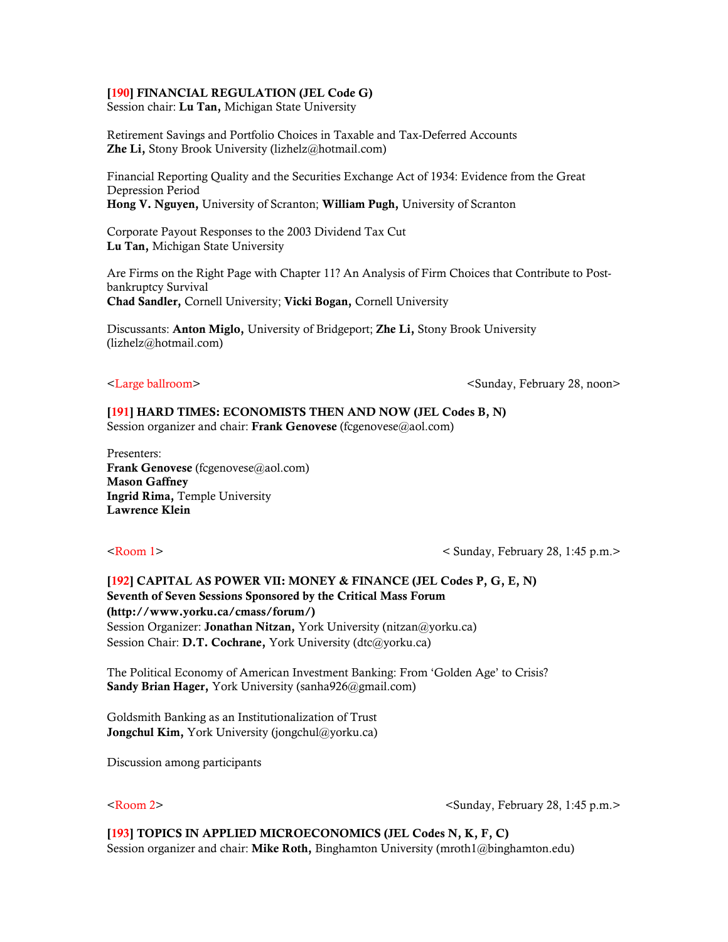### [190] FINANCIAL REGULATION (JEL Code G)

Session chair: Lu Tan, Michigan State University

Retirement Savings and Portfolio Choices in Taxable and Tax-Deferred Accounts Zhe Li, Stony Brook University (lizhelz@hotmail.com)

Financial Reporting Quality and the Securities Exchange Act of 1934: Evidence from the Great Depression Period Hong V. Nguyen, University of Scranton; William Pugh, University of Scranton

Corporate Payout Responses to the 2003 Dividend Tax Cut Lu Tan, Michigan State University

Are Firms on the Right Page with Chapter 11? An Analysis of Firm Choices that Contribute to Postbankruptcy Survival Chad Sandler, Cornell University; Vicki Bogan, Cornell University

Discussants: **Anton Miglo,** University of Bridgeport; **Zhe Li,** Stony Brook University (lizhelz@hotmail.com)

<Large ballroom>  $\leq$   $\leq$   $\leq$   $\leq$   $\leq$   $\leq$   $\leq$   $\leq$   $\leq$   $\leq$   $\leq$   $\leq$   $\leq$   $\leq$   $\leq$   $\leq$   $\leq$   $\leq$   $\leq$   $\leq$   $\leq$   $\leq$   $\leq$   $\leq$   $\leq$   $\leq$   $\leq$   $\leq$   $\leq$   $\leq$   $\leq$   $\leq$   $\leq$   $\leq$ 

## [191] HARD TIMES: ECONOMISTS THEN AND NOW (JEL Codes B, N)

Session organizer and chair: Frank Genovese (fcgenovese@aol.com)

Presenters: Frank Genovese (fcgenovese@aol.com) Mason Gaffney Ingrid Rima, Temple University Lawrence Klein

<Room 1> < Sunday, February 28, 1:45 p.m.>

[192] CAPITAL AS POWER VII: MONEY & FINANCE (JEL Codes P, G, E, N) Seventh of Seven Sessions Sponsored by the Critical Mass Forum (http://www.yorku.ca/cmass/forum/) Session Organizer: Jonathan Nitzan, York University (nitzan@yorku.ca) Session Chair: D.T. Cochrane, York University (dtc@yorku.ca)

The Political Economy of American Investment Banking: From 'Golden Age' to Crisis? Sandy Brian Hager, York University (sanha926@gmail.com)

Goldsmith Banking as an Institutionalization of Trust Jongchul Kim, York University (jongchul@yorku.ca)

Discussion among participants

<Room 2> <Sunday, February 28, 1:45 p.m.>

### [193] TOPICS IN APPLIED MICROECONOMICS (JEL Codes N, K, F, C)

Session organizer and chair: Mike Roth, Binghamton University (mroth1@binghamton.edu)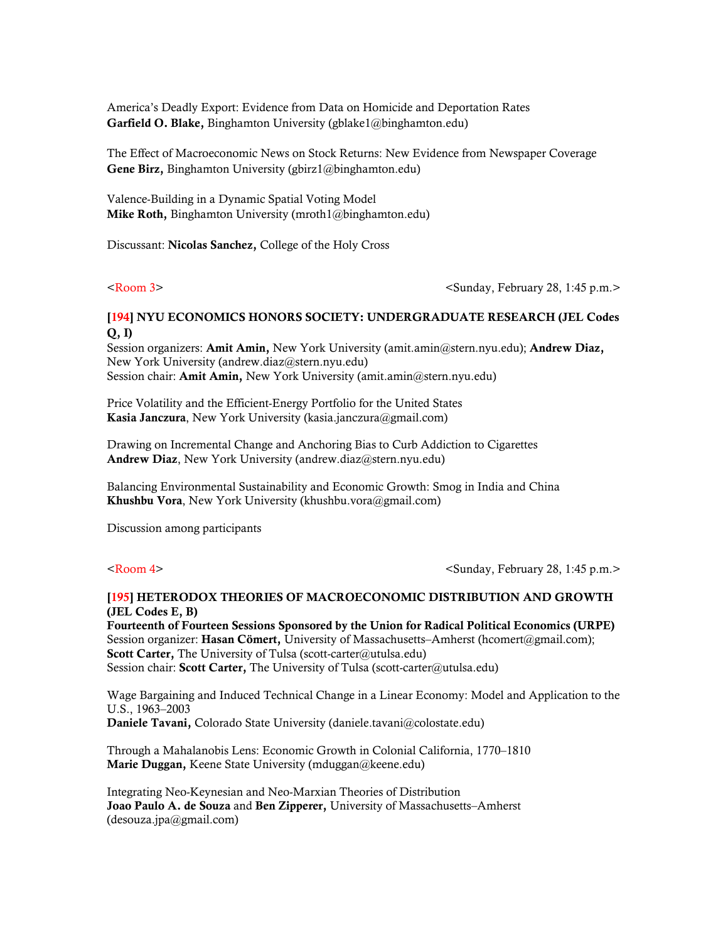America's Deadly Export: Evidence from Data on Homicide and Deportation Rates Garfield O. Blake, Binghamton University (gblake1@binghamton.edu)

The Effect of Macroeconomic News on Stock Returns: New Evidence from Newspaper Coverage Gene Birz, Binghamton University (gbirz1@binghamton.edu)

Valence-Building in a Dynamic Spatial Voting Model Mike Roth, Binghamton University (mroth $1$ @binghamton.edu)

Discussant: Nicolas Sanchez, College of the Holy Cross

<Room 3> <Sunday, February 28, 1:45 p.m.>

## [194] NYU ECONOMICS HONORS SOCIETY: UNDERGRADUATE RESEARCH (JEL Codes Q, I)

Session organizers: Amit Amin, New York University (amit.amin@stern.nyu.edu); Andrew Diaz, New York University (andrew.diaz@stern.nyu.edu) Session chair: Amit Amin, New York University (amit.amin@stern.nyu.edu)

Price Volatility and the Efficient-Energy Portfolio for the United States Kasia Janczura, New York University (kasia.janczura@gmail.com)

Drawing on Incremental Change and Anchoring Bias to Curb Addiction to Cigarettes Andrew Diaz, New York University (andrew.diaz@stern.nyu.edu)

Balancing Environmental Sustainability and Economic Growth: Smog in India and China Khushbu Vora, New York University (khushbu.vora@gmail.com)

Discussion among participants

<Room 4> <Sunday, February 28, 1:45 p.m.>

### [195] HETERODOX THEORIES OF MACROECONOMIC DISTRIBUTION AND GROWTH (JEL Codes E, B)

Fourteenth of Fourteen Sessions Sponsored by the Union for Radical Political Economics (URPE) Session organizer: Hasan Cömert, University of Massachusetts–Amherst (hcomert@gmail.com); Scott Carter, The University of Tulsa (scott-carter@utulsa.edu) Session chair: Scott Carter, The University of Tulsa (scott-carter@utulsa.edu)

Wage Bargaining and Induced Technical Change in a Linear Economy: Model and Application to the U.S., 1963–2003 Daniele Tavani, Colorado State University (daniele.tavani@colostate.edu)

Through a Mahalanobis Lens: Economic Growth in Colonial California, 1770–1810 Marie Duggan, Keene State University (mduggan@keene.edu)

Integrating Neo-Keynesian and Neo-Marxian Theories of Distribution Joao Paulo A. de Souza and Ben Zipperer, University of Massachusetts–Amherst (desouza.jpa@gmail.com)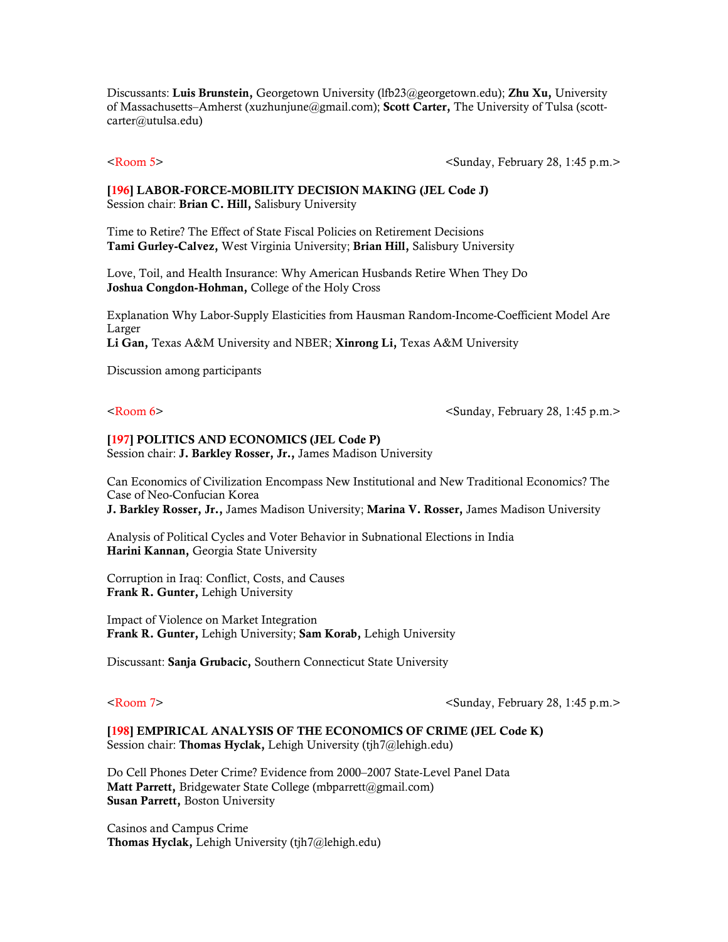Discussants: Luis Brunstein, Georgetown University (lfb23@georgetown.edu); Zhu Xu, University of Massachusetts–Amherst (xuzhunjune@gmail.com); Scott Carter, The University of Tulsa (scottcarter@utulsa.edu)

<Room 5> <Sunday, February 28, 1:45 p.m.>

### [196] LABOR-FORCE-MOBILITY DECISION MAKING (JEL Code J) Session chair: Brian C. Hill, Salisbury University

Time to Retire? The Effect of State Fiscal Policies on Retirement Decisions Tami Gurley-Calvez, West Virginia University; Brian Hill, Salisbury University

Love, Toil, and Health Insurance: Why American Husbands Retire When They Do Joshua Congdon-Hohman, College of the Holy Cross

Explanation Why Labor-Supply Elasticities from Hausman Random-Income-Coefficient Model Are Larger Li Gan, Texas A&M University and NBER; Xinrong Li, Texas A&M University

Discussion among participants

<Room 6> <Sunday, February 28, 1:45 p.m.>

## [197] POLITICS AND ECONOMICS (JEL Code P)

Session chair: J. Barkley Rosser, Jr., James Madison University

Can Economics of Civilization Encompass New Institutional and New Traditional Economics? The Case of Neo-Confucian Korea J. Barkley Rosser, Jr., James Madison University; Marina V. Rosser, James Madison University

Analysis of Political Cycles and Voter Behavior in Subnational Elections in India Harini Kannan, Georgia State University

Corruption in Iraq: Conflict, Costs, and Causes Frank R. Gunter, Lehigh University

Impact of Violence on Market Integration Frank R. Gunter, Lehigh University; Sam Korab, Lehigh University

Discussant: Sanja Grubacic, Southern Connecticut State University

<Room 7> <Sunday, February 28, 1:45 p.m.>

[198] EMPIRICAL ANALYSIS OF THE ECONOMICS OF CRIME (JEL Code K) Session chair: Thomas Hyclak, Lehigh University (tjh7@lehigh.edu)

Do Cell Phones Deter Crime? Evidence from 2000–2007 State-Level Panel Data Matt Parrett, Bridgewater State College (mbparrett@gmail.com) Susan Parrett, Boston University

Casinos and Campus Crime Thomas Hyclak, Lehigh University (tjh7@lehigh.edu)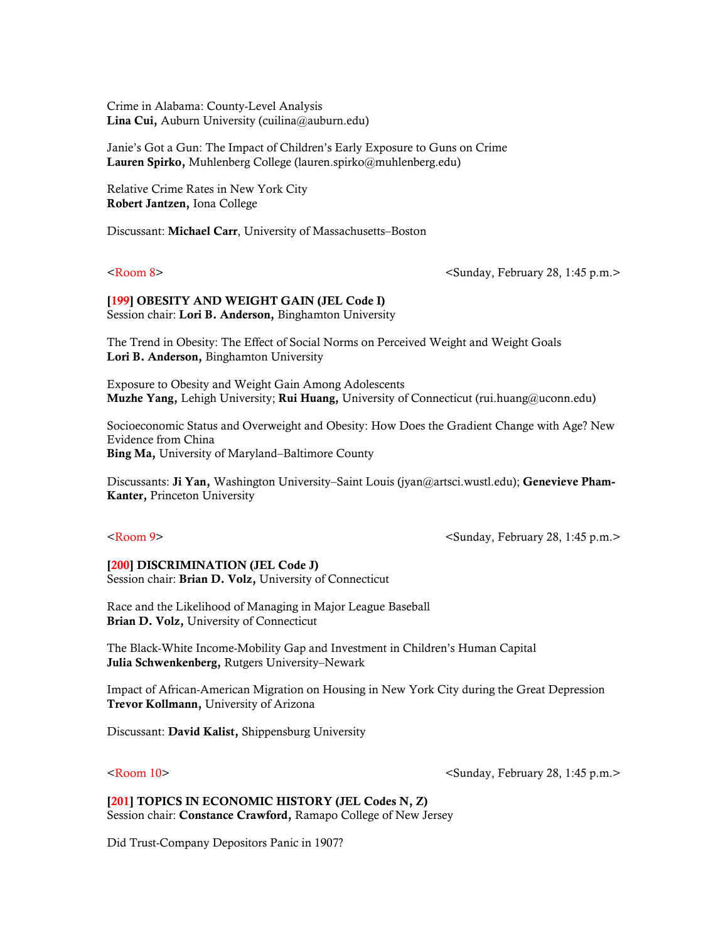Crime in Alabama: County-Level Analysis Lina Cui, Auburn University (cuilina@auburn.edu)

Janie's Got a Gun: The Impact of Children's Early Exposure to Guns on Crime Lauren Spirko, Muhlenberg College (lauren.spirko@muhlenberg.edu)

Relative Crime Rates in New York City Robert Jantzen, Iona College

Discussant: Michael Carr, University of Massachusetts–Boston

<Room 8> <Sunday, February 28, 1:45 p.m.>

[199] OBESITY AND WEIGHT GAIN (JEL Code I) Session chair: Lori B. Anderson, Binghamton University

The Trend in Obesity: The Effect of Social Norms on Perceived Weight and Weight Goals Lori B. Anderson, Binghamton University

Exposure to Obesity and Weight Gain Among Adolescents Muzhe Yang, Lehigh University; Rui Huang, University of Connecticut (rui.huang@uconn.edu)

Socioeconomic Status and Overweight and Obesity: How Does the Gradient Change with Age? New Evidence from China Bing Ma, University of Maryland–Baltimore County

Discussants: Ji Yan, Washington University–Saint Louis (jyan@artsci.wustl.edu); Genevieve Pham-Kanter, Princeton University

<Room 9> <Sunday, February 28, 1:45 p.m.>

[200] DISCRIMINATION (JEL Code J) Session chair: Brian D. Volz, University of Connecticut

Race and the Likelihood of Managing in Major League Baseball Brian D. Volz, University of Connecticut

The Black-White Income-Mobility Gap and Investment in Children's Human Capital Julia Schwenkenberg, Rutgers University–Newark

Impact of African-American Migration on Housing in New York City during the Great Depression Trevor Kollmann, University of Arizona

Discussant: David Kalist, Shippensburg University

<Room 10> <Sunday, February 28, 1:45 p.m.>

[201] TOPICS IN ECONOMIC HISTORY (JEL Codes N, Z) Session chair: Constance Crawford, Ramapo College of New Jersey

Did Trust-Company Depositors Panic in 1907?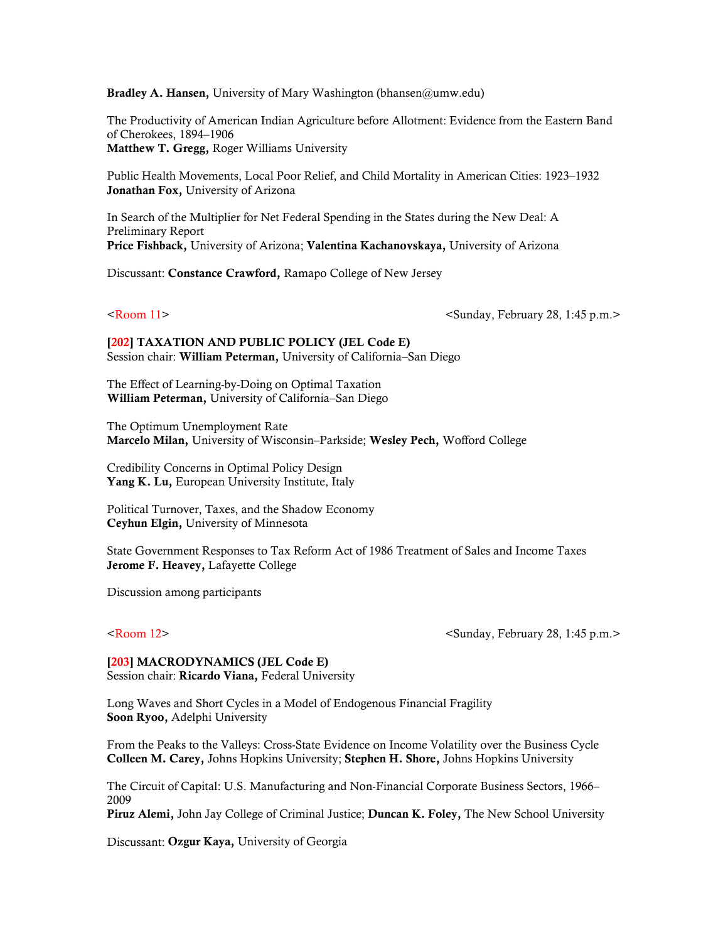Bradley A. Hansen, University of Mary Washington (bhansen@umw.edu)

The Productivity of American Indian Agriculture before Allotment: Evidence from the Eastern Band of Cherokees, 1894–1906 Matthew T. Gregg, Roger Williams University

Public Health Movements, Local Poor Relief, and Child Mortality in American Cities: 1923–1932 Jonathan Fox, University of Arizona

In Search of the Multiplier for Net Federal Spending in the States during the New Deal: A Preliminary Report Price Fishback, University of Arizona; Valentina Kachanovskaya, University of Arizona

Discussant: Constance Crawford, Ramapo College of New Jersey

<Room 11> <Sunday, February 28, 1:45 p.m.>

[202] TAXATION AND PUBLIC POLICY (JEL Code E) Session chair: William Peterman, University of California–San Diego

The Effect of Learning-by-Doing on Optimal Taxation William Peterman, University of California–San Diego

The Optimum Unemployment Rate Marcelo Milan, University of Wisconsin–Parkside; Wesley Pech, Wofford College

Credibility Concerns in Optimal Policy Design Yang K. Lu, European University Institute, Italy

Political Turnover, Taxes, and the Shadow Economy Ceyhun Elgin, University of Minnesota

State Government Responses to Tax Reform Act of 1986 Treatment of Sales and Income Taxes Jerome F. Heavey, Lafayette College

Discussion among participants

<Room 12> <Sunday, February 28, 1:45 p.m.>

[203] MACRODYNAMICS (JEL Code E) Session chair: Ricardo Viana, Federal University

Long Waves and Short Cycles in a Model of Endogenous Financial Fragility Soon Ryoo, Adelphi University

From the Peaks to the Valleys: Cross-State Evidence on Income Volatility over the Business Cycle Colleen M. Carey, Johns Hopkins University; Stephen H. Shore, Johns Hopkins University

The Circuit of Capital: U.S. Manufacturing and Non-Financial Corporate Business Sectors, 1966– 2009

Piruz Alemi, John Jay College of Criminal Justice; Duncan K. Foley, The New School University

Discussant: Ozgur Kaya, University of Georgia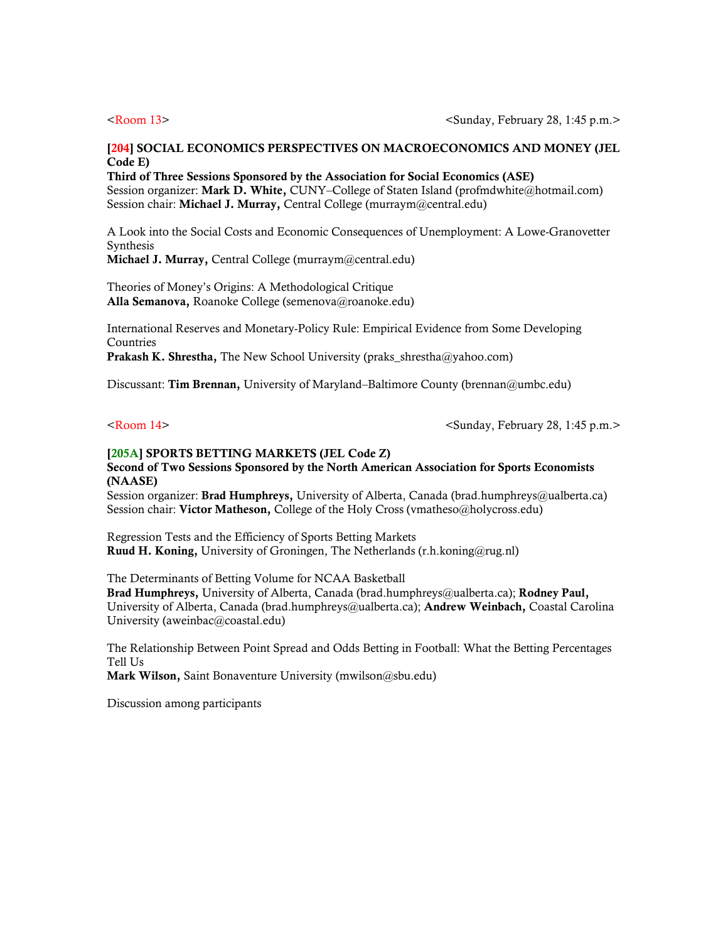### [204] SOCIAL ECONOMICS PERSPECTIVES ON MACROECONOMICS AND MONEY (JEL Code E)

Third of Three Sessions Sponsored by the Association for Social Economics (ASE) Session organizer: Mark D. White, CUNY-College of Staten Island (profmdwhite@hotmail.com) Session chair: Michael J. Murray, Central College (murraym@central.edu)

A Look into the Social Costs and Economic Consequences of Unemployment: A Lowe-Granovetter Synthesis

Michael J. Murray, Central College (murraym@central.edu)

Theories of Money's Origins: A Methodological Critique Alla Semanova, Roanoke College (semenova@roanoke.edu)

International Reserves and Monetary-Policy Rule: Empirical Evidence from Some Developing **Countries** 

**Prakash K. Shrestha,** The New School University (praks shrestha@yahoo.com)

Discussant: Tim Brennan, University of Maryland–Baltimore County (brennan@umbc.edu)

<Room 14> <Sunday, February 28, 1:45 p.m.>

## [205A] SPORTS BETTING MARKETS (JEL Code Z)

### Second of Two Sessions Sponsored by the North American Association for Sports Economists (NAASE)

Session organizer: **Brad Humphreys,** University of Alberta, Canada (brad.humphreys@ualberta.ca) Session chair: Victor Matheson, College of the Holy Cross (vmatheso@holycross.edu)

Regression Tests and the Efficiency of Sports Betting Markets Ruud H. Koning, University of Groningen, The Netherlands (r.h.koning@rug.nl)

The Determinants of Betting Volume for NCAA Basketball

Brad Humphreys, University of Alberta, Canada (brad.humphreys@ualberta.ca); Rodney Paul, University of Alberta, Canada (brad.humphreys@ualberta.ca); **Andrew Weinbach,** Coastal Carolina University (aweinbac@coastal.edu)

The Relationship Between Point Spread and Odds Betting in Football: What the Betting Percentages Tell Us

Mark Wilson, Saint Bonaventure University (mwilson@sbu.edu)

Discussion among participants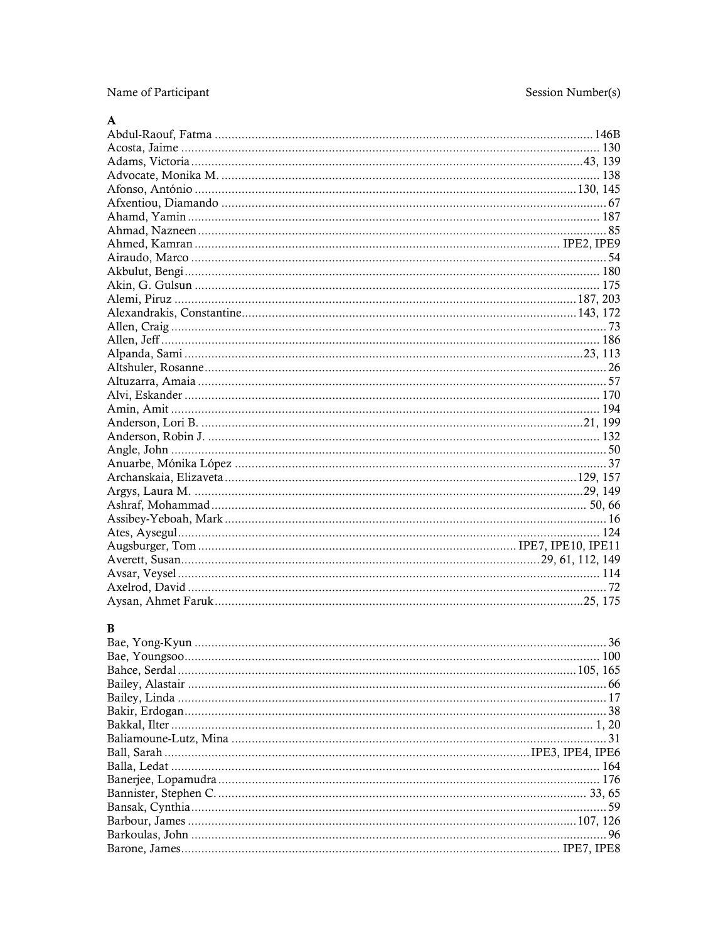Name of Participant

## ${\bf A}$

## $\bf{B}$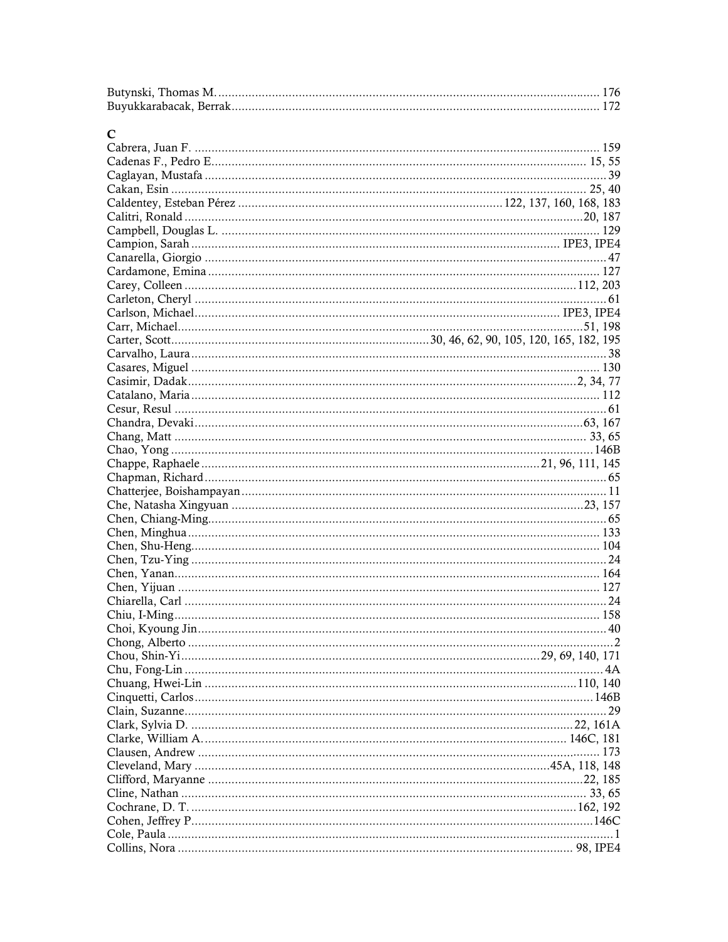| $\mathbf C$ |  |
|-------------|--|
|             |  |
|             |  |
|             |  |
|             |  |
|             |  |
|             |  |
|             |  |
|             |  |
|             |  |
|             |  |
|             |  |
|             |  |
|             |  |
|             |  |
|             |  |
|             |  |
|             |  |
|             |  |
|             |  |
|             |  |
|             |  |
|             |  |
|             |  |
|             |  |
|             |  |
|             |  |
|             |  |
|             |  |
|             |  |
|             |  |
|             |  |
|             |  |
|             |  |
|             |  |
|             |  |
|             |  |
|             |  |
|             |  |
|             |  |
|             |  |
|             |  |
|             |  |
|             |  |
|             |  |
|             |  |
|             |  |
|             |  |
|             |  |
|             |  |
|             |  |
|             |  |
|             |  |
|             |  |
|             |  |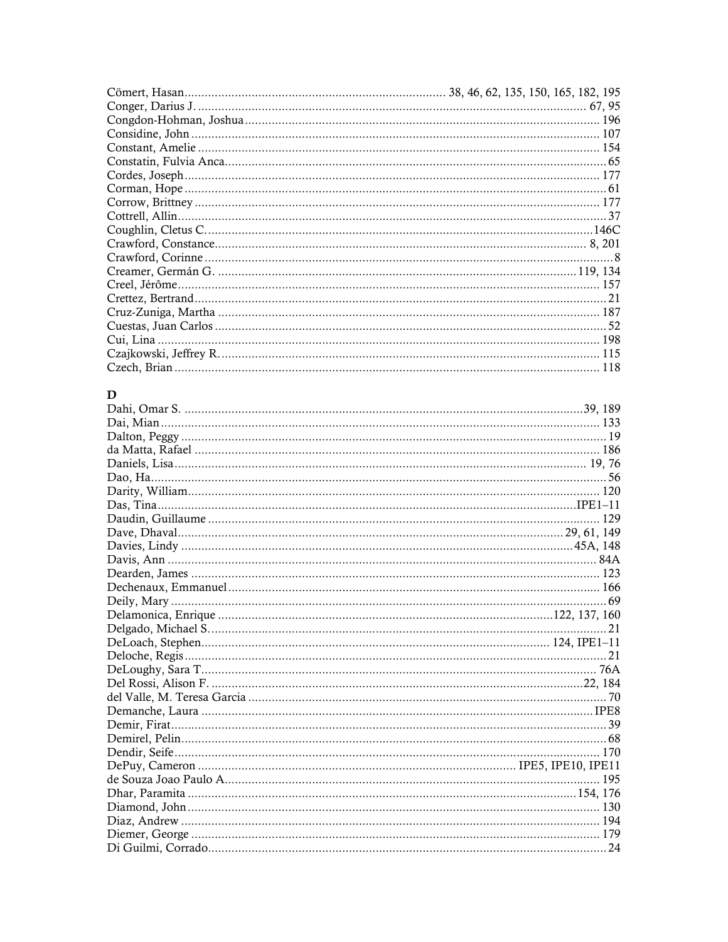## $\mathbf{D}$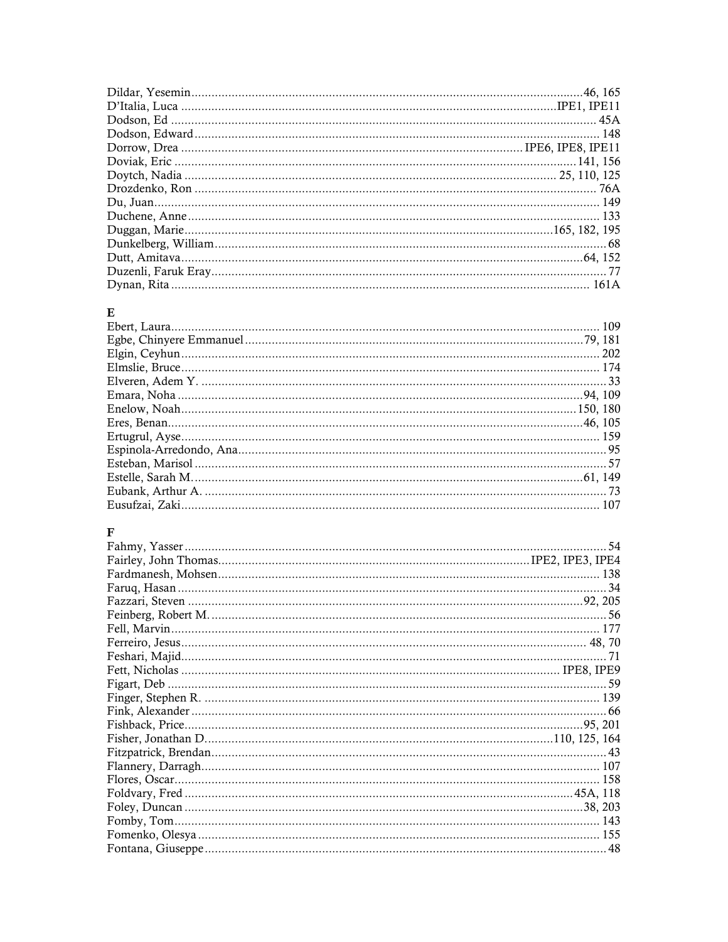# $\mathbf E$

## $\mathbf{F}$

| 54 |
|----|
|    |
|    |
|    |
|    |
|    |
|    |
|    |
|    |
|    |
|    |
|    |
|    |
|    |
|    |
|    |
|    |
|    |
|    |
|    |
|    |
|    |
| 48 |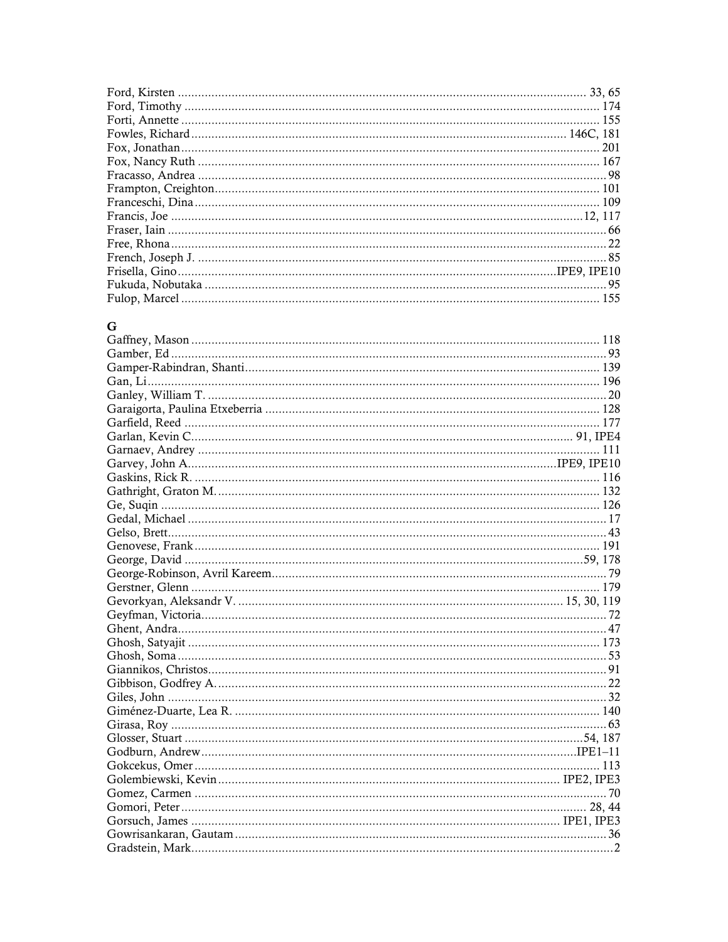## $\mathbf G$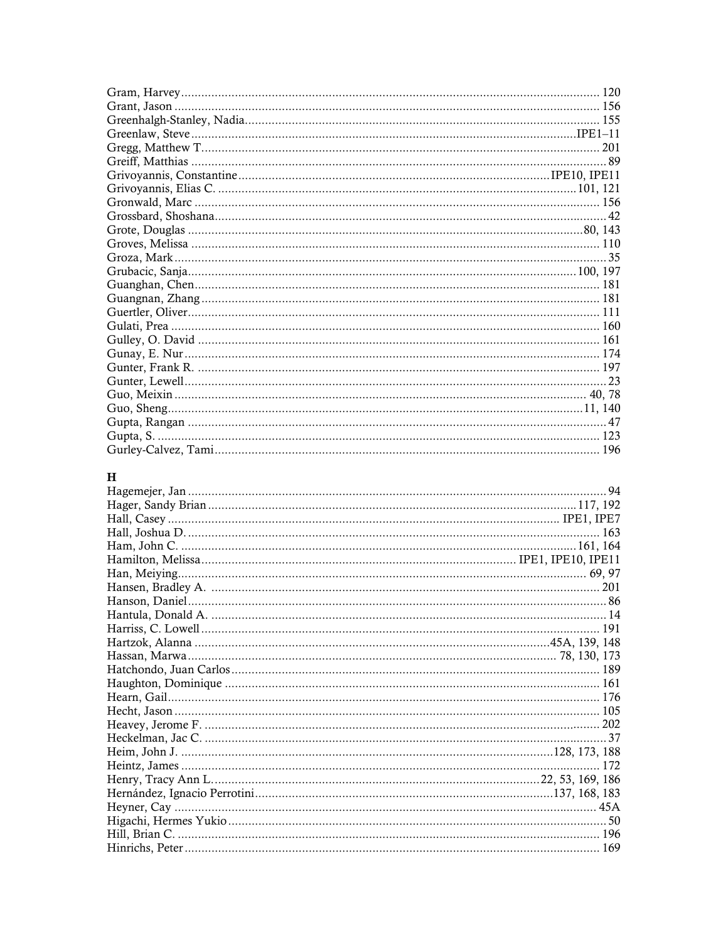## $\mathbf H$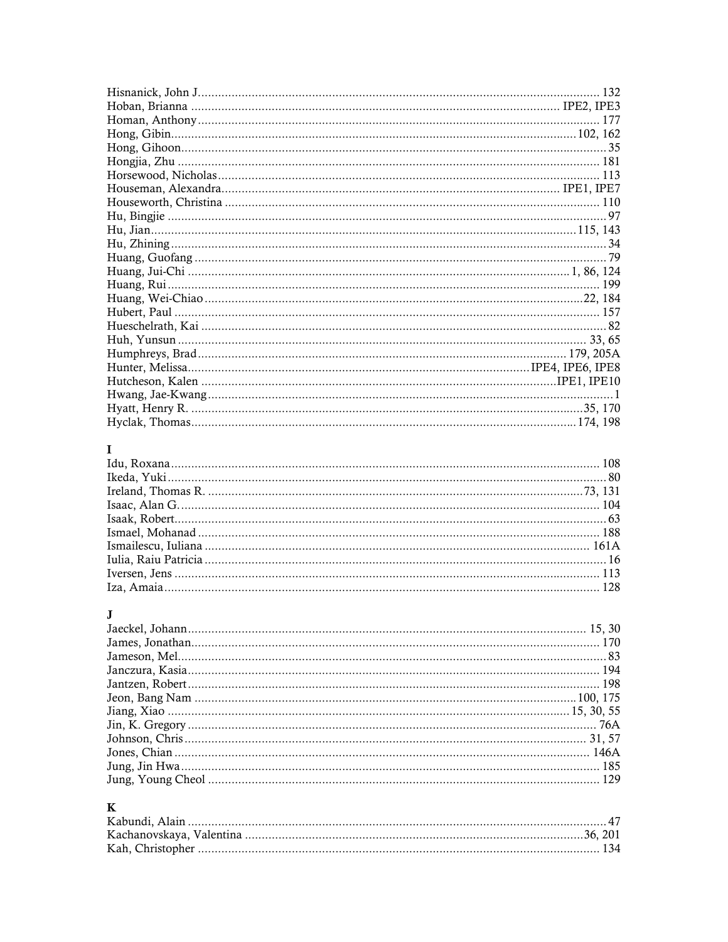# $\mathbf{I}$

# $\mathbf{J}$

# $\mathbf K$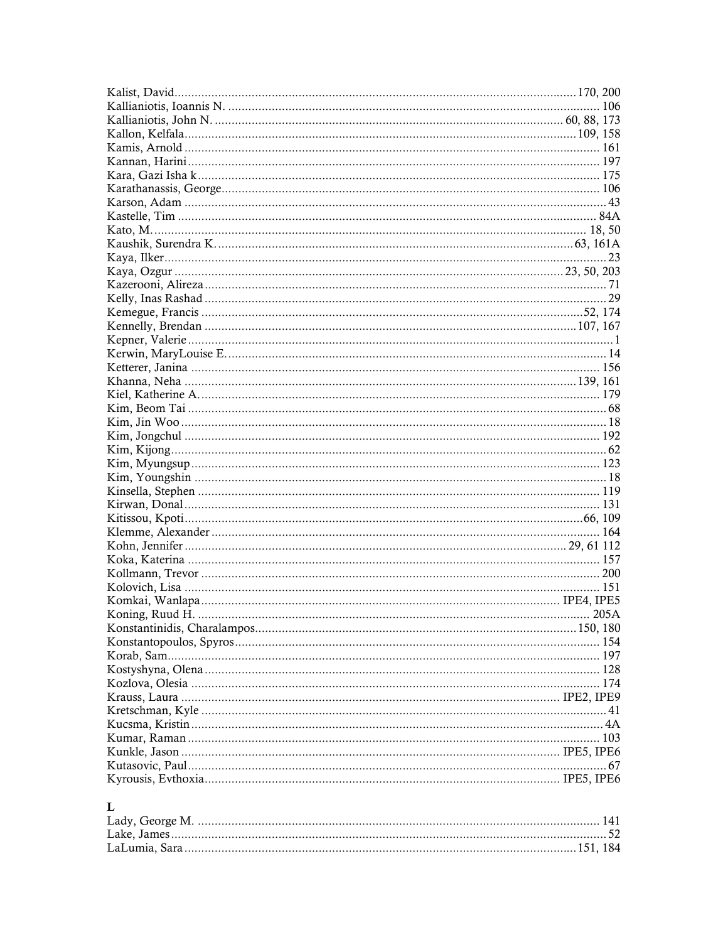| 67 |
|----|
|    |
|    |

# $\mathbf{L}%$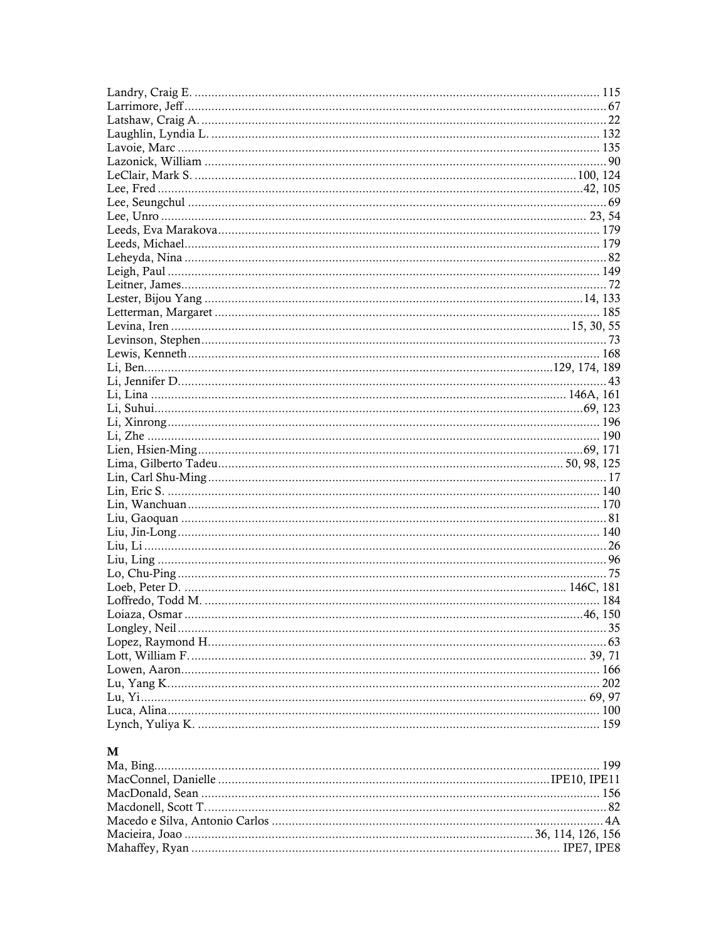## $\mathbf{M}$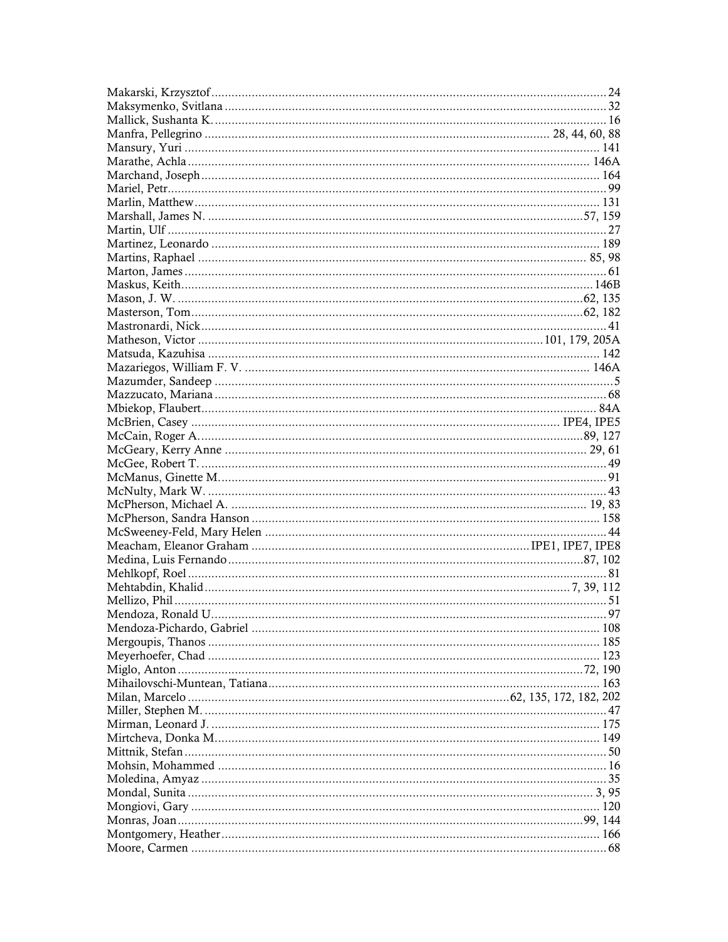| 163 |
|-----|
|     |
|     |
|     |
|     |
|     |
|     |
|     |
|     |
|     |
| 120 |
|     |
|     |
|     |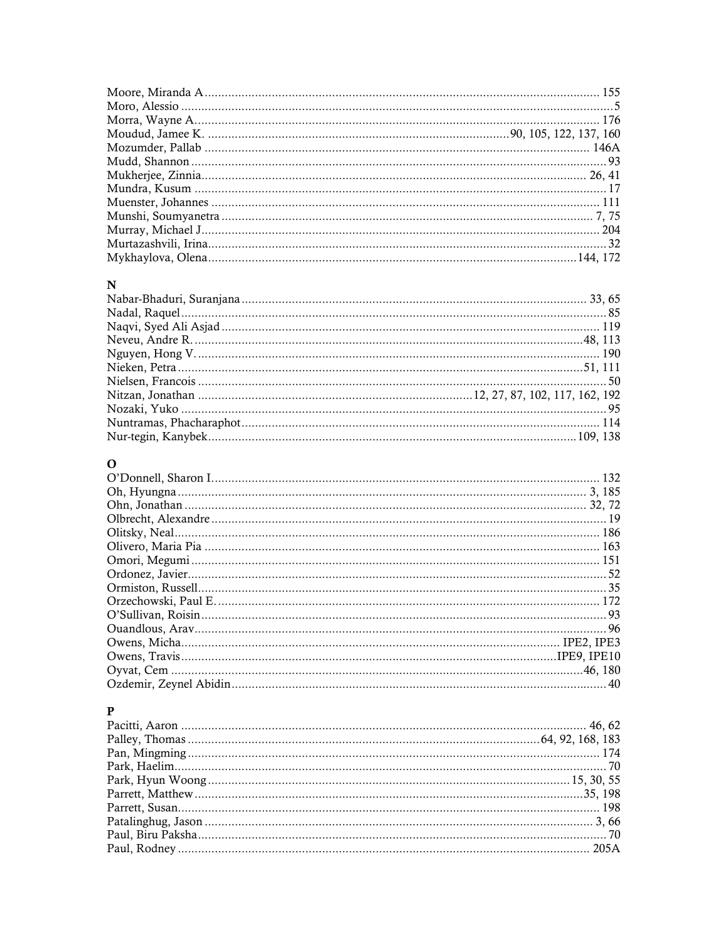## $\mathbf N$

# $\mathbf{o}$

## $\, {\bf P}$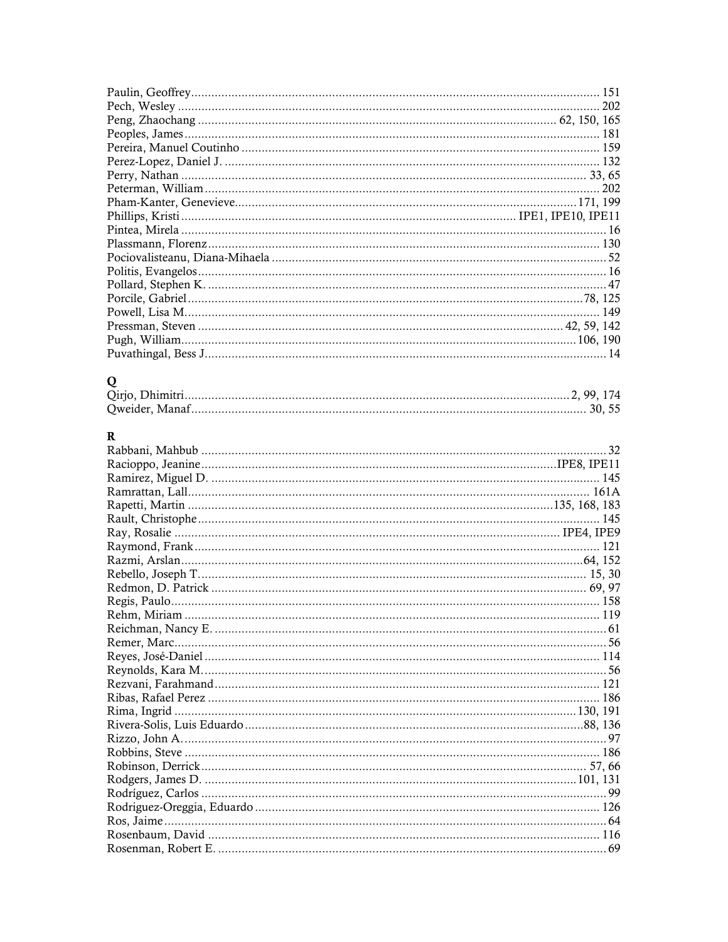# $\bf{Q}$

# $\mathbf R$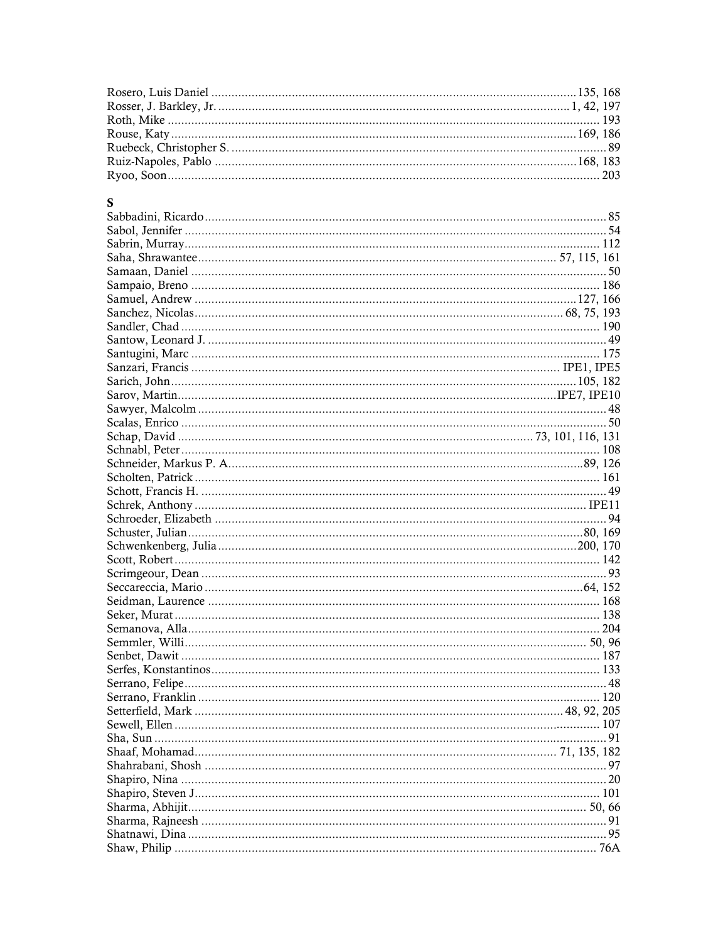## $S$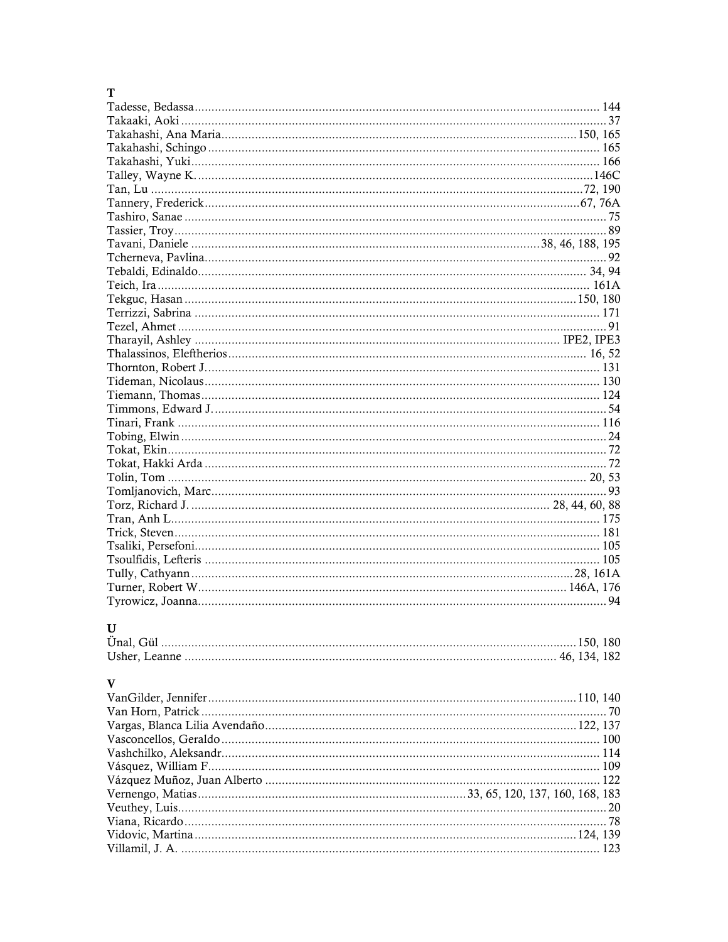## $\overline{\mathbf{T}}$

| $\mathbf{U}$ |  |
|--------------|--|
|              |  |
|              |  |
|              |  |
| $\mathbf{V}$ |  |

| × |
|---|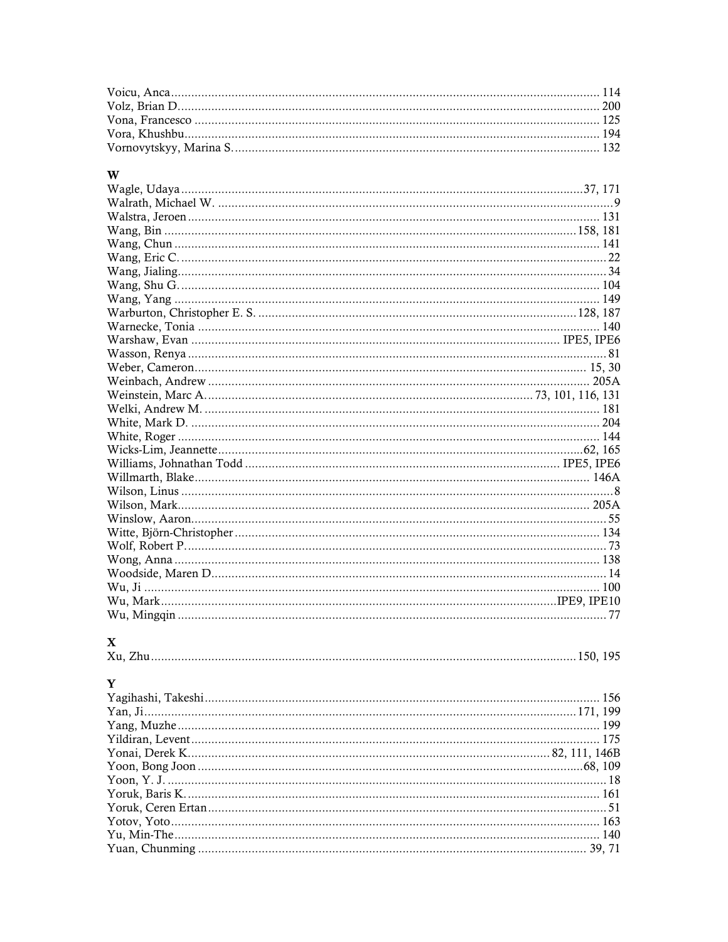## $\mathbf{w}$

# $\mathbf X$

| <b>ZX</b> |  |
|-----------|--|
|           |  |
|           |  |
|           |  |

# $\overline{\mathbf{v}}$